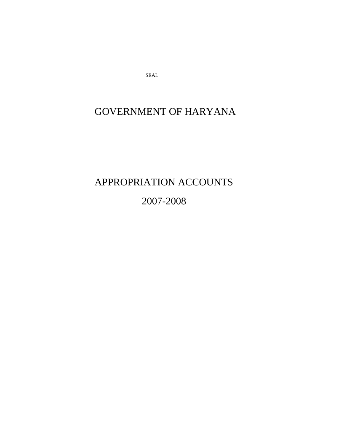SEAL

# GOVERNMENT OF HARYANA

APPROPRIATION ACCOUNTS 2007-2008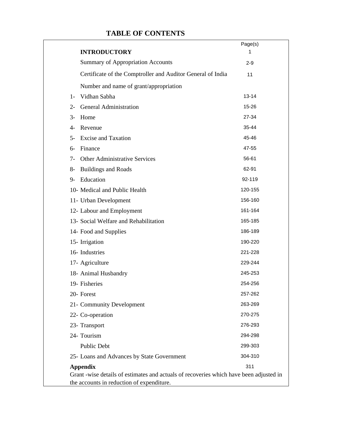# **TABLE OF CONTENTS**

|                                                                                                                                                        | Page(s)   |
|--------------------------------------------------------------------------------------------------------------------------------------------------------|-----------|
| <b>INTRODUCTORY</b>                                                                                                                                    | 1         |
| <b>Summary of Appropriation Accounts</b>                                                                                                               | $2 - 9$   |
| Certificate of the Comptroller and Auditor General of India                                                                                            | 11        |
| Number and name of grant/appropriation                                                                                                                 |           |
| Vidhan Sabha<br>$1 -$                                                                                                                                  | $13 - 14$ |
| <b>General Administration</b><br>$2 -$                                                                                                                 | 15-26     |
| Home<br>$3-$                                                                                                                                           | 27-34     |
| $\overline{4}$ -<br>Revenue                                                                                                                            | 35-44     |
| <b>Excise and Taxation</b><br>$5-$                                                                                                                     | 45-46     |
| Finance<br>6-                                                                                                                                          | 47-55     |
| Other Administrative Services<br>$7 -$                                                                                                                 | 56-61     |
| <b>Buildings and Roads</b><br>$8-$                                                                                                                     | 62-91     |
| Education<br>$9-$                                                                                                                                      | 92-119    |
| 10- Medical and Public Health                                                                                                                          | 120-155   |
| 11- Urban Development                                                                                                                                  | 156-160   |
| 12- Labour and Employment                                                                                                                              | 161-164   |
| 13- Social Welfare and Rehabilitation                                                                                                                  | 165-185   |
| 14- Food and Supplies                                                                                                                                  | 186-189   |
| 15- Irrigation                                                                                                                                         | 190-220   |
| 16- Industries                                                                                                                                         | 221-228   |
| 17- Agriculture                                                                                                                                        | 229-244   |
| 18- Animal Husbandry                                                                                                                                   | 245-253   |
| 19- Fisheries                                                                                                                                          | 254-256   |
| 20- Forest                                                                                                                                             | 257-262   |
| 21- Community Development                                                                                                                              | 263-269   |
| 22- Co-operation                                                                                                                                       | 270-275   |
| 23- Transport                                                                                                                                          | 276-293   |
| 24- Tourism                                                                                                                                            | 294-298   |
| <b>Public Debt</b>                                                                                                                                     | 299-303   |
| 25- Loans and Advances by State Government                                                                                                             | 304-310   |
| <b>Appendix</b><br>Grant -wise details of estimates and actuals of recoveries which have been adjusted in<br>the accounts in reduction of expenditure. | 311       |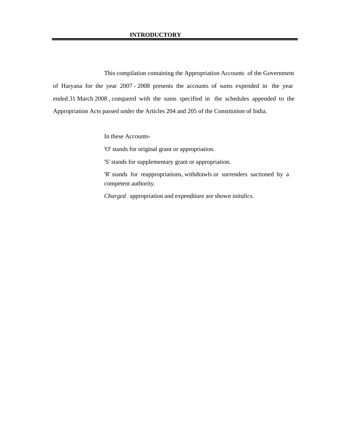This compilation containing the Appropriation Accounts of the Government of Haryana for the year 2007 - 2008 presents the accounts of sums expended in the year ended 31 March 2008 , compared with the sums specified in the schedules appended to the Appropriation Acts passed under the Articles 204 and 205 of the Constitution of India.

In these Accounts-

'O' stands for original grant or appropriation.

'S' stands for supplementary grant or appropriation.

'R' stands for reappropriations, withdrawls or surrenders sactioned by a competent authority.

*Charged* appropriation and expenditure are shown in*italics.*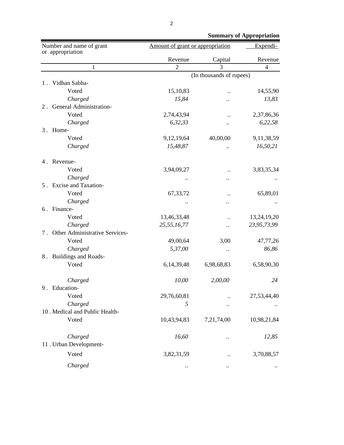|                                              |                |                                  | <b>Summary of Appropriation</b> |
|----------------------------------------------|----------------|----------------------------------|---------------------------------|
| Number and name of grant<br>or appropriation |                | Amount of grant or appropriation |                                 |
|                                              | Revenue        | Capital                          | Revenue                         |
| $\mathbf{1}$                                 | $\overline{2}$ | $\overline{3}$                   | $\overline{4}$                  |
|                                              |                | (In thousands of rupees)         |                                 |
| Vidhan Sabha-<br>1.                          |                |                                  |                                 |
| Voted                                        | 15,10,83       |                                  | 14,55,90                        |
| Charged                                      | 15,84          |                                  | 13,83                           |
| 2. General Administration-                   |                |                                  |                                 |
| Voted                                        | 2,74,43,94     | $\ddot{\phantom{0}}$             | 2,37,86,36                      |
| Charged                                      | 6,32,33        |                                  | 6,22,58                         |
| 3. Home-                                     |                |                                  |                                 |
| Voted                                        | 9,12,19,64     | 40,00,00                         | 9,11,38,59                      |
| Charged                                      | 15,48,87       |                                  | 16,50,21                        |
| 4. Revenue-                                  |                |                                  |                                 |
| Voted                                        | 3,94,09,27     |                                  | 3,83,35,34                      |
| Charged                                      |                |                                  |                                 |
| 5. Excise and Taxation-                      |                |                                  |                                 |
| Voted                                        | 67, 33, 72     | $\ddotsc$                        | 65,89,01                        |
| Charged                                      |                |                                  |                                 |
| 6. Finance-                                  |                |                                  |                                 |
| Voted                                        | 13,46,33,48    | $\ddot{\phantom{0}}\cdot$        | 13,24,19,20                     |
| Charged                                      | 25,55,16,77    | $\ddot{\phantom{0}}$             | 23,95,73,99                     |
| 7. Other Administrative Services-            |                |                                  |                                 |
| Voted                                        | 49,00,64       | 3,00                             | 47,77,26                        |
| Charged                                      | 5,37,00        | $\ddot{\phantom{0}}$             | 86,86                           |
| 8. Buildings and Roads-                      |                |                                  |                                 |
| Voted                                        | 6,14,39,48     | 6,98,68,83                       | 6,58,90,30                      |
| Charged                                      | 10,00          | 2,00,00                          | 24                              |
| 9. Education-                                |                |                                  |                                 |
| Voted                                        | 29,76,60,81    |                                  | 27,53,44,40                     |
| Charged                                      | 5              |                                  |                                 |
| 10 . Medical and Public Health-              |                |                                  |                                 |
| Voted                                        | 10,43,94,83    | 7,21,74,00                       | 10,98,21,84                     |
| Charged                                      | 16,60          |                                  | 12,85                           |
| 11 . Urban Development-                      |                |                                  |                                 |
| Voted                                        | 3,82,31,59     |                                  | 3,70,88,57                      |
| Charged                                      |                |                                  |                                 |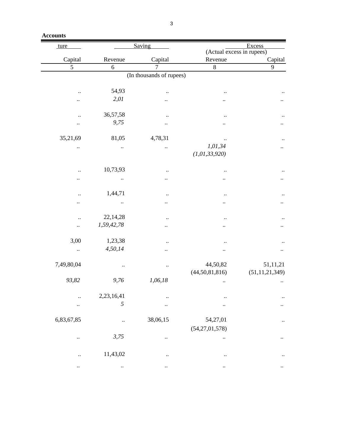| <b>Accounts</b> |
|-----------------|
|-----------------|

| ture                     |                        | Saving               | Excess                      |                   |  |  |  |
|--------------------------|------------------------|----------------------|-----------------------------|-------------------|--|--|--|
|                          |                        |                      | (Actual excess in rupees)   |                   |  |  |  |
| Capital                  | Revenue                | Capital              | Revenue                     | Capital           |  |  |  |
| $\overline{5}$           | $\sqrt{6}$             | $\overline{7}$       | $\overline{8}$              | 9                 |  |  |  |
| (In thousands of rupees) |                        |                      |                             |                   |  |  |  |
|                          | 54,93                  |                      |                             |                   |  |  |  |
|                          | 2,01                   |                      |                             |                   |  |  |  |
|                          |                        |                      |                             |                   |  |  |  |
|                          | 36,57,58               |                      |                             |                   |  |  |  |
|                          | 9,75                   |                      |                             |                   |  |  |  |
|                          |                        |                      |                             |                   |  |  |  |
| 35,21,69                 | 81,05                  | 4,78,31              |                             |                   |  |  |  |
|                          |                        |                      | 1,01,34<br>(1, 01, 33, 920) |                   |  |  |  |
|                          |                        |                      |                             |                   |  |  |  |
|                          | 10,73,93               |                      |                             |                   |  |  |  |
|                          |                        |                      |                             |                   |  |  |  |
|                          |                        |                      |                             |                   |  |  |  |
|                          | 1,44,71                |                      |                             |                   |  |  |  |
|                          |                        |                      |                             |                   |  |  |  |
|                          |                        |                      |                             |                   |  |  |  |
|                          | 22,14,28<br>1,59,42,78 |                      |                             |                   |  |  |  |
|                          |                        |                      |                             |                   |  |  |  |
| 3,00                     | 1,23,38                |                      |                             |                   |  |  |  |
| $\ldots$                 | 4,50,14                |                      |                             |                   |  |  |  |
|                          |                        |                      |                             |                   |  |  |  |
| 7,49,80,04               |                        | $\ddotsc$            | 44,50,82                    | 51,11,21          |  |  |  |
|                          |                        |                      | (44, 50, 81, 816)           | (51, 11, 21, 349) |  |  |  |
| 93,82                    | 9,76                   | 1,06,18              |                             |                   |  |  |  |
|                          | 2,23,16,41             |                      |                             |                   |  |  |  |
|                          | 5                      |                      |                             |                   |  |  |  |
| $\ddot{\phantom{0}}$     |                        |                      |                             |                   |  |  |  |
| 6,83,67,85               | $\ddot{\phantom{0}}$   | 38,06,15             | 54,27,01                    |                   |  |  |  |
|                          |                        |                      | (54,27,01,578)              |                   |  |  |  |
| $\ddot{\phantom{0}}$     | 3,75                   |                      |                             |                   |  |  |  |
|                          |                        |                      |                             |                   |  |  |  |
|                          | 11,43,02               | $\ddot{\phantom{0}}$ |                             |                   |  |  |  |
|                          | $\ddot{\phantom{0}}$   | $\ddotsc$            | $\ddot{\phantom{0}}$        |                   |  |  |  |
|                          |                        |                      |                             |                   |  |  |  |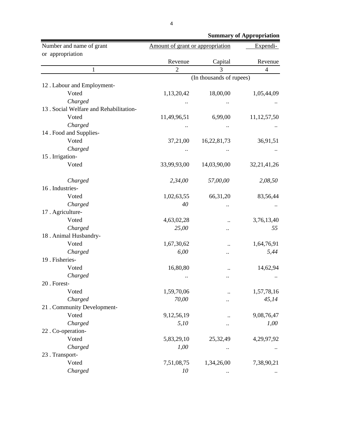| Number and name of grant                | Amount of grant or appropriation | Expendi-                 |                |
|-----------------------------------------|----------------------------------|--------------------------|----------------|
| or appropriation                        |                                  |                          |                |
|                                         | Revenue                          | Capital                  | Revenue        |
| $\mathbf{1}$                            | $\overline{2}$                   | 3                        | $\overline{4}$ |
|                                         |                                  | (In thousands of rupees) |                |
| 12. Labour and Employment-              |                                  |                          |                |
| Voted                                   | 1,13,20,42                       | 18,00,00                 | 1,05,44,09     |
| Charged                                 |                                  |                          |                |
| 13 . Social Welfare and Rehabilitation- |                                  |                          |                |
| Voted                                   | 11,49,96,51                      | 6,99,00                  | 11, 12, 57, 50 |
| Charged                                 |                                  |                          |                |
| 14 . Food and Supplies-                 |                                  |                          |                |
| Voted                                   | 37,21,00                         | 16,22,81,73              | 36,91,51       |
| Charged                                 |                                  |                          |                |
| 15 . Irrigation-                        |                                  |                          |                |
| Voted                                   | 33,99,93,00                      | 14,03,90,00              | 32, 21, 41, 26 |
| Charged                                 | 2,34,00                          | 57,00,00                 | 2,08,50        |
| 16. Industries-                         |                                  |                          |                |
| Voted                                   | 1,02,63,55                       | 66, 31, 20               | 83,56,44       |
| Charged                                 | 40                               |                          |                |
| 17. Agriculture-                        |                                  |                          |                |
| Voted                                   | 4,63,02,28                       |                          | 3,76,13,40     |
| Charged                                 | 25,00                            |                          | 55             |
| 18. Animal Husbandry-                   |                                  |                          |                |
| Voted                                   | 1,67,30,62                       |                          | 1,64,76,91     |
| Charged                                 | 6,00                             |                          | 5,44           |
| 19 . Fisheries-                         |                                  |                          |                |
| Voted                                   | 16,80,80                         |                          | 14,62,94       |
| Charged                                 |                                  |                          |                |
| 20 . Forest-                            |                                  |                          |                |
| Voted                                   | 1,59,70,06                       |                          | 1,57,78,16     |
| Charged                                 | 70,00                            |                          | 45,14          |
| 21 . Community Development-             |                                  |                          |                |
| Voted                                   | 9,12,56,19                       |                          | 9,08,76,47     |
| Charged                                 | 5,10                             |                          | 1,00           |
| 22. Co-operation-                       |                                  |                          |                |
| Voted                                   | 5,83,29,10                       | 25,32,49                 | 4,29,97,92     |
| Charged                                 | 1,00                             |                          |                |
| 23 . Transport-                         |                                  |                          |                |
| Voted                                   | 7,51,08,75                       | 1,34,26,00               | 7,38,90,21     |
| Charged                                 | 10                               |                          |                |

 **Summary of Appropriation**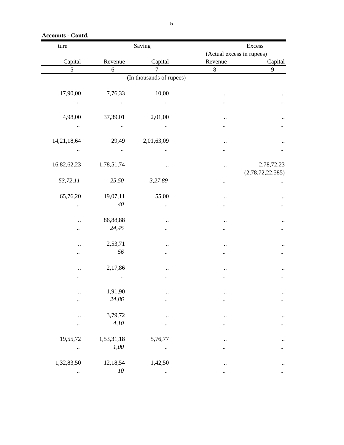**Accounts - Contd.**

| ture                 |            | Saving                   |                      | Excess                    |
|----------------------|------------|--------------------------|----------------------|---------------------------|
|                      |            |                          |                      | (Actual excess in rupees) |
| Capital              | Revenue    | Capital                  | Revenue              | Capital                   |
| 5                    | 6          | $\overline{7}$           | $8\,$                | 9                         |
|                      |            | (In thousands of rupees) |                      |                           |
| 17,90,00             | 7,76,33    | 10,00                    |                      |                           |
|                      |            |                          |                      |                           |
|                      |            |                          |                      |                           |
| 4,98,00              | 37,39,01   | 2,01,00                  |                      |                           |
| $\ddot{\phantom{0}}$ |            |                          |                      |                           |
| 14,21,18,64          | 29,49      | 2,01,63,09               |                      |                           |
|                      |            |                          |                      |                           |
|                      |            |                          |                      |                           |
| 16,82,62,23          | 1,78,51,74 |                          | $\ddot{\phantom{0}}$ | 2,78,72,23                |
|                      |            |                          |                      | (2,78,72,22,585)          |
| 53,72,11             | 25,50      | 3,27,89                  |                      |                           |
| 65,76,20             | 19,07,11   | 55,00                    |                      |                           |
|                      | 40         |                          |                      |                           |
|                      |            |                          |                      |                           |
|                      | 86,88,88   |                          |                      |                           |
|                      | 24,45      |                          |                      |                           |
| $\ddot{\phantom{0}}$ | 2,53,71    |                          |                      |                           |
|                      | 56         |                          |                      |                           |
|                      |            |                          |                      |                           |
|                      | 2,17,86    |                          |                      |                           |
|                      |            |                          |                      |                           |
|                      | 1,91,90    |                          |                      |                           |
|                      | 24,86      |                          |                      |                           |
|                      |            |                          |                      |                           |
|                      | 3,79,72    |                          |                      |                           |
|                      | 4,10       |                          |                      |                           |
| 19,55,72             | 1,53,31,18 | 5,76,77                  |                      |                           |
|                      | 1,00       | $\ddot{\phantom{0}}$     |                      |                           |
|                      |            |                          |                      |                           |
| 1,32,83,50           | 12,18,54   | 1,42,50                  |                      |                           |
|                      | $10\,$     |                          |                      |                           |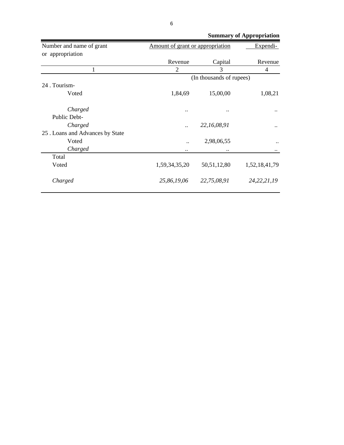|                                  | <b>Summary of Appropriation</b>  |                          |                |
|----------------------------------|----------------------------------|--------------------------|----------------|
| Number and name of grant         | Amount of grant or appropriation |                          | Expendi-       |
| or appropriation                 |                                  |                          |                |
|                                  | Revenue                          | Capital                  | Revenue        |
| 1                                | $\overline{2}$                   | 3                        | 4              |
|                                  |                                  | (In thousands of rupees) |                |
| 24 . Tourism-                    |                                  |                          |                |
| Voted                            | 1,84,69                          | 15,00,00                 | 1,08,21        |
|                                  |                                  |                          |                |
| Charged                          |                                  |                          |                |
| Public Debt-                     |                                  |                          |                |
| Charged                          |                                  | 22, 16, 08, 91           |                |
| 25 . Loans and Advances by State |                                  |                          |                |
| Voted                            |                                  | 2,98,06,55               |                |
| Charged                          |                                  |                          |                |
| Total                            |                                  |                          |                |
| Voted                            | 1,59,34,35,20                    | 50, 51, 12, 80           | 1,52,18,41,79  |
|                                  |                                  |                          |                |
| Charged                          | 25,86,19,06                      | 22,75,08,91              | 24, 22, 21, 19 |
|                                  |                                  |                          |                |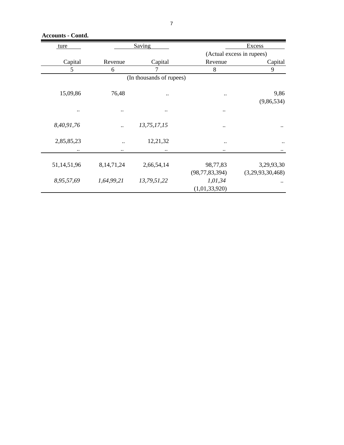**Accounts - Contd.**

| ture                                                     |               | Saving                   |                        | Excess                    |
|----------------------------------------------------------|---------------|--------------------------|------------------------|---------------------------|
|                                                          |               |                          |                        | (Actual excess in rupees) |
| Capital                                                  | Revenue       | Capital                  | Revenue                | Capital                   |
| 5                                                        | 6             | 7                        | 8                      | 9                         |
|                                                          |               | (In thousands of rupees) |                        |                           |
|                                                          |               |                          |                        |                           |
| 15,09,86                                                 | 76,48         |                          | $\ddot{\phantom{0}}$   | 9,86                      |
|                                                          |               |                          |                        | (9,86,534)                |
| $\ddot{\phantom{0}}\phantom{0}\bullet\phantom{0}\bullet$ | $\ddotsc$     | $\ddotsc$                |                        |                           |
|                                                          |               |                          |                        |                           |
| 8,40,91,76                                               |               | 13,75,17,15              |                        |                           |
|                                                          |               |                          |                        |                           |
| 2,85,85,23                                               |               | 12,21,32                 | $\ddot{\phantom{a}}$ . | $\ddot{\phantom{0}}$      |
| $\ddotsc$                                                | $\ddotsc$     |                          | $\ddotsc$              |                           |
|                                                          |               |                          |                        |                           |
| 51,14,51,96                                              | 8, 14, 71, 24 | 2,66,54,14               | 98,77,83               | 3,29,93,30                |
|                                                          |               |                          | (98, 77, 83, 394)      | (3,29,93,30,468)          |
| 8,95,57,69                                               | 1,64,99,21    | 13,79,51,22              | 1,01,34                |                           |
|                                                          |               |                          | (1,01,33,920)          |                           |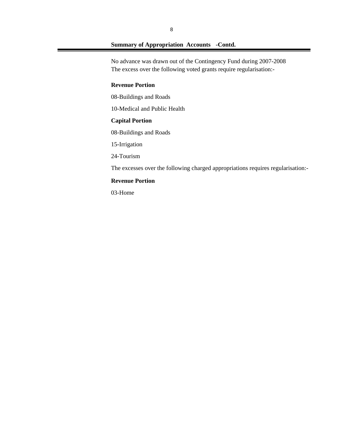No advance was drawn out of the Contingency Fund during 2007-2008 The excess over the following voted grants require regularisation:-

## **Revenue Portion**

08-Buildings and Roads

10-Medical and Public Health

## **Capital Portion**

08-Buildings and Roads

15-Irrigation

24-Tourism

The excesses over the following charged appropriations requires regularisation:-

#### **Revenue Portion**

03-Home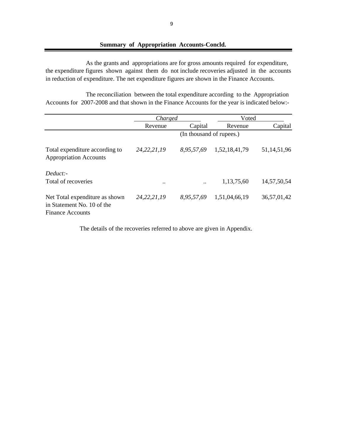#### **Summary of Appropriation Accounts-Concld.**

the expenditure figures shown against them do not include recoveries adjusted in the accounts in reduction of expenditure. The net expenditure figures are shown in the Finance Accounts. As the grants and appropriations are for gross amounts required for expenditure,

Accounts for 2007-2008 and that shown in the Finance Accounts for the year is indicated below:- The reconciliation between the total expenditure according to the Appropriation

|                                                                                         | <i>Charged</i> |                          | Voted         |                |
|-----------------------------------------------------------------------------------------|----------------|--------------------------|---------------|----------------|
|                                                                                         | Revenue        | Capital                  | Revenue       | Capital        |
|                                                                                         |                | (In thousand of rupees.) |               |                |
| Total expenditure according to<br><b>Appropriation Accounts</b>                         | 24, 22, 21, 19 | 8,95,57,69               | 1,52,18,41,79 | 51,14,51,96    |
| Deduct:<br>Total of recoveries                                                          | $\ddotsc$      | $\ddot{\phantom{0}}$     | 1,13,75,60    | 14, 57, 50, 54 |
| Net Total expenditure as shown<br>in Statement No. 10 of the<br><b>Finance Accounts</b> | 24, 22, 21, 19 | 8,95,57,69               | 1,51,04,66,19 | 36,57,01,42    |

The details of the recoveries referred to above are given in Appendix.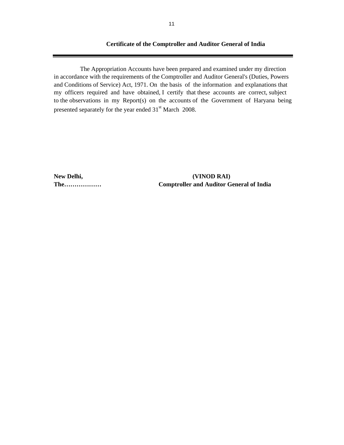#### **Certificate of the Comptroller and Auditor General of India**

The Appropriation Accounts have been prepared and examined under my direction in accordance with the requirements of the Comptroller and Auditor General's (Duties, Powers and Conditions of Service) Act, 1971. On the basis of the information and explanations that my officers required and have obtained, I certify that these accounts are correct, subject to the observations in my Report(s) on the accounts of the Government of Haryana being presented separately for the year ended 31<sup>st</sup> March 2008.

**New Delhi, (VINOD RAI) The……………… Comptroller and Auditor General of India**

**STATE**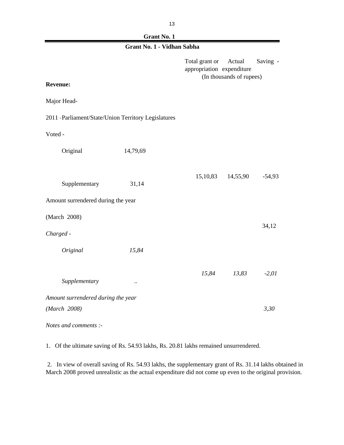| ۰. | ٠             |
|----|---------------|
|    | ۰.<br>×<br>۰, |

| Grant No. 1 - Vidhan Sabha                           |           |                                             |                                    |          |  |
|------------------------------------------------------|-----------|---------------------------------------------|------------------------------------|----------|--|
|                                                      |           | Total grant or<br>appropriation expenditure | Actual<br>(In thousands of rupees) | Saving - |  |
| <b>Revenue:</b>                                      |           |                                             |                                    |          |  |
| Major Head-                                          |           |                                             |                                    |          |  |
| 2011 - Parliament/State/Union Territory Legislatures |           |                                             |                                    |          |  |
| Voted -                                              |           |                                             |                                    |          |  |
| Original                                             | 14,79,69  |                                             |                                    |          |  |
|                                                      |           |                                             |                                    |          |  |
| Supplementary                                        | 31,14     | 15,10,83                                    | 14,55,90                           | $-54,93$ |  |
| Amount surrendered during the year                   |           |                                             |                                    |          |  |
| (March 2008)                                         |           |                                             |                                    |          |  |
| Charged -                                            |           |                                             |                                    | 34,12    |  |
| Original                                             | 15,84     |                                             |                                    |          |  |
|                                                      |           | 15,84                                       | 13,83                              | $-2,01$  |  |
| Supplementary                                        | $\ddotsc$ |                                             |                                    |          |  |
| Amount surrendered during the year                   |           |                                             |                                    |          |  |
| (March 2008)                                         |           |                                             |                                    | 3,30     |  |
| Notes and comments :-                                |           |                                             |                                    |          |  |

1. Of the ultimate saving of Rs. 54.93 lakhs, Rs. 20.81 lakhs remained unsurrendered.

 2. In view of overall saving of Rs. 54.93 lakhs, the supplementary grant of Rs. 31.14 lakhs obtained in March 2008 proved unrealistic as the actual expenditure did not come up even to the original provision.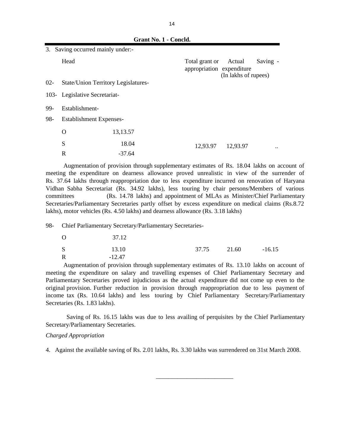|        |                                     | Grant No. 1 - Concld. |                                             |                                |          |
|--------|-------------------------------------|-----------------------|---------------------------------------------|--------------------------------|----------|
| 3.     | Saving occurred mainly under:-      |                       |                                             |                                |          |
|        | Head                                |                       | Total grant or<br>appropriation expenditure | Actual<br>(In lakhs of rupees) | Saving - |
| $02 -$ | State/Union Territory Legislatures- |                       |                                             |                                |          |
|        | 103- Legislative Secretariat-       |                       |                                             |                                |          |
| 99-    | Establishment-                      |                       |                                             |                                |          |
| 98-    | <b>Establishment Expenses-</b>      |                       |                                             |                                |          |
|        | O                                   | 13, 13.57             |                                             |                                |          |
|        | S                                   | 18.04                 | 12,93.97                                    | 12,93.97                       |          |
|        | $\mathbf R$                         | $-37.64$              |                                             |                                |          |

Augmentation of provision through supplementary estimates of Rs. 18.04 lakhs on account of meeting the expenditure on dearness allowance proved unrealistic in view of the surrender of Rs. 37.64 lakhs through reappropriation due to less expenditure incurred on renovation of Haryana Vidhan Sabha Secretariat (Rs. 34.92 lakhs), less touring by chair persons/Members of various committees (Rs. 14.78 lakhs) and appointment of MLAs as Minister/Chief Parliamentary Secretaries/Parliamentary Secretaries partly offset by excess expenditure on medical claims (Rs.8.72 lakhs), motor vehicles (Rs. 4.50 lakhs) and dearness allowance (Rs. 3.18 lakhs)

98- Chief Parliamentary Secretary/Parliamentary Secretaries-

| $\overline{O}$ | 37.12    |       |       |          |
|----------------|----------|-------|-------|----------|
| <sub>S</sub>   | 13.10    | 37.75 | 21.60 | $-16.15$ |
| R              | $-12.47$ |       |       |          |

Augmentation of provision through supplementary estimates of Rs. 13.10 lakhs on account of meeting the expenditure on salary and travelling expenses of Chief Parliamentary Secretary and Parliamentary Secretaries proved injudicious as the actual expenditure did not come up even to the original provision. Further reduction in provision through reappropriation due to less payment of income tax (Rs. 10.64 lakhs) and less touring by Chief Parliamentary Secretary/Parliamentary Secretaries (Rs. 1.83 lakhs).

Saving of Rs. 16.15 lakhs was due to less availing of perquisites by the Chief Parliamentary Secretary/Parliamentary Secretaries.

#### *Charged Appropriation*

4. Against the available saving of Rs. 2.01 lakhs, Rs. 3.30 lakhs was surrendered on 31st March 2008.

 $\frac{1}{2}$  , and the set of the set of the set of the set of the set of the set of the set of the set of the set of the set of the set of the set of the set of the set of the set of the set of the set of the set of the set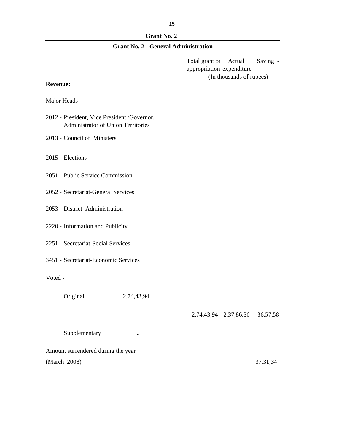| <b>Grant No. 2</b> |
|--------------------|
|--------------------|

# **Grant No. 2 - General Administration**

Total grant or Actual Saving appropriation expenditure (In thousands of rupees)

#### **Revenue:**

Major Heads-

- 2012 President, Vice President /Governor, Administrator of Union Territories
- 2013 Council of Ministers
- 2015 Elections
- 2051 Public Service Commission
- 2052 Secretariat-General Services
- 2053 District Administration
- 2220 Information and Publicity
- 2251 Secretariat-Social Services
- 3451 Secretariat-Economic Services

Voted -

Original 2,74,43,94

#### 2,74,43,94 2,37,86,36 -36,57,58

Supplementary ...

Amount surrendered during the year (March 2008) 37,31,34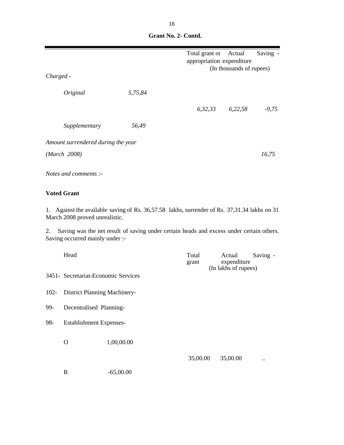|                                    |         | Total grant or<br>appropriation expenditure | Actual<br>(In thousands of rupees) | Saving - |
|------------------------------------|---------|---------------------------------------------|------------------------------------|----------|
| Charged -                          |         |                                             |                                    |          |
| Original                           | 5,75,84 |                                             |                                    |          |
|                                    |         | 6,32,33                                     | 6,22,58                            | $-9,75$  |
| Supplementary                      | 56,49   |                                             |                                    |          |
| Amount surrendered during the year |         |                                             |                                    |          |
| (March 2008)                       |         |                                             |                                    | 16,75    |
| Notes and comments :-              |         |                                             |                                    |          |

 **Grant No. 2- Contd.**

# **Voted Grant**

1. Against the available saving of Rs. 36,57.58 lakhs, surrender of Rs. 37,31.34 lakhs on 31 March 2008 proved unrealistic.

2. Saving was the net result of saving under certain heads and excess under certain others. Saving occurred mainly under :-

|     | Head                                |             | Total<br>grant | Actual<br>Saving -<br>expenditure<br>(In lakhs of rupees) |  |
|-----|-------------------------------------|-------------|----------------|-----------------------------------------------------------|--|
|     | 3451- Secretariat-Economic Services |             |                |                                                           |  |
|     | 102- District Planning Machinery-   |             |                |                                                           |  |
| 99- | Decentralised Planning-             |             |                |                                                           |  |
| 98- | <b>Establishment Expenses-</b>      |             |                |                                                           |  |
|     | O                                   | 1,00,00.00  |                |                                                           |  |
|     |                                     |             | 35,00.00       | 35,00.00<br>$\ddot{\phantom{0}}$                          |  |
|     | R                                   | $-65,00.00$ |                |                                                           |  |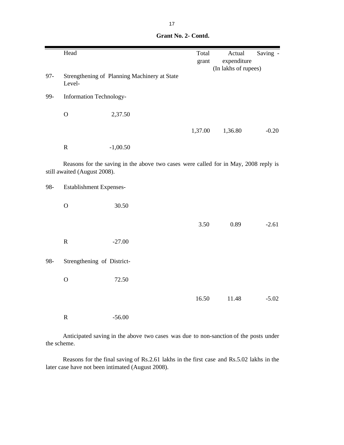|        | Head                         |                                                                                     | Total   | Actual               | Saving - |
|--------|------------------------------|-------------------------------------------------------------------------------------|---------|----------------------|----------|
|        |                              |                                                                                     | grant   | expenditure          |          |
|        |                              |                                                                                     |         | (In lakhs of rupees) |          |
| $97 -$ | Level-                       | Strengthening of Planning Machinery at State                                        |         |                      |          |
| 99-    | Information Technology-      |                                                                                     |         |                      |          |
|        | $\mathbf O$                  | 2,37.50                                                                             |         |                      |          |
|        |                              |                                                                                     | 1,37.00 | 1,36.80              | $-0.20$  |
|        | ${\bf R}$                    | $-1,00.50$                                                                          |         |                      |          |
|        | still awaited (August 2008). | Reasons for the saving in the above two cases were called for in May, 2008 reply is |         |                      |          |
| 98-    | Establishment Expenses-      |                                                                                     |         |                      |          |
|        | $\mathbf O$                  | 30.50                                                                               |         |                      |          |
|        |                              |                                                                                     | 3.50    | 0.89                 | $-2.61$  |
|        | $\mathbf R$                  | $-27.00$                                                                            |         |                      |          |
| 98-    | Strengthening of District-   |                                                                                     |         |                      |          |
|        | $\mathbf O$                  | 72.50                                                                               |         |                      |          |
|        |                              |                                                                                     | 16.50   | 11.48                | $-5.02$  |
|        | $\mathbf R$                  | $-56.00$                                                                            |         |                      |          |

|  | Grant No. 2- Contd. |
|--|---------------------|
|  |                     |

Anticipated saving in the above two cases was due to non-sanction of the posts under the scheme.

Reasons for the final saving of Rs.2.61 lakhs in the first case and Rs.5.02 lakhs in the later case have not been intimated (August 2008).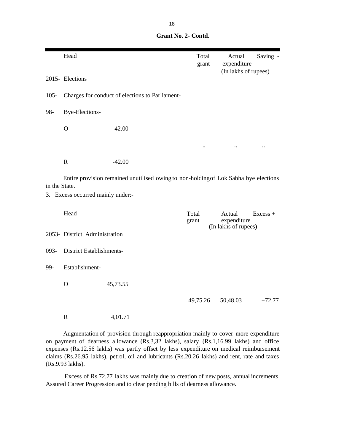**Grant No. 2- Contd.**

|               | Head                              |                                                                                      | Total<br>grant            | Actual<br>expenditure                         | Saving -             |
|---------------|-----------------------------------|--------------------------------------------------------------------------------------|---------------------------|-----------------------------------------------|----------------------|
|               | 2015- Elections                   |                                                                                      |                           | (In lakhs of rupees)                          |                      |
| $105 -$       |                                   | Charges for conduct of elections to Parliament-                                      |                           |                                               |                      |
| 98-           | Bye-Elections-                    |                                                                                      |                           |                                               |                      |
|               | $\mathbf O$                       | 42.00                                                                                |                           |                                               |                      |
|               |                                   |                                                                                      | $\ddot{\phantom{0}}\cdot$ | $\ddot{\phantom{0}}$                          | $\ddot{\phantom{0}}$ |
|               | $\mathbf R$                       | $-42.00$                                                                             |                           |                                               |                      |
| in the State. |                                   | Entire provision remained unutilised owing to non-holding of Lok Sabha bye elections |                           |                                               |                      |
|               | 3. Excess occurred mainly under:- |                                                                                      |                           |                                               |                      |
|               | Head                              |                                                                                      | Total<br>grant            | Actual<br>expenditure<br>(In lakhs of rupees) | $Excess +$           |
|               | 2053- District Administration     |                                                                                      |                           |                                               |                      |
| 093-          | District Establishments-          |                                                                                      |                           |                                               |                      |
| 99-           | Establishment-                    |                                                                                      |                           |                                               |                      |
|               | $\mathbf{O}$                      | 45,73.55                                                                             |                           |                                               |                      |
|               |                                   |                                                                                      | 49,75.26                  | 50,48.03                                      | $+72.77$             |
|               | $\mathbb{R}$                      | 4,01.71                                                                              |                           |                                               |                      |

Augmentation of provision through reappropriation mainly to cover more expenditure on payment of dearness allowance (Rs.3,32 lakhs), salary (Rs.1,16.99 lakhs) and office expenses (Rs.12.56 lakhs) was partly offset by less expenditure on medical reimbursement claims (Rs.26.95 lakhs), petrol, oil and lubricants (Rs.20.26 lakhs) and rent, rate and taxes (Rs.9.93 lakhs).

Excess of Rs.72.77 lakhs was mainly due to creation of new posts, annual increments, Assured Career Progression and to clear pending bills of dearness allowance.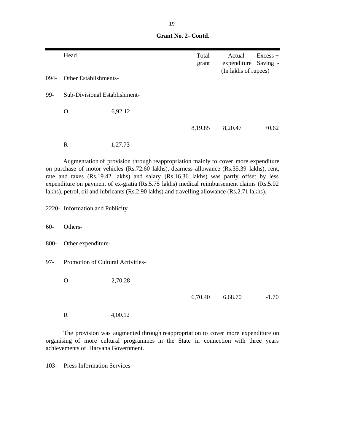|        | Head                              |                                                                                                                                                                                                                                                                                                                                                                                                                                                                        | Total<br>grant | Actual<br>expenditure | $Excess +$<br>Saving - |
|--------|-----------------------------------|------------------------------------------------------------------------------------------------------------------------------------------------------------------------------------------------------------------------------------------------------------------------------------------------------------------------------------------------------------------------------------------------------------------------------------------------------------------------|----------------|-----------------------|------------------------|
| 094-   | <b>Other Establishments-</b>      |                                                                                                                                                                                                                                                                                                                                                                                                                                                                        |                | (In lakhs of rupees)  |                        |
| 99-    | Sub-Divisional Establishment-     |                                                                                                                                                                                                                                                                                                                                                                                                                                                                        |                |                       |                        |
|        | $\Omega$                          | 6,92.12                                                                                                                                                                                                                                                                                                                                                                                                                                                                |                |                       |                        |
|        |                                   |                                                                                                                                                                                                                                                                                                                                                                                                                                                                        | 8,19.85        | 8,20.47               | $+0.62$                |
|        | $\mathbf R$                       | 1,27.73                                                                                                                                                                                                                                                                                                                                                                                                                                                                |                |                       |                        |
|        |                                   | Augmentation of provision through reappropriation mainly to cover more expenditure<br>on purchase of motor vehicles (Rs.72.60 lakhs), dearness allowance (Rs.35.39 lakhs), rent,<br>rate and taxes (Rs.19.42 lakhs) and salary (Rs.16.36 lakhs) was partly offset by less<br>expenditure on payment of ex-gratia (Rs.5.75 lakhs) medical reimbursement claims (Rs.5.02<br>lakhs), petrol, oil and lubricants (Rs.2.90 lakhs) and travelling allowance (Rs.2.71 lakhs). |                |                       |                        |
|        | 2220- Information and Publicity   |                                                                                                                                                                                                                                                                                                                                                                                                                                                                        |                |                       |                        |
| $60 -$ | Others-                           |                                                                                                                                                                                                                                                                                                                                                                                                                                                                        |                |                       |                        |
| 800-   | Other expenditure-                |                                                                                                                                                                                                                                                                                                                                                                                                                                                                        |                |                       |                        |
| $97 -$ | Promotion of Cultural Activities- |                                                                                                                                                                                                                                                                                                                                                                                                                                                                        |                |                       |                        |

 **Grant No. 2- Contd.**

O 2,70.28

6,70.40 6,68.70 -1.70

R 4,00.12

The provision was augmented through reappropriation to cover more expenditure on organising of more cultural programmes in the State in connection with three years achievements of Haryana Government.

103- Press Information Services-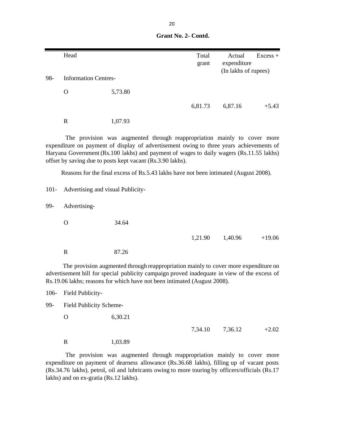|     | Head                        |         | Total<br>grant | Actual<br>expenditure | $Excess +$ |
|-----|-----------------------------|---------|----------------|-----------------------|------------|
|     |                             |         |                | (In lakhs of rupees)  |            |
| 98- | <b>Information Centres-</b> |         |                |                       |            |
|     | $\rm{O}$                    | 5,73.80 |                |                       |            |
|     |                             |         | 6,81.73        | 6,87.16               | $+5.43$    |
|     | R                           | 1,07.93 |                |                       |            |

 **Grant No. 2- Contd.**

The provision was augmented through reappropriation mainly to cover more expenditure on payment of display of advertisement owing to three years achievements of Haryana Government (Rs.100 lakhs) and payment of wages to daily wagers (Rs.11.55 lakhs) offset by saving due to posts kept vacant (Rs.3.90 lakhs).

Reasons for the final excess of Rs.5.43 lakhs have not been intimated (August 2008).

101- Advertising and visual Publicity-99- Advertising- O 34.64 1,21.90 1,40.96 +19.06 R 87.26 The provision augmented through reappropriation mainly to cover more expenditure on

advertisement bill for special publicity campaign proved inadequate in view of the excess of Rs.19.06 lakhs; reasons for which have not been intimated (August 2008).

106- Field Publicity-

99- Field Publicity Scheme-

| Ο | 6,30.21 |
|---|---------|
|   |         |

7,34.10 7,36.12 +2.02

R 1,03.89

The provision was augmented through reappropriation mainly to cover more expenditure on payment of dearness allowance (Rs.36.68 lakhs), filling up of vacant posts (Rs.34.76 lakhs), petrol, oil and lubricants owing to more touring by officers/officials (Rs.17 lakhs) and on ex-gratia (Rs.12 lakhs).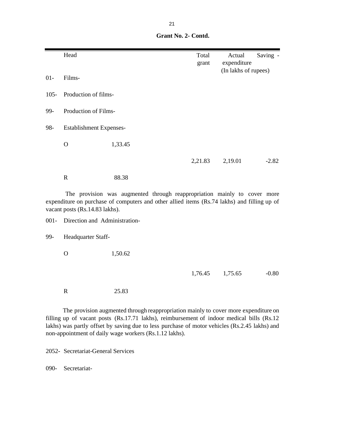| Grant No. 2- Contd. |
|---------------------|
|                     |

|         | Head                           |                                                                                                                                                                         | Total<br>grant | Actual<br>expenditure | Saving - |
|---------|--------------------------------|-------------------------------------------------------------------------------------------------------------------------------------------------------------------------|----------------|-----------------------|----------|
| $01 -$  | Films-                         |                                                                                                                                                                         |                | (In lakhs of rupees)  |          |
| $105 -$ | Production of films-           |                                                                                                                                                                         |                |                       |          |
| 99-     | Production of Films-           |                                                                                                                                                                         |                |                       |          |
| 98-     | <b>Establishment Expenses-</b> |                                                                                                                                                                         |                |                       |          |
|         | $\Omega$                       | 1,33.45                                                                                                                                                                 |                |                       |          |
|         |                                |                                                                                                                                                                         | 2,21.83        | 2,19.01               | $-2.82$  |
|         | $\mathbf R$                    | 88.38                                                                                                                                                                   |                |                       |          |
|         | vacant posts (Rs.14.83 lakhs). | The provision was augmented through reappropriation mainly to cover more<br>expenditure on purchase of computers and other allied items (Rs.74 lakhs) and filling up of |                |                       |          |
| $001 -$ | Direction and Administration-  |                                                                                                                                                                         |                |                       |          |
| 99-     | Headquarter Staff-             |                                                                                                                                                                         |                |                       |          |
|         | $\mathbf{O}$                   | 1,50.62                                                                                                                                                                 |                |                       |          |

1,76.45 1,75.65 -0.80

R 25.83

The provision augmented through reappropriation mainly to cover more expenditure on filling up of vacant posts (Rs.17.71 lakhs), reimbursement of indoor medical bills (Rs.12 lakhs) was partly offset by saving due to less purchase of motor vehicles (Rs.2.45 lakhs) and non-appointment of daily wage workers (Rs.1.12 lakhs).

2052- Secretariat-General Services

090- Secretariat-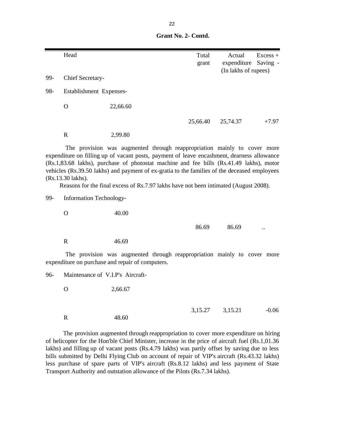**Grant No. 2- Contd.**

|     | Head                             |                                                                                                                                                                                                                                                                                                                                                                                                                                                           | Total<br>grant | Actual<br>expenditure<br>(In lakhs of rupees) | $Excess +$<br>Saving - |
|-----|----------------------------------|-----------------------------------------------------------------------------------------------------------------------------------------------------------------------------------------------------------------------------------------------------------------------------------------------------------------------------------------------------------------------------------------------------------------------------------------------------------|----------------|-----------------------------------------------|------------------------|
| 99- | Chief Secretary-                 |                                                                                                                                                                                                                                                                                                                                                                                                                                                           |                |                                               |                        |
| 98- | Establishment Expenses-          |                                                                                                                                                                                                                                                                                                                                                                                                                                                           |                |                                               |                        |
|     | $\mathbf{O}$                     | 22,66.60                                                                                                                                                                                                                                                                                                                                                                                                                                                  |                |                                               |                        |
|     |                                  |                                                                                                                                                                                                                                                                                                                                                                                                                                                           | 25,66.40       | 25,74.37                                      | $+7.97$                |
|     | $\mathbf R$                      | 2,99.80                                                                                                                                                                                                                                                                                                                                                                                                                                                   |                |                                               |                        |
|     | (Rs.13.30 lakhs).                | The provision was augmented through reappropriation mainly to cover more<br>expenditure on filling up of vacant posts, payment of leave encashment, dearness allowance<br>(Rs.1,83.68 lakhs), purchase of photostat machine and fee bills (Rs.41.49 lakhs), motor<br>vehicles (Rs.39.50 lakhs) and payment of ex-gratia to the families of the deceased employees<br>Reasons for the final excess of Rs.7.97 lakhs have not been intimated (August 2008). |                |                                               |                        |
| 99- | <b>Information Technology-</b>   |                                                                                                                                                                                                                                                                                                                                                                                                                                                           |                |                                               |                        |
|     | $\mathbf{O}$                     | 40.00                                                                                                                                                                                                                                                                                                                                                                                                                                                     |                |                                               |                        |
|     |                                  |                                                                                                                                                                                                                                                                                                                                                                                                                                                           | 86.69          | 86.69                                         |                        |
|     | $\mathbf R$                      | 46.69                                                                                                                                                                                                                                                                                                                                                                                                                                                     |                |                                               |                        |
|     |                                  | The provision was augmented through reappropriation mainly to cover more<br>expenditure on purchase and repair of computers.                                                                                                                                                                                                                                                                                                                              |                |                                               |                        |
| 96- | Maintenance of V.I.P's Aircraft- |                                                                                                                                                                                                                                                                                                                                                                                                                                                           |                |                                               |                        |
|     | $\mathbf{O}$                     | 2,66.67                                                                                                                                                                                                                                                                                                                                                                                                                                                   |                |                                               |                        |
|     | $\mathbf R$                      | 48.60                                                                                                                                                                                                                                                                                                                                                                                                                                                     | 3,15.27        | 3,15.21                                       | $-0.06$                |

The provision augmented through reappropriation to cover more expenditure on hiring of helicopter for the Hon'ble Chief Minister, increase in the price of aircraft fuel (Rs.1,01.36 lakhs) and filling up of vacant posts (Rs.4.79 lakhs) was partly offset by saving due to less bills submitted by Delhi Flying Club on account of repair of VIP's aircraft (Rs.43.32 lakhs) less purchase of spare parts of VIP's aircraft (Rs.8.12 lakhs) and less payment of State Transport Authority and outstation allowance of the Pilots (Rs.7.34 lakhs).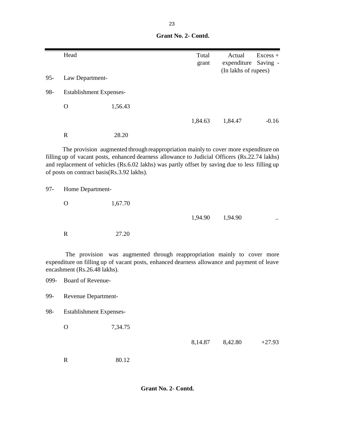**Grant No. 2- Contd.**

|        | Head                                              |                                                                                                                                                                                                                                                                                        | Total<br>grant | Actual<br>expenditure<br>(In lakhs of rupees) | $Excess +$<br>Saving - |
|--------|---------------------------------------------------|----------------------------------------------------------------------------------------------------------------------------------------------------------------------------------------------------------------------------------------------------------------------------------------|----------------|-----------------------------------------------|------------------------|
| $95 -$ | Law Department-                                   |                                                                                                                                                                                                                                                                                        |                |                                               |                        |
| 98-    | <b>Establishment Expenses-</b>                    |                                                                                                                                                                                                                                                                                        |                |                                               |                        |
|        | $\overline{O}$                                    | 1,56.43                                                                                                                                                                                                                                                                                |                |                                               |                        |
|        |                                                   |                                                                                                                                                                                                                                                                                        | 1,84.63        | 1,84.47                                       | $-0.16$                |
|        | $\mathbf R$                                       | 28.20                                                                                                                                                                                                                                                                                  |                |                                               |                        |
|        | of posts on contract basis(Rs.3.92 lakhs).        | The provision augmented through reappropriation mainly to cover more expenditure on<br>filling up of vacant posts, enhanced dearness allowance to Judicial Officers (Rs.22.74 lakhs)<br>and replacement of vehicles (Rs.6.02 lakhs) was partly offset by saving due to less filling up |                |                                               |                        |
| $97 -$ | Home Department-                                  |                                                                                                                                                                                                                                                                                        |                |                                               |                        |
|        | $\mathbf{O}$                                      | 1,67.70                                                                                                                                                                                                                                                                                |                |                                               |                        |
|        |                                                   |                                                                                                                                                                                                                                                                                        | 1,94.90        | 1,94.90                                       |                        |
|        | $\mathbf R$                                       | 27.20                                                                                                                                                                                                                                                                                  |                |                                               |                        |
| 099-   | encashment (Rs.26.48 lakhs).<br>Board of Revenue- | The provision was augmented through reappropriation mainly to cover more<br>expenditure on filling up of vacant posts, enhanced dearness allowance and payment of leave                                                                                                                |                |                                               |                        |
| 99-    | Revenue Department-                               |                                                                                                                                                                                                                                                                                        |                |                                               |                        |
| 98-    | <b>Establishment Expenses-</b>                    |                                                                                                                                                                                                                                                                                        |                |                                               |                        |
|        | $\mathcal{O}$                                     | 7,34.75                                                                                                                                                                                                                                                                                |                |                                               |                        |
|        |                                                   |                                                                                                                                                                                                                                                                                        | 8,14.87        | 8,42.80                                       | $+27.93$               |
|        | ${\bf R}$                                         | 80.12                                                                                                                                                                                                                                                                                  |                |                                               |                        |

 **Grant No. 2- Contd.**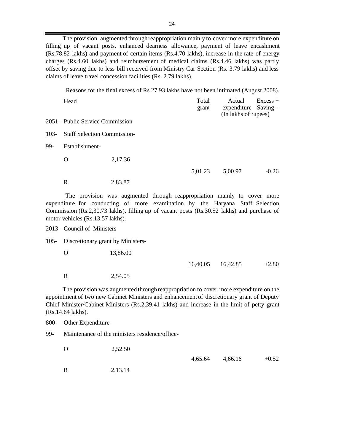The provision augmented throughreappropriation mainly to cover more expenditure on filling up of vacant posts, enhanced dearness allowance, payment of leave encashment (Rs.78.82 lakhs) and payment of certain items (Rs.4.70 lakhs), increase in the rate of energy charges (Rs.4.60 lakhs) and reimbursement of medical claims (Rs.4.46 lakhs) was partly offset by saving due to less bill received from Ministry Car Section (Rs. 3.79 lakhs) and less claims of leave travel concession facilities (Rs. 2.79 lakhs).

Reasons for the final excess of Rs.27.93 lakhs have not been intimated (August 2008).

|         | Head                               |         | Total<br>grant | Actual<br>expenditure Saving -<br>(In lakhs of rupees) | $Excess +$ |
|---------|------------------------------------|---------|----------------|--------------------------------------------------------|------------|
|         | 2051- Public Service Commission    |         |                |                                                        |            |
| $103 -$ | <b>Staff Selection Commission-</b> |         |                |                                                        |            |
| 99-     | Establishment-                     |         |                |                                                        |            |
|         | O                                  | 2,17.36 |                |                                                        |            |
|         |                                    |         | 5,01.23        | 5,00.97                                                | $-0.26$    |
|         | R                                  | 2,83.87 |                |                                                        |            |

The provision was augmented through reappropriation mainly to cover more expenditure for conducting of more examination by the Haryana Staff Selection Commission (Rs.2,30.73 lakhs), filling up of vacant posts (Rs.30.52 lakhs) and purchase of motor vehicles (Rs.13.57 lakhs).

2013- Council of Ministers

105- Discretionary grant by Ministers-

O 13,86.00

16,40.05 16,42.85 +2.80

R 2,54.05

The provision was augmented throughreappropriation to cover more expenditure on the appointment of two new Cabinet Ministers and enhancement of discretionary grant of Deputy Chief Minister/Cabinet Ministers (Rs.2,39.41 lakhs) and increase in the limit of petty grant (Rs.14.64 lakhs).

800- Other Expenditure-

99- Maintenance of the ministers residence/office-

O 2,52.50

 $4,65.64$   $4,66.16$   $+0.52$ 

R 2,13.14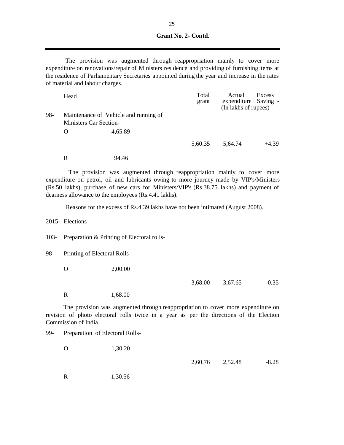**Grant No. 2- Contd.**

The provision was augmented through reappropriation mainly to cover more expenditure on renovations/repair of Ministers residence and providing of furnishing items at the residence of Parliamentary Secretaries appointed during the year and increase in the rates of material and labour charges.

|     | Head                          |                                       | Total<br>grant | Actual<br>expenditure Saving -<br>(In lakhs of rupees) | $Excess +$ |
|-----|-------------------------------|---------------------------------------|----------------|--------------------------------------------------------|------------|
| 98- | <b>Ministers Car Section-</b> | Maintenance of Vehicle and running of |                |                                                        |            |
|     | $\Omega$                      | 4.65.89                               |                |                                                        |            |
|     |                               |                                       | 5,60.35        | 5.64.74                                                | $+4.39$    |

R 94.46

The provision was augmented through reappropriation mainly to cover more expenditure on petrol, oil and lubricants owing to more journey made by VIP's/Ministers (Rs.50 lakhs), purchase of new cars for Ministers/VIP's (Rs.38.75 lakhs) and payment of dearness allowance to the employees (Rs.4.41 lakhs).

Reasons for the excess of Rs.4.39 lakhs have not been intimated (August 2008).

2015- Elections

103- Preparation & Printing of Electoral rolls-

98- Printing of Electoral Rolls-

O 2,00.00

3,68.00 3,67.65 -0.35

R 1,68.00

99- Preparation of Electoral Rolls-

The provision was augmented through reappropriation to cover more expenditure on revision of photo electoral rolls twice in a year as per the directions of the Election Commission of India.

| 1,30.20 |  |                 |
|---------|--|-----------------|
|         |  | $-8.28$         |
|         |  | 2,60.76 2,52.48 |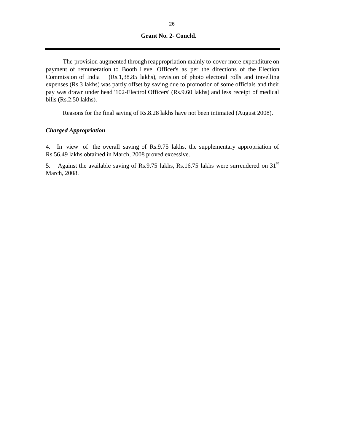#### **Grant No. 2- Concld.**

The provision augmented through reappropriation mainly to cover more expenditure on payment of remuneration to Booth Level Officer's as per the directions of the Election Commission of India (Rs.1,38.85 lakhs), revision of photo electoral rolls and travelling expenses (Rs.3 lakhs) was partly offset by saving due to promotion of some officials and their pay was drawn under head '102-Electrol Officers' (Rs.9.60 lakhs) and less receipt of medical bills (Rs.2.50 lakhs).

Reasons for the final saving of Rs.8.28 lakhs have not been intimated (August 2008).

#### *Charged Appropriation*

4. In view of the overall saving of Rs.9.75 lakhs, the supplementary appropriation of Rs.56.49 lakhs obtained in March, 2008 proved excessive.

5. Against the available saving of Rs.9.75 lakhs, Rs.16.75 lakhs were surrendered on 31<sup>st</sup> March, 2008.

 $\frac{1}{\sqrt{2}}$  ,  $\frac{1}{\sqrt{2}}$  ,  $\frac{1}{\sqrt{2}}$  ,  $\frac{1}{\sqrt{2}}$  ,  $\frac{1}{\sqrt{2}}$  ,  $\frac{1}{\sqrt{2}}$  ,  $\frac{1}{\sqrt{2}}$  ,  $\frac{1}{\sqrt{2}}$  ,  $\frac{1}{\sqrt{2}}$  ,  $\frac{1}{\sqrt{2}}$  ,  $\frac{1}{\sqrt{2}}$  ,  $\frac{1}{\sqrt{2}}$  ,  $\frac{1}{\sqrt{2}}$  ,  $\frac{1}{\sqrt{2}}$  ,  $\frac{1}{\sqrt{2}}$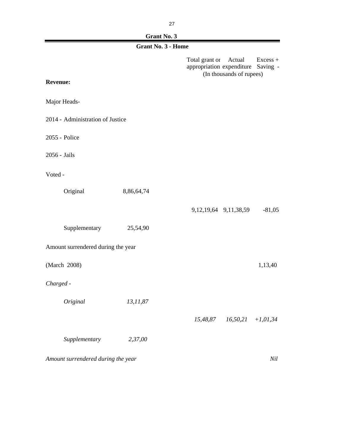# **Grant No. 3**

|                                    | <b>Grant No. 3 - Home</b> |                                                                                                           |
|------------------------------------|---------------------------|-----------------------------------------------------------------------------------------------------------|
| <b>Revenue:</b>                    |                           | Total grant or<br>Actual<br>Excess +<br>appropriation expenditure<br>Saving -<br>(In thousands of rupees) |
| Major Heads-                       |                           |                                                                                                           |
| 2014 - Administration of Justice   |                           |                                                                                                           |
| 2055 - Police                      |                           |                                                                                                           |
| 2056 - Jails                       |                           |                                                                                                           |
| Voted -                            |                           |                                                                                                           |
| Original                           | 8,86,64,74                |                                                                                                           |
|                                    |                           | 9, 12, 19, 64 9, 11, 38, 59<br>$-81,05$                                                                   |
| Supplementary                      | 25,54,90                  |                                                                                                           |
| Amount surrendered during the year |                           |                                                                                                           |
| (March 2008)                       |                           | 1,13,40                                                                                                   |
| Charged -                          |                           |                                                                                                           |
| Original                           | 13,11,87                  |                                                                                                           |
|                                    |                           | $15,48,87$ $16,50,21$ $+1,01,34$                                                                          |
| Supplementary                      | 2,37,00                   |                                                                                                           |
|                                    |                           |                                                                                                           |

*Amount surrendered during the year* Nil and the *Nil* Nil and *Nil* Nil and *Nil* Nil and *Nil* Nil and *Nil* and *Nil* and *Nil* and *Nil* and *Nil* and *Nil* and *Nil* and *Nil* and *Nil* and *Nil* and *Nil* and *Nil* a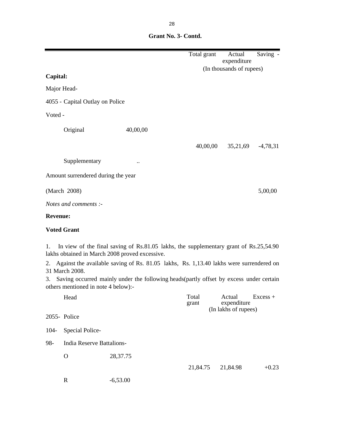|                 |                                     |                                                                                                                                         | Total grant    | Actual<br>expenditure                         | Saving -   |
|-----------------|-------------------------------------|-----------------------------------------------------------------------------------------------------------------------------------------|----------------|-----------------------------------------------|------------|
|                 |                                     |                                                                                                                                         |                | (In thousands of rupees)                      |            |
| Capital:        |                                     |                                                                                                                                         |                |                                               |            |
| Major Head-     |                                     |                                                                                                                                         |                |                                               |            |
|                 | 4055 - Capital Outlay on Police     |                                                                                                                                         |                |                                               |            |
| Voted -         |                                     |                                                                                                                                         |                |                                               |            |
|                 | Original                            | 40,00,00                                                                                                                                |                |                                               |            |
|                 |                                     |                                                                                                                                         | 40,00,00       | 35,21,69                                      | $-4,78,31$ |
|                 | Supplementary                       |                                                                                                                                         |                |                                               |            |
|                 | Amount surrendered during the year  |                                                                                                                                         |                |                                               |            |
|                 | (March 2008)                        |                                                                                                                                         |                |                                               | 5,00,00    |
|                 | Notes and comments :-               |                                                                                                                                         |                |                                               |            |
| <b>Revenue:</b> |                                     |                                                                                                                                         |                |                                               |            |
|                 | <b>Voted Grant</b>                  |                                                                                                                                         |                |                                               |            |
| 1.              |                                     | In view of the final saving of Rs.81.05 lakhs, the supplementary grant of Rs.25,54.90<br>lakhs obtained in March 2008 proved excessive. |                |                                               |            |
| 2.              | 31 March 2008.                      | Against the available saving of Rs. 81.05 lakhs, Rs. 1,13.40 lakhs were surrendered on                                                  |                |                                               |            |
| 3.              | others mentioned in note 4 below):- | Saving occurred mainly under the following heads(partly offset by excess under certain                                                  |                |                                               |            |
|                 | Head                                |                                                                                                                                         | Total<br>grant | Actual<br>expenditure<br>(In lakhs of rupees) | $Excess +$ |
|                 | 2055- Police                        |                                                                                                                                         |                |                                               |            |
| $104 -$         | Special Police-                     |                                                                                                                                         |                |                                               |            |
| 98-             | <b>India Reserve Battalions-</b>    |                                                                                                                                         |                |                                               |            |
|                 | $\mathbf{O}$                        | 28,37.75                                                                                                                                |                |                                               |            |
|                 |                                     |                                                                                                                                         | 21,84.75       | 21,84.98                                      | $+0.23$    |
|                 | $\mathbf R$                         | $-6,53.00$                                                                                                                              |                |                                               |            |

 **Grant No. 3- Contd.**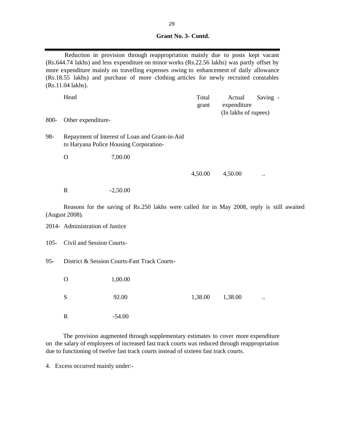| Grant No. 3- Contd. |  |
|---------------------|--|
|                     |  |

Reduction in provision through reappropriation mainly due to posts kept vacant (Rs.644.74 lakhs) and less expenditure on minor works (Rs.22.56 lakhs) was partly offset by more expenditure mainly on travelling expenses owing to enhancement of daily allowance (Rs.18.55 lakhs) and purchase of more clothing articles for newly recruited constables (Rs.11.04 lakhs).

|      | Head               |                                                                                          | Total<br>grant | Actual<br>expenditure<br>(In lakhs of rupees) | Saving -             |
|------|--------------------|------------------------------------------------------------------------------------------|----------------|-----------------------------------------------|----------------------|
| 800- | Other expenditure- |                                                                                          |                |                                               |                      |
| 98-  |                    | Repayment of Interest of Loan and Grant-in-Aid<br>to Haryana Police Housing Corporation- |                |                                               |                      |
|      | O                  | 7,00.00                                                                                  |                |                                               |                      |
|      |                    |                                                                                          | 4,50.00        | 4,50.00                                       | $\ddot{\phantom{0}}$ |
|      | R                  | $-2,50.00$                                                                               |                |                                               |                      |

Reasons for the saving of Rs.250 lakhs were called for in May 2008, reply is still awaited (August 2008).

2014- Administration of Justice

105- Civil and Session Courts-

95- District & Session Courts-Fast Track Courts-

O 1,00.00

 $S$  92.00 1,38.00 1,38.00 ... R -54.00

The provision augmented through supplementary estimates to cover more expenditure on the salary of employees of increased fast track courts was reduced through reappropriation due to functioning of twelve fast track courts instead of sixteen fast track courts.

4. Excess occurred mainly under:-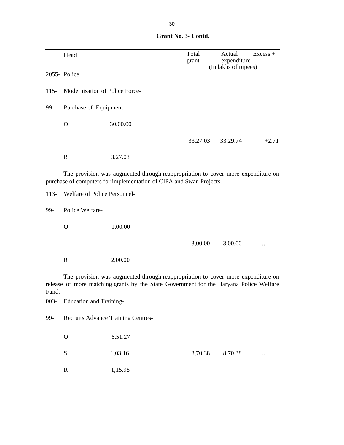| Grant No. 3- Contd. |
|---------------------|
|                     |

|         | Head                               |                                                                                                                                                                            | Total    | Actual<br>$Excess +$                |
|---------|------------------------------------|----------------------------------------------------------------------------------------------------------------------------------------------------------------------------|----------|-------------------------------------|
|         |                                    |                                                                                                                                                                            | grant    | expenditure<br>(In lakhs of rupees) |
|         | 2055- Police                       |                                                                                                                                                                            |          |                                     |
| $115 -$ | Modernisation of Police Force-     |                                                                                                                                                                            |          |                                     |
| 99-     | Purchase of Equipment-             |                                                                                                                                                                            |          |                                     |
|         | $\mathbf{O}$                       | 30,00.00                                                                                                                                                                   |          |                                     |
|         |                                    |                                                                                                                                                                            | 33,27.03 | $+2.71$<br>33,29.74                 |
|         | $\mathbb{R}$                       | 3,27.03                                                                                                                                                                    |          |                                     |
|         |                                    | The provision was augmented through reappropriation to cover more expenditure on<br>purchase of computers for implementation of CIPA and Swan Projects.                    |          |                                     |
| $113-$  | Welfare of Police Personnel-       |                                                                                                                                                                            |          |                                     |
| 99-     | Police Welfare-                    |                                                                                                                                                                            |          |                                     |
|         | $\Omega$                           | 1,00.00                                                                                                                                                                    |          |                                     |
|         |                                    |                                                                                                                                                                            | 3,00.00  | 3,00.00                             |
|         | $\mathbf R$                        | 2,00.00                                                                                                                                                                    |          |                                     |
| Fund.   |                                    | The provision was augmented through reappropriation to cover more expenditure on<br>release of more matching grants by the State Government for the Haryana Police Welfare |          |                                     |
| $003 -$ | <b>Education and Training-</b>     |                                                                                                                                                                            |          |                                     |
| 99-     | Recruits Advance Training Centres- |                                                                                                                                                                            |          |                                     |
|         | $\mathbf O$                        | 6,51.27                                                                                                                                                                    |          |                                     |
|         | ${\bf S}$                          | 1,03.16                                                                                                                                                                    | 8,70.38  | 8,70.38                             |
|         | $\mathbf R$                        | 1,15.95                                                                                                                                                                    |          |                                     |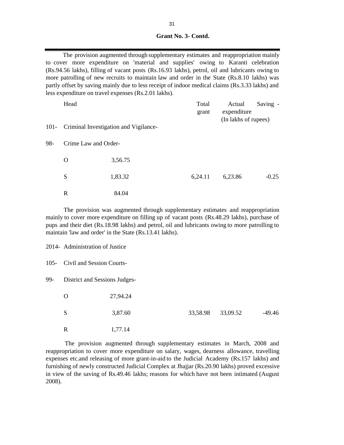**Grant No. 3- Contd.**

The provision augmented through supplementary estimates and reappropriation mainly to cover more expenditure on 'material and supplies' owing to Karanti celebration (Rs.94.56 lakhs), filling of vacant posts (Rs.16.93 lakhs), petrol, oil and lubricants owing to more patrolling of new recruits to maintain law and order in the State (Rs.8.10 lakhs) was partly offset by saving mainly due to less receipt of indoor medical claims (Rs.3.33 lakhs) and less expenditure on travel expenses (Rs.2.01 lakhs).

|         | Head                 |                                       | Total<br>grant | Actual<br>expenditure<br>(In lakhs of rupees) | Saving - |
|---------|----------------------|---------------------------------------|----------------|-----------------------------------------------|----------|
| $101 -$ |                      | Criminal Investigation and Vigilance- |                |                                               |          |
| 98-     | Crime Law and Order- |                                       |                |                                               |          |
|         | $\Omega$             | 3,56.75                               |                |                                               |          |
|         | S                    | 1,83.32                               | 6,24.11        | 6,23.86                                       | $-0.25$  |
|         | R                    | 84.04                                 |                |                                               |          |

The provision was augmented through supplementary estimates and reappropriation mainly to cover more expenditure on filling up of vacant posts (Rs.48.29 lakhs), purchase of pups and their diet (Rs.18.98 lakhs) and petrol, oil and lubricants owing to more patrolling to maintain 'law and order' in the State (Rs.13.41 lakhs).

2014- Administration of Justice

105- Civil and Session Courts-

99- District and Sessions Judges-

| Ő | 27,94.24 |                   |          |
|---|----------|-------------------|----------|
| S | 3,87.60  | 33,58.98 33,09.52 | $-49.46$ |
| R | 1,77.14  |                   |          |

The provision augmented through supplementary estimates in March, 2008 and reappropriation to cover more expenditure on salary, wages, dearness allowance, travelling expenses etc.and releasing of more grant-in-aid to the Judicial Academy (Rs.157 lakhs) and furnishing of newly constructed Judicial Complex at Jhajjar (Rs.20.90 lakhs) proved excessive in view of the saving of Rs.49.46 lakhs; reasons for which have not been intimated (August 2008).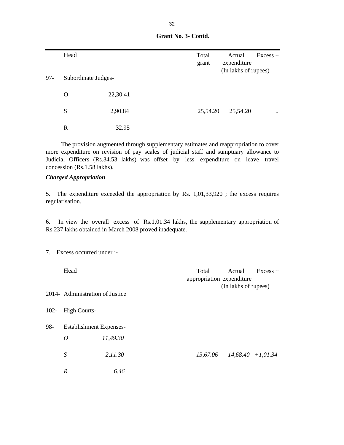| $97 -$ | Head<br>Subordinate Judges- |          | Total<br>grant | Actual<br>expenditure<br>(In lakhs of rupees) | $Excess +$ |
|--------|-----------------------------|----------|----------------|-----------------------------------------------|------------|
|        | O                           | 22,30.41 |                |                                               |            |
|        | S                           | 2,90.84  | 25,54.20       | 25,54.20                                      | $\ddotsc$  |
|        | R                           | 32.95    |                |                                               |            |

 **Grant No. 3- Contd.**

 The provision augmented through supplementary estimates and reappropriation to cover more expenditure on revision of pay scales of judicial staff and sumptuary allowance to Judicial Officers (Rs.34.53 lakhs) was offset by less expenditure on leave travel concession (Rs.1.58 lakhs).

#### *Charged Appropriation*

5. The expenditure exceeded the appropriation by Rs. 1,01,33,920 ; the excess requires regularisation.

6. In view the overall excess of Rs.1,01.34 lakhs, the supplementary appropriation of Rs.237 lakhs obtained in March 2008 proved inadequate.

7. Excess occurred under :-

|         | Head                            |          | Total<br>appropriation expenditure | Actual               | $Excess +$ |
|---------|---------------------------------|----------|------------------------------------|----------------------|------------|
|         | 2014- Administration of Justice |          |                                    | (In lakhs of rupees) |            |
| $102 -$ | <b>High Courts-</b>             |          |                                    |                      |            |
| 98-     | <b>Establishment Expenses-</b>  |          |                                    |                      |            |
|         | $\boldsymbol{O}$                | 11,49.30 |                                    |                      |            |
|         | ${\cal S}$                      | 2,11.30  | 13,67.06                           | $14,68.40$ +1,01.34  |            |
|         | R                               | 6.46     |                                    |                      |            |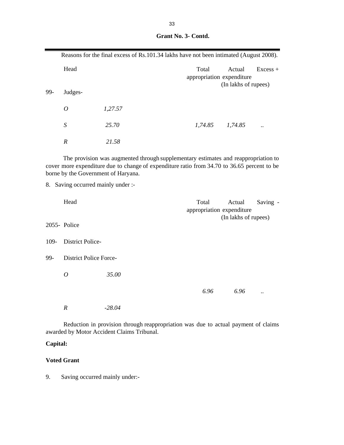|      |                                                                           | Reasons for the final excess of Rs.101.34 lakhs have not been intimated (August 2008).                                                                                            |                                    |                      |            |
|------|---------------------------------------------------------------------------|-----------------------------------------------------------------------------------------------------------------------------------------------------------------------------------|------------------------------------|----------------------|------------|
|      | Head                                                                      |                                                                                                                                                                                   | Total<br>appropriation expenditure | Actual               | $Excess +$ |
| 99-  | Judges-                                                                   |                                                                                                                                                                                   |                                    | (In lakhs of rupees) |            |
|      | $\boldsymbol{O}$                                                          | 1,27.57                                                                                                                                                                           |                                    |                      |            |
|      | $\boldsymbol{S}$                                                          | 25.70                                                                                                                                                                             |                                    | $1,74.85$ $1,74.85$  |            |
|      | $\boldsymbol{R}$                                                          | 21.58                                                                                                                                                                             |                                    |                      |            |
|      | borne by the Government of Haryana.<br>8. Saving occurred mainly under :- | The provision was augmented through supplementary estimates and reappropriation to<br>cover more expenditure due to change of expenditure ratio from 34.70 to 36.65 percent to be |                                    |                      |            |
|      | Head                                                                      |                                                                                                                                                                                   | Total<br>appropriation expenditure | Actual               | Saving -   |
|      | 2055- Police                                                              |                                                                                                                                                                                   |                                    | (In lakhs of rupees) |            |
| 109- | <b>District Police-</b>                                                   |                                                                                                                                                                                   |                                    |                      |            |
| 99-  | <b>District Police Force-</b>                                             |                                                                                                                                                                                   |                                    |                      |            |
|      | $\overline{O}$                                                            | 35.00                                                                                                                                                                             |                                    |                      |            |
|      |                                                                           |                                                                                                                                                                                   | 6.96                               | 6.96                 |            |

|  | Grant No. 3- Contd. |
|--|---------------------|

*R -28.04*

Reduction in provision through reappropriation was due to actual payment of claims awarded by Motor Accident Claims Tribunal.

# **Capital:**

## **Voted Grant**

9. Saving occurred mainly under:-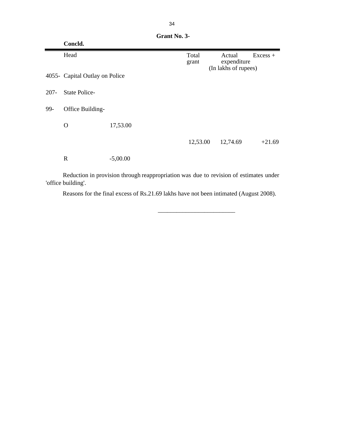|         | Concld.                        |            |                |                                               |          |
|---------|--------------------------------|------------|----------------|-----------------------------------------------|----------|
|         | Head                           |            | Total<br>grant | Actual<br>expenditure<br>(In lakhs of rupees) | Excess + |
|         | 4055- Capital Outlay on Police |            |                |                                               |          |
| $207 -$ | <b>State Police-</b>           |            |                |                                               |          |
| 99-     | Office Building-               |            |                |                                               |          |
|         | O                              | 17,53.00   |                |                                               |          |
|         |                                |            | 12,53.00       | 12,74.69                                      | $+21.69$ |
|         | $\mathbf R$                    | $-5,00.00$ |                |                                               |          |

 **Grant No. 3-** 

Reduction in provision through reappropriation was due to revision of estimates under 'office building'.

 $\frac{1}{\sqrt{2}}$  ,  $\frac{1}{\sqrt{2}}$  ,  $\frac{1}{\sqrt{2}}$  ,  $\frac{1}{\sqrt{2}}$  ,  $\frac{1}{\sqrt{2}}$  ,  $\frac{1}{\sqrt{2}}$  ,  $\frac{1}{\sqrt{2}}$  ,  $\frac{1}{\sqrt{2}}$  ,  $\frac{1}{\sqrt{2}}$  ,  $\frac{1}{\sqrt{2}}$  ,  $\frac{1}{\sqrt{2}}$  ,  $\frac{1}{\sqrt{2}}$  ,  $\frac{1}{\sqrt{2}}$  ,  $\frac{1}{\sqrt{2}}$  ,  $\frac{1}{\sqrt{2}}$ 

Reasons for the final excess of Rs.21.69 lakhs have not been intimated (August 2008).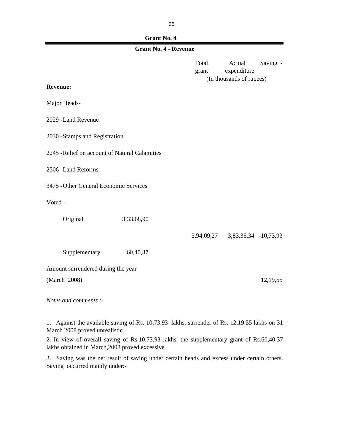# **Grant No. 4**

# **Grant No. 4 - Revenue**

| <b>Revenue:</b>                                |            | Total<br>grant | Actual<br>expenditure<br>(In thousands of rupees) | Saving - |
|------------------------------------------------|------------|----------------|---------------------------------------------------|----------|
| Major Heads-                                   |            |                |                                                   |          |
| 2029 - Land Revenue                            |            |                |                                                   |          |
| 2030 - Stamps and Registration                 |            |                |                                                   |          |
| 2245 - Relief on account of Natural Calamities |            |                |                                                   |          |
| 2506 - Land Reforms                            |            |                |                                                   |          |
| 3475 - Other General Economic Services         |            |                |                                                   |          |
| Voted -                                        |            |                |                                                   |          |
| Original                                       | 3,33,68,90 |                |                                                   |          |
|                                                |            |                | 3,94,09,27 3,83,35,34 -10,73,93                   |          |
| Supplementary                                  | 60,40,37   |                |                                                   |          |
| Amount surrendered during the year             |            |                |                                                   |          |
| (March 2008)                                   |            |                |                                                   | 12,19,55 |
| Notes and comments :-                          |            |                |                                                   |          |

1. Against the available saving of Rs. 10,73.93 lakhs, surrender of Rs. 12,19.55 lakhs on 31 March 2008 proved unrealistic.

2. In view of overall saving of Rs.10,73.93 lakhs, the supplementary grant of Rs.60,40.37 lakhs obtained in March,2008 proved excessive.

3. Saving was the net result of saving under certain heads and excess under certain others. Saving occurred mainly under:-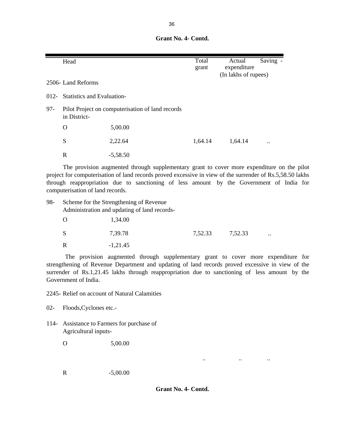**Grant No. 4- Contd.**

|     | Head                            |                                                  | Total<br>grant | Saving -<br>Actual<br>expenditure<br>(In lakhs of rupees) |
|-----|---------------------------------|--------------------------------------------------|----------------|-----------------------------------------------------------|
|     | 2506- Land Reforms              |                                                  |                |                                                           |
|     | 012- Statistics and Evaluation- |                                                  |                |                                                           |
| 97- | in District-                    | Pilot Project on computerisation of land records |                |                                                           |
|     | O                               | 5,00.00                                          |                |                                                           |
|     | S                               | 2,22.64                                          | 1,64.14        | 1,64.14<br>$\ddotsc$                                      |
|     | R                               | $-5,58.50$                                       |                |                                                           |

The provision augmented through supplementary grant to cover more expenditure on the pilot project for computerisation of land records proved excessive in view of the surrender of Rs.5,58.50 lakhs through reappropriation due to sanctioning of less amount by the Government of India for computerisation of land records.

| 98- |   | Scheme for the Strengthening of Revenue<br>Administration and updating of land records- |         |         |                      |
|-----|---|-----------------------------------------------------------------------------------------|---------|---------|----------------------|
|     |   | 1,34.00                                                                                 |         |         |                      |
|     | S | 7.39.78                                                                                 | 7.52.33 | 7.52.33 | $\ddot{\phantom{a}}$ |
|     |   | $-1,21.45$                                                                              |         |         |                      |

The provision augmented through supplementary grant to cover more expenditure for strengthening of Revenue Department and updating of land records proved excessive in view of the surrender of Rs.1,21.45 lakhs through reappropriation due to sanctioning of less amount by the Government of India.

2245- Relief on account of Natural Calamities

02- Floods,Cyclones etc.-

114- Assistance to Farmers for purchase of Agricultural inputs-

O 5,00.00

R -5,00.00

 **Grant No. 4- Contd.**

.. .. ..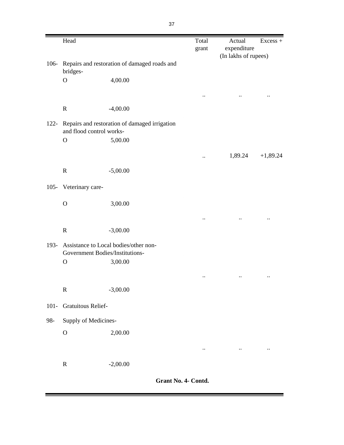|         | Head                            |                                               | Total<br>grant       | Actual<br>expenditure | $Excess +$                |
|---------|---------------------------------|-----------------------------------------------|----------------------|-----------------------|---------------------------|
|         |                                 |                                               |                      | (In lakhs of rupees)  |                           |
| $106 -$ | bridges-                        | Repairs and restoration of damaged roads and  |                      |                       |                           |
|         | $\mathbf O$                     | 4,00.00                                       |                      |                       |                           |
|         |                                 |                                               | $\ddot{\phantom{0}}$ |                       |                           |
|         | ${\bf R}$                       | $-4,00.00$                                    |                      |                       |                           |
| $122 -$ | and flood control works-        | Repairs and restoration of damaged irrigation |                      |                       |                           |
|         | $\mathbf{O}$                    | 5,00.00                                       |                      |                       |                           |
|         |                                 |                                               | $\ddot{\phantom{0}}$ | 1,89.24               | $+1,89.24$                |
|         | ${\bf R}$                       | $-5,00.00$                                    |                      |                       |                           |
| $105 -$ | Veterinary care-                |                                               |                      |                       |                           |
|         | $\mathbf O$                     | 3,00.00                                       |                      |                       |                           |
|         |                                 |                                               | $\ddot{\phantom{0}}$ |                       | $\ddot{\phantom{0}}\cdot$ |
|         | ${\bf R}$                       | $-3,00.00$                                    |                      |                       |                           |
| 193-    | Government Bodies/Institutions- | Assistance to Local bodies/other non-         |                      |                       |                           |
|         | $\mathbf O$                     | 3,00.00                                       |                      |                       |                           |
|         |                                 |                                               | $\ddot{\phantom{0}}$ |                       |                           |
|         | ${\bf R}$                       | $-3,00.00$                                    |                      |                       |                           |
| $101 -$ | Gratuitous Relief-              |                                               |                      |                       |                           |
| 98-     | Supply of Medicines-            |                                               |                      |                       |                           |
|         | $\mathbf{O}$                    | 2,00.00                                       |                      |                       |                           |
|         |                                 |                                               | $\ddotsc$            | $\cdot \cdot$         | $\ddotsc$                 |
|         | ${\bf R}$                       | $-2,00.00$                                    |                      |                       |                           |

 **Grant No. 4- Contd.**

-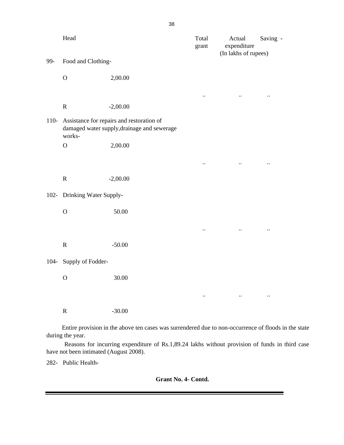|         | Head                        |                                                                                                      | Total<br>grant       | Actual<br>expenditure<br>(In lakhs of rupees) | Saving -  |
|---------|-----------------------------|------------------------------------------------------------------------------------------------------|----------------------|-----------------------------------------------|-----------|
| 99-     | Food and Clothing-          |                                                                                                      |                      |                                               |           |
|         | $\mathbf O$                 | 2,00.00                                                                                              |                      |                                               |           |
|         |                             |                                                                                                      | $\ddot{\phantom{0}}$ | $\ddotsc$                                     | $\ddotsc$ |
|         | $\mathbf R$                 | $-2,00.00$                                                                                           |                      |                                               |           |
| $110-$  | works-                      | Assistance for repairs and restoration of<br>damaged water supply, drainage and sewerage             |                      |                                               |           |
|         | $\mathbf O$                 | 2,00.00                                                                                              |                      |                                               |           |
|         |                             |                                                                                                      | $\ddot{\phantom{0}}$ | $\ddotsc$                                     | $\ldots$  |
|         | ${\bf R}$                   | $-2,00.00$                                                                                           |                      |                                               |           |
|         | 102- Drinking Water Supply- |                                                                                                      |                      |                                               |           |
|         | $\mathbf O$                 | 50.00                                                                                                |                      |                                               |           |
|         |                             |                                                                                                      | $\ddotsc$            | $\ddotsc$                                     | $\ddotsc$ |
|         | $\mathbf R$                 | $-50.00$                                                                                             |                      |                                               |           |
| $104 -$ | Supply of Fodder-           |                                                                                                      |                      |                                               |           |
|         | $\mathbf O$                 | 30.00                                                                                                |                      |                                               |           |
|         |                             |                                                                                                      | $\ddotsc$            | $\sim 100$ and $\sim 100$                     | $\ddotsc$ |
|         | $\mathbf R$                 | $-30.00$                                                                                             |                      |                                               |           |
|         | during the year.            | Entire provision in the above ten cases was surrendered due to non-occurrence of floods in the state |                      |                                               |           |

Reasons for incurring expenditure of Rs.1,89.24 lakhs without provision of funds in third case have not been intimated (August 2008).

282- Public Health-

 **Grant No. 4- Contd.**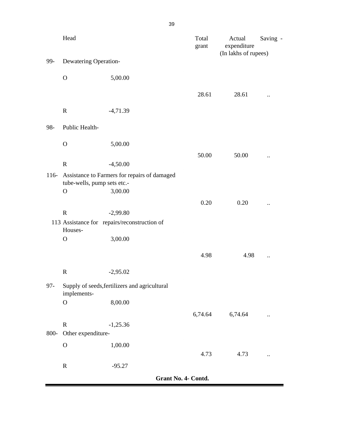|        | Head                                                                        |            |                     | Total<br>grant | Actual<br>expenditure<br>(In lakhs of rupees) | Saving -             |
|--------|-----------------------------------------------------------------------------|------------|---------------------|----------------|-----------------------------------------------|----------------------|
| 99-    | Dewatering Operation-                                                       |            |                     |                |                                               |                      |
|        | $\mathbf O$                                                                 | 5,00.00    |                     |                |                                               |                      |
|        |                                                                             |            |                     | 28.61          | 28.61                                         | $\ddot{\phantom{0}}$ |
|        | $\mathbf R$                                                                 | $-4,71.39$ |                     |                |                                               |                      |
| 98-    | Public Health-                                                              |            |                     |                |                                               |                      |
|        | $\mathbf O$                                                                 | 5,00.00    |                     |                |                                               |                      |
|        |                                                                             |            |                     | 50.00          | 50.00                                         | $\ddot{\phantom{0}}$ |
|        | $\mathbf R$                                                                 | $-4,50.00$ |                     |                |                                               |                      |
| $116-$ | Assistance to Farmers for repairs of damaged<br>tube-wells, pump sets etc.- |            |                     |                |                                               |                      |
|        | $\mathbf{O}$                                                                | 3,00.00    |                     |                |                                               |                      |
|        |                                                                             |            |                     | 0.20           | 0.20                                          | $\ddot{\phantom{0}}$ |
|        | $\mathbf R$                                                                 | $-2,99.80$ |                     |                |                                               |                      |
|        | 113 Assistance for repairs/reconstruction of<br>Houses-                     |            |                     |                |                                               |                      |
|        | $\mathbf O$                                                                 | 3,00.00    |                     |                |                                               |                      |
|        |                                                                             |            |                     | 4.98           | 4.98                                          |                      |
|        | $\mathbf R$                                                                 | $-2,95.02$ |                     |                |                                               |                      |
| $97 -$ | Supply of seeds, fertilizers and agricultural<br>implements-                |            |                     |                |                                               |                      |
|        | $\mathbf O$                                                                 | 8,00.00    |                     |                |                                               |                      |
|        |                                                                             |            |                     | 6,74.64        | 6,74.64                                       | $\ddot{\phantom{a}}$ |
|        | $\mathbf R$                                                                 | $-1,25.36$ |                     |                |                                               |                      |
| 800-   | Other expenditure-                                                          |            |                     |                |                                               |                      |
|        | $\mathbf O$                                                                 | 1,00.00    |                     |                |                                               |                      |
|        |                                                                             |            |                     | 4.73           | 4.73                                          | $\ddot{\phantom{0}}$ |
|        | $\mathbf R$                                                                 | $-95.27$   |                     |                |                                               |                      |
|        |                                                                             |            | Grant No. 4- Contd. |                |                                               |                      |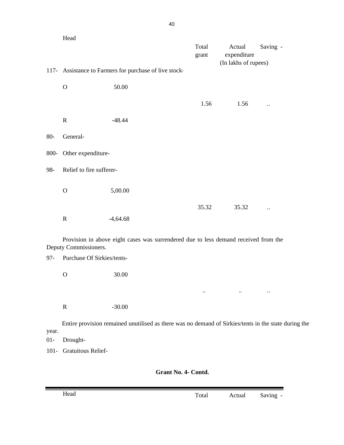|        | Head                       |                                                                                     |                |                                               |                      |
|--------|----------------------------|-------------------------------------------------------------------------------------|----------------|-----------------------------------------------|----------------------|
|        |                            |                                                                                     | Total<br>grant | Actual<br>expenditure<br>(In lakhs of rupees) | Saving -             |
|        |                            | 117- Assistance to Farmers for purchase of live stock-                              |                |                                               |                      |
|        | $\mathbf O$                | 50.00                                                                               |                |                                               |                      |
|        |                            |                                                                                     | 1.56           | 1.56                                          | $\ddot{\phantom{a}}$ |
|        | ${\bf R}$                  | $-48.44$                                                                            |                |                                               |                      |
| $80-$  | General-                   |                                                                                     |                |                                               |                      |
| 800-   | Other expenditure-         |                                                                                     |                |                                               |                      |
| 98-    | Relief to fire sufferer-   |                                                                                     |                |                                               |                      |
|        | $\mathbf O$                | 5,00.00                                                                             |                |                                               |                      |
|        |                            |                                                                                     | 35.32          | 35.32                                         |                      |
|        | $\mathbf R$                | $-4,64.68$                                                                          |                |                                               |                      |
|        | Deputy Commissioners.      | Provision in above eight cases was surrendered due to less demand received from the |                |                                               |                      |
| $97 -$ | Purchase Of Sirkies/tents- |                                                                                     |                |                                               |                      |
|        | $\mathbf O$                | 30.00                                                                               |                |                                               |                      |
|        |                            |                                                                                     | $\ddotsc$      | $\ddot{\phantom{a}}$                          | $\ddotsc$            |
|        | ${\bf R}$                  | $-30.00$                                                                            |                |                                               |                      |

Entire provision remained unutilised as there was no demand of Sirkies/tents in the state during the year.

01- Drought-

101- Gratuitous Relief-

 **Grant No. 4- Contd.**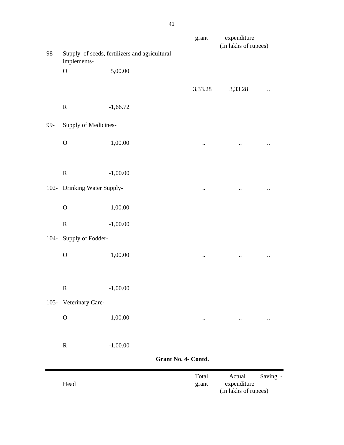|         |                             |                                               |                     | grant                | expenditure<br>(In lakhs of rupees)           |                      |
|---------|-----------------------------|-----------------------------------------------|---------------------|----------------------|-----------------------------------------------|----------------------|
| 98-     | implements-                 | Supply of seeds, fertilizers and agricultural |                     |                      |                                               |                      |
|         | $\mathbf O$                 | 5,00.00                                       |                     |                      |                                               |                      |
|         |                             |                                               |                     | 3,33.28              | 3,33.28                                       | $\ddot{\phantom{0}}$ |
|         | ${\bf R}$                   | $-1,66.72$                                    |                     |                      |                                               |                      |
| 99-     | Supply of Medicines-        |                                               |                     |                      |                                               |                      |
|         | $\mathbf O$                 | 1,00.00                                       |                     | $\ddotsc$            | $\ddotsc$                                     | $\ddot{\phantom{0}}$ |
|         |                             |                                               |                     |                      |                                               |                      |
|         | ${\bf R}$                   | $-1,00.00$                                    |                     |                      |                                               |                      |
|         | 102- Drinking Water Supply- |                                               |                     | $\ddot{\phantom{0}}$ | $\ddotsc$                                     | $\ddotsc$            |
|         | $\mathbf O$                 | 1,00.00                                       |                     |                      |                                               |                      |
|         | ${\bf R}$                   | $-1,00.00$                                    |                     |                      |                                               |                      |
| $104 -$ | Supply of Fodder-           |                                               |                     |                      |                                               |                      |
|         | $\mathbf O$                 | 1,00.00                                       |                     | $\ddotsc$            | $\ddot{\phantom{0}}$                          | $\ddot{\phantom{0}}$ |
|         |                             |                                               |                     |                      |                                               |                      |
|         | $\mathbf R$                 | $-1,00.00$                                    |                     |                      |                                               |                      |
| $105 -$ | Veterinary Care-            |                                               |                     |                      |                                               |                      |
|         | $\mathbf O$                 | 1,00.00                                       |                     |                      |                                               | $\ddotsc$            |
|         | $\mathbf R$                 | $-1,00.00$                                    |                     |                      |                                               |                      |
|         |                             |                                               | Grant No. 4- Contd. |                      |                                               |                      |
|         | Head                        |                                               |                     | Total<br>grant       | Actual<br>expenditure<br>(In lakhs of rupees) | Saving -             |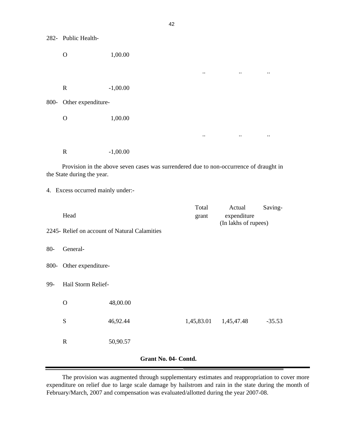282- Public Health-

O 1,00.00 .. .. .. R -1,00.00 800- Other expenditure-O 1,00.00

R -1,00.00

Provision in the above seven cases was surrendered due to non-occurrence of draught in the State during the year.

.. .. ..

4. Excess occurred mainly under:-

|        | Head                 |                                               | Total<br>grant        | Actual<br>expenditure<br>(In lakhs of rupees) | Saving-  |  |  |  |
|--------|----------------------|-----------------------------------------------|-----------------------|-----------------------------------------------|----------|--|--|--|
|        |                      | 2245- Relief on account of Natural Calamities |                       |                                               |          |  |  |  |
| $80 -$ | General-             |                                               |                       |                                               |          |  |  |  |
| 800-   | Other expenditure-   |                                               |                       |                                               |          |  |  |  |
| 99-    | Hail Storm Relief-   |                                               |                       |                                               |          |  |  |  |
|        | $\mathbf O$          | 48,00.00                                      |                       |                                               |          |  |  |  |
|        | S                    | 46,92.44                                      | 1,45,83.01 1,45,47.48 |                                               | $-35.53$ |  |  |  |
|        | $\mathbf R$          | 50,90.57                                      |                       |                                               |          |  |  |  |
|        | Grant No. 04- Contd. |                                               |                       |                                               |          |  |  |  |

The provision was augmented through supplementary estimates and reappropriation to cover more expenditure on relief due to large scale damage by hailstrom and rain in the state during the month of February/March, 2007 and compensation was evaluated/allotted during the year 2007-08.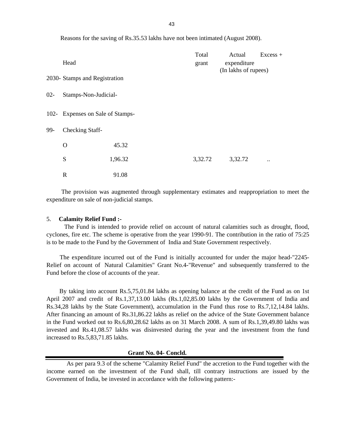Reasons for the saving of Rs.35.53 lakhs have not been intimated (August 2008).

|        |                                  |         | Total   | Actual               | Excess +  |
|--------|----------------------------------|---------|---------|----------------------|-----------|
|        | Head                             |         | grant   | expenditure          |           |
|        | 2030- Stamps and Registration    |         |         | (In lakhs of rupees) |           |
| $02 -$ | Stamps-Non-Judicial-             |         |         |                      |           |
|        | 102- Expenses on Sale of Stamps- |         |         |                      |           |
| 99-    | Checking Staff-                  |         |         |                      |           |
|        | $\mathbf{O}$                     | 45.32   |         |                      |           |
|        | S                                | 1,96.32 | 3,32.72 | 3,32.72              | $\ddotsc$ |
|        | $\mathbf R$                      | 91.08   |         |                      |           |

The provision was augmented through supplementary estimates and reappropriation to meet the expenditure on sale of non-judicial stamps.

#### 5. **Calamity Relief Fund :-**

The Fund is intended to provide relief on account of natural calamities such as drought, flood, cyclones, fire etc. The scheme is operative from the year 1990-91. The contribution in the ratio of 75:25 is to be made to the Fund by the Government of India and State Government respectively.

The expenditure incurred out of the Fund is initially accounted for under the major head-"2245- Relief on account of Natural Calamities" Grant No.4-"Revenue" and subsequently transferred to the Fund before the close of accounts of the year.

By taking into account Rs.5,75,01.84 lakhs as opening balance at the credit of the Fund as on 1st April 2007 and credit of Rs.1,37,13.00 lakhs (Rs.1,02,85.00 lakhs by the Government of India and Rs.34,28 lakhs by the State Government), accumulation in the Fund thus rose to Rs.7,12,14.84 lakhs. After financing an amount of Rs.31,86.22 lakhs as relief on the advice of the State Government balance in the Fund worked out to Rs.6,80,28.62 lakhs as on 31 March 2008. A sum of Rs.1,39,49.80 lakhs was invested and Rs.41,08.57 lakhs was disinvested during the year and the investment from the fund increased to Rs.5,83,71.85 lakhs.

#### **Grant No. 04- Concld.**

As per para 9.3 of the scheme "Calamity Relief Fund" the accretion to the Fund together with the income earned on the investment of the Fund shall, till contrary instructions are issued by the Government of India, be invested in accordance with the following pattern:-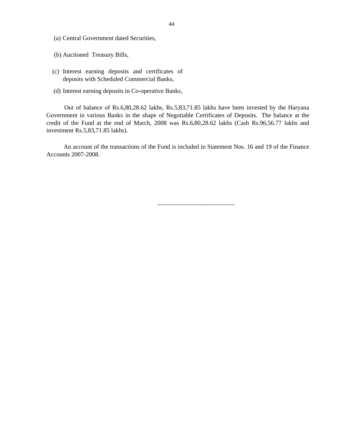- (a) Central Government dated Securities,
- (b) Auctioned Treasury Bills,
- (c) Interest earning deposits and certificates of deposits with Scheduled Commercial Banks,
- (d) Interest earning deposits in Co-operative Banks,

Out of balance of Rs.6,80,28.62 lakhs, Rs.5,83,71.85 lakhs have been invested by the Haryana Government in various Banks in the shape of Negotiable Certificates of Deposits. The balance at the credit of the Fund at the end of March, 2008 was Rs.6,80,28.62 lakhs (Cash Rs.96,56.77 lakhs and investment Rs.5,83,71.85 lakhs).

An account of the transactions of the Fund is included in Statement Nos. 16 and 19 of the Finance Accounts 2007-2008.

 $\frac{1}{\sqrt{2}}$  ,  $\frac{1}{\sqrt{2}}$  ,  $\frac{1}{\sqrt{2}}$  ,  $\frac{1}{\sqrt{2}}$  ,  $\frac{1}{\sqrt{2}}$  ,  $\frac{1}{\sqrt{2}}$  ,  $\frac{1}{\sqrt{2}}$  ,  $\frac{1}{\sqrt{2}}$  ,  $\frac{1}{\sqrt{2}}$  ,  $\frac{1}{\sqrt{2}}$  ,  $\frac{1}{\sqrt{2}}$  ,  $\frac{1}{\sqrt{2}}$  ,  $\frac{1}{\sqrt{2}}$  ,  $\frac{1}{\sqrt{2}}$  ,  $\frac{1}{\sqrt{2}}$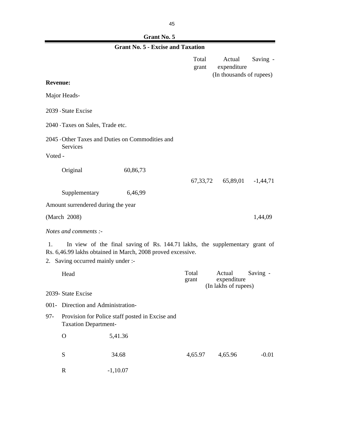|--|

|                 |                                    | <b>Grant No. 5 - Excise and Taxation</b>                                                                                                   |                |                                                   |            |
|-----------------|------------------------------------|--------------------------------------------------------------------------------------------------------------------------------------------|----------------|---------------------------------------------------|------------|
|                 |                                    |                                                                                                                                            | Total<br>grant | Actual<br>expenditure<br>(In thousands of rupees) | Saving -   |
| <b>Revenue:</b> |                                    |                                                                                                                                            |                |                                                   |            |
|                 | Major Heads-                       |                                                                                                                                            |                |                                                   |            |
|                 | 2039 - State Excise                |                                                                                                                                            |                |                                                   |            |
|                 | 2040 Taxes on Sales, Trade etc.    |                                                                                                                                            |                |                                                   |            |
| Voted -         | Services                           | 2045 Other Taxes and Duties on Commodities and                                                                                             |                |                                                   |            |
|                 | Original                           | 60,86,73                                                                                                                                   |                |                                                   |            |
|                 |                                    |                                                                                                                                            | 67, 33, 72     | 65,89,01                                          | $-1,44,71$ |
|                 | Supplementary                      | 6,46,99                                                                                                                                    |                |                                                   |            |
|                 | Amount surrendered during the year |                                                                                                                                            |                |                                                   |            |
|                 | (March 2008)                       |                                                                                                                                            |                |                                                   | 1,44,09    |
|                 | Notes and comments :-              |                                                                                                                                            |                |                                                   |            |
| 1.<br>2.        | Saving occurred mainly under :-    | In view of the final saving of Rs. 144.71 lakhs, the supplementary grant of<br>Rs. 6,46.99 lakhs obtained in March, 2008 proved excessive. |                |                                                   |            |
|                 | Head                               |                                                                                                                                            | Total<br>grant | Actual<br>expenditure                             | Saving -   |
|                 | 2039- State Excise                 |                                                                                                                                            |                | (In lakhs of rupees)                              |            |
|                 | 001- Direction and Administration- |                                                                                                                                            |                |                                                   |            |
| $97 -$          | <b>Taxation Department-</b>        | Provision for Police staff posted in Excise and                                                                                            |                |                                                   |            |
|                 | $\mathbf O$                        | 5,41.36                                                                                                                                    |                |                                                   |            |
|                 | ${\bf S}$                          | 34.68                                                                                                                                      | 4,65.97        | 4,65.96                                           | $-0.01$    |
|                 | $\mathbf R$                        | $-1,10.07$                                                                                                                                 |                |                                                   |            |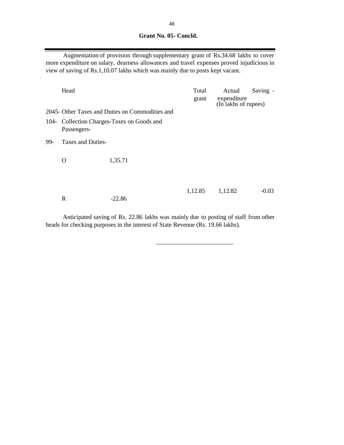## **Grant No. 05- Concld.**

Augmentation of provision through supplementary grant of Rs.34.68 lakhs to cover more expenditure on salary, dearness allowances and travel expenses proved injudicious in view of saving of Rs.1,10.07 lakhs which was mainly due to posts kept vacant.

|     | Head              |                                                 | Total<br>grant | Actual<br>expenditure<br>(In lakhs of rupees) | Saving - |  |
|-----|-------------------|-------------------------------------------------|----------------|-----------------------------------------------|----------|--|
|     |                   | 2045- Other Taxes and Duties on Commodities and |                |                                               |          |  |
|     | Passengers-       | 104- Collection Charges-Taxes on Goods and      |                |                                               |          |  |
| 99- | Taxes and Duties- |                                                 |                |                                               |          |  |
|     | $\Omega$          | 1,35.71                                         |                |                                               |          |  |
|     | $\mathbf R$       | $-22.86$                                        | 1,12.85        | 1,12.82                                       | $-0.03$  |  |

Anticipated saving of Rs. 22.86 lakhs was mainly due to posting of staff from other heads for checking purposes in the interest of State Revenue (Rs. 19.66 lakhs).

 $\overline{\phantom{a}}$  , and the contract of the contract of the contract of the contract of the contract of the contract of the contract of the contract of the contract of the contract of the contract of the contract of the contrac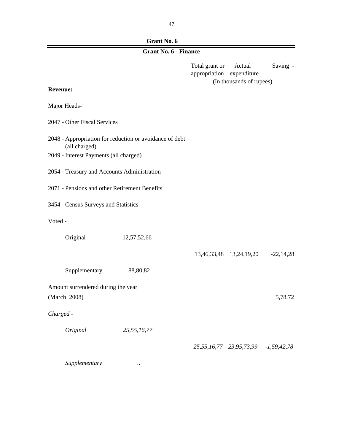## **Grant No. 6**

### **Grant No. 6 - Finance**

Total grant or Actual Saving appropriation expenditure (In thousands of rupees)

## **Revenue:**

Major Heads-

2047 - Other Fiscal Services

- 2048 Appropriation for reduction or avoidance of debt (all charged)
- 2049 Interest Payments (all charged)
- 2054 Treasury and Accounts Administration
- 2071 Pensions and other Retirement Benefits
- 3454 Census Surveys and Statistics
- Voted -

| Original                           | 12,57,52,66 |             |                                     |             |
|------------------------------------|-------------|-------------|-------------------------------------|-------------|
|                                    |             | 13,46,33,48 | 13,24,19,20                         | $-22,14,28$ |
| Supplementary                      | 88,80,82    |             |                                     |             |
| Amount surrendered during the year |             |             |                                     |             |
| (March 2008)                       |             |             |                                     | 5,78,72     |
| Charged -                          |             |             |                                     |             |
| Original                           | 25,55,16,77 |             |                                     |             |
|                                    |             |             | 25,55,16,77 23,95,73,99 -1,59,42,78 |             |

*Supplementary ..*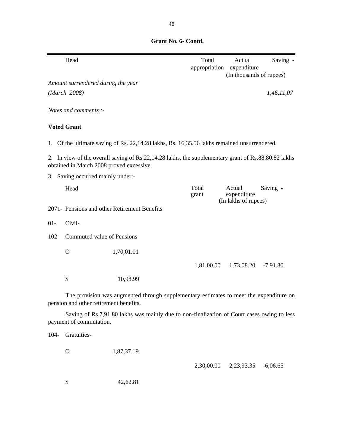**Grant No. 6- Contd.**

|         | Head                                     |                                                                                                     | Total          | Actual<br>appropriation expenditure | Saving -   |
|---------|------------------------------------------|-----------------------------------------------------------------------------------------------------|----------------|-------------------------------------|------------|
|         | Amount surrendered during the year       |                                                                                                     |                | (In thousands of rupees)            |            |
|         | (March 2008)                             |                                                                                                     |                |                                     | 1,46,11,07 |
|         |                                          |                                                                                                     |                |                                     |            |
|         | Notes and comments :-                    |                                                                                                     |                |                                     |            |
|         | <b>Voted Grant</b>                       |                                                                                                     |                |                                     |            |
|         |                                          | 1. Of the ultimate saving of Rs. 22,14.28 lakhs, Rs. 16,35.56 lakhs remained unsurrendered.         |                |                                     |            |
|         | obtained in March 2008 proved excessive. | 2. In view of the overall saving of Rs.22,14.28 lakhs, the supplementary grant of Rs.88,80.82 lakhs |                |                                     |            |
|         | 3. Saving occurred mainly under:-        |                                                                                                     |                |                                     |            |
|         | Head                                     |                                                                                                     | Total<br>grant | Actual<br>expenditure               | Saving -   |
|         |                                          | 2071- Pensions and other Retirement Benefits                                                        |                | (In lakhs of rupees)                |            |
| $01 -$  | Civil-                                   |                                                                                                     |                |                                     |            |
| $102 -$ | Commuted value of Pensions-              |                                                                                                     |                |                                     |            |
|         | $\mathbf{O}$                             | 1,70,01.01                                                                                          |                |                                     |            |
|         |                                          |                                                                                                     | 1,81,00.00     | 1,73,08.20                          | $-7,91.80$ |
|         | S                                        | 10,98.99                                                                                            |                |                                     |            |
|         | pension and other retirement benefits.   | The provision was augmented through supplementary estimates to meet the expenditure on              |                |                                     |            |
|         | payment of commutation.                  | Saving of Rs.7,91.80 lakhs was mainly due to non-finalization of Court cases owing to less          |                |                                     |            |
| 104-    | Gratuities-                              |                                                                                                     |                |                                     |            |
|         | $\mathbf O$                              | 1,87,37.19                                                                                          |                |                                     |            |
|         |                                          |                                                                                                     | 2,30,00.00     | 2,23,93.35                          | $-6,06.65$ |
|         | S                                        | 42,62.81                                                                                            |                |                                     |            |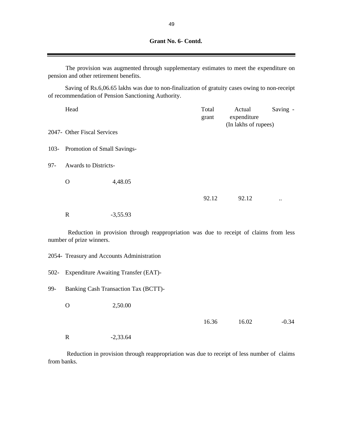|         | pension and other retirement benefits. | The provision was augmented through supplementary estimates to meet the expenditure on                                                               |                |                                               |                      |
|---------|----------------------------------------|------------------------------------------------------------------------------------------------------------------------------------------------------|----------------|-----------------------------------------------|----------------------|
|         |                                        | Saving of Rs.6,06.65 lakhs was due to non-finalization of gratuity cases owing to non-receipt<br>of recommendation of Pension Sanctioning Authority. |                |                                               |                      |
|         | Head                                   |                                                                                                                                                      | Total<br>grant | Actual<br>expenditure<br>(In lakhs of rupees) | Saving -             |
|         | 2047- Other Fiscal Services            |                                                                                                                                                      |                |                                               |                      |
| $103 -$ | Promotion of Small Savings-            |                                                                                                                                                      |                |                                               |                      |
| $97 -$  | <b>Awards to Districts-</b>            |                                                                                                                                                      |                |                                               |                      |
|         | $\mathbf{O}$                           | 4,48.05                                                                                                                                              |                |                                               |                      |
|         |                                        |                                                                                                                                                      | 92.12          | 92.12                                         | $\ddot{\phantom{0}}$ |
|         | $\mathbf R$                            | $-3,55.93$                                                                                                                                           |                |                                               |                      |
|         | number of prize winners.               | Reduction in provision through reappropriation was due to receipt of claims from less                                                                |                |                                               |                      |
|         |                                        | 2054- Treasury and Accounts Administration                                                                                                           |                |                                               |                      |
| $502 -$ |                                        | <b>Expenditure Awaiting Transfer (EAT)-</b>                                                                                                          |                |                                               |                      |
| 99-     |                                        | Banking Cash Transaction Tax (BCTT)-                                                                                                                 |                |                                               |                      |
|         | $\Omega$                               | 2,50.00                                                                                                                                              |                |                                               |                      |
|         |                                        |                                                                                                                                                      | 16.36          | 16.02                                         | $-0.34$              |

R -2,33.64

Reduction in provision through reappropriation was due to receipt of less number of claims from banks.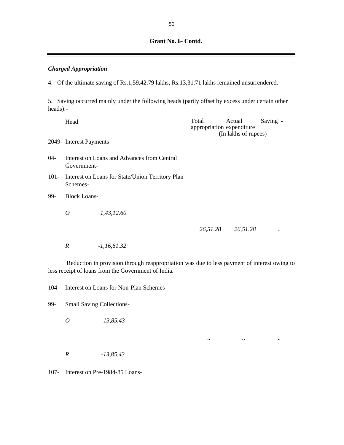# **Grant No. 6- Contd.**

# *Charged Appropriation*

4. Of the ultimate saving of Rs.1,59,42.79 lakhs, Rs.13,31.71 lakhs remained unsurrendered.

5. Saving occurred mainly under the following heads (partly offset by excess under certain other heads):-

|         | Head                                                       |                                                  | Total<br>appropriation expenditure | Actual<br>(In lakhs of rupees) | Saving - |  |  |
|---------|------------------------------------------------------------|--------------------------------------------------|------------------------------------|--------------------------------|----------|--|--|
|         | 2049- Interest Payments                                    |                                                  |                                    |                                |          |  |  |
| $04 -$  | Interest on Loans and Advances from Central<br>Government- |                                                  |                                    |                                |          |  |  |
| $101 -$ | Schemes-                                                   | Interest on Loans for State/Union Territory Plan |                                    |                                |          |  |  |
| 99-     | <b>Block Loans-</b>                                        |                                                  |                                    |                                |          |  |  |
|         | 0                                                          | 1,43,12.60                                       |                                    |                                |          |  |  |
|         |                                                            |                                                  | 26,51.28                           | 26,51.28                       |          |  |  |
|         | R                                                          | $-1,16,61.32$                                    |                                    |                                |          |  |  |

Reduction in provision through reappropriation was due to less payment of interest owing to less receipt of loans from the Government of India.

*.. .. ..* 

104- Interest on Loans for Non-Plan Schemes-

99- Small Saving Collections-

*O 13,85.43*

*R -13,85.43*

107- Interest on Pre-1984-85 Loans-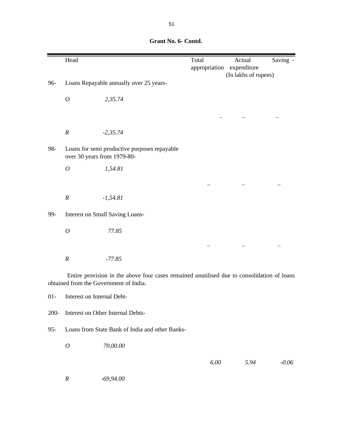|     | Head                                                                        |                                                                                            | Total                | Actual                              | Saving -  |
|-----|-----------------------------------------------------------------------------|--------------------------------------------------------------------------------------------|----------------------|-------------------------------------|-----------|
|     |                                                                             |                                                                                            | appropriation        | expenditure<br>(In lakhs of rupees) |           |
| 96- |                                                                             | Loans Repayable annually over 25 years-                                                    |                      |                                     |           |
|     |                                                                             |                                                                                            |                      |                                     |           |
|     | $\boldsymbol{O}$                                                            | 2,35.74                                                                                    |                      |                                     |           |
|     |                                                                             |                                                                                            |                      |                                     | $\cdot$ . |
|     |                                                                             |                                                                                            |                      |                                     |           |
|     | $\boldsymbol{R}$                                                            | $-2, 35.74$                                                                                |                      |                                     |           |
| 98- | Loans for semi productive purposes repayable<br>over 30 years from 1979-80- |                                                                                            |                      |                                     |           |
|     | $\boldsymbol{O}$                                                            | 1,54.81                                                                                    |                      |                                     |           |
|     |                                                                             |                                                                                            | $\ddot{\phantom{0}}$ |                                     |           |
|     |                                                                             |                                                                                            |                      |                                     |           |
|     | $\boldsymbol{R}$                                                            | $-1,54.81$                                                                                 |                      |                                     |           |
| 99- |                                                                             | Interest on Small Saving Loans-                                                            |                      |                                     |           |
|     | $\boldsymbol{O}$                                                            | 77.85                                                                                      |                      |                                     |           |
|     |                                                                             |                                                                                            |                      |                                     |           |
|     | $\boldsymbol{R}$                                                            | $-77.85$                                                                                   |                      |                                     |           |
|     |                                                                             | Entire provision in the above four cases remained unutilised due to consolidation of loans |                      |                                     |           |

 **Grant No. 6- Contd.**

obtained from the Government of India.

01- Interest on Internal Debt-

200- Interest on Other Internal Debts-

95- Loans from State Bank of India and other Banks-

*O 70,00.00*

 *6.00 5.94 -0.06*

*R -69,94.00*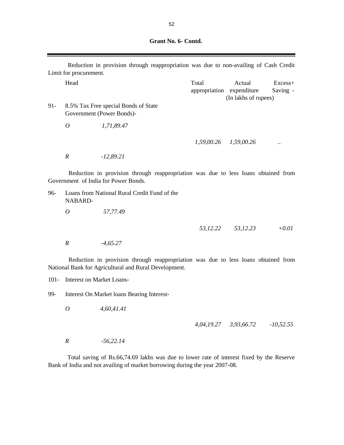| Grant No. 6- Contd. |  |  |
|---------------------|--|--|
|---------------------|--|--|

|        | Limit for procurement. | Reduction in provision through reappropriation was due to non-availing of Cash Credit                                      |                                    |                                |                     |
|--------|------------------------|----------------------------------------------------------------------------------------------------------------------------|------------------------------------|--------------------------------|---------------------|
|        | Head                   |                                                                                                                            | Total<br>appropriation expenditure | Actual<br>(In lakhs of rupees) | Excess+<br>Saving - |
| $91 -$ |                        | 8.5% Tax Free special Bonds of State<br>Government (Power Bonds)-                                                          |                                    |                                |                     |
|        | $\boldsymbol{O}$       | 1,71,89.47                                                                                                                 |                                    |                                |                     |
|        |                        |                                                                                                                            |                                    | 1,59,00.26 1,59,00.26          |                     |
|        | $\boldsymbol{R}$       | $-12,89.21$                                                                                                                |                                    |                                |                     |
|        |                        | Reduction in provision through reappropriation was due to less loans obtained from<br>Government of India for Power Bonds. |                                    |                                |                     |
| 96-    | NABARD-                | Loans from National Rural Credit Fund of the                                                                               |                                    |                                |                     |
|        | $\overline{O}$         | 57,77.49                                                                                                                   |                                    |                                |                     |
|        |                        |                                                                                                                            | 53, 12.22                          | 53,12.23                       | $+0.01$             |
|        | $\boldsymbol{R}$       | $-4,65.27$                                                                                                                 |                                    |                                |                     |
|        |                        | Reduction in provision through reappropriation was due to less loans obtained from                                         |                                    |                                |                     |

101- Interest on Market Loans-

99- Interest On Market loans Bearing Interest-

National Bank for Agricultural and Rural Development.

*O 4,60,41.41*

 *4,04,19.27 3,93,66.72 -10,52.55*

*R -56,22.14*

Total saving of Rs.66,74.69 lakhs was due to lower rate of interest fixed by the Reserve Bank of India and not availing of market borrowing during the year 2007-08.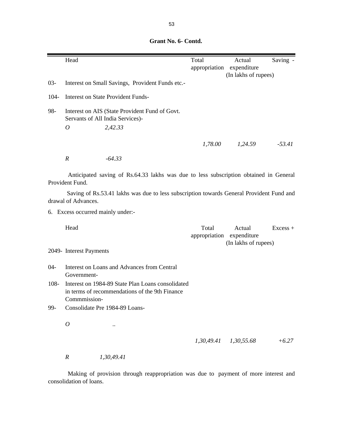|         | Head           |                                                                                    | Total<br>appropriation | Actual<br>expenditure<br>(In lakhs of rupees) | Saving - |
|---------|----------------|------------------------------------------------------------------------------------|------------------------|-----------------------------------------------|----------|
| $03 -$  |                | Interest on Small Savings, Provident Funds etc.-                                   |                        |                                               |          |
| $104 -$ |                | Interest on State Provident Funds-                                                 |                        |                                               |          |
| 98-     |                | Interest on AIS (State Provident Fund of Govt.<br>Servants of All India Services)- |                        |                                               |          |
|         | $\overline{O}$ | 2,42.33                                                                            |                        |                                               |          |
|         |                |                                                                                    | 1,78.00                | 1,24.59                                       | $-53.41$ |
|         | R              | $-64.33$                                                                           |                        |                                               |          |

 **Grant No. 6- Contd.**

Anticipated saving of Rs.64.33 lakhs was due to less subscription obtained in General Provident Fund.

Saving of Rs.53.41 lakhs was due to less subscription towards General Provident Fund and drawal of Advances.

6. Excess occurred mainly under:-

Head Excess + appropriation expenditure (In lakhs of rupees)

2049- Interest Payments

- 04- Interest on Loans and Advances from Central Government-
- 108- Interest on 1984-89 State Plan Loans consolidated in terms of recommendations of the 9th Finance Commmission-
- 99- Consolidate Pre 1984-89 Loans-
	- *O ..*

 *1,30,49.41 1,30,55.68 +6.27*

*R 1,30,49.41*

Making of provision through reappropriation was due to payment of more interest and consolidation of loans.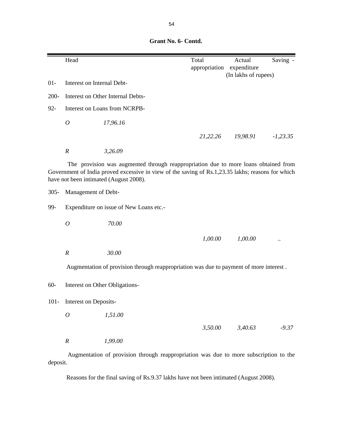**Grant No. 6- Contd.**

|         | Head                           |                                                                                                                                                                                                                                    | Total<br>appropriation | Actual<br>expenditure<br>(In lakhs of rupees) | Saving -   |
|---------|--------------------------------|------------------------------------------------------------------------------------------------------------------------------------------------------------------------------------------------------------------------------------|------------------------|-----------------------------------------------|------------|
| $01 -$  | Interest on Internal Debt-     |                                                                                                                                                                                                                                    |                        |                                               |            |
| $200 -$ |                                | Interest on Other Internal Debts-                                                                                                                                                                                                  |                        |                                               |            |
| $92 -$  |                                | Interest on Loans from NCRPB-                                                                                                                                                                                                      |                        |                                               |            |
|         | $\boldsymbol{O}$               | 17,96.16                                                                                                                                                                                                                           |                        |                                               |            |
|         |                                |                                                                                                                                                                                                                                    | 21,22.26               | 19,98.91                                      | $-1,23.35$ |
|         | $\boldsymbol{R}$               | 3,26.09                                                                                                                                                                                                                            |                        |                                               |            |
|         |                                | The provision was augmented through reappropriation due to more loans obtained from<br>Government of India proved excessive in view of the saving of Rs.1,23.35 lakhs; reasons for which<br>have not been intimated (August 2008). |                        |                                               |            |
| $305 -$ | Management of Debt-            |                                                                                                                                                                                                                                    |                        |                                               |            |
| 99-     |                                | Expenditure on issue of New Loans etc.-                                                                                                                                                                                            |                        |                                               |            |
|         | $\boldsymbol{O}$               | 70.00                                                                                                                                                                                                                              |                        |                                               |            |
|         |                                |                                                                                                                                                                                                                                    | 1,00.00                | 1,00.00                                       |            |
|         | $\boldsymbol{R}$               | 30.00                                                                                                                                                                                                                              |                        |                                               |            |
|         |                                | Augmentation of provision through reappropriation was due to payment of more interest.                                                                                                                                             |                        |                                               |            |
| $60 -$  | Interest on Other Obligations- |                                                                                                                                                                                                                                    |                        |                                               |            |
| $101 -$ | Interest on Deposits-          |                                                                                                                                                                                                                                    |                        |                                               |            |
|         | $\mathcal O$                   | 1,51.00                                                                                                                                                                                                                            |                        |                                               |            |
|         |                                |                                                                                                                                                                                                                                    | 3,50.00                | 3,40.63                                       | $-9.37$    |
|         | $\boldsymbol{R}$               | 1,99.00                                                                                                                                                                                                                            |                        |                                               |            |

Augmentation of provision through reappropriation was due to more subscription to the deposit.

Reasons for the final saving of Rs.9.37 lakhs have not been intimated (August 2008).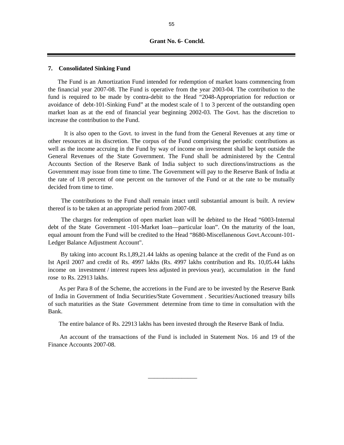#### **7. Consolidated Sinking Fund**

The Fund is an Amortization Fund intended for redemption of market loans commencing from the financial year 2007-08. The Fund is operative from the year 2003-04. The contribution to the fund is required to be made by contra-debit to the Head "2048-Appropriation for reduction or avoidance of debt-101-Sinking Fund" at the modest scale of 1 to 3 percent of the outstanding open market loan as at the end of financial year beginning 2002-03. The Govt. has the discretion to increase the contribution to the Fund.

It is also open to the Govt. to invest in the fund from the General Revenues at any time or other resources at its discretion. The corpus of the Fund comprising the periodic contributions as well as the income accruing in the Fund by way of income on investment shall be kept outside the General Revenues of the State Government. The Fund shall be administered by the Central Accounts Section of the Reserve Bank of India subject to such directions/instructions as the Government may issue from time to time. The Government will pay to the Reserve Bank of India at the rate of 1/8 percent of one percent on the turnover of the Fund or at the rate to be mutually decided from time to time.

The contributions to the Fund shall remain intact until substantial amount is built. A review thereof is to be taken at an appropriate period from 2007-08.

The charges for redemption of open market loan will be debited to the Head "6003-Internal debt of the State Government -101-Market loan—particular loan". On the maturity of the loan, equal amount from the Fund will be credited to the Head "8680-Miscellanenous Govt.Account-101- Ledger Balance Adjustment Account".

By taking into account Rs.1,89,21.44 lakhs as opening balance at the credit of the Fund as on Ist April 2007 and credit of Rs. 4997 lakhs (Rs. 4997 lakhs contribution and Rs. 10,05.44 lakhs income on investment / interest rupees less adjusted in previous year), accumulation in the fund rose to Rs. 22913 lakhs.

As per Para 8 of the Scheme, the accretions in the Fund are to be invested by the Reserve Bank of India in Government of India Securities/State Government . Securities/Auctioned treasury bills of such maturities as the State Government determine from time to time in consultation with the Bank.

The entire balance of Rs. 22913 lakhs has been invested through the Reserve Bank of India.

An account of the transactions of the Fund is included in Statement Nos. 16 and 19 of the Finance Accounts 2007-08.

 $\overline{\phantom{a}}$  , and the contract of the contract of the contract of the contract of the contract of the contract of the contract of the contract of the contract of the contract of the contract of the contract of the contrac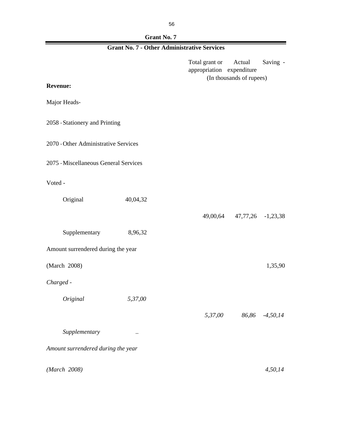| Grant No. 7                                        |  |
|----------------------------------------------------|--|
| <b>Grant No. 7 - Other Administrative Services</b> |  |

r

|                                       |               | Total grant or<br>appropriation expenditure | Actual<br>(In thousands of rupees) | Saving -       |
|---------------------------------------|---------------|---------------------------------------------|------------------------------------|----------------|
| <b>Revenue:</b>                       |               |                                             |                                    |                |
| Major Heads-                          |               |                                             |                                    |                |
| 2058 - Stationery and Printing        |               |                                             |                                    |                |
| 2070 - Other Administrative Services  |               |                                             |                                    |                |
| 2075 - Miscellaneous General Services |               |                                             |                                    |                |
| Voted -                               |               |                                             |                                    |                |
| Original                              | 40,04,32      |                                             |                                    |                |
|                                       |               |                                             | 49,00,64 47,77,26 -1,23,38         |                |
| Supplementary                         | 8,96,32       |                                             |                                    |                |
| Amount surrendered during the year    |               |                                             |                                    |                |
| (March 2008)                          |               |                                             |                                    | 1,35,90        |
| Charged -                             |               |                                             |                                    |                |
| Original                              | 5,37,00       |                                             |                                    |                |
|                                       |               | 5,37,00                                     |                                    | 86,86 -4,50,14 |
| Supplementary                         | $\cdot \cdot$ |                                             |                                    |                |
| Amount surrendered during the year    |               |                                             |                                    |                |
| (March 2008)                          |               |                                             |                                    | 4,50,14        |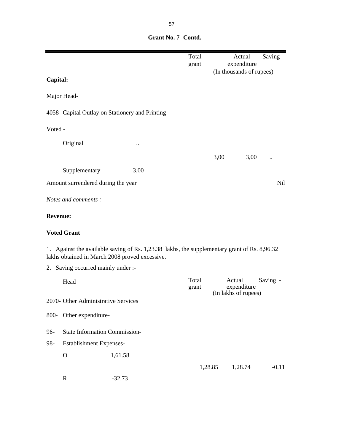|                 |                                                                                                                                             |          | Total<br>grant |      | Actual<br>expenditure<br>(In thousands of rupees) | Saving . |
|-----------------|---------------------------------------------------------------------------------------------------------------------------------------------|----------|----------------|------|---------------------------------------------------|----------|
| Capital:        |                                                                                                                                             |          |                |      |                                                   |          |
|                 | Major Head-                                                                                                                                 |          |                |      |                                                   |          |
|                 | 4058 - Capital Outlay on Stationery and Printing                                                                                            |          |                |      |                                                   |          |
| Voted -         |                                                                                                                                             |          |                |      |                                                   |          |
|                 | Original                                                                                                                                    |          |                |      |                                                   |          |
|                 |                                                                                                                                             |          |                | 3,00 | 3,00                                              |          |
|                 | Supplementary                                                                                                                               | 3,00     |                |      |                                                   |          |
|                 | Amount surrendered during the year                                                                                                          |          |                |      |                                                   | Nil      |
|                 | Notes and comments :-                                                                                                                       |          |                |      |                                                   |          |
| <b>Revenue:</b> |                                                                                                                                             |          |                |      |                                                   |          |
|                 | <b>Voted Grant</b>                                                                                                                          |          |                |      |                                                   |          |
| 1.              | Against the available saving of Rs. 1,23.38 lakhs, the supplementary grant of Rs. 8,96.32<br>lakhs obtained in March 2008 proved excessive. |          |                |      |                                                   |          |
|                 | 2. Saving occurred mainly under :-                                                                                                          |          |                |      |                                                   |          |
|                 | Head                                                                                                                                        |          | Total<br>grant |      | Actual<br>expenditure                             | Saving - |
|                 | 2070- Other Administrative Services                                                                                                         |          |                |      | (In lakhs of rupees)                              |          |
| 800-            | Other expenditure-                                                                                                                          |          |                |      |                                                   |          |
| 96-             | <b>State Information Commission-</b>                                                                                                        |          |                |      |                                                   |          |
| 98-             | Establishment Expenses-                                                                                                                     |          |                |      |                                                   |          |
|                 | $\mathbf O$                                                                                                                                 | 1,61.58  |                |      |                                                   |          |
|                 |                                                                                                                                             |          | 1,28.85        |      | 1,28.74                                           | $-0.11$  |
|                 | $\mathbf R$                                                                                                                                 | $-32.73$ |                |      |                                                   |          |

 **Grant No. 7- Contd.**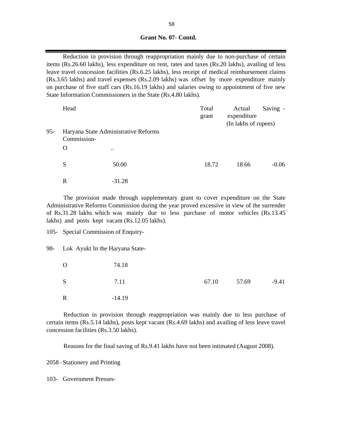## **Grant No. 07- Contd.**

Reduction in provision through reappropriation mainly due to non-purchase of certain items (Rs.26.60 lakhs), less expenditure on rent, rates and taxes (Rs.20 lakhs), availing of less leave travel concession facilities (Rs.6.25 lakhs), less receipt of medical reimbursement claims (Rs.3.65 lakhs) and travel expenses (Rs.2.09 lakhs) was offset by more expenditure mainly on purchase of five staff cars (Rs.16.19 lakhs) and salaries owing to appointment of five new State Information Commissioners in the State (Rs.4.80 lakhs).

|     | Head                                                |                      | Total<br>grant | Actual<br>expenditure<br>(In lakhs of rupees) | Saving - |
|-----|-----------------------------------------------------|----------------------|----------------|-----------------------------------------------|----------|
| 95- | Haryana State Administrative Reforms<br>Commission- |                      |                |                                               |          |
|     | O                                                   | $\ddot{\phantom{a}}$ |                |                                               |          |
|     | S                                                   | 50.00                | 18.72          | 18.66                                         | $-0.06$  |
|     | $\mathbf R$                                         | $-31.28$             |                |                                               |          |

The provision made through supplementary grant to cover expenditure on the State Administrative Reforms Commission during the year proved excessive in view of the surrender of Rs.31.28 lakhs which was mainly due to less purchase of motor vehicles (Rs.13.45 lakhs) and posts kept vacant (Rs.12.05 lakhs).

105- Special Commission of Enquiry-

#### 98- Lok Ayukt In the Haryana State-

| $\Omega$    | 74.18    |             |         |
|-------------|----------|-------------|---------|
| S           | 7.11     | 67.10 57.69 | $-9.41$ |
| $\mathbf R$ | $-14.19$ |             |         |

Reduction in provision through reappropriation was mainly due to less purchase of certain items (Rs.5.14 lakhs), posts kept vacant (Rs.4.69 lakhs) and availing of less leave travel concession facilities (Rs.3.50 lakhs).

Reasons for the final saving of Rs.9.41 lakhs have not been intimated (August 2008).

2058 -Stationery and Printing

103- Government Presses-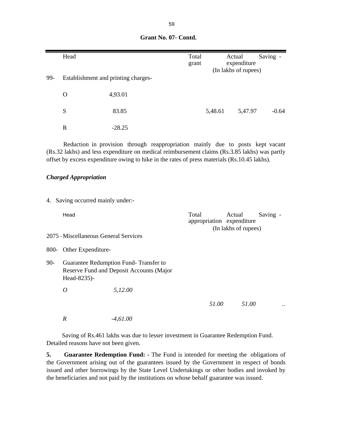|        | Head                                  |                                                                                                                                                                                                                                                                                 | Total<br>grant |         | Actual<br>expenditure<br>(In lakhs of rupees)               | Saving - |
|--------|---------------------------------------|---------------------------------------------------------------------------------------------------------------------------------------------------------------------------------------------------------------------------------------------------------------------------------|----------------|---------|-------------------------------------------------------------|----------|
| 99-    | Establishment and printing charges-   |                                                                                                                                                                                                                                                                                 |                |         |                                                             |          |
|        | $\mathbf{O}$                          | 4,93.01                                                                                                                                                                                                                                                                         |                |         |                                                             |          |
|        | S                                     | 83.85                                                                                                                                                                                                                                                                           |                | 5,48.61 | 5,47.97                                                     | $-0.64$  |
|        | $\mathbf R$                           | $-28.25$                                                                                                                                                                                                                                                                        |                |         |                                                             |          |
|        |                                       | Reduction in provision through reappropriation mainly due to posts kept vacant<br>(Rs.32 lakhs) and less expenditure on medical reimbursement claims (Rs.3.85 lakhs) was partly<br>offset by excess expenditure owing to hike in the rates of press materials (Rs.10.45 lakhs). |                |         |                                                             |          |
|        | <b>Charged Appropriation</b>          |                                                                                                                                                                                                                                                                                 |                |         |                                                             |          |
|        | 4. Saving occurred mainly under:-     |                                                                                                                                                                                                                                                                                 |                |         |                                                             |          |
|        | Head                                  |                                                                                                                                                                                                                                                                                 | Total          |         | Actual<br>appropriation expenditure<br>(In lakhs of rupees) | Saving - |
|        | 2075 - Miscellaneous General Services |                                                                                                                                                                                                                                                                                 |                |         |                                                             |          |
| 800-   | Other Expenditure-                    |                                                                                                                                                                                                                                                                                 |                |         |                                                             |          |
| $90 -$ | Head-8235)-                           | Guarantee Redumption Fund-Transfer to<br>Reserve Fund and Deposit Accounts (Major                                                                                                                                                                                               |                |         |                                                             |          |
|        | $\overline{O}$                        | 5,12.00                                                                                                                                                                                                                                                                         |                |         |                                                             |          |
|        |                                       |                                                                                                                                                                                                                                                                                 |                | 51.00   | 51.00                                                       |          |
|        | $\boldsymbol{R}$                      | $-4,61.00$                                                                                                                                                                                                                                                                      |                |         |                                                             |          |

 Saving of Rs.461 lakhs was due to lesser investment in Guarantee Redemption Fund. Detailed reasons have not been given.

**5. Guarantee Redemption Fund: -** The Fund is intended for meeting the obligations of the Government arising out of the guarantees issued by the Government in respect of bonds issued and other borrowings by the State Level Undertakings or other bodies and invoked by the beneficiaries and not paid by the institutions on whose behalf guarantee was issued.

**Grant No. 07- Contd.**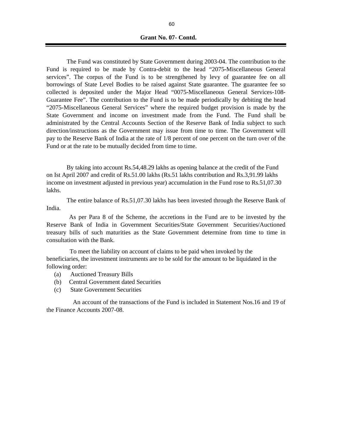**Grant No. 07- Contd.**

The Fund was constituted by State Government during 2003-04. The contribution to the Fund is required to be made by Contra-debit to the head "2075-Miscellaneous General services". The corpus of the Fund is to be strengthened by levy of guarantee fee on all borrowings of State Level Bodies to be raised against State guarantee. The guarantee fee so collected is deposited under the Major Head "0075-Miscellaneous General Services-108- Guarantee Fee". The contribution to the Fund is to be made periodically by debiting the head "2075-Miscellaneous General Services" where the required budget provision is made by the State Government and income on investment made from the Fund. The Fund shall be administrated by the Central Accounts Section of the Reserve Bank of India subject to such direction/instructions as the Government may issue from time to time. The Government will pay to the Reserve Bank of India at the rate of 1/8 percent of one percent on the turn over of the Fund or at the rate to be mutually decided from time to time.

 By taking into account Rs.54,48.29 lakhs as opening balance at the credit of the Fund on Ist April 2007 and credit of Rs.51.00 lakhs (Rs.51 lakhs contribution and Rs.3,91.99 lakhs income on investment adjusted in previous year) accumulation in the Fund rose to Rs.51,07.30 lakhs.

The entire balance of Rs.51,07.30 lakhs has been invested through the Reserve Bank of India.

As per Para 8 of the Scheme, the accretions in the Fund are to be invested by the Reserve Bank of India in Government Securities/State Government Securities/Auctioned treasury bills of such maturities as the State Government determine from time to time in consultation with the Bank.

 To meet the liability on account of claims to be paid when invoked by the beneficiaries, the investment instruments are to be sold for the amount to be liquidated in the following order:

- (a) Auctioned Treasury Bills
- (b) Central Government dated Securities
- (c) State Government Securities

An account of the transactions of the Fund is included in Statement Nos.16 and 19 of the Finance Accounts 2007-08.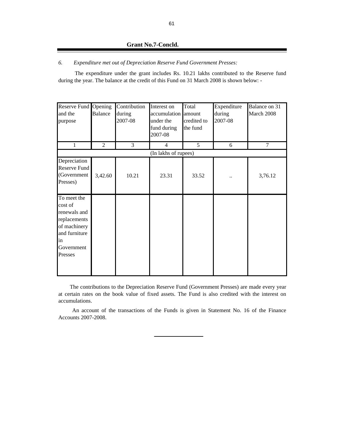## **Grant No.7-Concld.**

#### *6. Expenditure met out of Depreciation Reserve Fund Government Presses:*

The expenditure under the grant includes Rs. 10.21 lakhs contributed to the Reserve fund during the year. The balance at the credit of this Fund on 31 March 2008 is shown below: -

| Reserve Fund Opening<br>and the<br>purpose<br>1                                                                        | Balance<br>$\overline{2}$ | Contribution<br>during<br>2007-08<br>3 | Interest on<br>accumulation amount<br>under the<br>fund during<br>2007-08<br>$\overline{4}$ | Total<br>credited to<br>the fund<br>5 | Expenditure<br>during<br>2007-08<br>6 | Balance on 31<br>March 2008<br>$\tau$ |
|------------------------------------------------------------------------------------------------------------------------|---------------------------|----------------------------------------|---------------------------------------------------------------------------------------------|---------------------------------------|---------------------------------------|---------------------------------------|
|                                                                                                                        |                           |                                        | (In lakhs of rupees)                                                                        |                                       |                                       |                                       |
| Depreciation<br><b>Reserve Fund</b><br>(Government<br>Presses)                                                         | 3,42.60                   | 10.21                                  | 23.31                                                                                       | 33.52                                 |                                       | 3,76.12                               |
| To meet the<br>cost of<br>renewals and<br>replacements<br>of machinery<br>and furniture<br>in<br>Government<br>Presses |                           |                                        |                                                                                             |                                       |                                       |                                       |

The contributions to the Depreciation Reserve Fund (Government Presses) are made every year at certain rates on the book value of fixed assets. The Fund is also credited with the interest on accumulations.

An account of the transactions of the Funds is given in Statement No. 16 of the Finance Accounts 2007-2008.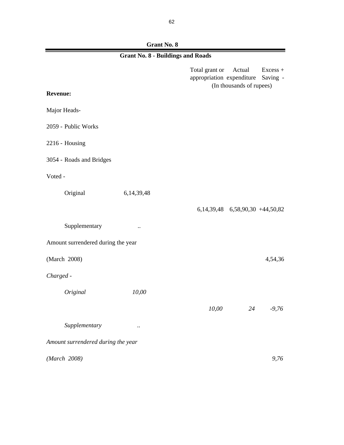**Grant No. 8**

| <b>Grant No. 8 - Buildings and Roads</b> |                      |                                             |                                          |                      |  |
|------------------------------------------|----------------------|---------------------------------------------|------------------------------------------|----------------------|--|
|                                          |                      | Total grant or<br>appropriation expenditure | Actual<br>(In thousands of rupees)       | Excess +<br>Saving - |  |
| <b>Revenue:</b>                          |                      |                                             |                                          |                      |  |
| Major Heads-                             |                      |                                             |                                          |                      |  |
| 2059 - Public Works                      |                      |                                             |                                          |                      |  |
| 2216 - Housing                           |                      |                                             |                                          |                      |  |
| 3054 - Roads and Bridges                 |                      |                                             |                                          |                      |  |
| Voted -                                  |                      |                                             |                                          |                      |  |
| Original                                 | 6, 14, 39, 48        |                                             |                                          |                      |  |
|                                          |                      |                                             | 6, 14, 39, 48 6, 58, 90, 30 + 44, 50, 82 |                      |  |
| Supplementary                            | $\ddot{\phantom{0}}$ |                                             |                                          |                      |  |
| Amount surrendered during the year       |                      |                                             |                                          |                      |  |
| (March 2008)                             |                      |                                             |                                          | 4,54,36              |  |
| Charged -                                |                      |                                             |                                          |                      |  |
| Original                                 | 10,00                |                                             |                                          |                      |  |
|                                          |                      | 10,00                                       | 24                                       | $-9,76$              |  |
| Supplementary                            | $\ddotsc$            |                                             |                                          |                      |  |
| Amount surrendered during the year       |                      |                                             |                                          |                      |  |
| (March 2008)                             |                      |                                             |                                          | 9,76                 |  |

۲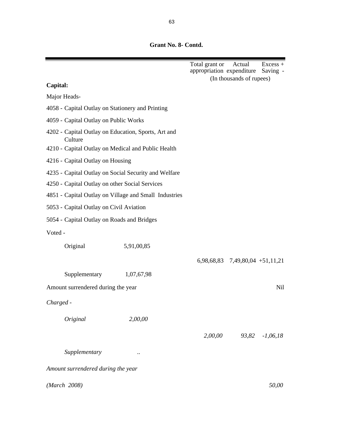**Grant No. 8- Contd.**

|                                                                |            | Total grant or Actual<br>appropriation expenditure |                                   | $Excess +$<br>Saving - |
|----------------------------------------------------------------|------------|----------------------------------------------------|-----------------------------------|------------------------|
|                                                                |            |                                                    | (In thousands of rupees)          |                        |
| Capital:                                                       |            |                                                    |                                   |                        |
| Major Heads-                                                   |            |                                                    |                                   |                        |
| 4058 - Capital Outlay on Stationery and Printing               |            |                                                    |                                   |                        |
| 4059 - Capital Outlay on Public Works                          |            |                                                    |                                   |                        |
| 4202 - Capital Outlay on Education, Sports, Art and<br>Culture |            |                                                    |                                   |                        |
| 4210 - Capital Outlay on Medical and Public Health             |            |                                                    |                                   |                        |
| 4216 - Capital Outlay on Housing                               |            |                                                    |                                   |                        |
| 4235 - Capital Outlay on Social Security and Welfare           |            |                                                    |                                   |                        |
| 4250 - Capital Outlay on other Social Services                 |            |                                                    |                                   |                        |
| 4851 - Capital Outlay on Village and Small Industries          |            |                                                    |                                   |                        |
| 5053 - Capital Outlay on Civil Aviation                        |            |                                                    |                                   |                        |
| 5054 - Capital Outlay on Roads and Bridges                     |            |                                                    |                                   |                        |
| Voted -                                                        |            |                                                    |                                   |                        |
| Original                                                       | 5,91,00,85 |                                                    |                                   |                        |
|                                                                |            |                                                    | $6,98,68,83$ 7,49,80,04 +51,11,21 |                        |
| Supplementary                                                  | 1,07,67,98 |                                                    |                                   |                        |
| Amount surrendered during the year                             |            |                                                    |                                   | Nil                    |
| Charged -                                                      |            |                                                    |                                   |                        |
| Original                                                       | 2,00,00    |                                                    |                                   |                        |
|                                                                |            | 2,00,00                                            | 93,82                             | $-1,06,18$             |
| Supplementary                                                  |            |                                                    |                                   |                        |
| Amount surrendered during the year                             |            |                                                    |                                   |                        |
|                                                                |            |                                                    |                                   |                        |
| (March 2008)                                                   |            |                                                    |                                   | 50,00                  |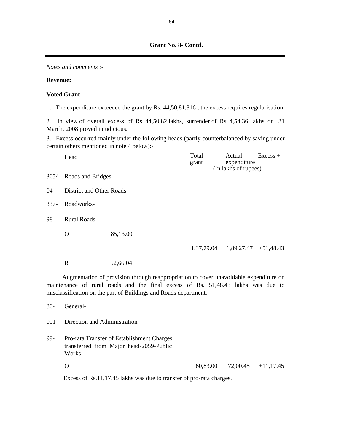**Grant No. 8- Contd.**

*Notes and comments :-*

## **Revenue:**

## **Voted Grant**

1. The expenditure exceeded the grant by Rs. 44,50,81,816 ; the excess requires regularisation.

2. In view of overall excess of Rs. 44,50.82 lakhs, surrender of Rs. 4,54.36 lakhs on 31 March, 2008 proved injudicious.

3. Excess occurred mainly under the following heads (partly counterbalanced by saving under certain others mentioned in note 4 below):-

|      | Head                      |                                                                                                                                                                                                                                               | Total<br>grant | Actual<br>expenditure<br>(In lakhs of rupees) | $Excess +$ |
|------|---------------------------|-----------------------------------------------------------------------------------------------------------------------------------------------------------------------------------------------------------------------------------------------|----------------|-----------------------------------------------|------------|
|      | 3054- Roads and Bridges   |                                                                                                                                                                                                                                               |                |                                               |            |
| 04-  | District and Other Roads- |                                                                                                                                                                                                                                               |                |                                               |            |
| 337- | Roadworks-                |                                                                                                                                                                                                                                               |                |                                               |            |
| 98-  | Rural Roads-              |                                                                                                                                                                                                                                               |                |                                               |            |
|      | O                         | 85,13.00                                                                                                                                                                                                                                      |                |                                               |            |
|      |                           |                                                                                                                                                                                                                                               |                | $1,37,79.04$ $1,89,27.47$ $+51,48.43$         |            |
|      | R                         | 52,66.04                                                                                                                                                                                                                                      |                |                                               |            |
|      |                           | Augmentation of provision through reappropriation to cover unavoidable expenditure on<br>maintenance of rural roads and the final excess of Rs. 51,48.43 lakhs was due to<br>misclassification on the part of Buildings and Roads department. |                |                                               |            |
| 80-  | General-                  |                                                                                                                                                                                                                                               |                |                                               |            |
|      |                           |                                                                                                                                                                                                                                               |                |                                               |            |

001- Direction and Administration-

- 99- Pro-rata Transfer of Establishment Charges transferred from Major head-2059-Public Works-
	- O 60,83.00 72,00.45 +11,17.45

Excess of Rs.11,17.45 lakhs was due to transfer of pro-rata charges.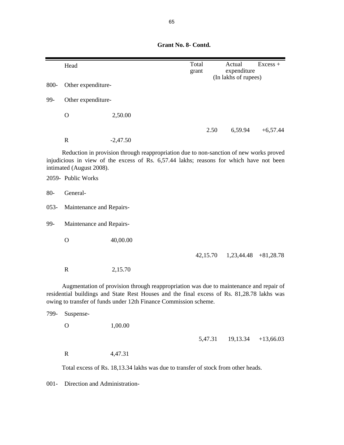**Grant No. 8- Contd.**

|                                                                                                                                                                                                                                                          | Head                                                                                                                                                                                                          |            | Total<br>grant |      | Actual<br>expenditure<br>(In lakhs of rupees) | $Excess +$  |  |
|----------------------------------------------------------------------------------------------------------------------------------------------------------------------------------------------------------------------------------------------------------|---------------------------------------------------------------------------------------------------------------------------------------------------------------------------------------------------------------|------------|----------------|------|-----------------------------------------------|-------------|--|
| 800-                                                                                                                                                                                                                                                     | Other expenditure-                                                                                                                                                                                            |            |                |      |                                               |             |  |
| 99-                                                                                                                                                                                                                                                      | Other expenditure-                                                                                                                                                                                            |            |                |      |                                               |             |  |
|                                                                                                                                                                                                                                                          | $\mathbf O$                                                                                                                                                                                                   | 2,50.00    |                |      |                                               |             |  |
|                                                                                                                                                                                                                                                          |                                                                                                                                                                                                               |            |                | 2.50 | 6,59.94                                       | $+6,57.44$  |  |
|                                                                                                                                                                                                                                                          | $\mathbf R$                                                                                                                                                                                                   | $-2,47.50$ |                |      |                                               |             |  |
|                                                                                                                                                                                                                                                          | Reduction in provision through reappropriation due to non-sanction of new works proved<br>injudicious in view of the excess of Rs. 6,57.44 lakhs; reasons for which have not been<br>intimated (August 2008). |            |                |      |                                               |             |  |
|                                                                                                                                                                                                                                                          | 2059- Public Works                                                                                                                                                                                            |            |                |      |                                               |             |  |
| $80-$                                                                                                                                                                                                                                                    | General-                                                                                                                                                                                                      |            |                |      |                                               |             |  |
| $053-$                                                                                                                                                                                                                                                   | Maintenance and Repairs-                                                                                                                                                                                      |            |                |      |                                               |             |  |
| 99-                                                                                                                                                                                                                                                      | Maintenance and Repairs-                                                                                                                                                                                      |            |                |      |                                               |             |  |
|                                                                                                                                                                                                                                                          | $\mathbf{O}$                                                                                                                                                                                                  | 40,00.00   |                |      |                                               |             |  |
|                                                                                                                                                                                                                                                          |                                                                                                                                                                                                               |            | 42,15.70       |      | 1,23,44.48                                    | $+81,28.78$ |  |
|                                                                                                                                                                                                                                                          | $\mathbf R$                                                                                                                                                                                                   | 2,15.70    |                |      |                                               |             |  |
| Augmentation of provision through reappropriation was due to maintenance and repair of<br>residential buildings and State Rest Houses and the final excess of Rs. 81,28.78 lakhs was<br>owing to transfer of funds under 12th Finance Commission scheme. |                                                                                                                                                                                                               |            |                |      |                                               |             |  |
| 799-                                                                                                                                                                                                                                                     | Suspense-                                                                                                                                                                                                     |            |                |      |                                               |             |  |
|                                                                                                                                                                                                                                                          | $\mathbf O$                                                                                                                                                                                                   | 1,00.00    |                |      |                                               |             |  |

5,47.31 19,13.34 +13,66.03

R 4,47.31

Total excess of Rs. 18,13.34 lakhs was due to transfer of stock from other heads.

001- Direction and Administration-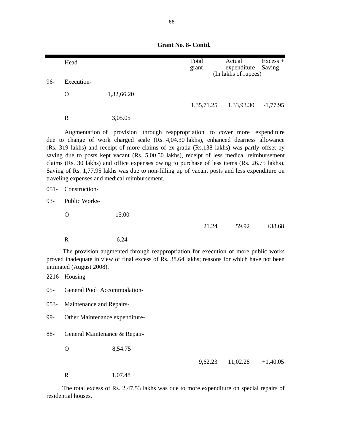|         | Head                           |                                                                                                                                                                                                                                                                                                                                                                                                                                                                                                                                                                                                                    | Total<br>grant | Actual<br>expenditure<br>(In lakhs of rupees) | Excess +<br>Saving - |  |
|---------|--------------------------------|--------------------------------------------------------------------------------------------------------------------------------------------------------------------------------------------------------------------------------------------------------------------------------------------------------------------------------------------------------------------------------------------------------------------------------------------------------------------------------------------------------------------------------------------------------------------------------------------------------------------|----------------|-----------------------------------------------|----------------------|--|
| 96-     | Execution-                     |                                                                                                                                                                                                                                                                                                                                                                                                                                                                                                                                                                                                                    |                |                                               |                      |  |
|         | $\mathbf O$                    | 1,32,66.20                                                                                                                                                                                                                                                                                                                                                                                                                                                                                                                                                                                                         |                |                                               |                      |  |
|         |                                |                                                                                                                                                                                                                                                                                                                                                                                                                                                                                                                                                                                                                    | 1,35,71.25     | 1,33,93.30                                    | $-1,77.95$           |  |
|         | $\mathbf R$                    | 3,05.05                                                                                                                                                                                                                                                                                                                                                                                                                                                                                                                                                                                                            |                |                                               |                      |  |
|         |                                | Augmentation of provision through reappropriation to cover more expenditure<br>due to change of work charged scale (Rs. 4,04.30 lakhs), enhanced dearness allowance<br>(Rs. 319 lakhs) and receipt of more claims of ex-gratia (Rs.138 lakhs) was partly offset by<br>saving due to posts kept vacant (Rs. 5,00.50 lakhs), receipt of less medical reimbursement<br>claims (Rs. 30 lakhs) and office expenses owing to purchase of less items (Rs. 26.75 lakhs).<br>Saving of Rs. 1,77.95 lakhs was due to non-filling up of vacant posts and less expenditure on<br>traveling expenses and medical reimbursement. |                |                                               |                      |  |
| $051 -$ | Construction-                  |                                                                                                                                                                                                                                                                                                                                                                                                                                                                                                                                                                                                                    |                |                                               |                      |  |
| $93 -$  | Public Works-                  |                                                                                                                                                                                                                                                                                                                                                                                                                                                                                                                                                                                                                    |                |                                               |                      |  |
|         | $\overline{O}$                 | 15.00                                                                                                                                                                                                                                                                                                                                                                                                                                                                                                                                                                                                              |                |                                               |                      |  |
|         |                                |                                                                                                                                                                                                                                                                                                                                                                                                                                                                                                                                                                                                                    | 21.24          | 59.92                                         | $+38.68$             |  |
|         | $\mathbf R$                    | 6.24                                                                                                                                                                                                                                                                                                                                                                                                                                                                                                                                                                                                               |                |                                               |                      |  |
|         | intimated (August 2008).       | The provision augmented through reappropriation for execution of more public works<br>proved inadequate in view of final excess of Rs. 38.64 lakhs; reasons for which have not been                                                                                                                                                                                                                                                                                                                                                                                                                                |                |                                               |                      |  |
|         | 2216- Housing                  |                                                                                                                                                                                                                                                                                                                                                                                                                                                                                                                                                                                                                    |                |                                               |                      |  |
| $05 -$  | General Pool Accommodation-    |                                                                                                                                                                                                                                                                                                                                                                                                                                                                                                                                                                                                                    |                |                                               |                      |  |
| $053 -$ | Maintenance and Repairs-       |                                                                                                                                                                                                                                                                                                                                                                                                                                                                                                                                                                                                                    |                |                                               |                      |  |
| 99-     | Other Maintenance expenditure- |                                                                                                                                                                                                                                                                                                                                                                                                                                                                                                                                                                                                                    |                |                                               |                      |  |
| 88-     | General Maintenance & Repair-  |                                                                                                                                                                                                                                                                                                                                                                                                                                                                                                                                                                                                                    |                |                                               |                      |  |
|         | О                              | 8,54.75                                                                                                                                                                                                                                                                                                                                                                                                                                                                                                                                                                                                            |                |                                               |                      |  |

 **Grant No. 8- Contd.**

9,62.23 11,02.28 +1,40.05

R 1,07.48

The total excess of Rs. 2,47.53 lakhs was due to more expenditure on special repairs of residential houses.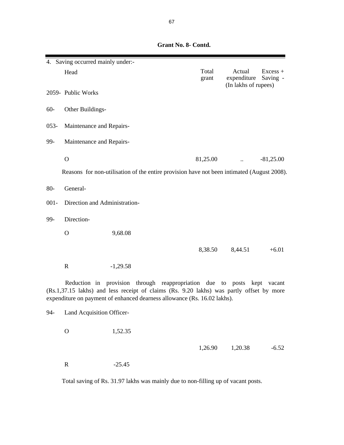Head Excess + grant expenditure Saving - (In lakhs of rupees) 2059- Public Works 60- Other Buildings-053- Maintenance and Repairs-99- Maintenance and Repairs- O  $81,25.00$   $\qquad \qquad .81,25.00$  Reasons for non-utilisation of the entire provision have not been intimated (August 2008). 80- General- 001- Direction and Administration-99- Direction- O 9,68.08 8,38.50 8,44.51 +6.01 R  $-1,29.58$ 4. Saving occurred mainly under:- Reduction in provision through reappropriation due to posts kept vacant (Rs.1,37.15 lakhs) and less receipt of claims (Rs. 9.20 lakhs) was partly offset by more expenditure on payment of enhanced dearness allowance (Rs. 16.02 lakhs).

 **Grant No. 8- Contd.**

94- Land Acquisition Officer-

O 1,52.35

1,26.90 1,20.38 -6.52

R -25.45

Total saving of Rs. 31.97 lakhs was mainly due to non-filling up of vacant posts.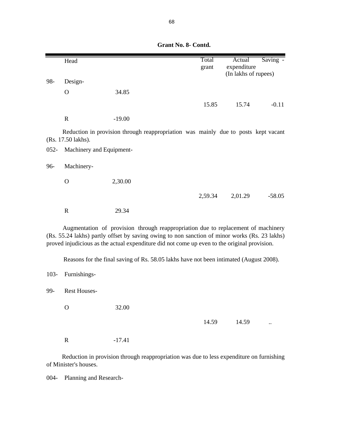|         | Head                     |                                                                                                                                                                                                                                                                                    | Total   | Actual                              | Saving - |
|---------|--------------------------|------------------------------------------------------------------------------------------------------------------------------------------------------------------------------------------------------------------------------------------------------------------------------------|---------|-------------------------------------|----------|
|         |                          |                                                                                                                                                                                                                                                                                    | grant   | expenditure<br>(In lakhs of rupees) |          |
| 98-     | Design-                  |                                                                                                                                                                                                                                                                                    |         |                                     |          |
|         | $\Omega$                 | 34.85                                                                                                                                                                                                                                                                              |         |                                     |          |
|         |                          |                                                                                                                                                                                                                                                                                    | 15.85   | 15.74                               | $-0.11$  |
|         | ${\bf R}$                | $-19.00$                                                                                                                                                                                                                                                                           |         |                                     |          |
|         | (Rs. 17.50 lakhs).       | Reduction in provision through reappropriation was mainly due to posts kept vacant                                                                                                                                                                                                 |         |                                     |          |
| $052 -$ | Machinery and Equipment- |                                                                                                                                                                                                                                                                                    |         |                                     |          |
| 96-     | Machinery-               |                                                                                                                                                                                                                                                                                    |         |                                     |          |
|         | $\mathbf O$              | 2,30.00                                                                                                                                                                                                                                                                            |         |                                     |          |
|         |                          |                                                                                                                                                                                                                                                                                    | 2,59.34 | 2,01.29                             | $-58.05$ |
|         | $\mathbf R$              | 29.34                                                                                                                                                                                                                                                                              |         |                                     |          |
|         |                          | Augmentation of provision through reappropriation due to replacement of machinery<br>(Rs. 55.24 lakhs) partly offset by saving owing to non sanction of minor works (Rs. 23 lakhs)<br>proved injudicious as the actual expenditure did not come up even to the original provision. |         |                                     |          |
|         |                          | Reasons for the final saving of Rs. 58.05 lakhs have not been intimated (August 2008).                                                                                                                                                                                             |         |                                     |          |
| $103 -$ | Furnishings-             |                                                                                                                                                                                                                                                                                    |         |                                     |          |
| 99-     | <b>Rest Houses-</b>      |                                                                                                                                                                                                                                                                                    |         |                                     |          |
|         | $\mathbf O$              | 32.00                                                                                                                                                                                                                                                                              |         |                                     |          |
|         |                          |                                                                                                                                                                                                                                                                                    | 14.59   | 14.59                               |          |
|         | $\mathbb{R}$             | $-17.41$                                                                                                                                                                                                                                                                           |         |                                     |          |

 **Grant No. 8- Contd.**

Reduction in provision through reappropriation was due to less expenditure on furnishing of Minister's houses.

004- Planning and Research-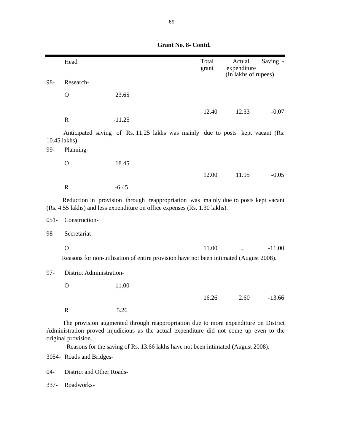|         | Head                                                                                                                                                                                                                                                                                      |                                                                                                                                                                  | Total<br>grant | Actual<br>expenditure<br>(In lakhs of rupees) | Saving - |
|---------|-------------------------------------------------------------------------------------------------------------------------------------------------------------------------------------------------------------------------------------------------------------------------------------------|------------------------------------------------------------------------------------------------------------------------------------------------------------------|----------------|-----------------------------------------------|----------|
| 98-     | Research-                                                                                                                                                                                                                                                                                 |                                                                                                                                                                  |                |                                               |          |
|         | $\mathbf O$                                                                                                                                                                                                                                                                               | 23.65                                                                                                                                                            |                |                                               |          |
|         | $\mathbb{R}$                                                                                                                                                                                                                                                                              | $-11.25$                                                                                                                                                         | 12.40          | 12.33                                         | $-0.07$  |
| 99-     | 10.45 lakhs).<br>Planning-                                                                                                                                                                                                                                                                | Anticipated saving of Rs. 11.25 lakhs was mainly due to posts kept vacant (Rs.                                                                                   |                |                                               |          |
|         | $\Omega$                                                                                                                                                                                                                                                                                  | 18.45                                                                                                                                                            |                |                                               |          |
|         |                                                                                                                                                                                                                                                                                           |                                                                                                                                                                  | 12.00          | 11.95                                         | $-0.05$  |
|         | $\mathbf R$                                                                                                                                                                                                                                                                               | $-6.45$                                                                                                                                                          |                |                                               |          |
|         |                                                                                                                                                                                                                                                                                           | Reduction in provision through reappropriation was mainly due to posts kept vacant<br>(Rs. 4.55 lakhs) and less expenditure on office expenses (Rs. 1.30 lakhs). |                |                                               |          |
| $051 -$ | Construction-                                                                                                                                                                                                                                                                             |                                                                                                                                                                  |                |                                               |          |
| 98-     | Secretariat-                                                                                                                                                                                                                                                                              |                                                                                                                                                                  |                |                                               |          |
|         | $\overline{O}$                                                                                                                                                                                                                                                                            |                                                                                                                                                                  | 11.00          |                                               | $-11.00$ |
|         |                                                                                                                                                                                                                                                                                           | Reasons for non-utilisation of entire provision have not been intimated (August 2008).                                                                           |                |                                               |          |
| $97 -$  | <b>District Administration-</b>                                                                                                                                                                                                                                                           |                                                                                                                                                                  |                |                                               |          |
|         | $\mathbf O$                                                                                                                                                                                                                                                                               | 11.00                                                                                                                                                            |                |                                               |          |
|         |                                                                                                                                                                                                                                                                                           |                                                                                                                                                                  | 16.26          | 2.60                                          | $-13.66$ |
|         | $\mathbf R$                                                                                                                                                                                                                                                                               | 5.26                                                                                                                                                             |                |                                               |          |
|         | The provision augmented through reappropriation due to more expenditure on District<br>Administration proved injudicious as the actual expenditure did not come up even to the<br>original provision.<br>Reasons for the saving of Rs. 13.66 lakhs have not been intimated (August 2008). |                                                                                                                                                                  |                |                                               |          |
|         | 3054- Roads and Bridges-                                                                                                                                                                                                                                                                  |                                                                                                                                                                  |                |                                               |          |

 **Grant No. 8- Contd.**

04- District and Other Roads-

337- Roadworks-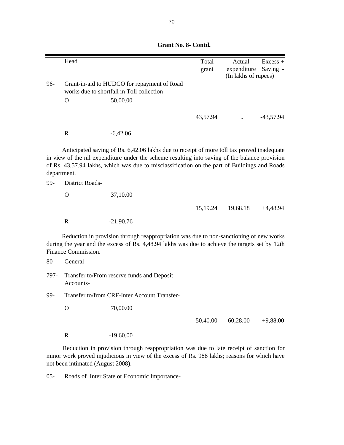Head Excess + grant expenditure Saving - (In lakhs of rupees) 96- Grant-in-aid to HUDCO for repayment of Road works due to shortfall in Toll collection- . O 50,00.00 43,57.94 .. -43,57.94 R -6,42.06 99- District Roads- O 37,10.00 15,19.24 19,68.18 +4,48.94 R  $-21,90.76$ 80- General-797- Transfer to/From reserve funds and Deposit Accounts-99- Transfer to/from CRF-Inter Account Transfer- O 70,00.00 50,40.00 60,28.00 +9,88.00 R -19,60.00 Reduction in provision through reappropriation was due to non-sanctioning of new works during the year and the excess of Rs. 4,48.94 lakhs was due to achieve the targets set by 12th Finance Commission. Anticipated saving of Rs. 6,42.06 lakhs due to receipt of more toll tax proved inadequate in view of the nil expenditure under the scheme resulting into saving of the balance provision of Rs. 43,57.94 lakhs, which was due to misclassification on the part of Buildings and Roads department.

 **Grant No. 8- Contd.**

Reduction in provision through reappropriation was due to late receipt of sanction for minor work proved injudicious in view of the excess of Rs. 988 lakhs; reasons for which have not been intimated (August 2008).

05- Roads of Inter State or Economic Importance-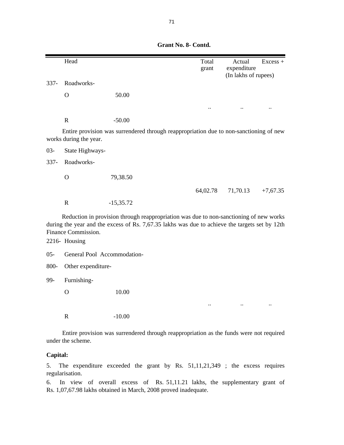|         | Head                        |                                                                                                                                                                                          | Total<br>grant                                 | Actual<br>expenditure | $Excess +$ |
|---------|-----------------------------|------------------------------------------------------------------------------------------------------------------------------------------------------------------------------------------|------------------------------------------------|-----------------------|------------|
|         |                             |                                                                                                                                                                                          |                                                | (In lakhs of rupees)  |            |
| $337 -$ | Roadworks-                  |                                                                                                                                                                                          |                                                |                       |            |
|         | $\Omega$                    | 50.00                                                                                                                                                                                    |                                                |                       |            |
|         |                             |                                                                                                                                                                                          |                                                |                       |            |
|         | $\mathbf R$                 | $-50.00$                                                                                                                                                                                 |                                                |                       |            |
|         | works during the year.      | Entire provision was surrendered through reappropriation due to non-sanctioning of new                                                                                                   |                                                |                       |            |
| $03 -$  | State Highways-             |                                                                                                                                                                                          |                                                |                       |            |
| $337 -$ | Roadworks-                  |                                                                                                                                                                                          |                                                |                       |            |
|         | $\mathbf{O}$                | 79,38.50                                                                                                                                                                                 |                                                |                       |            |
|         |                             |                                                                                                                                                                                          | 64,02.78                                       | 71,70.13              | $+7,67.35$ |
|         | $\mathbf R$                 | $-15,35.72$                                                                                                                                                                              |                                                |                       |            |
|         | Finance Commission.         | Reduction in provision through reappropriation was due to non-sanctioning of new works<br>during the year and the excess of Rs. 7,67.35 lakhs was due to achieve the targets set by 12th |                                                |                       |            |
|         | 2216- Housing               |                                                                                                                                                                                          |                                                |                       |            |
| $05 -$  | General Pool Accommodation- |                                                                                                                                                                                          |                                                |                       |            |
| 800-    | Other expenditure-          |                                                                                                                                                                                          |                                                |                       |            |
| 99-     | Furnishing-                 |                                                                                                                                                                                          |                                                |                       |            |
|         | $\mathbf O$                 | 10.00                                                                                                                                                                                    |                                                |                       |            |
|         |                             |                                                                                                                                                                                          |                                                |                       |            |
|         | $\mathbf R$                 | $-10.00$                                                                                                                                                                                 |                                                |                       |            |
|         |                             | $-1$ $1$ $1$                                                                                                                                                                             | $\mathbf{r}$ and $\mathbf{r}$ and $\mathbf{r}$ |                       |            |

 **Grant No. 8- Contd.**

Entire provision was surrendered through reappropriation as the funds were not required under the scheme.

## **Capital:**

5. The expenditure exceeded the grant by Rs. 51,11,21,349 ; the excess requires regularisation.

6. In view of overall excess of Rs. 51,11.21 lakhs, the supplementary grant of Rs. 1,07,67.98 lakhs obtained in March, 2008 proved inadequate.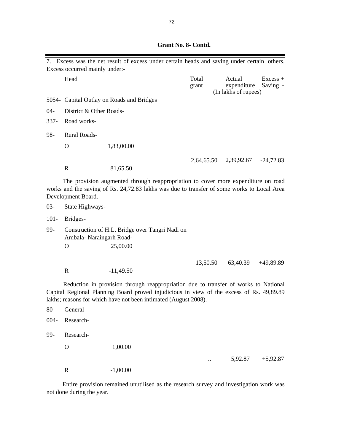|         | Excess occurred mainly under:-                                             | 7. Excess was the net result of excess under certain heads and saving under certain others.                                                                                                                                                        |                |                                               |                        |  |  |
|---------|----------------------------------------------------------------------------|----------------------------------------------------------------------------------------------------------------------------------------------------------------------------------------------------------------------------------------------------|----------------|-----------------------------------------------|------------------------|--|--|
|         | Head                                                                       |                                                                                                                                                                                                                                                    | Total<br>grant | Actual<br>expenditure<br>(In lakhs of rupees) | $Excess +$<br>Saving - |  |  |
|         |                                                                            | 5054- Capital Outlay on Roads and Bridges                                                                                                                                                                                                          |                |                                               |                        |  |  |
| $04 -$  | District & Other Roads-                                                    |                                                                                                                                                                                                                                                    |                |                                               |                        |  |  |
| $337 -$ | Road works-                                                                |                                                                                                                                                                                                                                                    |                |                                               |                        |  |  |
| 98-     | Rural Roads-                                                               |                                                                                                                                                                                                                                                    |                |                                               |                        |  |  |
|         | $\mathbf{O}$                                                               | 1,83,00.00                                                                                                                                                                                                                                         |                |                                               |                        |  |  |
|         | $\mathbb{R}$                                                               | 81,65.50                                                                                                                                                                                                                                           |                | 2,64,65.50 2,39,92.67 -24,72.83               |                        |  |  |
|         | Development Board.                                                         | The provision augmented through reappropriation to cover more expenditure on road<br>works and the saving of Rs. 24,72.83 lakhs was due to transfer of some works to Local Area                                                                    |                |                                               |                        |  |  |
| $03 -$  | State Highways-                                                            |                                                                                                                                                                                                                                                    |                |                                               |                        |  |  |
| $101 -$ | Bridges-                                                                   |                                                                                                                                                                                                                                                    |                |                                               |                        |  |  |
| 99-     | Construction of H.L. Bridge over Tangri Nadi on<br>Ambala-Naraingarh Road- |                                                                                                                                                                                                                                                    |                |                                               |                        |  |  |
|         | $\mathbf{O}$                                                               | 25,00.00                                                                                                                                                                                                                                           |                |                                               |                        |  |  |
|         | $\mathbf R$                                                                | $-11,49.50$                                                                                                                                                                                                                                        | 13,50.50       | 63,40.39                                      | $+49,89.89$            |  |  |
|         |                                                                            | Reduction in provision through reappropriation due to transfer of works to National<br>Capital Regional Planning Board proved injudicious in view of the excess of Rs. 49,89.89<br>lakhs; reasons for which have not been intimated (August 2008). |                |                                               |                        |  |  |
|         | 80- General-                                                               |                                                                                                                                                                                                                                                    |                |                                               |                        |  |  |
| $004 -$ | Research-                                                                  |                                                                                                                                                                                                                                                    |                |                                               |                        |  |  |
| 99-     | Research-                                                                  |                                                                                                                                                                                                                                                    |                |                                               |                        |  |  |
|         | $\mathbf O$                                                                | 1,00.00                                                                                                                                                                                                                                            |                |                                               |                        |  |  |
|         |                                                                            |                                                                                                                                                                                                                                                    |                | 5,92.87                                       | $+5,92.87$             |  |  |
|         | $\mathbb{R}$                                                               | $-1,00.00$                                                                                                                                                                                                                                         |                |                                               |                        |  |  |

 **Grant No. 8- Contd.**

Entire provision remained unutilised as the research survey and investigation work was not done during the year.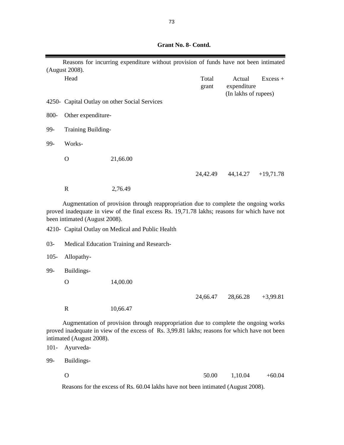|         | Reasons for incurring expenditure without provision of funds have not been intimated<br>(August 2008). |                                                                                                                                                                                      |                |                                               |             |
|---------|--------------------------------------------------------------------------------------------------------|--------------------------------------------------------------------------------------------------------------------------------------------------------------------------------------|----------------|-----------------------------------------------|-------------|
|         | Head                                                                                                   |                                                                                                                                                                                      | Total<br>grant | Actual<br>expenditure<br>(In lakhs of rupees) | $Excess +$  |
|         |                                                                                                        | 4250 - Capital Outlay on other Social Services                                                                                                                                       |                |                                               |             |
| 800-    | Other expenditure-                                                                                     |                                                                                                                                                                                      |                |                                               |             |
| 99-     | Training Building-                                                                                     |                                                                                                                                                                                      |                |                                               |             |
| 99-     | Works-                                                                                                 |                                                                                                                                                                                      |                |                                               |             |
|         | $\mathbf{O}$                                                                                           | 21,66.00                                                                                                                                                                             |                |                                               |             |
|         |                                                                                                        |                                                                                                                                                                                      | 24,42.49       | 44, 14. 27                                    | $+19,71.78$ |
|         | $\mathbb{R}$                                                                                           | 2,76.49                                                                                                                                                                              |                |                                               |             |
|         | been intimated (August 2008).                                                                          | Augmentation of provision through reappropriation due to complete the ongoing works<br>proved inadequate in view of the final excess Rs. 19,71.78 lakhs; reasons for which have not  |                |                                               |             |
|         |                                                                                                        | 4210- Capital Outlay on Medical and Public Health                                                                                                                                    |                |                                               |             |
| $03 -$  |                                                                                                        | Medical Education Training and Research-                                                                                                                                             |                |                                               |             |
| $105 -$ | Allopathy-                                                                                             |                                                                                                                                                                                      |                |                                               |             |
| 99-     | Buildings-                                                                                             |                                                                                                                                                                                      |                |                                               |             |
|         | $\mathbf{O}$                                                                                           | 14,00.00                                                                                                                                                                             |                |                                               |             |
|         |                                                                                                        |                                                                                                                                                                                      | 24,66.47       | 28,66.28                                      | $+3,99.81$  |
|         | $\mathbf R$                                                                                            | 10,66.47                                                                                                                                                                             |                |                                               |             |
| $101 -$ | intimated (August 2008).<br>Ayurveda-                                                                  | Augmentation of provision through reappropriation due to complete the ongoing works<br>proved inadequate in view of the excess of Rs. 3,99.81 lakhs; reasons for which have not been |                |                                               |             |
| 99-     | Buildings-                                                                                             |                                                                                                                                                                                      |                |                                               |             |

Reasons for the excess of Rs. 60.04 lakhs have not been intimated (August 2008).

O  $50.00$   $1,10.04$   $+60.04$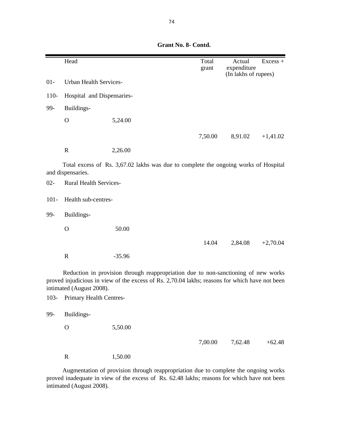|        | Head                          |                                                                            |                                                                                                                                                                                                                                       | Total<br>grant                | Actual<br>expenditure<br>(In lakhs of rupees) | Excess +    |
|--------|-------------------------------|----------------------------------------------------------------------------|---------------------------------------------------------------------------------------------------------------------------------------------------------------------------------------------------------------------------------------|-------------------------------|-----------------------------------------------|-------------|
| $01-$  | <b>Urban Health Services-</b> |                                                                            |                                                                                                                                                                                                                                       |                               |                                               |             |
| $110-$ | Hospital and Dispensaries-    |                                                                            |                                                                                                                                                                                                                                       |                               |                                               |             |
| 99-    | Buildings-                    |                                                                            |                                                                                                                                                                                                                                       |                               |                                               |             |
|        | $\Omega$                      | 5,24.00                                                                    |                                                                                                                                                                                                                                       |                               |                                               |             |
|        |                               |                                                                            |                                                                                                                                                                                                                                       | 7,50.00                       | 8,91.02                                       | $+1,41.02$  |
|        | $\mathbf R$                   | 2,26.00                                                                    |                                                                                                                                                                                                                                       |                               |                                               |             |
|        | $\mathbf{m}$ $\mathbf{1}$     | $c_{\rm D}$ $\alpha$ $c_{\rm D}$ $\alpha$ $\alpha$ $\beta$ $\beta$ $\beta$ | $\blacksquare$ . The set of the set of the set of the set of the set of the set of the set of the set of the set of the set of the set of the set of the set of the set of the set of the set of the set of the set of the set of the | $\mathbf{1}$ and $\mathbf{1}$ |                                               | $1$ $2$ $1$ |

Total excess of Rs. 3,67.02 lakhs was due to complete the ongoing works of Hospital and dispensaries.

02- Rural Health Services-101- Health sub-centres-99- Buildings- O 50.00 14.04 2,84.08 +2,70.04 R  $-35.96$ Reduction in provision through reappropriation due to non-sanctioning of new works

proved injudicious in view of the excess of Rs. 2,70.04 lakhs; reasons for which have not been intimated (August 2008).

103- Primary Health Centres-

99- Buildings-

O 5,50.00

7,00.00 7,62.48 +62.48

R 1,50.00

Augmentation of provision through reappropriation due to complete the ongoing works proved inadequate in view of the excess of Rs. 62.48 lakhs; reasons for which have not been intimated (August 2008).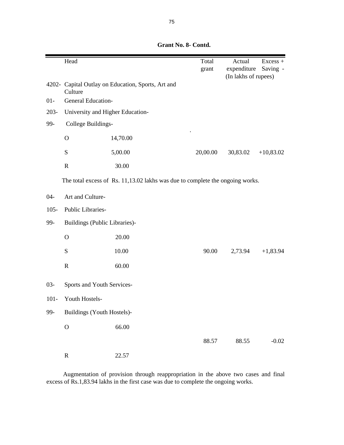|         | Head                             |                                                                               | Total    | Actual<br>expenditure | $Excess +$  |
|---------|----------------------------------|-------------------------------------------------------------------------------|----------|-----------------------|-------------|
|         |                                  |                                                                               | grant    | (In lakhs of rupees)  | Saving -    |
|         | Culture                          | 4202- Capital Outlay on Education, Sports, Art and                            |          |                       |             |
| $01-$   | General Education-               |                                                                               |          |                       |             |
| $203 -$ | University and Higher Education- |                                                                               |          |                       |             |
| 99-     | College Buildings-               |                                                                               |          |                       |             |
|         | $\mathbf{O}$                     | 14,70.00                                                                      |          |                       |             |
|         | ${\bf S}$                        | 5,00.00                                                                       | 20,00.00 | 30,83.02              | $+10,83.02$ |
|         | $\mathbf R$                      | 30.00                                                                         |          |                       |             |
|         |                                  | The total excess of Rs. 11,13.02 lakhs was due to complete the ongoing works. |          |                       |             |
| $04 -$  | Art and Culture-                 |                                                                               |          |                       |             |
| $105 -$ | Public Libraries-                |                                                                               |          |                       |             |
| 99-     | Buildings (Public Libraries)-    |                                                                               |          |                       |             |
|         | $\mathbf O$                      | 20.00                                                                         |          |                       |             |
|         | S                                | 10.00                                                                         | 90.00    | 2,73.94               | $+1,83.94$  |
|         | $\mathbf R$                      | 60.00                                                                         |          |                       |             |
| $03 -$  | Sports and Youth Services-       |                                                                               |          |                       |             |
| $101 -$ | Youth Hostels-                   |                                                                               |          |                       |             |
| 99-     | Buildings (Youth Hostels)-       |                                                                               |          |                       |             |
|         | $\mathcal{O}$                    | 66.00                                                                         |          |                       |             |
|         |                                  |                                                                               | 88.57    | 88.55                 | $-0.02$     |
|         | ${\bf R}$                        | 22.57                                                                         |          |                       |             |

Augmentation of provision through reappropriation in the above two cases and final excess of Rs.1,83.94 lakhs in the first case was due to complete the ongoing works.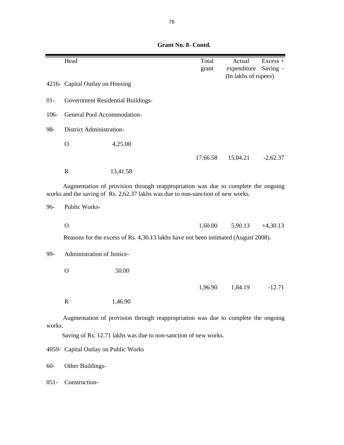|        | Head                                                                                                                                                                 |                                            | Total<br>grant | Actual<br>expenditure<br>(In lakhs of rupees) | Excess +<br>Saving - |
|--------|----------------------------------------------------------------------------------------------------------------------------------------------------------------------|--------------------------------------------|----------------|-----------------------------------------------|----------------------|
|        | 4216- Capital Outlay on Housing                                                                                                                                      |                                            |                |                                               |                      |
| $01-$  | Government Residential Buildings-                                                                                                                                    |                                            |                |                                               |                      |
| 106-   | General Pool Accommodation-                                                                                                                                          |                                            |                |                                               |                      |
| 98-    | District Administration-                                                                                                                                             |                                            |                |                                               |                      |
|        | $\mathbf O$                                                                                                                                                          | 4,25.00                                    |                |                                               |                      |
|        |                                                                                                                                                                      |                                            | 17,66.58       | 15,04.21                                      | $-2,62.37$           |
|        | ${\bf R}$                                                                                                                                                            | 13,41.58                                   |                |                                               |                      |
|        | Augmentation of provision through reappropriation was due to complete the ongoing<br>works and the saving of Rs. 2,62.37 lakhs was due to non-sanction of new works. |                                            |                |                                               |                      |
| 96-    | Public Works-                                                                                                                                                        |                                            |                |                                               |                      |
|        | $\mathbf O$                                                                                                                                                          |                                            | 1,60.00        | 5,90.13                                       | $+4,30.13$           |
|        | Reasons for the excess of Rs. 4,30.13 lakhs have not been intimated (August 2008).                                                                                   |                                            |                |                                               |                      |
| 99-    | Administration of Justice-                                                                                                                                           |                                            |                |                                               |                      |
|        | $\mathbf{O}$                                                                                                                                                         | 50.00                                      |                |                                               |                      |
|        |                                                                                                                                                                      |                                            | 1,96.90        | 1,84.19                                       | $-12.71$             |
|        | $\mathbf R$                                                                                                                                                          | 1,46.90                                    |                |                                               |                      |
| works. | Augmentation of provision through reappropriation was due to complete the ongoing                                                                                    | <b>Contract Contract Contract Contract</b> |                |                                               |                      |

Saving of Rs. 12.71 lakhs was due to non-sanction of new works.

4059- Capital Outlay on Public Works

60- Other Buildings-

051- Construction-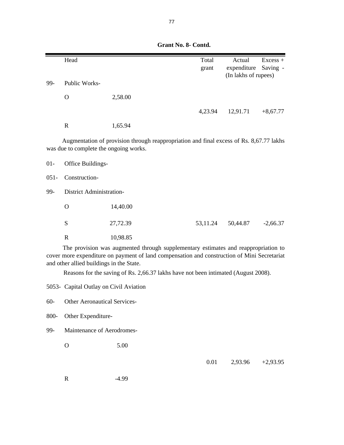|         | Head                                                                               |                                                                                                                                                                                   | Total    | Actual                              | $Excess +$ |
|---------|------------------------------------------------------------------------------------|-----------------------------------------------------------------------------------------------------------------------------------------------------------------------------------|----------|-------------------------------------|------------|
|         |                                                                                    |                                                                                                                                                                                   | grant    | expenditure<br>(In lakhs of rupees) | Saving -   |
| 99-     | Public Works-                                                                      |                                                                                                                                                                                   |          |                                     |            |
|         |                                                                                    |                                                                                                                                                                                   |          |                                     |            |
|         | $\mathbf O$                                                                        | 2,58.00                                                                                                                                                                           |          |                                     |            |
|         |                                                                                    |                                                                                                                                                                                   | 4,23.94  | 12,91.71                            | $+8,67.77$ |
|         | $\mathbf R$                                                                        | 1,65.94                                                                                                                                                                           |          |                                     |            |
|         | was due to complete the ongoing works.                                             | Augmentation of provision through reappropriation and final excess of Rs. 8,67.77 lakhs                                                                                           |          |                                     |            |
| $01 -$  | Office Buildings-                                                                  |                                                                                                                                                                                   |          |                                     |            |
| $051 -$ | Construction-                                                                      |                                                                                                                                                                                   |          |                                     |            |
| 99-     | <b>District Administration-</b>                                                    |                                                                                                                                                                                   |          |                                     |            |
|         | $\Omega$                                                                           | 14,40.00                                                                                                                                                                          |          |                                     |            |
|         | S                                                                                  | 27,72.39                                                                                                                                                                          | 53,11.24 | 50,44.87                            | $-2,66.37$ |
|         | $\mathbf R$                                                                        | 10,98.85                                                                                                                                                                          |          |                                     |            |
|         | and other allied buildings in the State.                                           | The provision was augmented through supplementary estimates and reappropriation to<br>cover more expenditure on payment of land compensation and construction of Mini Secretariat |          |                                     |            |
|         | Reasons for the saving of Rs. 2,66.37 lakhs have not been intimated (August 2008). |                                                                                                                                                                                   |          |                                     |            |

5053- Capital Outlay on Civil Aviation

60- Other Aeronautical Services-

800- Other Expenditure-

99- Maintenance of Aerodromes-

O 5.00

0.01 2,93.96 +2,93.95

R -4.99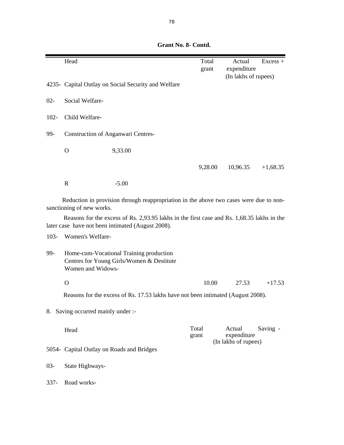Head Excess + grant expenditure (In lakhs of rupees) 4235- Capital Outlay on Social Security and Welfare 02- Social Welfare-102- Child Welfare-99- Construction of Anganwari Centres- O 9,33.00 9,28.00 10,96.35 +1,68.35 R -5.00 103- Women's Welfare-99- Home-cum-Vocational Training production Centres for Young Girls/Women & Destitute Women and Widows- O  $10.00$   $27.53$   $+17.53$ Head **Total** Actual Saving grant expenditure 5054- Capital Outlay on Roads and Bridges 03- State Highways-337- Road works- (In lakhs of rupees) 8. Saving occurred mainly under :- Reasons for the excess of Rs. 17.53 lakhs have not been intimated (August 2008). Reduction in provision through reappropriation in the above two cases were due to nonsanctioning of new works. Reasons for the excess of Rs. 2,93.95 lakhs in the first case and Rs. 1,68.35 lakhs in the later case have not been intimated (August 2008).

 **Grant No. 8- Contd.**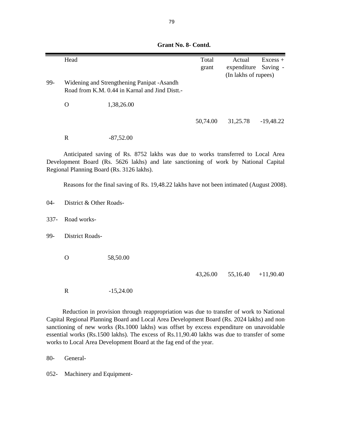|         | Head                    |                                                                                           | Total    | Actual               | $Excess +$  |
|---------|-------------------------|-------------------------------------------------------------------------------------------|----------|----------------------|-------------|
|         |                         |                                                                                           | grant    | expenditure          | Saving -    |
|         |                         |                                                                                           |          | (In lakhs of rupees) |             |
| 99-     |                         | Widening and Strengthening Panipat -Asandh                                                |          |                      |             |
|         |                         | Road from K.M. 0.44 in Karnal and Jind Distt.-                                            |          |                      |             |
|         |                         |                                                                                           |          |                      |             |
|         | $\mathbf O$             | 1,38,26.00                                                                                |          |                      |             |
|         |                         |                                                                                           |          |                      |             |
|         |                         |                                                                                           | 50,74.00 | 31,25.78             | $-19,48.22$ |
|         |                         |                                                                                           |          |                      |             |
|         | $\mathbf R$             | $-87,52.00$                                                                               |          |                      |             |
|         |                         |                                                                                           |          |                      |             |
|         |                         | Anticipated saving of Rs. 8752 lakhs was due to works transferred to Local Area           |          |                      |             |
|         |                         | Development Board (Rs. 5626 lakhs) and late sanctioning of work by National Capital       |          |                      |             |
|         |                         | Regional Planning Board (Rs. 3126 lakhs).                                                 |          |                      |             |
|         |                         |                                                                                           |          |                      |             |
|         |                         | Reasons for the final saving of Rs. 19,48.22 lakhs have not been intimated (August 2008). |          |                      |             |
|         |                         |                                                                                           |          |                      |             |
| $04 -$  | District & Other Roads- |                                                                                           |          |                      |             |
|         |                         |                                                                                           |          |                      |             |
| $337 -$ | Road works-             |                                                                                           |          |                      |             |
|         |                         |                                                                                           |          |                      |             |
| 99-     | District Roads-         |                                                                                           |          |                      |             |
|         |                         |                                                                                           |          |                      |             |
|         |                         |                                                                                           |          |                      |             |
|         | $\mathbf{O}$            | 58,50.00                                                                                  |          |                      |             |
|         |                         |                                                                                           |          |                      |             |
|         |                         |                                                                                           | 43,26.00 | 55,16.40             | $+11,90.40$ |
|         |                         |                                                                                           |          |                      |             |
|         | ${\bf R}$               | $-15,24.00$                                                                               |          |                      |             |
|         |                         |                                                                                           |          |                      |             |
|         |                         | Deduction in nuclidian thugush nonnungulation was due to thought of weaker to Mational    |          |                      |             |

Reduction in provision through reappropriation was due to transfer of work to National Capital Regional Planning Board and Local Area Development Board (Rs. 2024 lakhs) and nonsanctioning of new works (Rs.1000 lakhs) was offset by excess expenditure on unavoidable essential works (Rs.1500 lakhs). The excess of Rs.11,90.40 lakhs was due to transfer of some works to Local Area Development Board at the fag end of the year.

80- General-

052- Machinery and Equipment-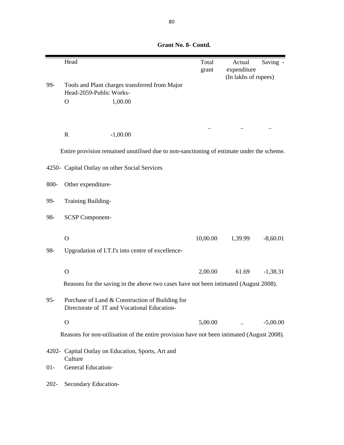|         | Head                                                                                           | Total<br>grant | Actual<br>expenditure | Saving -   |  |  |  |
|---------|------------------------------------------------------------------------------------------------|----------------|-----------------------|------------|--|--|--|
| 99-     | Tools and Plant charges transferred from Major<br>Head-2059-Public Works-                      |                | (In lakhs of rupees)  |            |  |  |  |
|         | $\mathbf{O}$<br>1,00.00                                                                        |                |                       |            |  |  |  |
|         |                                                                                                |                |                       |            |  |  |  |
|         | $\mathbf R$<br>$-1,00.00$                                                                      |                |                       |            |  |  |  |
|         | Entire provision remained unutilised due to non-sanctioning of estimate under the scheme.      |                |                       |            |  |  |  |
|         | 4250- Capital Outlay on other Social Services                                                  |                |                       |            |  |  |  |
| 800-    | Other expenditure-                                                                             |                |                       |            |  |  |  |
| 99-     | Training Building-                                                                             |                |                       |            |  |  |  |
| 98-     | <b>SCSP Component-</b>                                                                         |                |                       |            |  |  |  |
|         | $\Omega$                                                                                       | 10,00.00       | 1,39.99               | $-8,60.01$ |  |  |  |
| 98-     | Upgradation of I.T.I's into centre of excellence-                                              |                |                       |            |  |  |  |
|         |                                                                                                |                |                       |            |  |  |  |
|         | $\Omega$                                                                                       | 2,00.00        | 61.69                 | $-1,38.31$ |  |  |  |
|         | Reasons for the saving in the above two cases have not been intimated (August 2008).           |                |                       |            |  |  |  |
| $95 -$  | Purchase of Land & Construction of Building for<br>Directorate of IT and Vocational Education- |                |                       |            |  |  |  |
|         | $\mathbf{O}$                                                                                   | 5,00.00        |                       | $-5,00.00$ |  |  |  |
|         | Reasons for non-utilisation of the entire provision have not been intimated (August 2008).     |                |                       |            |  |  |  |
|         | 4202- Capital Outlay on Education, Sports, Art and<br>Culture                                  |                |                       |            |  |  |  |
| $01 -$  | General Education-                                                                             |                |                       |            |  |  |  |
| $202 -$ | Secondary Education-                                                                           |                |                       |            |  |  |  |

 **Grant No. 8- Contd.**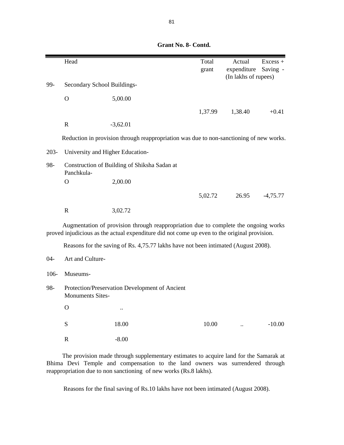|         | Head                             |                                                                                                                                                                                     | Total   | Actual               | $Excess +$ |
|---------|----------------------------------|-------------------------------------------------------------------------------------------------------------------------------------------------------------------------------------|---------|----------------------|------------|
|         |                                  |                                                                                                                                                                                     | grant   | expenditure          | Saving -   |
| 99-     | Secondary School Buildings-      |                                                                                                                                                                                     |         | (In lakhs of rupees) |            |
|         |                                  |                                                                                                                                                                                     |         |                      |            |
|         | $\mathbf{O}$                     | 5,00.00                                                                                                                                                                             |         |                      |            |
|         |                                  |                                                                                                                                                                                     | 1,37.99 | 1,38.40              | $+0.41$    |
|         | $\mathbf R$                      | $-3,62.01$                                                                                                                                                                          |         |                      |            |
|         |                                  | Reduction in provision through reappropriation was due to non-sanctioning of new works.                                                                                             |         |                      |            |
| $203 -$ | University and Higher Education- |                                                                                                                                                                                     |         |                      |            |
| 98-     | Panchkula-                       | Construction of Building of Shiksha Sadan at                                                                                                                                        |         |                      |            |
|         | $\overline{O}$                   | 2,00.00                                                                                                                                                                             |         |                      |            |
|         |                                  |                                                                                                                                                                                     | 5,02.72 | 26.95                | $-4,75.77$ |
|         | $\mathbf R$                      | 3,02.72                                                                                                                                                                             |         |                      |            |
|         |                                  | Augmentation of provision through reappropriation due to complete the ongoing works<br>proved injudicious as the actual expenditure did not come up even to the original provision. |         |                      |            |
|         |                                  | Reasons for the saving of Rs. 4,75.77 lakhs have not been intimated (August 2008).                                                                                                  |         |                      |            |
| $04 -$  | Art and Culture-                 |                                                                                                                                                                                     |         |                      |            |
| 106-    | Museums-                         |                                                                                                                                                                                     |         |                      |            |
| 98-     | <b>Monuments Sites-</b>          | Protection/Preservation Development of Ancient                                                                                                                                      |         |                      |            |
|         | $\overline{O}$                   |                                                                                                                                                                                     |         |                      |            |
|         | S                                | 18.00                                                                                                                                                                               | 10.00   |                      | $-10.00$   |
|         | $\mathbb{R}$                     | $-8.00$                                                                                                                                                                             |         |                      |            |

The provision made through supplementary estimates to acquire land for the Samarak at Bhima Devi Temple and compensation to the land owners was surrendered through reappropriation due to non sanctioning of new works (Rs.8 lakhs).

Reasons for the final saving of Rs.10 lakhs have not been intimated (August 2008).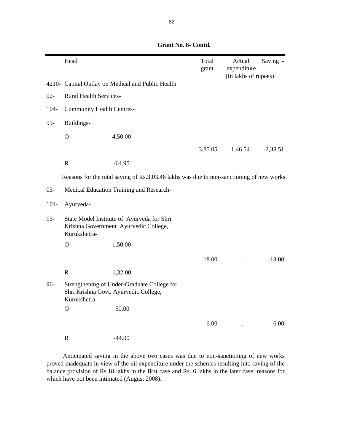Head Total Actual Saving grant expenditure (In lakhs of rupees) 4210- Capital Outlay on Medical and Public Health 02- Rural Health Services-104- Community Health Centres-99- Buildings- O 4,50.00 3,85.05 1,46.54 -2,38.51 R -64.95 03- Medical Education Training and Research-101- Ayurveda-93- State Model Institute of Ayurveda for Shri Krishna Government Ayurvedic College, Kurukshetra- O 1,50.00 18.00 .. -18.00 R -1,32.00 96- Strengthening of Under-Graduate College for Shri Krishna Govt. Ayurvedic College, Kurukshetra-O 50.00  $6.00$  ...  $-6.00$ R -44.00 Reasons for the total saving of Rs.3,03.46 lakhs was due to non-sanctioning of new works.

 **Grant No. 8- Contd.**

Anticipated saving in the above two cases was due to non-sanctioning of new works proved inadequate in view of the nil expenditure under the schemes resulting into saving of the balance provision of Rs.18 lakhs in the first case and Rs. 6 lakhs in the later case; reasons for which have not been intimated (August 2008).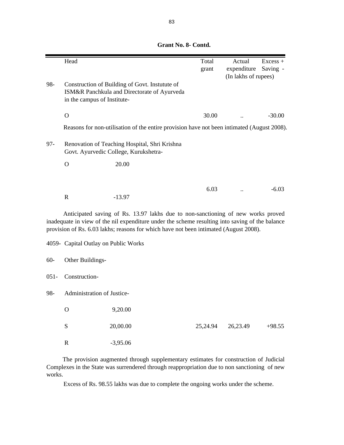|         | Head                                 |                                                                                                                                                                                                                                                                              | Total<br>grant | Actual<br>expenditure | $Excess +$<br>Saving - |
|---------|--------------------------------------|------------------------------------------------------------------------------------------------------------------------------------------------------------------------------------------------------------------------------------------------------------------------------|----------------|-----------------------|------------------------|
| 98-     | in the campus of Institute-          | Construction of Building of Govt. Instutute of<br>ISM&R Panchkula and Directorate of Ayurveda                                                                                                                                                                                |                | (In lakhs of rupees)  |                        |
|         | $\mathbf{O}$                         |                                                                                                                                                                                                                                                                              | 30.00          |                       | $-30.00$               |
|         |                                      | Reasons for non-utilisation of the entire provision have not been intimated (August 2008).                                                                                                                                                                                   |                |                       |                        |
| $97 -$  |                                      | Renovation of Teaching Hospital, Shri Krishna<br>Govt. Ayurvedic College, Kurukshetra-                                                                                                                                                                                       |                |                       |                        |
|         | $\Omega$                             | 20.00                                                                                                                                                                                                                                                                        |                |                       |                        |
|         |                                      |                                                                                                                                                                                                                                                                              |                |                       |                        |
|         | $\mathbf R$                          | $-13.97$                                                                                                                                                                                                                                                                     | 6.03           |                       | $-6.03$                |
|         |                                      | Anticipated saving of Rs. 13.97 lakhs due to non-sanctioning of new works proved<br>inadequate in view of the nil expenditure under the scheme resulting into saving of the balance<br>provision of Rs. 6.03 lakhs; reasons for which have not been intimated (August 2008). |                |                       |                        |
|         | 4059- Capital Outlay on Public Works |                                                                                                                                                                                                                                                                              |                |                       |                        |
| $60-$   | Other Buildings-                     |                                                                                                                                                                                                                                                                              |                |                       |                        |
| $051 -$ | Construction-                        |                                                                                                                                                                                                                                                                              |                |                       |                        |
| 98-     | Administration of Justice-           |                                                                                                                                                                                                                                                                              |                |                       |                        |
|         | $\mathcal{O}$                        | 9,20.00                                                                                                                                                                                                                                                                      |                |                       |                        |
|         | ${\bf S}$                            | 20,00.00                                                                                                                                                                                                                                                                     | 25,24.94       | 26,23.49              | $+98.55$               |
|         | $\mathbf R$                          | $-3,95.06$                                                                                                                                                                                                                                                                   |                |                       |                        |

The provision augmented through supplementary estimates for construction of Judicial Complexes in the State was surrendered through reappropriation due to non sanctioning of new works.

Excess of Rs. 98.55 lakhs was due to complete the ongoing works under the scheme.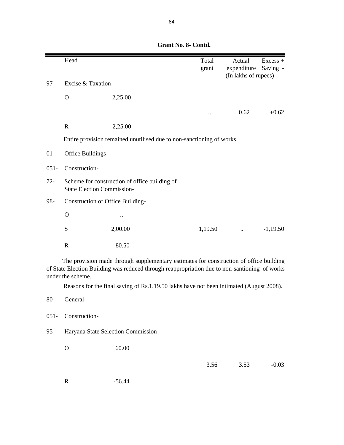|         | Head                                                                               |                                                                                                                                                                                                                                                                                    | Total<br>grant | Actual<br>expenditure<br>(In lakhs of rupees) | $Excess +$<br>Saving - |  |
|---------|------------------------------------------------------------------------------------|------------------------------------------------------------------------------------------------------------------------------------------------------------------------------------------------------------------------------------------------------------------------------------|----------------|-----------------------------------------------|------------------------|--|
| $97 -$  | Excise & Taxation-                                                                 |                                                                                                                                                                                                                                                                                    |                |                                               |                        |  |
|         | $\Omega$                                                                           | 2,25.00                                                                                                                                                                                                                                                                            |                |                                               |                        |  |
|         |                                                                                    |                                                                                                                                                                                                                                                                                    |                | 0.62                                          | $+0.62$                |  |
|         | $\mathbf R$                                                                        | $-2,25.00$                                                                                                                                                                                                                                                                         |                |                                               |                        |  |
|         |                                                                                    | Entire provision remained unutilised due to non-sanctioning of works.                                                                                                                                                                                                              |                |                                               |                        |  |
| $01-$   | Office Buildings-                                                                  |                                                                                                                                                                                                                                                                                    |                |                                               |                        |  |
| $051 -$ | Construction-                                                                      |                                                                                                                                                                                                                                                                                    |                |                                               |                        |  |
| $72 -$  | Scheme for construction of office building of<br><b>State Election Commission-</b> |                                                                                                                                                                                                                                                                                    |                |                                               |                        |  |
| 98-     | Construction of Office Building-                                                   |                                                                                                                                                                                                                                                                                    |                |                                               |                        |  |
|         | $\Omega$                                                                           |                                                                                                                                                                                                                                                                                    |                |                                               |                        |  |
|         | S                                                                                  | 2,00.00                                                                                                                                                                                                                                                                            | 1,19.50        |                                               | $-1,19.50$             |  |
|         | $\mathbf R$                                                                        | $-80.50$                                                                                                                                                                                                                                                                           |                |                                               |                        |  |
|         | under the scheme.                                                                  | The provision made through supplementary estimates for construction of office building<br>of State Election Building was reduced through reappropriation due to non-santioning of works<br>Reasons for the final saving of Rs.1,19.50 lakhs have not been intimated (August 2008). |                |                                               |                        |  |
| 80-     | General-                                                                           |                                                                                                                                                                                                                                                                                    |                |                                               |                        |  |

95- Haryana State Selection Commission-

O 60.00

051- Construction-

## 3.56 3.53 -0.03

R -56.44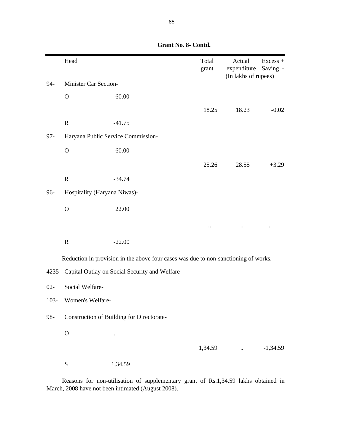|         | Head                         |                                                                                     | Total<br>grant | Actual<br>expenditure<br>(In lakhs of rupees) | $Excess +$<br>Saving - |
|---------|------------------------------|-------------------------------------------------------------------------------------|----------------|-----------------------------------------------|------------------------|
| 94-     | Minister Car Section-        |                                                                                     |                |                                               |                        |
|         | $\mathbf O$                  | 60.00                                                                               |                |                                               |                        |
|         |                              |                                                                                     | 18.25          | 18.23                                         | $-0.02$                |
|         | ${\bf R}$                    | $-41.75$                                                                            |                |                                               |                        |
| $97 -$  |                              | Haryana Public Service Commission-                                                  |                |                                               |                        |
|         | $\mathbf O$                  | 60.00                                                                               |                |                                               |                        |
|         |                              |                                                                                     | 25.26          | 28.55                                         | $+3.29$                |
|         | ${\bf R}$                    | $-34.74$                                                                            |                |                                               |                        |
| 96-     | Hospitality (Haryana Niwas)- |                                                                                     |                |                                               |                        |
|         | $\mathbf O$                  | 22.00                                                                               |                |                                               |                        |
|         |                              |                                                                                     |                |                                               |                        |
|         | ${\bf R}$                    | $-22.00$                                                                            |                |                                               |                        |
|         |                              | Reduction in provision in the above four cases was due to non-sanctioning of works. |                |                                               |                        |
|         |                              | 4235- Capital Outlay on Social Security and Welfare                                 |                |                                               |                        |
| $02 -$  | Social Welfare-              |                                                                                     |                |                                               |                        |
| $103 -$ | Women's Welfare-             |                                                                                     |                |                                               |                        |
| 98-     |                              | Construction of Building for Directorate-                                           |                |                                               |                        |
|         | $\mathbf O$                  |                                                                                     |                |                                               |                        |
|         |                              |                                                                                     | 1,34.59        |                                               | $-1,34.59$             |
|         | ${\bf S}$                    | 1,34.59                                                                             |                |                                               |                        |

Reasons for non-utilisation of supplementary grant of Rs.1,34.59 lakhs obtained in March, 2008 have not been intimated (August 2008).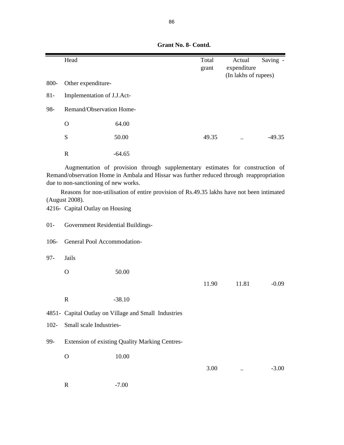|        | Head                       |          | Total<br>grant | Actual<br>expenditure | Saving - |
|--------|----------------------------|----------|----------------|-----------------------|----------|
| 800-   | Other expenditure-         |          |                | (In lakhs of rupees)  |          |
| $81 -$ | Implementation of J.J.Act- |          |                |                       |          |
| 98-    | Remand/Observation Home-   |          |                |                       |          |
|        | $\mathbf O$                | 64.00    |                |                       |          |
|        | S                          | 50.00    | 49.35          | $\ddot{\phantom{0}}$  | $-49.35$ |
|        | R                          | $-64.65$ |                |                       |          |

Augmentation of provision through supplementary estimates for construction of Remand/observation Home in Ambala and Hissar was further reduced through reappropriation due to non-sanctioning of new works.

Reasons for non-utilisation of entire provision of Rs.49.35 lakhs have not been intimated (August 2008).

4216- Capital Outlay on Housing

| $01-$ | Government Residential Buildings- |  |  |
|-------|-----------------------------------|--|--|
|-------|-----------------------------------|--|--|

106- General Pool Accommodation-

97- Jails

O 50.00

R  $-38.10$ 

4851- Capital Outlay on Village and Small Industries

102- Small scale Industries-

99- Extension of existing Quality Marking Centres-

O 10.00

3.00 .. -3.00

11.90 11.81 -0.09

R -7.00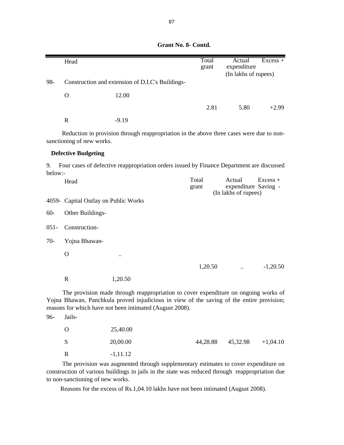|               | Head                                 |                                                                                                                                                                                                                                              | Total<br>grant | Actual<br>expenditure                                  | $\overline{Excess}$ + |
|---------------|--------------------------------------|----------------------------------------------------------------------------------------------------------------------------------------------------------------------------------------------------------------------------------------------|----------------|--------------------------------------------------------|-----------------------|
|               |                                      |                                                                                                                                                                                                                                              |                | (In lakhs of rupees)                                   |                       |
| 98-           |                                      | Construction and extension of D.I.C's Buildings-                                                                                                                                                                                             |                |                                                        |                       |
|               | $\mathbf{O}$                         | 12.00                                                                                                                                                                                                                                        |                |                                                        |                       |
|               |                                      |                                                                                                                                                                                                                                              | 2.81           | 5.80                                                   | $+2.99$               |
|               | $\mathbf R$                          | $-9.19$                                                                                                                                                                                                                                      |                |                                                        |                       |
|               | sanctioning of new works.            | Reduction in provision through reappropriation in the above three cases were due to non-                                                                                                                                                     |                |                                                        |                       |
|               | <b>Defective Budgeting</b>           |                                                                                                                                                                                                                                              |                |                                                        |                       |
| 9.<br>below:- |                                      | Four cases of defective reappropriation orders issued by Finance Department are discussed                                                                                                                                                    |                |                                                        |                       |
|               | Head                                 |                                                                                                                                                                                                                                              | Total<br>grant | Actual<br>expenditure Saving -<br>(In lakhs of rupees) | $Excess +$            |
|               | 4059- Capital Outlay on Public Works |                                                                                                                                                                                                                                              |                |                                                        |                       |
| $60 -$        | Other Buildings-                     |                                                                                                                                                                                                                                              |                |                                                        |                       |
| $051 -$       | Construction-                        |                                                                                                                                                                                                                                              |                |                                                        |                       |
| $70-$         | Yojna Bhawan-                        |                                                                                                                                                                                                                                              |                |                                                        |                       |
|               | $\Omega$                             |                                                                                                                                                                                                                                              |                |                                                        |                       |
|               |                                      |                                                                                                                                                                                                                                              | 1,20.50        |                                                        | $-1,20.50$            |
|               | $\mathbf R$                          | 1,20.50                                                                                                                                                                                                                                      |                |                                                        |                       |
|               |                                      | The provision made through reappropriation to cover expenditure on ongoing works of<br>Yojna Bhawan, Panchkula proved injudicious in view of the saving of the entire provision;<br>reasons for which have not been intimated (August 2008). |                |                                                        |                       |

96- Jails-

| - 0          | 25,40.00    |                                  |  |
|--------------|-------------|----------------------------------|--|
| <sub>S</sub> | 20,00.00    | $44,28.88$ $45,32.98$ $+1,04.10$ |  |
| R            | $-1, 11.12$ |                                  |  |

The provision was augmented through supplementary estimates to cover expenditure on construction of various buildings in jails in the state was reduced through reappropriation due to non-sanctioning of new works.

Reasons for the excess of Rs.1,04.10 lakhs have not been intimated (August 2008).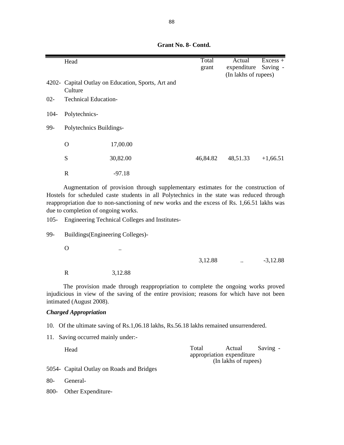|        | Head                        |                                                    | Total<br>grant | Actual<br>expenditure | $Excess +$<br>Saving - |  |
|--------|-----------------------------|----------------------------------------------------|----------------|-----------------------|------------------------|--|
|        | Culture                     | 4202- Capital Outlay on Education, Sports, Art and |                | (In lakhs of rupees)  |                        |  |
| $02 -$ | <b>Technical Education-</b> |                                                    |                |                       |                        |  |
| 104-   | Polytechnics-               |                                                    |                |                       |                        |  |
| 99-    | Polytechnics Buildings-     |                                                    |                |                       |                        |  |
|        | O                           | 17,00.00                                           |                |                       |                        |  |
|        | S                           | 30,82.00                                           | 46,84.82       | 48,51.33              | $+1,66.51$             |  |
|        | $\mathbf R$                 | $-97.18$                                           |                |                       |                        |  |

Augmentation of provision through supplementary estimates for the construction of Hostels for scheduled caste students in all Polytechnics in the state was reduced through reappropriation due to non-sanctioning of new works and the excess of Rs. 1,66.51 lakhs was due to completion of ongoing works.

105- Engineering Technical Colleges and Institutes-

99- Buildings(Engineering Colleges)-

 $\overline{\text{O}}$  ...

R 3,12.88

The provision made through reappropriation to complete the ongoing works proved injudicious in view of the saving of the entire provision; reasons for which have not been intimated (August 2008).

3,12.88 .. -3,12.88

### *Charged Appropriation*

- 10. Of the ultimate saving of Rs.1,06.18 lakhs, Rs.56.18 lakhs remained unsurrendered.
- 11. Saving occurred mainly under:-

| Head | Total<br>Saving -<br>Actual |
|------|-----------------------------|
|      | appropriation expenditure   |
|      | (In lakhs of rupees)        |

5054- Capital Outlay on Roads and Bridges

80- General-

800- Other Expenditure-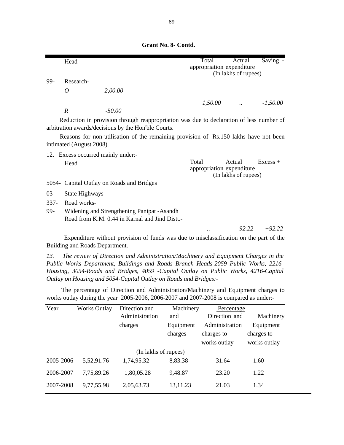|        | Head                               |                                                     |                                                                                         | Total                              | Actual                         | Saving -   |
|--------|------------------------------------|-----------------------------------------------------|-----------------------------------------------------------------------------------------|------------------------------------|--------------------------------|------------|
|        |                                    |                                                     |                                                                                         | appropriation expenditure          |                                |            |
|        |                                    |                                                     |                                                                                         |                                    | (In lakhs of rupees)           |            |
| 99-    | Research-                          |                                                     |                                                                                         |                                    |                                |            |
|        | 0                                  | 2,00.00                                             |                                                                                         |                                    |                                |            |
|        |                                    |                                                     |                                                                                         | 1,50.00                            |                                | $-1,50.00$ |
|        | $\boldsymbol{R}$                   | $-50.00$                                            |                                                                                         |                                    |                                |            |
|        |                                    | arbitration awards/decisions by the Hon'ble Courts. | Reduction in provision through reappropriation was due to declaration of less number of |                                    |                                |            |
|        |                                    |                                                     | Reasons for non-utilisation of the remaining provision of Rs.150 lakhs have not been    |                                    |                                |            |
|        | intimated (August 2008).           |                                                     |                                                                                         |                                    |                                |            |
|        | 12. Excess occurred mainly under:- |                                                     |                                                                                         |                                    |                                |            |
|        | Head                               |                                                     |                                                                                         | Total<br>appropriation expenditure | Actual<br>(In lakhs of rupees) | $Excess +$ |
|        |                                    | 5054 Capital Outlay on Roads and Bridges            |                                                                                         |                                    |                                |            |
| $03 -$ | State Highways-                    |                                                     |                                                                                         |                                    |                                |            |
| $337-$ | Road works-                        |                                                     |                                                                                         |                                    |                                |            |
| 99-    |                                    | Widening and Strengthening Panipat - Asandh         |                                                                                         |                                    |                                |            |
|        |                                    | Road from K.M. 0.44 in Karnal and Jind Distt.-      |                                                                                         |                                    |                                |            |
|        |                                    |                                                     |                                                                                         | $\ddotsc$                          | 92.22                          | $+92.22$   |

 **Grant No. 8- Contd.**

Expenditure without provision of funds was due to misclassification on the part of the Building and Roads Department.

*13. The review of Direction and Administration/Machinery and Equipment Charges in the Public Works Department, Buildings and Roads Branch Heads-2059 Public Works, 2216- Housing, 3054-Roads and Bridges, 4059 -Capital Outlay on Public Works, 4216-Capital Outlay on Housing and 5054-Capital Outlay on Roads and Bridges:-*

The percentage of Direction and Administration/Machinery and Equipment charges to works outlay during the year 2005-2006, 2006-2007 and 2007-2008 is compared as under:-

| Year      | <b>Works Outlay</b> | Direction and        | Machinery | Percentage     |              |
|-----------|---------------------|----------------------|-----------|----------------|--------------|
|           |                     | Administration       | and       | Direction and  | Machinery    |
|           |                     | charges              | Equipment | Administration | Equipment    |
|           |                     |                      | charges   | charges to     | charges to   |
|           |                     |                      |           | works outlay   | works outlay |
|           |                     | (In lakhs of rupees) |           |                |              |
| 2005-2006 | 5,52,91.76          | 1,74,95.32           | 8,83.38   | 31.64          | 1.60         |
| 2006-2007 | 7,75,89.26          | 1,80,05.28           | 9,48.87   | 23.20          | 1.22         |
| 2007-2008 | 9,77,55.98          | 2,05,63.73           | 13,11.23  | 21.03          | 1.34         |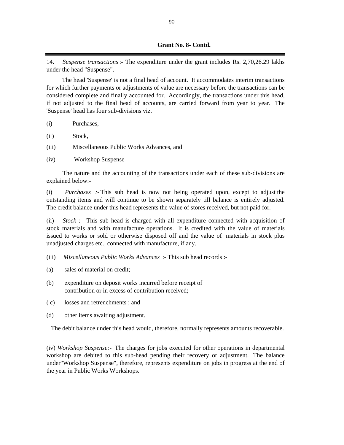14. *Suspense transactions*:- The expenditure under the grant includes Rs. 2,70,26.29 lakhs under the head "Suspense".

The head 'Suspense' is not a final head of account. It accommodates interim transactions for which further payments or adjustments of value are necessary before the transactions can be considered complete and finally accounted for. Accordingly, the transactions under this head, if not adjusted to the final head of accounts, are carried forward from year to year. The 'Suspense' head has four sub-divisions viz.

- (i) Purchases,
- (ii) Stock,
- (iii) Miscellaneous Public Works Advances, and
- (iv) Workshop Suspense

The nature and the accounting of the transactions under each of these sub-divisions are explained below:-

(i) *Purchases :-* This sub head is now not being operated upon, except to adjust the outstanding items and will continue to be shown separately till balance is entirely adjusted. The credit balance under this head represents the value of stores received, but not paid for.

(ii) *Stock :-* This sub head is charged with all expenditure connected with acquisition of stock materials and with manufacture operations. It is credited with the value of materials issued to works or sold or otherwise disposed off and the value of materials in stock plus unadjusted charges etc., connected with manufacture, if any.

- (iii) *Miscellaneous Public Works Advances* :- This sub head records :-
- (a) sales of material on credit;
- (b) expenditure on deposit works incurred before receipt of contribution or in excess of contribution received;
- ( c) losses and retrenchments ; and
- (d) other items awaiting adjustment.

The debit balance under this head would, therefore, normally represents amounts recoverable.

(iv) *Workshop Suspense:-* The charges for jobs executed for other operations in departmental workshop are debited to this sub-head pending their recovery or adjustment. The balance under"Workshop Suspense", therefore, represents expenditure on jobs in progress at the end of the year in Public Works Workshops.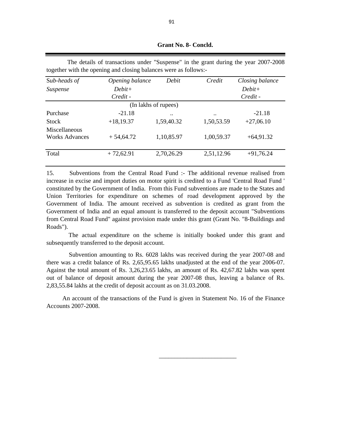| together with the opening and crossing bandhees were as follows. |            |                                                   |                 |  |  |
|------------------------------------------------------------------|------------|---------------------------------------------------|-----------------|--|--|
| Opening balance                                                  | Debit      | Credit                                            | Closing balance |  |  |
| $Debit+$                                                         |            |                                                   | $Debit+$        |  |  |
| Credit -                                                         |            |                                                   | Credit -        |  |  |
|                                                                  |            |                                                   |                 |  |  |
| $-21.18$                                                         |            | $\ddotsc$                                         | $-21.18$        |  |  |
| $+18,19.37$                                                      | 1,59,40.32 | 1,50,53.59                                        | $+27,06.10$     |  |  |
|                                                                  |            |                                                   |                 |  |  |
| $+54,64.72$                                                      | 1,10,85.97 | 1,00,59.37                                        | $+64,91.32$     |  |  |
|                                                                  |            |                                                   | $+91,76.24$     |  |  |
|                                                                  |            | (In lakhs of rupees)<br>2,70,26.29<br>$+72,62.91$ | 2,51,12.96      |  |  |

The details of transactions under "Suspense" in the grant during the year 2007-2008 together with the opening and closing balances were as follows:-

15. Subventions from the Central Road Fund :- The additional revenue realised from increase in excise and import duties on motor spirit is credited to a Fund 'Central Road Fund ' constituted by the Government of India. From this Fund subventions are made to the States and Union Territories for expenditure on schemes of road development approved by the Government of India. The amount received as subvention is credited as grant from the Government of India and an equal amount is transferred to the deposit account "Subventions from Central Road Fund" against provision made under this grant (Grant No. "8-Buildings and Roads").

The actual expenditure on the scheme is initially booked under this grant and subsequently transferred to the deposit account.

Subvention amounting to Rs. 6028 lakhs was received during the year 2007-08 and there was a credit balance of Rs. 2,65,95.65 lakhs unadjusted at the end of the year 2006-07. Against the total amount of Rs. 3,26,23.65 lakhs, an amount of Rs. 42,67.82 lakhs was spent out of balance of deposit amount during the year 2007-08 thus, leaving a balance of Rs. 2,83,55.84 lakhs at the credit of deposit account as on 31.03.2008.

An account of the transactions of the Fund is given in Statement No. 16 of the Finance Accounts 2007-2008.

 $\frac{1}{\sqrt{2}}$  ,  $\frac{1}{\sqrt{2}}$  ,  $\frac{1}{\sqrt{2}}$  ,  $\frac{1}{\sqrt{2}}$  ,  $\frac{1}{\sqrt{2}}$  ,  $\frac{1}{\sqrt{2}}$  ,  $\frac{1}{\sqrt{2}}$  ,  $\frac{1}{\sqrt{2}}$  ,  $\frac{1}{\sqrt{2}}$  ,  $\frac{1}{\sqrt{2}}$  ,  $\frac{1}{\sqrt{2}}$  ,  $\frac{1}{\sqrt{2}}$  ,  $\frac{1}{\sqrt{2}}$  ,  $\frac{1}{\sqrt{2}}$  ,  $\frac{1}{\sqrt{2}}$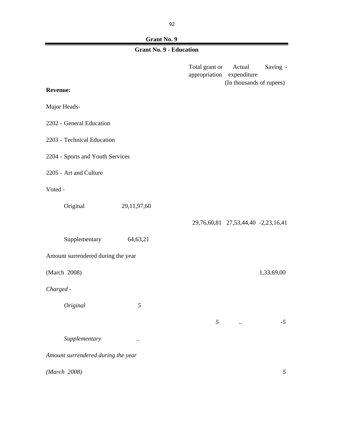92

 $\blacksquare$ 

# **Grant No. 9**

# **Grant No. 9 - Education**

|                                    |                |  | Total grant or<br>appropriation | Actual<br>expenditure<br>(In thousands of rupees) | Saving -   |  |
|------------------------------------|----------------|--|---------------------------------|---------------------------------------------------|------------|--|
| <b>Revenue:</b>                    |                |  |                                 |                                                   |            |  |
| Major Heads-                       |                |  |                                 |                                                   |            |  |
| 2202 - General Education           |                |  |                                 |                                                   |            |  |
| 2203 - Technical Education         |                |  |                                 |                                                   |            |  |
| 2204 - Sports and Youth Services   |                |  |                                 |                                                   |            |  |
| 2205 - Art and Culture             |                |  |                                 |                                                   |            |  |
| Voted -                            |                |  |                                 |                                                   |            |  |
| Original                           | 29,11,97,60    |  |                                 |                                                   |            |  |
|                                    |                |  |                                 | 29,76,60,81 27,53,44,40 -2,23,16,41               |            |  |
| Supplementary                      | 64,63,21       |  |                                 |                                                   |            |  |
| Amount surrendered during the year |                |  |                                 |                                                   |            |  |
| (March 2008)                       |                |  |                                 |                                                   | 1,33,69,00 |  |
| Charged -                          |                |  |                                 |                                                   |            |  |
| Original                           | $\mathfrak{H}$ |  |                                 |                                                   |            |  |
|                                    |                |  | 5                               | $\ddotsc$                                         | $-5$       |  |
| Supplementary                      | $\ddotsc$      |  |                                 |                                                   |            |  |
| Amount surrendered during the year |                |  |                                 |                                                   |            |  |
| (March 2008)                       |                |  |                                 |                                                   | 5          |  |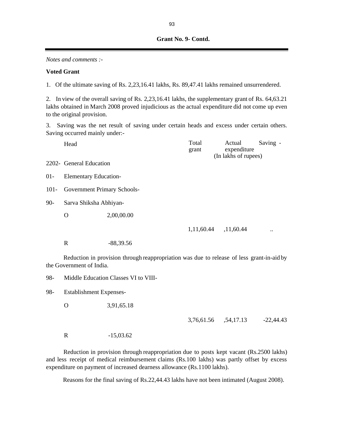#### *Notes and comments :-*

#### **Voted Grant**

1. Of the ultimate saving of Rs. 2,23,16.41 lakhs, Rs. 89,47.41 lakhs remained unsurrendered.

2. In view of the overall saving of Rs. 2,23,16.41 lakhs, the supplementary grant of Rs. 64,63.21 lakhs obtained in March 2008 proved injudicious as the actual expenditure did not come up even to the original provision.

3. Saving was the net result of saving under certain heads and excess under certain others. Saving occurred mainly under:-

|         | Head                         |                                                                                           | Total<br>grant | Actual<br>expenditure<br>(In lakhs of rupees) | Saving -             |  |  |
|---------|------------------------------|-------------------------------------------------------------------------------------------|----------------|-----------------------------------------------|----------------------|--|--|
|         | 2202- General Education      |                                                                                           |                |                                               |                      |  |  |
| $01 -$  | <b>Elementary Education-</b> |                                                                                           |                |                                               |                      |  |  |
| $101 -$ | Government Primary Schools-  |                                                                                           |                |                                               |                      |  |  |
| $90 -$  | Sarva Shiksha Abhiyan-       |                                                                                           |                |                                               |                      |  |  |
|         | O                            | 2,00,00.00                                                                                |                |                                               |                      |  |  |
|         |                              |                                                                                           |                | 1,11,60.44 ,11,60.44                          | $\ddot{\phantom{0}}$ |  |  |
|         | R                            | $-88,39.56$                                                                               |                |                                               |                      |  |  |
|         | the Government of India.     | Reduction in provision through reappropriation was due to release of less grant-in-aid by |                |                                               |                      |  |  |

98- Middle Education Classes VI to VIII-

98- Establishment Expenses-

O 3,91,65.18

3,76,61.56 ,54,17.13 -22,44.43

R -15,03.62

Reduction in provision through reappropriation due to posts kept vacant (Rs.2500 lakhs) and less receipt of medical reimbursement claims (Rs.100 lakhs) was partly offset by excess expenditure on payment of increased dearness allowance (Rs.1100 lakhs).

Reasons for the final saving of Rs.22,44.43 lakhs have not been intimated (August 2008).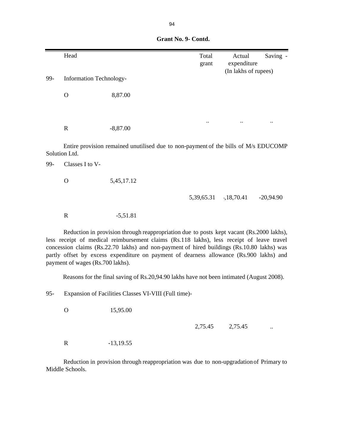|     | Head                             |                                                                                                                                                                                                                                                                                                                                                                                | Total<br>grant | Actual<br>expenditure<br>(In lakhs of rupees) | Saving -    |
|-----|----------------------------------|--------------------------------------------------------------------------------------------------------------------------------------------------------------------------------------------------------------------------------------------------------------------------------------------------------------------------------------------------------------------------------|----------------|-----------------------------------------------|-------------|
| 99- | <b>Information Technology-</b>   |                                                                                                                                                                                                                                                                                                                                                                                |                |                                               |             |
|     | $\mathbf O$                      | 8,87.00                                                                                                                                                                                                                                                                                                                                                                        |                |                                               |             |
|     |                                  |                                                                                                                                                                                                                                                                                                                                                                                |                |                                               |             |
|     | $\mathbf R$                      | $-8,87.00$                                                                                                                                                                                                                                                                                                                                                                     |                |                                               |             |
|     | Solution Ltd.                    | Entire provision remained unutilised due to non-payment of the bills of M/s EDUCOMP                                                                                                                                                                                                                                                                                            |                |                                               |             |
| 99- | Classes I to V-                  |                                                                                                                                                                                                                                                                                                                                                                                |                |                                               |             |
|     | $\mathbf O$                      | 5,45,17.12                                                                                                                                                                                                                                                                                                                                                                     |                |                                               |             |
|     |                                  |                                                                                                                                                                                                                                                                                                                                                                                | 5,39,65.31     | ,18,70.41                                     | $-20,94.90$ |
|     | $\mathbf R$                      | $-5,51.81$                                                                                                                                                                                                                                                                                                                                                                     |                |                                               |             |
|     | payment of wages (Rs.700 lakhs). | Reduction in provision through reappropriation due to posts kept vacant (Rs.2000 lakhs),<br>less receipt of medical reimbursement claims (Rs.118 lakhs), less receipt of leave travel<br>concession claims (Rs.22.70 lakhs) and non-payment of hired buildings (Rs.10.80 lakhs) was<br>partly offset by excess expenditure on payment of dearness allowance (Rs.900 lakhs) and |                |                                               |             |
|     |                                  | Reasons for the final saving of Rs.20,94.90 lakhs have not been intimated (August 2008).                                                                                                                                                                                                                                                                                       |                |                                               |             |

95- Expansion of Facilities Classes VI-VIII (Full time)-

O 15,95.00

2,75.45 2,75.45 ..

R -13,19.55

Reduction in provision through reappropriation was due to non-upgradationof Primary to Middle Schools.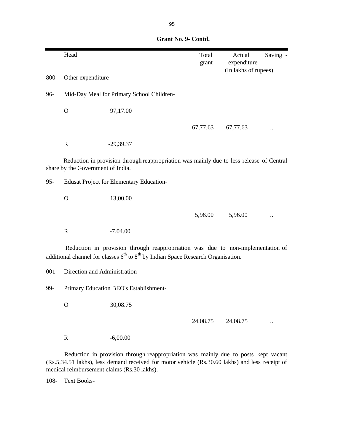|         | Head                              |                                                                                                                                                                         | Total<br>grant | Actual<br>expenditure | Saving - |
|---------|-----------------------------------|-------------------------------------------------------------------------------------------------------------------------------------------------------------------------|----------------|-----------------------|----------|
| 800-    | Other expenditure-                |                                                                                                                                                                         |                | (In lakhs of rupees)  |          |
| 96-     |                                   | Mid-Day Meal for Primary School Children-                                                                                                                               |                |                       |          |
|         | $\mathbf O$                       | 97,17.00                                                                                                                                                                |                |                       |          |
|         |                                   |                                                                                                                                                                         | 67,77.63       | 67,77.63              |          |
|         | ${\bf R}$                         | $-29,39.37$                                                                                                                                                             |                |                       |          |
|         | share by the Government of India. | Reduction in provision through reappropriation was mainly due to less release of Central                                                                                |                |                       |          |
| $95 -$  |                                   | <b>Edusat Project for Elementary Education-</b>                                                                                                                         |                |                       |          |
|         | $\mathbf O$                       | 13,00.00                                                                                                                                                                |                |                       |          |
|         |                                   |                                                                                                                                                                         | 5,96.00        | 5,96.00               |          |
|         | $\mathbf R$                       | $-7,04.00$                                                                                                                                                              |                |                       |          |
|         |                                   | Reduction in provision through reappropriation was due to non-implementation of<br>additional channel for classes $6th$ to $8th$ by Indian Space Research Organisation. |                |                       |          |
| $001 -$ | Direction and Administration-     |                                                                                                                                                                         |                |                       |          |
| 99-     |                                   | Primary Education BEO's Establishment-                                                                                                                                  |                |                       |          |
|         | $\mathbf{O}$                      | 30,08.75                                                                                                                                                                |                |                       |          |
|         |                                   |                                                                                                                                                                         | 24,08.75       | 24,08.75              |          |

R -6,00.00

Reduction in provision through reappropriation was mainly due to posts kept vacant (Rs.5,34.51 lakhs), less demand received for motor vehicle (Rs.30.60 lakhs) and less receipt of medical reimbursement claims (Rs.30 lakhs).

108- Text Books-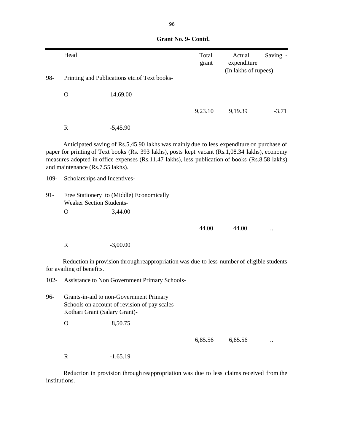|         | Head                             |                                                                                                                                                                                                                                                                                                | Total<br>grant | Actual<br>expenditure | Saving - |
|---------|----------------------------------|------------------------------------------------------------------------------------------------------------------------------------------------------------------------------------------------------------------------------------------------------------------------------------------------|----------------|-----------------------|----------|
| 98-     |                                  | Printing and Publications etc.of Text books-                                                                                                                                                                                                                                                   |                | (In lakhs of rupees)  |          |
|         |                                  |                                                                                                                                                                                                                                                                                                |                |                       |          |
|         | $\mathbf O$                      | 14,69.00                                                                                                                                                                                                                                                                                       |                |                       |          |
|         |                                  |                                                                                                                                                                                                                                                                                                | 9,23.10        | 9,19.39               | $-3.71$  |
|         | $\mathbf R$                      | $-5,45.90$                                                                                                                                                                                                                                                                                     |                |                       |          |
|         | and maintenance (Rs.7.55 lakhs). | Anticipated saving of Rs.5,45.90 lakhs was mainly due to less expenditure on purchase of<br>paper for printing of Text books (Rs. 393 lakhs), posts kept vacant (Rs.1,08.34 lakhs), economy<br>measures adopted in office expenses (Rs.11.47 lakhs), less publication of books (Rs.8.58 lakhs) |                |                       |          |
| 109-    | Scholarships and Incentives-     |                                                                                                                                                                                                                                                                                                |                |                       |          |
| $91 -$  | <b>Weaker Section Students-</b>  | Free Stationery to (Middle) Economically                                                                                                                                                                                                                                                       |                |                       |          |
|         | O                                | 3,44.00                                                                                                                                                                                                                                                                                        |                |                       |          |
|         |                                  |                                                                                                                                                                                                                                                                                                | 44.00          | 44.00                 |          |
|         | ${\bf R}$                        | $-3,00.00$                                                                                                                                                                                                                                                                                     |                |                       |          |
|         | for availing of benefits.        | Reduction in provision through reappropriation was due to less number of eligible students                                                                                                                                                                                                     |                |                       |          |
| $102 -$ |                                  | Assistance to Non Government Primary Schools-                                                                                                                                                                                                                                                  |                |                       |          |
| 96-     | Kothari Grant (Salary Grant)-    | Grants-in-aid to non-Government Primary<br>Schools on account of revision of pay scales                                                                                                                                                                                                        |                |                       |          |
|         | $\mathbf{O}$                     | 8,50.75                                                                                                                                                                                                                                                                                        |                |                       |          |

| Grant No. 9- Contd. |  |
|---------------------|--|
|                     |  |

R -1,65.19

Reduction in provision through reappropriation was due to less claims received from the institutions.

6,85.56 ...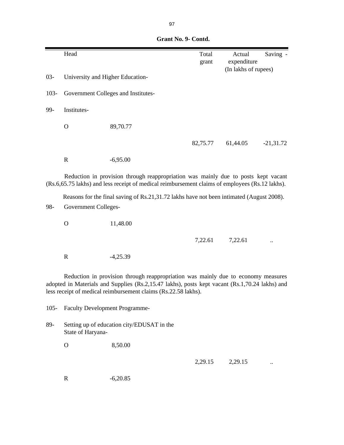|         | Head                                  |                                                                                                                                                                                                                                                       | Total<br>grant | Actual<br>expenditure | Saving -    |
|---------|---------------------------------------|-------------------------------------------------------------------------------------------------------------------------------------------------------------------------------------------------------------------------------------------------------|----------------|-----------------------|-------------|
| $03 -$  | University and Higher Education-      |                                                                                                                                                                                                                                                       |                | (In lakhs of rupees)  |             |
| $103 -$ |                                       | Government Colleges and Institutes-                                                                                                                                                                                                                   |                |                       |             |
| 99-     | Institutes-                           |                                                                                                                                                                                                                                                       |                |                       |             |
|         | $\mathbf O$                           | 89,70.77                                                                                                                                                                                                                                              |                |                       |             |
|         |                                       |                                                                                                                                                                                                                                                       | 82,75.77       | 61,44.05              | $-21,31.72$ |
|         | $\mathbf R$                           | $-6,95.00$                                                                                                                                                                                                                                            |                |                       |             |
|         |                                       | Reduction in provision through reappropriation was mainly due to posts kept vacant<br>(Rs.6,65.75 lakhs) and less receipt of medical reimbursement claims of employees (Rs.12 lakhs).                                                                 |                |                       |             |
|         |                                       | Reasons for the final saving of Rs.21,31.72 lakhs have not been intimated (August 2008).                                                                                                                                                              |                |                       |             |
| 98-     | Government Colleges-                  |                                                                                                                                                                                                                                                       |                |                       |             |
|         | $\mathbf O$                           | 11,48.00                                                                                                                                                                                                                                              |                |                       |             |
|         |                                       |                                                                                                                                                                                                                                                       | 7,22.61        | 7,22.61               |             |
|         | $\mathbf R$                           | $-4,25.39$                                                                                                                                                                                                                                            |                |                       |             |
|         |                                       | Reduction in provision through reappropriation was mainly due to economy measures<br>adopted in Materials and Supplies (Rs.2,15.47 lakhs), posts kept vacant (Rs.1,70.24 lakhs) and<br>less receipt of medical reimbursement claims (Rs.22.58 lakhs). |                |                       |             |
| $105 -$ | <b>Faculty Development Programme-</b> |                                                                                                                                                                                                                                                       |                |                       |             |
| 89-     | State of Haryana-                     | Setting up of education city/EDUSAT in the                                                                                                                                                                                                            |                |                       |             |
|         | $\mathbf O$                           | 8,50.00                                                                                                                                                                                                                                               |                |                       |             |
|         |                                       |                                                                                                                                                                                                                                                       | 2,29.15        | 2,29.15               |             |
|         | $\mathbf R$                           | $-6,20.85$                                                                                                                                                                                                                                            |                |                       |             |
|         |                                       |                                                                                                                                                                                                                                                       |                |                       |             |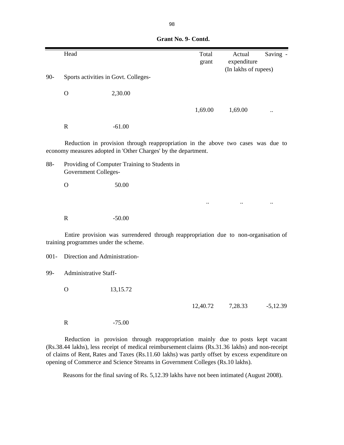|         | Head                                  |                                                                                                                                                    | Total<br>grant | Actual<br>expenditure | Saving -   |
|---------|---------------------------------------|----------------------------------------------------------------------------------------------------------------------------------------------------|----------------|-----------------------|------------|
|         |                                       |                                                                                                                                                    |                | (In lakhs of rupees)  |            |
| $90-$   | Sports activities in Govt. Colleges-  |                                                                                                                                                    |                |                       |            |
|         | $\mathbf O$                           | 2,30.00                                                                                                                                            |                |                       |            |
|         |                                       |                                                                                                                                                    | 1,69.00        | 1,69.00               |            |
|         | $\mathbf R$                           | $-61.00$                                                                                                                                           |                |                       |            |
|         |                                       | Reduction in provision through reappropriation in the above two cases was due to<br>economy measures adopted in 'Other Charges' by the department. |                |                       |            |
| 88-     | <b>Government Colleges-</b>           | Providing of Computer Training to Students in                                                                                                      |                |                       |            |
|         | $\mathbf O$                           | 50.00                                                                                                                                              |                |                       |            |
|         |                                       |                                                                                                                                                    |                |                       |            |
|         | $\mathbf R$                           | $-50.00$                                                                                                                                           |                |                       |            |
|         | training programmes under the scheme. | Entire provision was surrendered through reappropriation due to non-organisation of                                                                |                |                       |            |
| $001 -$ | Direction and Administration-         |                                                                                                                                                    |                |                       |            |
| 99-     | Administrative Staff-                 |                                                                                                                                                    |                |                       |            |
|         | $\mathbf{O}$                          | 13,15.72                                                                                                                                           |                |                       |            |
|         |                                       |                                                                                                                                                    | 12,40.72       | 7,28.33               | $-5,12.39$ |
|         | $\mathbf R$                           | $-75.00$                                                                                                                                           |                |                       |            |

Reduction in provision through reappropriation mainly due to posts kept vacant (Rs.38.44 lakhs), less receipt of medical reimbursement claims (Rs.31.36 lakhs) and non-receipt of claims of Rent, Rates and Taxes (Rs.11.60 lakhs) was partly offset by excess expenditure on opening of Commerce and Science Streams in Government Colleges (Rs.10 lakhs).

Reasons for the final saving of Rs. 5,12.39 lakhs have not been intimated (August 2008).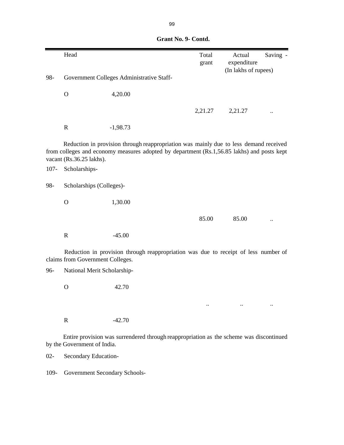|         | Head                                      |                                                                                                                                                                                     | Total<br>grant | Actual<br>expenditure | Saving - |
|---------|-------------------------------------------|-------------------------------------------------------------------------------------------------------------------------------------------------------------------------------------|----------------|-----------------------|----------|
|         |                                           |                                                                                                                                                                                     |                | (In lakhs of rupees)  |          |
| 98-     |                                           | Government Colleges Administrative Staff-                                                                                                                                           |                |                       |          |
|         | $\mathbf O$                               | 4,20.00                                                                                                                                                                             |                |                       |          |
|         |                                           |                                                                                                                                                                                     | 2,21.27        | 2,21.27               |          |
|         | $\mathbf R$                               | $-1,98.73$                                                                                                                                                                          |                |                       |          |
| $107 -$ | vacant (Rs.36.25 lakhs).<br>Scholarships- | Reduction in provision through reappropriation was mainly due to less demand received<br>from colleges and economy measures adopted by department (Rs.1,56.85 lakhs) and posts kept |                |                       |          |
| 98-     | Scholarships (Colleges)-                  |                                                                                                                                                                                     |                |                       |          |
|         | $\mathbf O$                               | 1,30.00                                                                                                                                                                             |                |                       |          |
|         |                                           |                                                                                                                                                                                     | 85.00          | 85.00                 |          |
|         | $\mathbf R$                               | $-45.00$                                                                                                                                                                            |                |                       |          |
|         | claims from Government Colleges.          | Reduction in provision through reappropriation was due to receipt of less number of                                                                                                 |                |                       |          |
| 96-     | National Merit Scholarship-               |                                                                                                                                                                                     |                |                       |          |
|         | $\mathbf O$                               | 42.70                                                                                                                                                                               |                |                       |          |
|         |                                           |                                                                                                                                                                                     |                |                       |          |
|         | $\mathbf R$                               | $-42.70$                                                                                                                                                                            |                |                       |          |
|         | by the Government of India.               | Entire provision was surrendered through reappropriation as the scheme was discontinued                                                                                             |                |                       |          |
| $02 -$  | Secondary Education-                      |                                                                                                                                                                                     |                |                       |          |

109- Government Secondary Schools-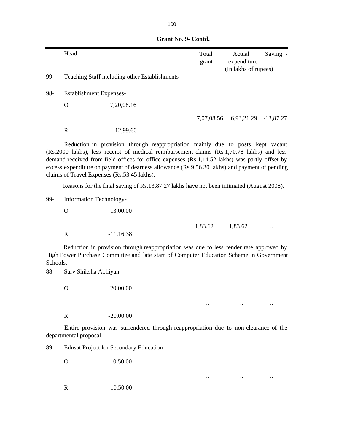|          | Head                   |                                                                                                                                                                                                                                                                                                                                                                                                                               | Total<br>grant | Actual<br>expenditure | Saving               |
|----------|------------------------|-------------------------------------------------------------------------------------------------------------------------------------------------------------------------------------------------------------------------------------------------------------------------------------------------------------------------------------------------------------------------------------------------------------------------------|----------------|-----------------------|----------------------|
| 99-      |                        | Teaching Staff including other Establishments-                                                                                                                                                                                                                                                                                                                                                                                |                | (In lakhs of rupees)  |                      |
|          |                        |                                                                                                                                                                                                                                                                                                                                                                                                                               |                |                       |                      |
| 98-      |                        | <b>Establishment Expenses-</b>                                                                                                                                                                                                                                                                                                                                                                                                |                |                       |                      |
|          | $\Omega$               | 7,20,08.16                                                                                                                                                                                                                                                                                                                                                                                                                    |                |                       |                      |
|          |                        |                                                                                                                                                                                                                                                                                                                                                                                                                               | 7,07,08.56     |                       | 6,93,21.29 -13,87.27 |
|          | $\mathbf R$            | $-12,99.60$                                                                                                                                                                                                                                                                                                                                                                                                                   |                |                       |                      |
|          |                        | Reduction in provision through reappropriation mainly due to posts kept vacant<br>(Rs.2000 lakhs), less receipt of medical reimbursement claims (Rs.1,70.78 lakhs) and less<br>demand received from field offices for office expenses (Rs.1,14.52 lakhs) was partly offset by<br>excess expenditure on payment of dearness allowance (Rs.9,56.30 lakhs) and payment of pending<br>claims of Travel Expenses (Rs.53.45 lakhs). |                |                       |                      |
|          |                        | Reasons for the final saving of Rs.13,87.27 lakhs have not been intimated (August 2008).                                                                                                                                                                                                                                                                                                                                      |                |                       |                      |
| 99-      |                        | Information Technology-                                                                                                                                                                                                                                                                                                                                                                                                       |                |                       |                      |
|          | $\mathbf{O}$           | 13,00.00                                                                                                                                                                                                                                                                                                                                                                                                                      |                |                       |                      |
|          | $\mathbf R$            | $-11,16.38$                                                                                                                                                                                                                                                                                                                                                                                                                   | 1,83.62        | 1,83.62               |                      |
| Schools. |                        | Reduction in provision through reappropriation was due to less tender rate approved by<br>High Power Purchase Committee and late start of Computer Education Scheme in Government                                                                                                                                                                                                                                             |                |                       |                      |
| 88-      | Sarv Shiksha Abhiyan-  |                                                                                                                                                                                                                                                                                                                                                                                                                               |                |                       |                      |
|          | $\mathbf{O}$           | 20,00.00                                                                                                                                                                                                                                                                                                                                                                                                                      |                |                       |                      |
|          |                        |                                                                                                                                                                                                                                                                                                                                                                                                                               |                |                       |                      |
|          | $\mathbf R$            | $-20,00.00$                                                                                                                                                                                                                                                                                                                                                                                                                   |                |                       |                      |
|          | departmental proposal. | Entire provision was surrendered through reappropriation due to non-clearance of the                                                                                                                                                                                                                                                                                                                                          |                |                       |                      |
| 89-      |                        | <b>Edusat Project for Secondary Education-</b>                                                                                                                                                                                                                                                                                                                                                                                |                |                       |                      |
|          | $\mathbf{O}$           | 10,50.00                                                                                                                                                                                                                                                                                                                                                                                                                      |                |                       |                      |

.. .. ..

 **Grant No. 9- Contd.**

R -10,50.00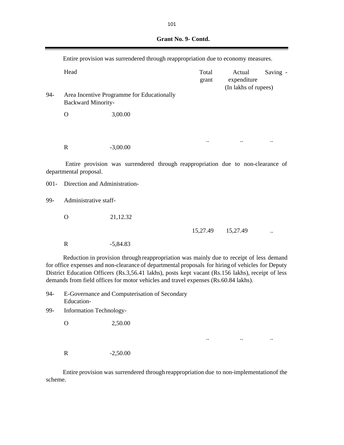| Grant No. 9- Contd. |  |
|---------------------|--|
|                     |  |

|         | Entire provision was surrendered through reappropriation due to economy measures. |                                                                                                                                                                                                                                                                                                                                                                                          |                |                                               |          |
|---------|-----------------------------------------------------------------------------------|------------------------------------------------------------------------------------------------------------------------------------------------------------------------------------------------------------------------------------------------------------------------------------------------------------------------------------------------------------------------------------------|----------------|-----------------------------------------------|----------|
|         | Head                                                                              |                                                                                                                                                                                                                                                                                                                                                                                          | Total<br>grant | Actual<br>expenditure<br>(In lakhs of rupees) | Saving - |
| 94-     | <b>Backward Minority-</b>                                                         | Area Incentive Programme for Educationally                                                                                                                                                                                                                                                                                                                                               |                |                                               |          |
|         | $\mathbf{O}$                                                                      | 3,00.00                                                                                                                                                                                                                                                                                                                                                                                  |                |                                               |          |
|         |                                                                                   |                                                                                                                                                                                                                                                                                                                                                                                          |                |                                               |          |
|         | $\mathbf R$                                                                       | $-3,00.00$                                                                                                                                                                                                                                                                                                                                                                               |                |                                               |          |
|         | departmental proposal.                                                            | Entire provision was surrendered through reappropriation due to non-clearance of                                                                                                                                                                                                                                                                                                         |                |                                               |          |
| $001 -$ | Direction and Administration-                                                     |                                                                                                                                                                                                                                                                                                                                                                                          |                |                                               |          |
| 99-     | Administrative staff-                                                             |                                                                                                                                                                                                                                                                                                                                                                                          |                |                                               |          |
|         | $\Omega$                                                                          | 21,12.32                                                                                                                                                                                                                                                                                                                                                                                 |                |                                               |          |
|         |                                                                                   |                                                                                                                                                                                                                                                                                                                                                                                          | 15,27.49       | 15,27.49                                      |          |
|         | $\mathbf R$                                                                       | $-5,84.83$                                                                                                                                                                                                                                                                                                                                                                               |                |                                               |          |
|         |                                                                                   | Reduction in provision through reappropriation was mainly due to receipt of less demand<br>for office expenses and non-clearance of departmental proposals for hiring of vehicles for Deputy<br>District Education Officers (Rs.3,56.41 lakhs), posts kept vacant (Rs.156 lakhs), receipt of less<br>demands from field offices for motor vehicles and travel expenses (Rs.60.84 lakhs). |                |                                               |          |

94- E-Governance and Computerisation of Secondary Education-

99- Information Technology-

O 2,50.00

R  $-2,50.00$ 

Entire provision was surrendered through reappropriation due to non-implementationof the scheme.

.. .. ..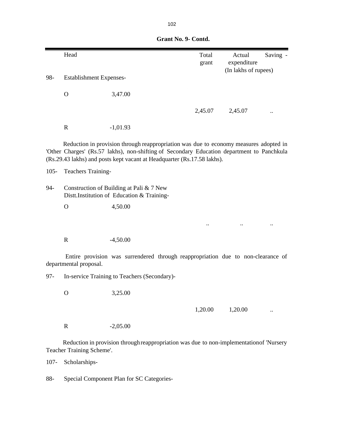|                                                                                               | Head                           |                                                                                                                                                                                                                                                                | Total<br>grant | Actual<br>expenditure | Saving - |
|-----------------------------------------------------------------------------------------------|--------------------------------|----------------------------------------------------------------------------------------------------------------------------------------------------------------------------------------------------------------------------------------------------------------|----------------|-----------------------|----------|
| 98-                                                                                           | <b>Establishment Expenses-</b> |                                                                                                                                                                                                                                                                |                | (In lakhs of rupees)  |          |
|                                                                                               | $\mathbf{O}$                   | 3,47.00                                                                                                                                                                                                                                                        |                |                       |          |
|                                                                                               |                                |                                                                                                                                                                                                                                                                | 2,45.07        | 2,45.07               |          |
|                                                                                               | $\mathbf R$                    | $-1,01.93$                                                                                                                                                                                                                                                     |                |                       |          |
|                                                                                               |                                | Reduction in provision through reappropriation was due to economy measures adopted in<br>'Other Charges' (Rs.57 lakhs), non-shifting of Secondary Education department to Panchkula<br>(Rs.29.43 lakhs) and posts kept vacant at Headquarter (Rs.17.58 lakhs). |                |                       |          |
| $105 -$                                                                                       | Teachers Training-             |                                                                                                                                                                                                                                                                |                |                       |          |
| 94-<br>Construction of Building at Pali & 7 New<br>Distt.Institution of Education & Training- |                                |                                                                                                                                                                                                                                                                |                |                       |          |
|                                                                                               | $\mathbf{O}$                   | 4,50.00                                                                                                                                                                                                                                                        |                |                       |          |
|                                                                                               |                                |                                                                                                                                                                                                                                                                |                |                       |          |
|                                                                                               | $\mathbf R$                    | $-4,50.00$                                                                                                                                                                                                                                                     |                |                       |          |
|                                                                                               | departmental proposal.         | Entire provision was surrendered through reappropriation due to non-clearance of                                                                                                                                                                               |                |                       |          |
| $97 -$                                                                                        |                                | In-service Training to Teachers (Secondary)-                                                                                                                                                                                                                   |                |                       |          |
|                                                                                               | $\mathbf O$                    | 3,25.00                                                                                                                                                                                                                                                        |                |                       |          |
|                                                                                               |                                |                                                                                                                                                                                                                                                                | 1,20.00        | 1,20.00               |          |
|                                                                                               | $\mathbf R$                    | $-2,05.00$                                                                                                                                                                                                                                                     |                |                       |          |
|                                                                                               | Teacher Training Scheme'.      | Reduction in provision through reappropriation was due to non-implementation of 'Nursery                                                                                                                                                                       |                |                       |          |

107- Scholarships-

88- Special Component Plan for SC Categories-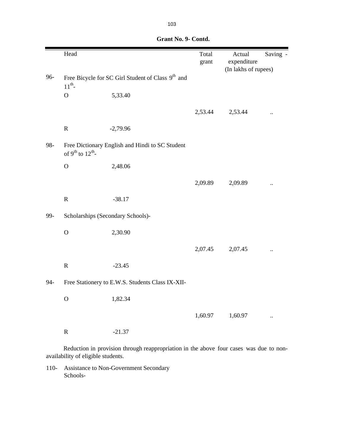|       | Head                                     |                                                               | Total<br>grant | Actual<br>expenditure<br>(In lakhs of rupees) | Saving -             |
|-------|------------------------------------------|---------------------------------------------------------------|----------------|-----------------------------------------------|----------------------|
| 96-   | $11^{th}$ -                              | Free Bicycle for SC Girl Student of Class 9 <sup>th</sup> and |                |                                               |                      |
|       | $\mathbf O$                              | 5,33.40                                                       |                |                                               |                      |
|       |                                          |                                                               | 2,53.44        | 2,53.44                                       |                      |
|       | $\mathbf R$                              | $-2,79.96$                                                    |                |                                               |                      |
| 98-   | of $9^{\text{th}}$ to $12^{\text{th}}$ - | Free Dictionary English and Hindi to SC Student               |                |                                               |                      |
|       | $\mathbf O$                              | 2,48.06                                                       |                |                                               |                      |
|       |                                          |                                                               | 2,09.89        | 2,09.89                                       |                      |
|       | ${\bf R}$                                | $-38.17$                                                      |                |                                               |                      |
| 99-   |                                          | Scholarships (Secondary Schools)-                             |                |                                               |                      |
|       | $\mathbf O$                              | 2,30.90                                                       |                |                                               |                      |
|       |                                          |                                                               | 2,07.45        | 2,07.45                                       | $\ddot{\phantom{0}}$ |
|       | ${\bf R}$                                | $-23.45$                                                      |                |                                               |                      |
| $94-$ |                                          | Free Stationery to E.W.S. Students Class IX-XII-              |                |                                               |                      |
|       | $\mathbf O$                              | 1,82.34                                                       |                |                                               |                      |
|       |                                          |                                                               | 1,60.97        | 1,60.97                                       |                      |
|       | ${\bf R}$                                | $-21.37$                                                      |                |                                               |                      |
|       |                                          |                                                               |                |                                               |                      |

 **Grant No. 9- Contd.**

Reduction in provision through reappropriation in the above four cases was due to nonavailability of eligible students.

110- Assistance to Non-Government Secondary Schools-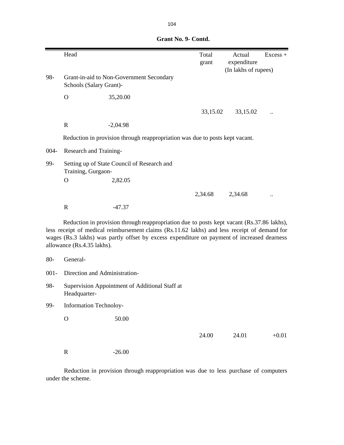|         | Head                          |                                                                                                                                                                                                                                                                                          | Total<br>grant | Actual<br>expenditure | $Excess +$ |
|---------|-------------------------------|------------------------------------------------------------------------------------------------------------------------------------------------------------------------------------------------------------------------------------------------------------------------------------------|----------------|-----------------------|------------|
| 98-     | Schools (Salary Grant)-       | Grant-in-aid to Non-Government Secondary                                                                                                                                                                                                                                                 |                | (In lakhs of rupees)  |            |
|         | $\Omega$                      | 35,20.00                                                                                                                                                                                                                                                                                 |                |                       |            |
|         |                               |                                                                                                                                                                                                                                                                                          | 33,15.02       | 33,15.02              |            |
|         | $\mathbf R$                   | $-2,04.98$                                                                                                                                                                                                                                                                               |                |                       |            |
|         |                               | Reduction in provision through reappropriation was due to posts kept vacant.                                                                                                                                                                                                             |                |                       |            |
| 004-    | Research and Training-        |                                                                                                                                                                                                                                                                                          |                |                       |            |
| 99-     | Training, Gurgaon-            | Setting up of State Council of Research and                                                                                                                                                                                                                                              |                |                       |            |
|         | $\Omega$                      | 2,82.05                                                                                                                                                                                                                                                                                  |                |                       |            |
|         |                               |                                                                                                                                                                                                                                                                                          | 2,34.68        | 2,34.68               |            |
|         | $\mathbf R$                   | $-47.37$                                                                                                                                                                                                                                                                                 |                |                       |            |
|         | allowance (Rs.4.35 lakhs).    | Reduction in provision through reappropriation due to posts kept vacant (Rs.37.86 lakhs),<br>less receipt of medical reimbursement claims (Rs.11.62 lakhs) and less receipt of demand for<br>wages (Rs.3 lakhs) was partly offset by excess expenditure on payment of increased dearness |                |                       |            |
| $80-$   | General-                      |                                                                                                                                                                                                                                                                                          |                |                       |            |
| $001 -$ | Direction and Administration- |                                                                                                                                                                                                                                                                                          |                |                       |            |
| 98-     | Headquarter-                  | Supervision Appointment of Additional Staff at                                                                                                                                                                                                                                           |                |                       |            |
| 99-     | Information Technoloy-        |                                                                                                                                                                                                                                                                                          |                |                       |            |
|         | $\mathbf{O}$                  | 50.00                                                                                                                                                                                                                                                                                    |                |                       |            |
|         |                               |                                                                                                                                                                                                                                                                                          | 24.00          | 24.01                 | $+0.01$    |
|         | ${\bf R}$                     | $-26.00$                                                                                                                                                                                                                                                                                 |                |                       |            |

Reduction in provision through reappropriation was due to less purchase of computers under the scheme.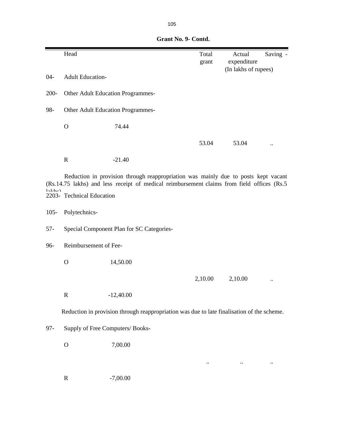|         | Head                                      |                                                                                                                                                                                   | Total<br>grant | Saving -<br>Actual<br>expenditure |  |  |
|---------|-------------------------------------------|-----------------------------------------------------------------------------------------------------------------------------------------------------------------------------------|----------------|-----------------------------------|--|--|
| $04 -$  | <b>Adult Education-</b>                   |                                                                                                                                                                                   |                | (In lakhs of rupees)              |  |  |
| $200 -$ |                                           | Other Adult Education Programmes-                                                                                                                                                 |                |                                   |  |  |
| 98-     | Other Adult Education Programmes-         |                                                                                                                                                                                   |                |                                   |  |  |
|         | $\mathbf O$                               | 74.44                                                                                                                                                                             |                |                                   |  |  |
|         |                                           |                                                                                                                                                                                   | 53.04          | 53.04                             |  |  |
|         | $\mathbf R$                               | $-21.40$                                                                                                                                                                          |                |                                   |  |  |
| 1aLhch  | 2203- Technical Education                 | Reduction in provision through reappropriation was mainly due to posts kept vacant<br>(Rs.14.75 lakhs) and less receipt of medical reimbursement claims from field offices (Rs.5) |                |                                   |  |  |
| $105 -$ | Polytechnics-                             |                                                                                                                                                                                   |                |                                   |  |  |
| $57-$   | Special Component Plan for SC Categories- |                                                                                                                                                                                   |                |                                   |  |  |
| 96-     | Reimbursement of Fee-                     |                                                                                                                                                                                   |                |                                   |  |  |
|         | $\mathbf O$                               | 14,50.00                                                                                                                                                                          |                |                                   |  |  |
|         |                                           |                                                                                                                                                                                   | 2,10.00        | 2,10.00                           |  |  |
|         | $\mathbf R$                               | $-12,40.00$                                                                                                                                                                       |                |                                   |  |  |
|         |                                           | Reduction in provision through reappropriation was due to late finalisation of the scheme.                                                                                        |                |                                   |  |  |
| $97 -$  | Supply of Free Computers/ Books-          |                                                                                                                                                                                   |                |                                   |  |  |
|         | $\mathbf O$                               | 7,00.00                                                                                                                                                                           |                |                                   |  |  |
|         |                                           |                                                                                                                                                                                   |                |                                   |  |  |
|         | $\mathbf R$                               | $-7,00.00$                                                                                                                                                                        |                |                                   |  |  |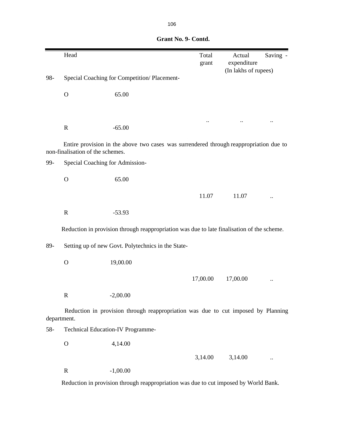|       | Head                                                                                 |                                                                                            |  | Total<br>grant | Actual<br>expenditure | Saving - |
|-------|--------------------------------------------------------------------------------------|--------------------------------------------------------------------------------------------|--|----------------|-----------------------|----------|
| 98-   | Special Coaching for Competition/Placement-                                          |                                                                                            |  |                | (In lakhs of rupees)  |          |
|       | $\mathbf O$                                                                          | 65.00                                                                                      |  |                |                       |          |
|       |                                                                                      |                                                                                            |  |                |                       |          |
|       | $\mathbf R$                                                                          | $-65.00$                                                                                   |  |                |                       |          |
|       | non-finalisation of the schemes.                                                     | Entire provision in the above two cases was surrendered through reappropriation due to     |  |                |                       |          |
| 99-   | Special Coaching for Admission-                                                      |                                                                                            |  |                |                       |          |
|       | $\mathbf O$                                                                          | 65.00                                                                                      |  |                |                       |          |
|       |                                                                                      |                                                                                            |  | 11.07          | 11.07                 |          |
|       | $\mathbf R$                                                                          | $-53.93$                                                                                   |  |                |                       |          |
|       |                                                                                      | Reduction in provision through reappropriation was due to late finalisation of the scheme. |  |                |                       |          |
| 89-   |                                                                                      | Setting up of new Govt. Polytechnics in the State-                                         |  |                |                       |          |
|       | $\mathbf O$                                                                          | 19,00.00                                                                                   |  |                |                       |          |
|       |                                                                                      |                                                                                            |  | 17,00.00       | 17,00.00              |          |
|       | $\mathbf R$                                                                          | $-2,00.00$                                                                                 |  |                |                       |          |
|       | department.                                                                          | Reduction in provision through reappropriation was due to cut imposed by Planning          |  |                |                       |          |
| $58-$ |                                                                                      | Technical Education-IV Programme-                                                          |  |                |                       |          |
|       | $\mathbf O$                                                                          | 4,14.00                                                                                    |  |                |                       |          |
|       |                                                                                      |                                                                                            |  | 3,14.00        | 3,14.00               |          |
|       | ${\bf R}$                                                                            | $-1,00.00$                                                                                 |  |                |                       |          |
|       | Reduction in provision through reappropriation was due to cut imposed by World Bank. |                                                                                            |  |                |                       |          |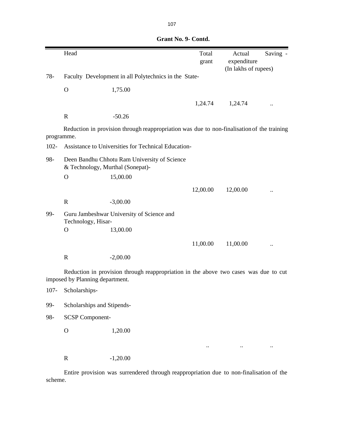|            | Head                                                            |                                                                                            | Total<br>grant | Actual<br>expenditure<br>(In lakhs of rupees) | Saving - |  |
|------------|-----------------------------------------------------------------|--------------------------------------------------------------------------------------------|----------------|-----------------------------------------------|----------|--|
| $78-$      | Faculty Development in all Polytechnics in the State-           |                                                                                            |                |                                               |          |  |
|            | $\mathbf O$                                                     | 1,75.00                                                                                    |                |                                               |          |  |
|            |                                                                 |                                                                                            | 1,24.74        | 1,24.74                                       |          |  |
|            | $\mathbf R$                                                     | $-50.26$                                                                                   |                |                                               |          |  |
| programme. |                                                                 | Reduction in provision through reappropriation was due to non-finalisation of the training |                |                                               |          |  |
| $102 -$    |                                                                 | Assistance to Universities for Technical Education-                                        |                |                                               |          |  |
| 98-        | & Technology, Murthal (Sonepat)-                                | Deen Bandhu Chhotu Ram University of Science                                               |                |                                               |          |  |
|            | $\mathbf O$                                                     | 15,00.00                                                                                   |                |                                               |          |  |
|            |                                                                 |                                                                                            | 12,00.00       | 12,00.00                                      |          |  |
|            | $\mathbf R$                                                     | $-3,00.00$                                                                                 |                |                                               |          |  |
| 99-        | Guru Jambeshwar University of Science and<br>Technology, Hisar- |                                                                                            |                |                                               |          |  |
|            | $\mathbf O$                                                     | 13,00.00                                                                                   |                |                                               |          |  |
|            |                                                                 |                                                                                            | 11,00.00       | 11,00.00                                      |          |  |
|            | $\mathbf R$                                                     | $-2,00.00$                                                                                 |                |                                               |          |  |
|            | imposed by Planning department.                                 | Reduction in provision through reappropriation in the above two cases was due to cut       |                |                                               |          |  |
| $107 -$    | Scholarships-                                                   |                                                                                            |                |                                               |          |  |
| 99-        | Scholarships and Stipends-                                      |                                                                                            |                |                                               |          |  |
| 98-        | <b>SCSP Component-</b>                                          |                                                                                            |                |                                               |          |  |
|            | $\mathbf{O}$                                                    | 1,20.00                                                                                    |                |                                               |          |  |
|            |                                                                 |                                                                                            |                |                                               |          |  |
|            | ${\bf R}$                                                       | $-1,20.00$                                                                                 |                |                                               |          |  |

Entire provision was surrendered through reappropriation due to non-finalisation of the scheme.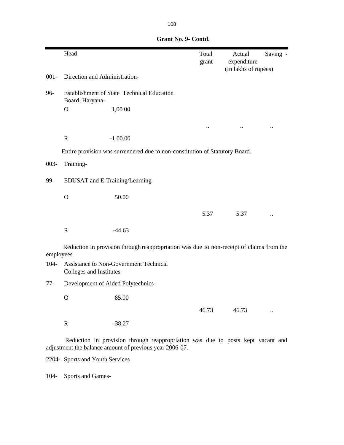|         | Head                                                               |            |                                                                                          | Total<br>grant | Actual<br>expenditure | Saving - |
|---------|--------------------------------------------------------------------|------------|------------------------------------------------------------------------------------------|----------------|-----------------------|----------|
|         |                                                                    |            |                                                                                          |                | (In lakhs of rupees)  |          |
| $001 -$ | Direction and Administration-                                      |            |                                                                                          |                |                       |          |
| 96-     | Establishment of State Technical Education<br>Board, Haryana-      |            |                                                                                          |                |                       |          |
|         | $\mathbf O$                                                        | 1,00.00    |                                                                                          |                |                       |          |
|         |                                                                    |            |                                                                                          |                |                       |          |
|         |                                                                    |            |                                                                                          |                |                       |          |
|         | $\mathbf R$                                                        | $-1,00.00$ |                                                                                          |                |                       |          |
|         |                                                                    |            | Entire provision was surrendered due to non-constitution of Statutory Board.             |                |                       |          |
| $003 -$ | Training-                                                          |            |                                                                                          |                |                       |          |
|         |                                                                    |            |                                                                                          |                |                       |          |
| 99-     | EDUSAT and E-Training/Learning-                                    |            |                                                                                          |                |                       |          |
|         | $\mathbf O$                                                        | 50.00      |                                                                                          |                |                       |          |
|         |                                                                    |            |                                                                                          | 5.37           | 5.37                  |          |
|         |                                                                    |            |                                                                                          |                |                       |          |
|         | $\mathbf R$                                                        | $-44.63$   |                                                                                          |                |                       |          |
|         |                                                                    |            | Reduction in provision through reappropriation was due to non-receipt of claims from the |                |                       |          |
|         | employees.                                                         |            |                                                                                          |                |                       |          |
| $104 -$ | Assistance to Non-Government Technical<br>Colleges and Institutes- |            |                                                                                          |                |                       |          |
| $77-$   | Development of Aided Polytechnics-                                 |            |                                                                                          |                |                       |          |
|         | $\circ$                                                            | 85.00      |                                                                                          |                |                       |          |
|         |                                                                    |            |                                                                                          | 46.73          | 46.73                 |          |
|         | $\mathbf R$                                                        | $-38.27$   |                                                                                          |                |                       |          |
|         |                                                                    |            | Reduction in provision through reappropriation was due to posts kept vacant and          |                |                       |          |

adjustment the balance amount of previous year 2006-07.

2204- Sports and Youth Services

104- Sports and Games-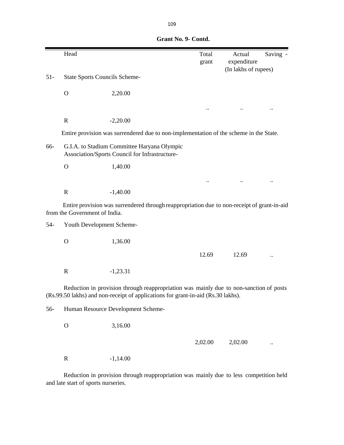|        | Head                                 |                                                                                                                                                                            | Total<br>grant | Actual<br>expenditure | Saving - |
|--------|--------------------------------------|----------------------------------------------------------------------------------------------------------------------------------------------------------------------------|----------------|-----------------------|----------|
| $51 -$ | <b>State Sports Councils Scheme-</b> |                                                                                                                                                                            |                | (In lakhs of rupees)  |          |
|        | $\mathbf O$                          | 2,20.00                                                                                                                                                                    |                |                       |          |
|        |                                      |                                                                                                                                                                            |                |                       |          |
|        | $\mathbf R$                          | $-2,20.00$                                                                                                                                                                 |                |                       |          |
|        |                                      | Entire provision was surrendered due to non-implementation of the scheme in the State.                                                                                     |                |                       |          |
| 66-    |                                      | G.I.A. to Stadium Committee Haryana Olympic<br>Association/Sports Council for Infrastructure-                                                                              |                |                       |          |
|        | $\mathbf O$                          | 1,40.00                                                                                                                                                                    |                |                       |          |
|        |                                      |                                                                                                                                                                            |                |                       |          |
|        | $\mathbf R$                          | $-1,40.00$                                                                                                                                                                 |                |                       |          |
|        | from the Government of India.        | Entire provision was surrendered through reappropriation due to non-receipt of grant-in-aid                                                                                |                |                       |          |
| $54-$  | Youth Development Scheme-            |                                                                                                                                                                            |                |                       |          |
|        | $\mathbf{O}$                         | 1,36.00                                                                                                                                                                    |                |                       |          |
|        |                                      |                                                                                                                                                                            | 12.69          | 12.69                 |          |
|        | $\mathbf R$                          | $-1,23.31$                                                                                                                                                                 |                |                       |          |
|        |                                      | Reduction in provision through reappropriation was mainly due to non-sanction of posts<br>(Rs.99.50 lakhs) and non-receipt of applications for grant-in-aid (Rs.30 lakhs). |                |                       |          |
| 56-    |                                      | Human Resource Development Scheme-                                                                                                                                         |                |                       |          |
|        | $\mathbf O$                          | 3,16.00                                                                                                                                                                    |                |                       |          |
|        |                                      |                                                                                                                                                                            | 2,02.00        | 2,02.00               |          |
|        | $\mathbf R$                          | $-1,14.00$                                                                                                                                                                 |                |                       |          |

 **Grant No. 9- Contd.**

Reduction in provision through reappropriation was mainly due to less competition held and late start of sports nurseries.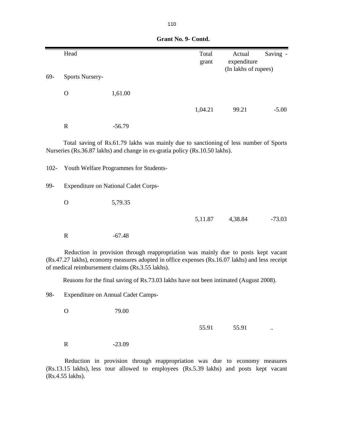|         | Head                   |                                                                                                                                                                                                                                           | Total<br>grant | Actual<br>expenditure<br>(In lakhs of rupees) | Saving - |
|---------|------------------------|-------------------------------------------------------------------------------------------------------------------------------------------------------------------------------------------------------------------------------------------|----------------|-----------------------------------------------|----------|
| 69-     | <b>Sports Nursery-</b> |                                                                                                                                                                                                                                           |                |                                               |          |
|         | $\mathbf O$            | 1,61.00                                                                                                                                                                                                                                   |                |                                               |          |
|         |                        |                                                                                                                                                                                                                                           | 1,04.21        | 99.21                                         | $-5.00$  |
|         | $\mathbf R$            | $-56.79$                                                                                                                                                                                                                                  |                |                                               |          |
|         |                        | Total saving of Rs.61.79 lakhs was mainly due to sanctioning of less number of Sports<br>Nurseries (Rs.36.87 lakhs) and change in ex-gratia policy (Rs.10.50 lakhs).                                                                      |                |                                               |          |
| $102 -$ |                        | Youth Welfare Programmes for Students-                                                                                                                                                                                                    |                |                                               |          |
| 99-     |                        | <b>Expenditure on National Cadet Corps-</b>                                                                                                                                                                                               |                |                                               |          |
|         | $\Omega$               | 5,79.35                                                                                                                                                                                                                                   |                |                                               |          |
|         |                        |                                                                                                                                                                                                                                           | 5,11.87        | 4,38.84                                       | $-73.03$ |
|         | $\mathbf R$            | $-67.48$                                                                                                                                                                                                                                  |                |                                               |          |
|         |                        | Reduction in provision through reappropriation was mainly due to posts kept vacant<br>(Rs.47.27 lakhs), economy measures adopted in office expenses (Rs.16.07 lakhs) and less receipt<br>of medical reimbursement claims (Rs.3.55 lakhs). |                |                                               |          |
|         |                        | Reasons for the final saving of Rs.73.03 lakhs have not been intimated (August 2008).                                                                                                                                                     |                |                                               |          |
| 98-     |                        | <b>Expenditure on Annual Cadet Camps-</b>                                                                                                                                                                                                 |                |                                               |          |

55.91 55.91 ..

R -23.09

O 79.00

Reduction in provision through reappropriation was due to economy measures (Rs.13.15 lakhs), less tour allowed to employees (Rs.5.39 lakhs) and posts kept vacant (Rs.4.55 lakhs).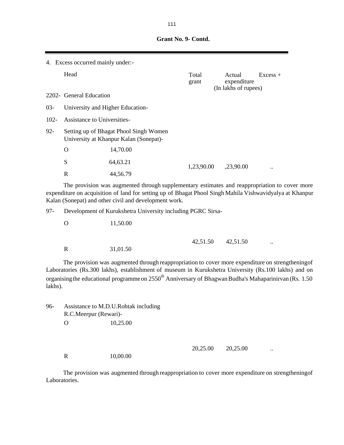|         | 4. Excess occurred mainly under:- |                                                                                  |                |                                               |            |
|---------|-----------------------------------|----------------------------------------------------------------------------------|----------------|-----------------------------------------------|------------|
|         | Head                              |                                                                                  | Total<br>grant | Actual<br>expenditure<br>(In lakhs of rupees) | $Excess +$ |
|         | 2202- General Education           |                                                                                  |                |                                               |            |
| $03-$   | University and Higher Education-  |                                                                                  |                |                                               |            |
| $102 -$ | Assistance to Universities-       |                                                                                  |                |                                               |            |
| $92 -$  |                                   | Setting up of Bhagat Phool Singh Women<br>University at Khanpur Kalan (Sonepat)- |                |                                               |            |
|         | O                                 | 14,70.00                                                                         |                |                                               |            |
|         | S                                 | 64,63.21                                                                         | 1,23,90.00     | ,23,90.00                                     |            |
|         | R                                 | 44,56.79                                                                         |                |                                               |            |

The provision was augmented through supplementary estimates and reappropriation to cover more expenditure on acquisition of land for setting up of Bhagat Phool Singh Mahila Vishwavidyalya at Khanpur Kalan (Sonepat) and other civil and development work.

97- Development of Kurukshetra University including PGRC Sirsa-

|             |          | 42,51.50 42,51.50 | $\ddotsc$ |
|-------------|----------|-------------------|-----------|
| $\mathbf R$ | 31,01.50 |                   |           |

The provision was augmented through reappropriation to cover more expenditure on strengtheningof Laboratories (Rs.300 lakhs), establishment of museum in Kurukshetra University (Rs.100 lakhs) and on organising the educational programme on 2550<sup>th</sup> Anniversary of Bhagwan Budha's Mahaparinirvan (Rs. 1.50) lakhs).

96- Assistance to M.D.U.Rohtak including R.C.Meerpur (Rewari)- . O  $10,25.00$ 

O 11,50.00

20,25.00 ...

R 10,00.00

The provision was augmented through reappropriation to cover more expenditure on strengtheningof Laboratories.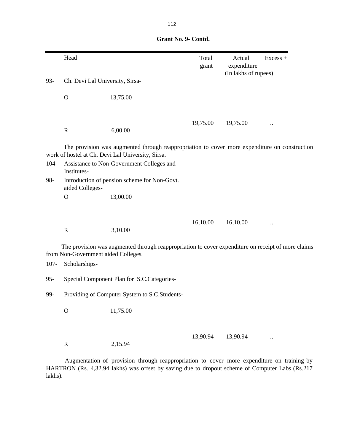|         | Head                                                 |                                                                                                                                                    | Total<br>grant | Actual<br>expenditure<br>(In lakhs of rupees) | $Excess +$ |
|---------|------------------------------------------------------|----------------------------------------------------------------------------------------------------------------------------------------------------|----------------|-----------------------------------------------|------------|
| 93-     | Ch. Devi Lal University, Sirsa-                      |                                                                                                                                                    |                |                                               |            |
|         | $\mathbf{O}$                                         | 13,75.00                                                                                                                                           |                |                                               |            |
|         | $\mathbf R$                                          | 6,00.00                                                                                                                                            | 19,75.00       | 19,75.00                                      |            |
|         |                                                      | The provision was augmented through reappropriation to cover more expenditure on construction<br>work of hostel at Ch. Devi Lal University, Sirsa. |                |                                               |            |
| 104-    | Institutes-                                          | Assistance to Non-Government Colleges and                                                                                                          |                |                                               |            |
| 98-     | aided Colleges-                                      | Introduction of pension scheme for Non-Govt.                                                                                                       |                |                                               |            |
|         | $\mathbf{O}$                                         | 13,00.00                                                                                                                                           |                |                                               |            |
|         |                                                      |                                                                                                                                                    | 16,10.00       | 16,10.00                                      |            |
|         | $\mathbf R$                                          | 3,10.00                                                                                                                                            |                |                                               |            |
| $107 -$ | from Non-Government aided Colleges.<br>Scholarships- | The provision was augmented through reappropriation to cover expenditure on receipt of more claims                                                 |                |                                               |            |
| $95 -$  |                                                      | Special Component Plan for S.C.Categories-                                                                                                         |                |                                               |            |
| 99-     |                                                      | Providing of Computer System to S.C.Students-                                                                                                      |                |                                               |            |
|         | $\mathbf O$                                          | 11,75.00                                                                                                                                           |                |                                               |            |
|         |                                                      |                                                                                                                                                    |                |                                               |            |

R 2,15.94

13,90.94 ...

Augmentation of provision through reappropriation to cover more expenditure on training by HARTRON (Rs. 4,32.94 lakhs) was offset by saving due to dropout scheme of Computer Labs (Rs.217 lakhs).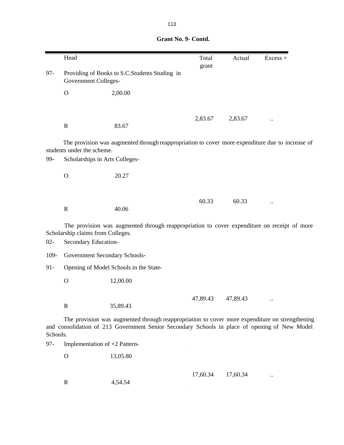|          | Head                                                         |                                                                                                                                                                                                 | Total<br>grant | Actual   | $Excess +$ |
|----------|--------------------------------------------------------------|-------------------------------------------------------------------------------------------------------------------------------------------------------------------------------------------------|----------------|----------|------------|
| $97 -$   | <b>Government Colleges-</b>                                  | Providing of Books to S.C. Students Studing in                                                                                                                                                  |                |          |            |
|          | $\mathbf O$                                                  | 2,00.00                                                                                                                                                                                         |                |          |            |
|          |                                                              |                                                                                                                                                                                                 | 2,83.67        | 2,83.67  |            |
|          | $\mathbf R$                                                  | 83.67                                                                                                                                                                                           |                |          |            |
| 99-      | students under the scheme.<br>Scholarships in Arts Colleges- | The provision was augmented through reappropriation to cover more expenditure due to increase of                                                                                                |                |          |            |
|          |                                                              |                                                                                                                                                                                                 |                |          |            |
|          | $\mathbf O$                                                  | 20.27                                                                                                                                                                                           |                |          |            |
|          |                                                              |                                                                                                                                                                                                 |                |          |            |
|          | $\mathbf R$                                                  | 40.06                                                                                                                                                                                           | 60.33          | 60.33    |            |
|          |                                                              |                                                                                                                                                                                                 |                |          |            |
|          | Scholarship claims from Colleges.                            | The provision was augmented through reappropriation to cover expenditure on receipt of more                                                                                                     |                |          |            |
| $02 -$   | Secondary Education-                                         |                                                                                                                                                                                                 |                |          |            |
| 109-     | Government Secondary Schools-                                |                                                                                                                                                                                                 |                |          |            |
| $91 -$   |                                                              | Opening of Model Schools in the State-                                                                                                                                                          |                |          |            |
|          | $\mathbf O$                                                  | 12,00.00                                                                                                                                                                                        |                |          |            |
|          |                                                              |                                                                                                                                                                                                 |                |          |            |
|          | $\mathbf R$                                                  | 35,89.43                                                                                                                                                                                        | 47,89.43       | 47,89.43 |            |
| Schools. |                                                              | The provision was augmented through reappropriation to cover more expenditure on strengthening<br>and consolidation of 213 Government Senior Secondary Schools in place of opening of New Model |                |          |            |
| $97 -$   | Implementation of +2 Pattern-                                |                                                                                                                                                                                                 |                |          |            |
|          | $\mathbf O$                                                  | 13,05.80                                                                                                                                                                                        |                |          |            |
|          |                                                              |                                                                                                                                                                                                 |                |          |            |

R 4,54.54

17,60.34 17,60.34 ..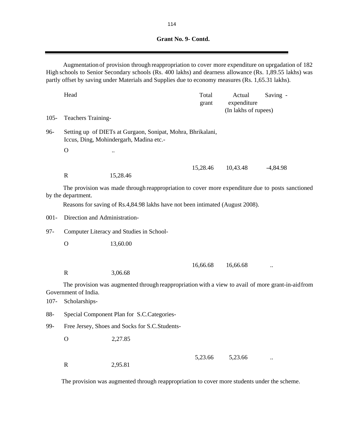Augmentation of provision through reappropriation to cover more expenditure on uprgadation of 182 High schools to Senior Secondary schools (Rs. 400 lakhs) and dearness allowance (Rs. 1,89.55 lakhs) was partly offset by saving under Materials and Supplies due to economy measures (Rs. 1,65.31 lakhs).

|         | Head                                  |                                                                                                        | Total<br>grant | Actual<br>expenditure<br>(In lakhs of rupees) | Saving -   |
|---------|---------------------------------------|--------------------------------------------------------------------------------------------------------|----------------|-----------------------------------------------|------------|
| $105 -$ | <b>Teachers Training-</b>             |                                                                                                        |                |                                               |            |
| 96-     |                                       | Setting up of DIETs at Gurgaon, Sonipat, Mohra, Bhrikalani,<br>Iccus, Ding, Mohindergarh, Madina etc.- |                |                                               |            |
|         | $\mathbf{O}$                          | $\ddot{\phantom{a}}$                                                                                   |                |                                               |            |
|         | $\mathbf R$                           | 15,28.46                                                                                               | 15,28.46       | 10,43.48                                      | $-4,84.98$ |
|         | by the department.                    | The provision was made through reappropriation to cover more expenditure due to posts sanctioned       |                |                                               |            |
|         |                                       | Reasons for saving of Rs.4,84.98 lakhs have not been intimated (August 2008).                          |                |                                               |            |
| $001 -$ | Direction and Administration-         |                                                                                                        |                |                                               |            |
| $97 -$  |                                       | Computer Literacy and Studies in School-                                                               |                |                                               |            |
|         | $\mathbf{O}$                          | 13,60.00                                                                                               |                |                                               |            |
|         |                                       |                                                                                                        |                |                                               |            |
|         | $\mathbf R$                           | 3,06.68                                                                                                | 16,66.68       | 16,66.68                                      | $\ddotsc$  |
| $107 -$ | Government of India.<br>Scholarships- | The provision was augmented through reappropriation with a view to avail of more grant-in-aid from     |                |                                               |            |
| 88-     |                                       | Special Component Plan for S.C.Categories-                                                             |                |                                               |            |
| 99-     |                                       | Free Jersey, Shoes and Socks for S.C.Students-                                                         |                |                                               |            |
|         | $\mathbf{O}$                          | 2,27.85                                                                                                |                |                                               |            |
|         | $\mathbf R$                           | 2,95.81                                                                                                | 5,23.66        | 5,23.66                                       | $\ddotsc$  |

The provision was augmented through reappropriation to cover more students under the scheme.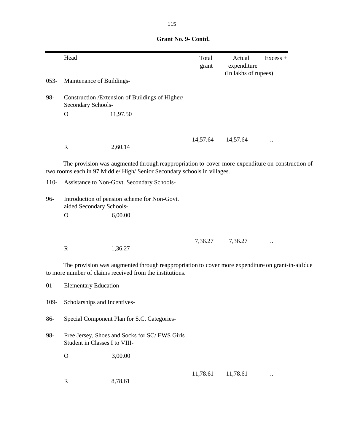Head Excess + grant expenditure (In lakhs of rupees) 053- Maintenance of Buildings-98- Construction /Extension of Buildings of Higher/ Secondary Schools-O 11,97.50 14,57.64 ... R 2,60.14 110- Assistance to Non-Govt. Secondary Schools-96- Introduction of pension scheme for Non-Govt. aided Secondary Schools- . O 6,00.00 7,36.27 ... R 1,36.27 01- Elementary Education-109- Scholarships and Incentives-86- Special Component Plan for S.C. Categories-98- Free Jersey, Shoes and Socks for SC/ EWS Girls Student in Classes I to VIII- O 3,00.00 The provision was augmented through reappropriation to cover more expenditure on construction of two rooms each in 97 Middle/ High/ Senior Secondary schools in villages. The provision was augmented through reappropriation to cover more expenditure on grant-in-aiddue to more number of claims received from the institutions.

R 8,78.61

11,78.61 ...

 **Grant No. 9- Contd.**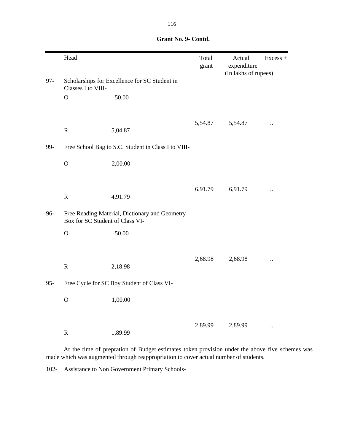|        | Head                            |                                                     | Total<br>grant | Actual<br>expenditure<br>(In lakhs of rupees) | $Excess +$           |
|--------|---------------------------------|-----------------------------------------------------|----------------|-----------------------------------------------|----------------------|
| $97 -$ | Classes I to VIII-              | Scholarships for Excellence for SC Student in       |                |                                               |                      |
|        | $\mathbf O$                     | 50.00                                               |                |                                               |                      |
|        |                                 |                                                     | 5,54.87        | 5,54.87                                       | $\ddot{\phantom{a}}$ |
|        | $\mathbf R$                     | 5,04.87                                             |                |                                               |                      |
| 99-    |                                 | Free School Bag to S.C. Student in Class I to VIII- |                |                                               |                      |
|        | $\mathcal{O}$                   | 2,00.00                                             |                |                                               |                      |
|        |                                 |                                                     |                |                                               |                      |
|        | ${\bf R}$                       | 4,91.79                                             | 6,91.79        | 6,91.79                                       |                      |
| 96-    | Box for SC Student of Class VI- | Free Reading Material, Dictionary and Geometry      |                |                                               |                      |
|        | $\mathbf O$                     | 50.00                                               |                |                                               |                      |
|        |                                 |                                                     |                |                                               |                      |
|        | $\mathbf R$                     | 2,18.98                                             | 2,68.98        | 2,68.98                                       | $\ddot{\phantom{a}}$ |
| $95 -$ |                                 | Free Cycle for SC Boy Student of Class VI-          |                |                                               |                      |
|        | $\mathcal{O}$                   | 1,00.00                                             |                |                                               |                      |
|        |                                 |                                                     |                |                                               |                      |
|        | ${\bf R}$                       | 1,89.99                                             | 2,89.99        | 2,89.99                                       | $\ddot{\phantom{a}}$ |

| Grant No. 9- Contd. |  |
|---------------------|--|
|                     |  |

At the time of prepration of Budget estimates token provision under the above five schemes was made which was augmented through reappropriation to cover actual number of students.

102- Assistance to Non Government Primary Schools-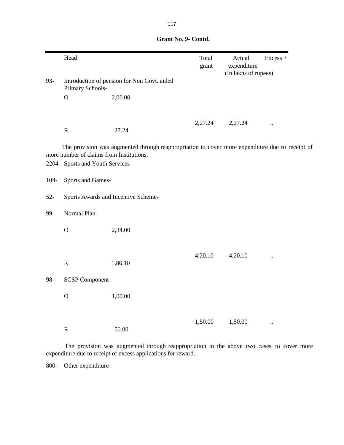|         | Head                                     |                                                                                                 | Total<br>grant | Actual<br>expenditure<br>(In lakhs of rupees) | $Excess +$           |
|---------|------------------------------------------|-------------------------------------------------------------------------------------------------|----------------|-----------------------------------------------|----------------------|
| 93-     | Primary Schools-                         | Introduction of pension for Non Govt. aided                                                     |                |                                               |                      |
|         | $\mathbf O$                              | 2,00.00                                                                                         |                |                                               |                      |
|         |                                          |                                                                                                 |                |                                               |                      |
|         | ${\bf R}$                                | 27.24                                                                                           | 2,27.24        | 2,27.24                                       | $\ddot{\phantom{a}}$ |
|         | more number of claims from Institutions. | The provision was augmented through reappropriation to cover more expenditure due to receipt of |                |                                               |                      |
|         | 2204- Sports and Youth Services          |                                                                                                 |                |                                               |                      |
| $104 -$ | Sports and Games-                        |                                                                                                 |                |                                               |                      |
| $52 -$  |                                          | Sports Awards and Incentive Scheme-                                                             |                |                                               |                      |
| 99-     | Normal Plan-                             |                                                                                                 |                |                                               |                      |
|         | $\mathcal{O}$                            | 2,34.00                                                                                         |                |                                               |                      |
|         |                                          |                                                                                                 |                |                                               |                      |
|         | ${\bf R}$                                | 1,86.10                                                                                         | 4,20.10        | 4,20.10                                       | $\ddot{\phantom{a}}$ |
| 98-     | <b>SCSP Component-</b>                   |                                                                                                 |                |                                               |                      |
|         | $\mathbf{O}$                             | 1,00.00                                                                                         |                |                                               |                      |
|         |                                          |                                                                                                 |                |                                               |                      |
|         | ${\bf R}$                                | 50.00                                                                                           | 1,50.00        | 1,50.00                                       | $\ddot{\phantom{a}}$ |

The provision was augmented through reappropriation in the above two cases to cover more expenditure due to receipt of excess applications for reward.

800- Other expenditure-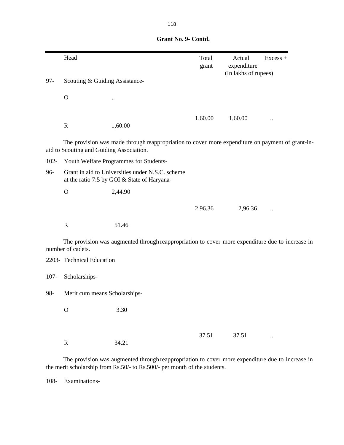|         | Head                                     |                                                                                                  | Total<br>grant | Actual<br>expenditure<br>(In lakhs of rupees) | $Excess +$ |
|---------|------------------------------------------|--------------------------------------------------------------------------------------------------|----------------|-----------------------------------------------|------------|
| $97 -$  | Scouting & Guiding Assistance-           |                                                                                                  |                |                                               |            |
|         | $\mathbf O$                              |                                                                                                  |                |                                               |            |
|         | $\mathbf R$                              | 1,60.00                                                                                          | 1,60.00        | 1,60.00                                       |            |
|         | aid to Scouting and Guiding Association. | The provision was made through reappropriation to cover more expenditure on payment of grant-in- |                |                                               |            |
| $102 -$ |                                          | Youth Welfare Programmes for Students-                                                           |                |                                               |            |
| 96-     |                                          | Grant in aid to Universities under N.S.C. scheme<br>at the ratio 7:5 by GOI & State of Haryana-  |                |                                               |            |
|         | $\mathbf{O}$                             | 2,44.90                                                                                          |                |                                               |            |
|         |                                          |                                                                                                  | 2,96.36        | 2,96.36                                       |            |
|         | $\mathbf R$                              | 51.46                                                                                            |                |                                               |            |
|         | number of cadets.                        | The provision was augmented through reappropriation to cover more expenditure due to increase in |                |                                               |            |
|         | 2203- Technical Education                |                                                                                                  |                |                                               |            |
| $107 -$ | Scholarships-                            |                                                                                                  |                |                                               |            |
| 98-     | Merit cum means Scholarships-            |                                                                                                  |                |                                               |            |
|         | $\mathbf{O}$                             | 3.30                                                                                             |                |                                               |            |
|         |                                          |                                                                                                  | 37.51          | 37.51                                         | $\ldots$   |
|         | ${\bf R}$                                | 34.21                                                                                            |                |                                               |            |

The provision was augmented through reappropriation to cover more expenditure due to increase in the merit scholarship from Rs.50/- to Rs.500/- per month of the students.

108- Examinations-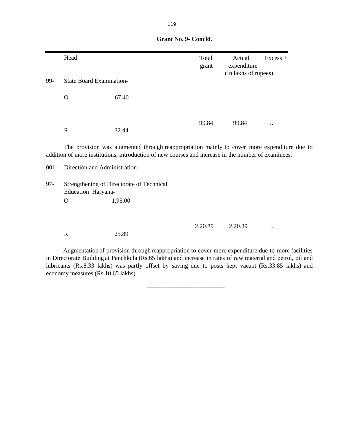|         | Head                            |                                                                                                                                                                                                    | Total<br>grant | Actual<br>expenditure<br>(In lakhs of rupees) | Excess +             |
|---------|---------------------------------|----------------------------------------------------------------------------------------------------------------------------------------------------------------------------------------------------|----------------|-----------------------------------------------|----------------------|
| 99-     | <b>State Board Examination-</b> |                                                                                                                                                                                                    |                |                                               |                      |
|         | $\Omega$                        | 67.40                                                                                                                                                                                              |                |                                               |                      |
|         | $\mathbf R$                     | 32.44                                                                                                                                                                                              | 99.84          | 99.84                                         | $\ddot{\phantom{0}}$ |
|         |                                 | The provision was augmented through reappropriation mainly to cover more expenditure due to<br>addition of more institutions, introduction of new courses and increase in the number of examinees. |                |                                               |                      |
| $001 -$ | Direction and Administration-   |                                                                                                                                                                                                    |                |                                               |                      |
| $97 -$  | Education Haryana-              | Strengthening of Directorate of Technical                                                                                                                                                          |                |                                               |                      |
|         | $\mathbf{O}$                    | 1,95.00                                                                                                                                                                                            |                |                                               |                      |
|         |                                 |                                                                                                                                                                                                    | 2,20.89        | 2,20.89                                       |                      |
|         | $\mathbf R$                     | 25.89                                                                                                                                                                                              |                |                                               | $\ddot{\phantom{0}}$ |

Augmentation of provision through reappropriation to cover more expenditure due to more facilities in Directorate Building at Panchkula (Rs.65 lakhs) and increase in rates of raw material and petrol, oil and lubricants (Rs.8.33 lakhs) was partly offset by saving due to posts kept vacant (Rs.33.85 lakhs) and economy measures (Rs.10.65 lakhs).

 $\frac{1}{2}$  , and the set of the set of the set of the set of the set of the set of the set of the set of the set of the set of the set of the set of the set of the set of the set of the set of the set of the set of the set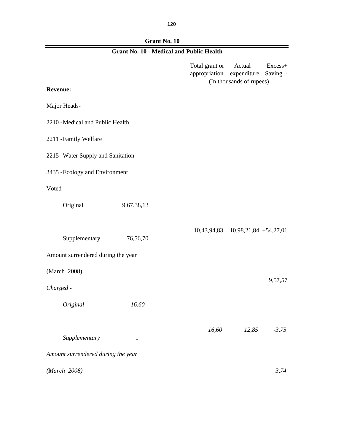| Grant No. 10 |
|--------------|
|              |

 $\blacksquare$ 

|                                    | <b>Grant No. 10 - Medical and Public Health</b> |                                 |                                                   |                     |
|------------------------------------|-------------------------------------------------|---------------------------------|---------------------------------------------------|---------------------|
|                                    |                                                 | Total grant or<br>appropriation | Actual<br>expenditure<br>(In thousands of rupees) | Excess+<br>Saving - |
| <b>Revenue:</b>                    |                                                 |                                 |                                                   |                     |
| Major Heads-                       |                                                 |                                 |                                                   |                     |
| 2210 - Medical and Public Health   |                                                 |                                 |                                                   |                     |
| 2211 - Family Welfare              |                                                 |                                 |                                                   |                     |
| 2215 - Water Supply and Sanitation |                                                 |                                 |                                                   |                     |
| 3435 - Ecology and Environment     |                                                 |                                 |                                                   |                     |
| Voted -                            |                                                 |                                 |                                                   |                     |
| Original                           | 9,67,38,13                                      |                                 |                                                   |                     |
|                                    |                                                 |                                 | 10,43,94,83 10,98,21,84 +54,27,01                 |                     |
| Supplementary                      | 76,56,70                                        |                                 |                                                   |                     |
| Amount surrendered during the year |                                                 |                                 |                                                   |                     |
| (March 2008)                       |                                                 |                                 |                                                   | 9,57,57             |
| Charged -                          |                                                 |                                 |                                                   |                     |
| Original                           | 16,60                                           |                                 |                                                   |                     |
|                                    |                                                 | 16,60                           | 12,85                                             | $-3,75$             |
| Supplementary                      |                                                 |                                 |                                                   |                     |
| Amount surrendered during the year |                                                 |                                 |                                                   |                     |
| (March 2008)                       |                                                 |                                 |                                                   | 3,74                |

2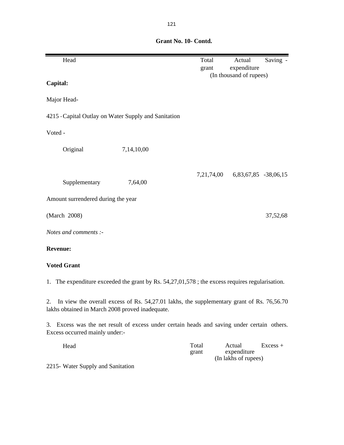Head **Total** Actual Saving grant expenditure **Capital:** Major Head-4215 -Capital Outlay on Water Supply and Sanitation Voted - Original 7,14,10,00 7,21,74,00 6,83,67,85 -38,06,15 Supplementary 7,64,00 Amount surrendered during the year (March 2008) 37,52,68 *Notes and comments :-* **Revenue: Voted Grant** (In thousand of rupees)

 **Grant No. 10- Contd.**

1. The expenditure exceeded the grant by Rs. 54,27,01,578 ; the excess requires regularisation.

2. In view the overall excess of Rs. 54,27.01 lakhs, the supplementary grant of Rs. 76,56.70 lakhs obtained in March 2008 proved inadequate.

3. Excess was the net result of excess under certain heads and saving under certain others. Excess occurred mainly under:-

Head Excess + grant expenditure (In lakhs of rupees)

2215- Water Supply and Sanitation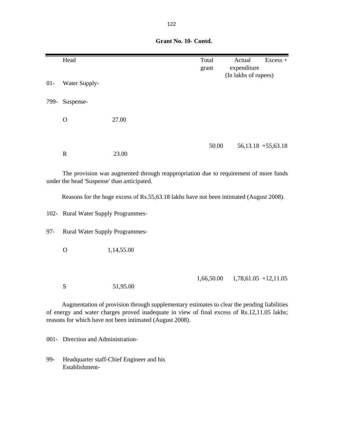|        | Head                                        |                                                                                         | Total<br>grant | Actual<br>expenditure<br>(In lakhs of rupees) | Excess + |
|--------|---------------------------------------------|-----------------------------------------------------------------------------------------|----------------|-----------------------------------------------|----------|
| $01 -$ | Water Supply-                               |                                                                                         |                |                                               |          |
| 799-   | Suspense-                                   |                                                                                         |                |                                               |          |
|        | $\mathbf{O}$                                | 27.00                                                                                   |                |                                               |          |
|        | ${\bf R}$                                   | 23.00                                                                                   | 50.00          | $56,13.18 + 55,63.18$                         |          |
|        | under the head 'Suspense' than anticipated. | The provision was augmented through reappropriation due to requirement of more funds    |                |                                               |          |
|        |                                             | Reasons for the huge excess of Rs.55,63.18 lakhs have not been intimated (August 2008). |                |                                               |          |
|        | 102- Rural Water Supply Programmes-         |                                                                                         |                |                                               |          |
| $97 -$ | <b>Rural Water Supply Programmes-</b>       |                                                                                         |                |                                               |          |
|        | $\mathbf O$                                 | 1,14,55.00                                                                              |                |                                               |          |
|        | S                                           | 51,95.00                                                                                | 1,66,50.00     | $1,78,61.05$ +12,11.05                        |          |

Augmentation of provision through supplementary estimates to clear the pending liabilities of energy and water charges proved inadequate in view of final excess of Rs.12,11.05 lakhs; reasons for which have not been intimated (August 2008).

001- Direction and Administration-

99- Headquarter staff-Chief Engineer and his Establishment-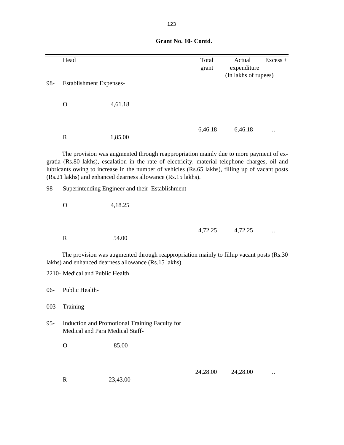|         | Head                            |                                                                                                                                                                                                                                                                                                                                                               | Total    | Actual               | $Excess +$ |
|---------|---------------------------------|---------------------------------------------------------------------------------------------------------------------------------------------------------------------------------------------------------------------------------------------------------------------------------------------------------------------------------------------------------------|----------|----------------------|------------|
|         |                                 |                                                                                                                                                                                                                                                                                                                                                               | grant    | expenditure          |            |
| 98-     | <b>Establishment Expenses-</b>  |                                                                                                                                                                                                                                                                                                                                                               |          | (In lakhs of rupees) |            |
|         |                                 |                                                                                                                                                                                                                                                                                                                                                               |          |                      |            |
|         |                                 |                                                                                                                                                                                                                                                                                                                                                               |          |                      |            |
|         | $\mathbf O$                     | 4,61.18                                                                                                                                                                                                                                                                                                                                                       |          |                      |            |
|         |                                 |                                                                                                                                                                                                                                                                                                                                                               |          |                      |            |
|         |                                 |                                                                                                                                                                                                                                                                                                                                                               |          |                      |            |
|         | $\mathbf R$                     | 1,85.00                                                                                                                                                                                                                                                                                                                                                       | 6,46.18  | 6,46.18              |            |
|         |                                 |                                                                                                                                                                                                                                                                                                                                                               |          |                      |            |
|         |                                 | The provision was augmented through reappropriation mainly due to more payment of ex-<br>gratia (Rs.80 lakhs), escalation in the rate of electricity, material telephone charges, oil and<br>lubricants owing to increase in the number of vehicles (Rs.65 lakhs), filling up of vacant posts<br>(Rs.21 lakhs) and enhanced dearness allowance (Rs.15 lakhs). |          |                      |            |
| 98-     |                                 | Superintending Engineer and their Establishment-                                                                                                                                                                                                                                                                                                              |          |                      |            |
|         |                                 |                                                                                                                                                                                                                                                                                                                                                               |          |                      |            |
|         | $\mathbf{O}$                    | 4,18.25                                                                                                                                                                                                                                                                                                                                                       |          |                      |            |
|         |                                 |                                                                                                                                                                                                                                                                                                                                                               |          |                      |            |
|         |                                 |                                                                                                                                                                                                                                                                                                                                                               |          |                      |            |
|         |                                 |                                                                                                                                                                                                                                                                                                                                                               | 4,72.25  | 4,72.25              |            |
|         | $\mathbf R$                     | 54.00                                                                                                                                                                                                                                                                                                                                                         |          |                      |            |
|         |                                 | The provision was augmented through reappropriation mainly to fillup vacant posts (Rs.30)<br>lakhs) and enhanced dearness allowance (Rs.15 lakhs).                                                                                                                                                                                                            |          |                      |            |
|         | 2210- Medical and Public Health |                                                                                                                                                                                                                                                                                                                                                               |          |                      |            |
|         |                                 |                                                                                                                                                                                                                                                                                                                                                               |          |                      |            |
| $06-$   | Public Health-                  |                                                                                                                                                                                                                                                                                                                                                               |          |                      |            |
|         |                                 |                                                                                                                                                                                                                                                                                                                                                               |          |                      |            |
| $003 -$ | Training-                       |                                                                                                                                                                                                                                                                                                                                                               |          |                      |            |
| $95 -$  | Medical and Para Medical Staff- | Induction and Promotional Training Faculty for                                                                                                                                                                                                                                                                                                                |          |                      |            |
|         | $\mathbf{O}$                    | 85.00                                                                                                                                                                                                                                                                                                                                                         |          |                      |            |
|         |                                 |                                                                                                                                                                                                                                                                                                                                                               |          |                      |            |
|         |                                 |                                                                                                                                                                                                                                                                                                                                                               |          |                      |            |
|         |                                 |                                                                                                                                                                                                                                                                                                                                                               | 24,28.00 | 24,28.00             |            |
|         | $\mathbf R$                     | 23,43.00                                                                                                                                                                                                                                                                                                                                                      |          |                      |            |
|         |                                 |                                                                                                                                                                                                                                                                                                                                                               |          |                      |            |
|         |                                 |                                                                                                                                                                                                                                                                                                                                                               |          |                      |            |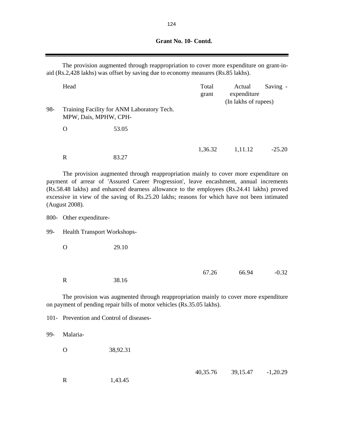| Grant No. 10- Contd. |
|----------------------|
|                      |

The provision augmented through reappropriation to cover more expenditure on grant-inaid (Rs.2,428 lakhs) was offset by saving due to economy measures (Rs.85 lakhs).

|     | Head                  |                                            | Total<br>grant | Actual<br>expenditure<br>(In lakhs of rupees) | Saving - |  |
|-----|-----------------------|--------------------------------------------|----------------|-----------------------------------------------|----------|--|
| 98- | MPW, Dais, MPHW, CPH- | Training Facility for ANM Laboratory Tech. |                |                                               |          |  |
|     | O                     | 53.05                                      |                |                                               |          |  |
|     | R                     | 83.27                                      | 1,36.32        | 1,11.12                                       | $-25.20$ |  |

The provision augmented through reappropriation mainly to cover more expenditure on payment of arrear of 'Assured Career Progression', leave encashment, annual increments (Rs.58.48 lakhs) and enhanced dearness allowance to the employees (Rs.24.41 lakhs) proved excessive in view of the saving of Rs.25.20 lakhs; reasons for which have not been intimated (August 2008).

800- Other expenditure-

99- Health Transport Workshops-

O 29.10

67.26 66.94 -0.32

R 38.16

The provision was augmented through reappropriation mainly to cover more expenditure on payment of pending repair bills of motor vehicles (Rs.35.05 lakhs).

101- Prevention and Control of diseases-

99- Malaria-

O 38,92.31

R 1,43.45

40,35.76 39,15.47 -1,20.29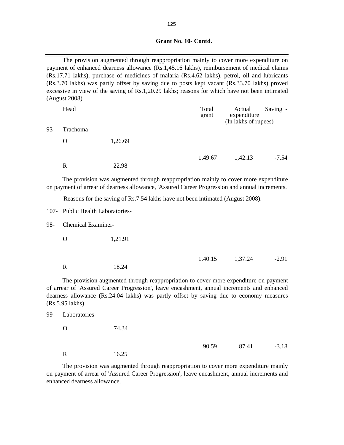| Grant No. 10- Contd. |
|----------------------|
|                      |
|                      |
|                      |

The provision augmented through reappropriation mainly to cover more expenditure on payment of enhanced dearness allowance (Rs.1,45.16 lakhs), reimbursement of medical claims (Rs.17.71 lakhs), purchase of medicines of malaria (Rs.4.62 lakhs), petrol, oil and lubricants (Rs.3.70 lakhs) was partly offset by saving due to posts kept vacant (Rs.33.70 lakhs) proved excessive in view of the saving of Rs.1,20.29 lakhs; reasons for which have not been intimated (August 2008).

|     | Head      |         | Total<br>grant | Actual<br>expenditure<br>(In lakhs of rupees) | Saving - |
|-----|-----------|---------|----------------|-----------------------------------------------|----------|
| 93- | Trachoma- |         |                |                                               |          |
|     | O         | 1,26.69 |                |                                               |          |
|     |           |         | 1,49.67        | 1,42.13                                       | $-7.54$  |
|     | R         | 22.98   |                |                                               |          |

The provision was augmented through reappropriation mainly to cover more expenditure on payment of arrear of dearness allowance, 'Assured Career Progression and annual increments.

Reasons for the saving of Rs.7.54 lakhs have not been intimated (August 2008).

107- Public Health Laboratories-

98- Chemical Examiner-

O 1,21.91

R 18.24

99- Laboratories-

1,40.15 1,37.24 -2.91

The provision augmented through reappropriation to cover more expenditure on payment of arrear of 'Assured Career Progression', leave encashment, annual increments and enhanced dearness allowance (Rs.24.04 lakhs) was partly offset by saving due to economy measures (Rs.5.95 lakhs).

| O | 74.34 |       |       |         |
|---|-------|-------|-------|---------|
|   |       | 90.59 | 87.41 | $-3.18$ |
| R | 16.25 |       |       |         |

The provision was augmented through reappropriation to cover more expenditure mainly on payment of arrear of 'Assured Career Progression', leave encashment, annual increments and enhanced dearness allowance.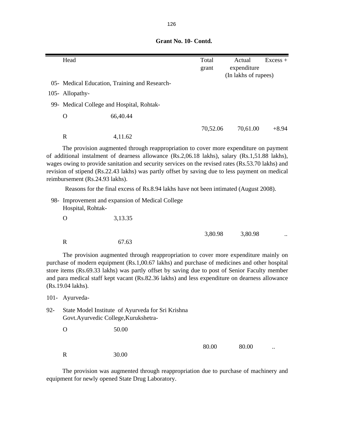|        | Head                                      |                                                                                                                                                                                                                                                                                                                                                                                               | Total<br>grant | Actual<br>expenditure | $Excess +$ |
|--------|-------------------------------------------|-----------------------------------------------------------------------------------------------------------------------------------------------------------------------------------------------------------------------------------------------------------------------------------------------------------------------------------------------------------------------------------------------|----------------|-----------------------|------------|
|        |                                           |                                                                                                                                                                                                                                                                                                                                                                                               |                | (In lakhs of rupees)  |            |
|        |                                           | 05- Medical Education, Training and Research-                                                                                                                                                                                                                                                                                                                                                 |                |                       |            |
|        | 105- Allopathy-                           |                                                                                                                                                                                                                                                                                                                                                                                               |                |                       |            |
|        | 99- Medical College and Hospital, Rohtak- |                                                                                                                                                                                                                                                                                                                                                                                               |                |                       |            |
|        | $\mathbf{O}$                              | 66,40.44                                                                                                                                                                                                                                                                                                                                                                                      |                |                       |            |
|        |                                           |                                                                                                                                                                                                                                                                                                                                                                                               | 70,52.06       | 70,61.00              | $+8.94$    |
|        | $\mathbf R$                               | 4,11.62                                                                                                                                                                                                                                                                                                                                                                                       |                |                       |            |
|        | reimbursement (Rs.24.93 lakhs).           | The provision augmented through reappropriation to cover more expenditure on payment<br>of additional instalment of dearness allowance (Rs.2,06.18 lakhs), salary (Rs.1,51.88 lakhs),<br>wages owing to provide sanitation and security services on the revised rates (Rs.53.70 lakhs) and<br>revision of stipend (Rs.22.43 lakhs) was partly offset by saving due to less payment on medical |                |                       |            |
|        |                                           | Reasons for the final excess of Rs.8.94 lakhs have not been intimated (August 2008).                                                                                                                                                                                                                                                                                                          |                |                       |            |
|        | Hospital, Rohtak-                         | 98- Improvement and expansion of Medical College                                                                                                                                                                                                                                                                                                                                              |                |                       |            |
|        | $\mathbf{O}$                              | 3,13.35                                                                                                                                                                                                                                                                                                                                                                                       |                |                       |            |
|        |                                           |                                                                                                                                                                                                                                                                                                                                                                                               | 3,80.98        | 3,80.98               |            |
|        | $\mathbf R$                               | 67.63                                                                                                                                                                                                                                                                                                                                                                                         |                |                       |            |
|        | (Rs.19.04 lakhs).                         | The provision augmented through reappropriation to cover more expenditure mainly on<br>purchase of modern equipment (Rs.1,00.67 lakhs) and purchase of medicines and other hospital<br>store items (Rs.69.33 lakhs) was partly offset by saving due to post of Senior Faculty member<br>and para medical staff kept vacant (Rs.82.36 lakhs) and less expenditure on dearness allowance        |                |                       |            |
|        | 101- Ayurveda-                            |                                                                                                                                                                                                                                                                                                                                                                                               |                |                       |            |
| $92 -$ | Govt.Ayurvedic College, Kurukshetra-      | State Model Institute of Ayurveda for Sri Krishna                                                                                                                                                                                                                                                                                                                                             |                |                       |            |
|        | $\mathbf{O}$                              | 50.00                                                                                                                                                                                                                                                                                                                                                                                         |                |                       |            |
|        | $\mathbf R$                               | 30.00                                                                                                                                                                                                                                                                                                                                                                                         | 80.00          | 80.00                 |            |

The provision was augmented through reappropriation due to purchase of machinery and equipment for newly opened State Drug Laboratory.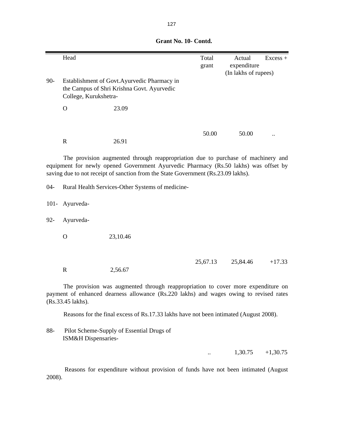|       | Head                  |                                                                                            | Total<br>grant | Actual<br>expenditure | $Excess +$ |
|-------|-----------------------|--------------------------------------------------------------------------------------------|----------------|-----------------------|------------|
| $90-$ | College, Kurukshetra- | Establishment of Govt. Ayurvedic Pharmacy in<br>the Campus of Shri Krishna Govt. Ayurvedic |                | (In lakhs of rupees)  |            |
|       | O                     | 23.09                                                                                      |                |                       |            |
|       | R                     | 26.91                                                                                      | 50.00          | 50.00                 | $\ddotsc$  |

The provision augmented through reappropriation due to purchase of machinery and equipment for newly opened Government Ayurvedic Pharmacy (Rs.50 lakhs) was offset by saving due to not receipt of sanction from the State Government (Rs.23.09 lakhs).

04- Rural Health Services-Other Systems of medicine-

101- Ayurveda-

92- Ayurveda-

O 23,10.46

25,67.13 25,84.46 +17.33

R 2,56.67

The provision was augmented through reappropriation to cover more expenditure on payment of enhanced dearness allowance (Rs.220 lakhs) and wages owing to revised rates (Rs.33.45 lakhs).

Reasons for the final excess of Rs.17.33 lakhs have not been intimated (August 2008).

88- Pilot Scheme-Supply of Essential Drugs of ISM&H Dispensaries-

 $\ldots$  1,30.75 +1,30.75

Reasons for expenditure without provision of funds have not been intimated (August 2008).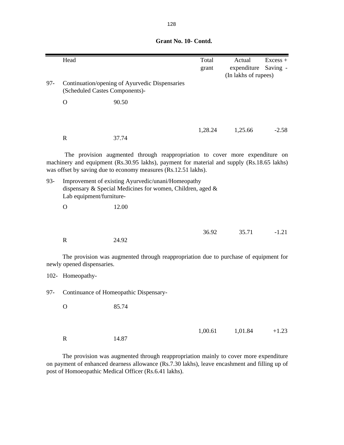|  | Grant No. 10- Contd. |  |
|--|----------------------|--|
|  |                      |  |
|  |                      |  |
|  |                      |  |
|  |                      |  |

|        | Head                           |                                                                                                                                                                                                                                              | Total   | Actual               | $Excess +$ |
|--------|--------------------------------|----------------------------------------------------------------------------------------------------------------------------------------------------------------------------------------------------------------------------------------------|---------|----------------------|------------|
|        |                                |                                                                                                                                                                                                                                              | grant   | expenditure          | Saving -   |
|        |                                |                                                                                                                                                                                                                                              |         | (In lakhs of rupees) |            |
| $97 -$ | (Scheduled Castes Components)- | Continuation/opening of Ayurvedic Dispensaries                                                                                                                                                                                               |         |                      |            |
|        | $\mathbf O$                    | 90.50                                                                                                                                                                                                                                        |         |                      |            |
|        |                                |                                                                                                                                                                                                                                              |         |                      |            |
|        |                                |                                                                                                                                                                                                                                              | 1,28.24 | 1,25.66              | $-2.58$    |
|        | $\mathbf R$                    | 37.74                                                                                                                                                                                                                                        |         |                      |            |
|        |                                | The provision augmented through reappropriation to cover more expenditure on<br>machinery and equipment (Rs.30.95 lakhs), payment for material and supply (Rs.18.65 lakhs)<br>was offset by saving due to economy measures (Rs.12.51 lakhs). |         |                      |            |
| $93 -$ | Lab equipment/furniture-       | Improvement of existing Ayurvedic/unani/Homeopathy<br>dispensary & Special Medicines for women, Children, aged &                                                                                                                             |         |                      |            |
|        | $\mathbf{O}$                   | 12.00                                                                                                                                                                                                                                        |         |                      |            |
|        |                                |                                                                                                                                                                                                                                              |         |                      |            |
|        |                                |                                                                                                                                                                                                                                              | 36.92   | 35.71                | $-1.21$    |
|        | $\mathbf R$                    | 24.92                                                                                                                                                                                                                                        |         |                      |            |
|        | newly opened dispensaries.     | The provision was augmented through reappropriation due to purchase of equipment for                                                                                                                                                         |         |                      |            |
|        | 102- Homeopathy-               |                                                                                                                                                                                                                                              |         |                      |            |
| $97 -$ |                                | Continuance of Homeopathic Dispensary-                                                                                                                                                                                                       |         |                      |            |
|        | $\mathbf O$                    | 85.74                                                                                                                                                                                                                                        |         |                      |            |
|        |                                |                                                                                                                                                                                                                                              |         |                      |            |
|        |                                |                                                                                                                                                                                                                                              | 1,00.61 | 1,01.84              | $+1.23$    |
|        | $\mathbf R$                    | 14.87                                                                                                                                                                                                                                        |         |                      |            |

The provision was augmented through reappropriation mainly to cover more expenditure on payment of enhanced dearness allowance (Rs.7.30 lakhs), leave encashment and filling up of post of Homoeopathic Medical Officer (Rs.6.41 lakhs).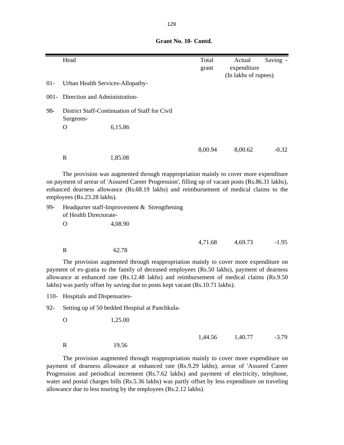|         | Head                             |                                                                                                                                                                                                                                                                                       | Total   | Actual               | Saving - |
|---------|----------------------------------|---------------------------------------------------------------------------------------------------------------------------------------------------------------------------------------------------------------------------------------------------------------------------------------|---------|----------------------|----------|
|         |                                  |                                                                                                                                                                                                                                                                                       | grant   | expenditure          |          |
|         |                                  |                                                                                                                                                                                                                                                                                       |         | (In lakhs of rupees) |          |
| $01 -$  | Urban Health Services-Allopathy- |                                                                                                                                                                                                                                                                                       |         |                      |          |
| $001 -$ | Direction and Administration-    |                                                                                                                                                                                                                                                                                       |         |                      |          |
| 98-     | Surgeons-                        | District Staff-Continuation of Staff for Civil                                                                                                                                                                                                                                        |         |                      |          |
|         | O                                | 6,15.86                                                                                                                                                                                                                                                                               |         |                      |          |
|         |                                  |                                                                                                                                                                                                                                                                                       |         |                      |          |
|         |                                  |                                                                                                                                                                                                                                                                                       | 8,00.94 | 8,00.62              | $-0.32$  |
|         | $\mathbf R$                      | 1,85.08                                                                                                                                                                                                                                                                               |         |                      |          |
|         | employees (Rs.23.28 lakhs).      | The provision was augmented through reappropriation mainly to cover more expenditure<br>on payment of arrear of 'Assured Career Progression', filling up of vacant posts (Rs.86.31 lakhs),<br>enhanced dearness allowance (Rs.68.19 lakhs) and reimbursement of medical claims to the |         |                      |          |
| 99-     | of Health Directorate-           | Headqurter staff-Improvement & Strengthening                                                                                                                                                                                                                                          |         |                      |          |
|         | $\Omega$                         | 4,08.90                                                                                                                                                                                                                                                                               |         |                      |          |
|         |                                  |                                                                                                                                                                                                                                                                                       | 4,71.68 | 4,69.73              | $-1.95$  |
|         | $\mathbf R$                      | 62.78                                                                                                                                                                                                                                                                                 |         |                      |          |
|         |                                  | The provision augmented through reappropriation mainly to cover more expenditure on<br>payment of ex-gratia to the family of deceased employees (Rs.50 lakhs), payment of dearness<br>allowance at enhanced rate (Rs.12.48 lakhs) and reimbursement of medical claims (Rs.9.50        |         |                      |          |

110- Hospitals and Dispensaries-

92- Setting up of 50 bedded Hospital at Panchkula-

lakhs) was partly offset by saving due to posts kept vacant (Rs.10.71 lakhs).

O 1,25.00

 1,44.56 1,40.77 -3.79 R 19.56

The provision augmented through reappropriation mainly to cover more expenditure on payment of dearness allowance at enhanced rate (Rs.9.29 lakhs), arrear of 'Assured Career Progression and periodical increment (Rs.7.62 lakhs) and payment of electricity, telephone, water and postal charges bills (Rs.5.36 lakhs) was partly offset by less expenditure on traveling allowance due to less touring by the employees (Rs.2.12 lakhs).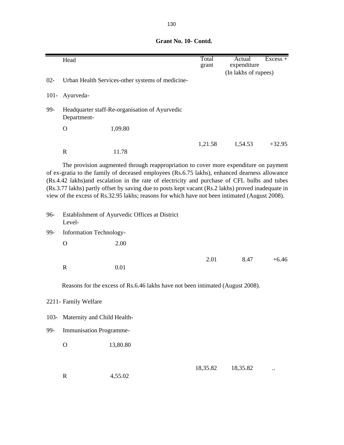|         | Head                           |                                                                                                                                                                                                                                                                                                                                                                                                                                                          | Total<br>grant | Actual<br>expenditure | $Excess +$ |
|---------|--------------------------------|----------------------------------------------------------------------------------------------------------------------------------------------------------------------------------------------------------------------------------------------------------------------------------------------------------------------------------------------------------------------------------------------------------------------------------------------------------|----------------|-----------------------|------------|
| $02 -$  |                                | Urban Health Services-other systems of medicine-                                                                                                                                                                                                                                                                                                                                                                                                         |                | (In lakhs of rupees)  |            |
|         |                                |                                                                                                                                                                                                                                                                                                                                                                                                                                                          |                |                       |            |
| $101 -$ | Ayurveda-                      |                                                                                                                                                                                                                                                                                                                                                                                                                                                          |                |                       |            |
| 99-     | Department-                    | Headquarter staff-Re-organisation of Ayurvedic                                                                                                                                                                                                                                                                                                                                                                                                           |                |                       |            |
|         | $\mathbf{O}$                   | 1,09.80                                                                                                                                                                                                                                                                                                                                                                                                                                                  |                |                       |            |
|         |                                |                                                                                                                                                                                                                                                                                                                                                                                                                                                          | 1,21.58        | 1,54.53               | $+32.95$   |
|         | $\mathbb{R}$                   | 11.78                                                                                                                                                                                                                                                                                                                                                                                                                                                    |                |                       |            |
| 96-     |                                | of ex-gratia to the family of deceased employees (Rs.6.75 lakhs), enhanced dearness allowance<br>(Rs.4.42 lakhs) and escalation in the rate of electricity and purchase of CFL bulbs and tubes<br>(Rs.3.77 lakhs) partly offset by saving due to posts kept vacant (Rs.2 lakhs) proved inadequate in<br>view of the excess of Rs.32.95 lakhs; reasons for which have not been intimated (August 2008).<br>Establishment of Ayurvedic Offices at District |                |                       |            |
|         | Level-                         |                                                                                                                                                                                                                                                                                                                                                                                                                                                          |                |                       |            |
| 99-     | Information Technology-        |                                                                                                                                                                                                                                                                                                                                                                                                                                                          |                |                       |            |
|         | $\mathbf{O}$                   | 2.00                                                                                                                                                                                                                                                                                                                                                                                                                                                     |                |                       |            |
|         | $\mathbb{R}$                   | 0.01                                                                                                                                                                                                                                                                                                                                                                                                                                                     | 2.01           | 8.47                  | $+6.46$    |
|         |                                | Reasons for the excess of Rs.6.46 lakhs have not been intimated (August 2008).                                                                                                                                                                                                                                                                                                                                                                           |                |                       |            |
|         | 2211- Family Welfare           |                                                                                                                                                                                                                                                                                                                                                                                                                                                          |                |                       |            |
| $103 -$ | Maternity and Child Health-    |                                                                                                                                                                                                                                                                                                                                                                                                                                                          |                |                       |            |
| 99-     | <b>Immunisation Programme-</b> |                                                                                                                                                                                                                                                                                                                                                                                                                                                          |                |                       |            |
|         | $\mathbf O$                    | 13,80.80                                                                                                                                                                                                                                                                                                                                                                                                                                                 |                |                       |            |
|         | $\mathbf R$                    | 4,55.02                                                                                                                                                                                                                                                                                                                                                                                                                                                  | 18,35.82       | 18,35.82              |            |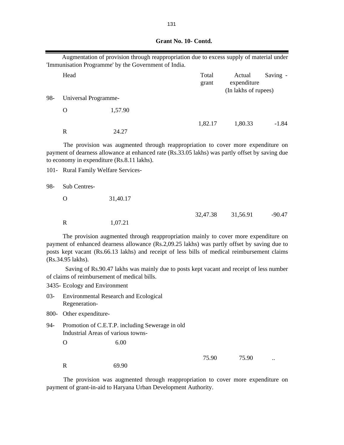|  |  | Grant No. 10- Contd. |  |
|--|--|----------------------|--|
|  |  |                      |  |
|  |  |                      |  |
|  |  |                      |  |
|  |  |                      |  |
|  |  |                      |  |

|     |                                     | Augmentation of provision through reappropriation due to excess supply of material under<br>'Immunisation Programme' by the Government of India.                                                                                                                                    |                |                                               |          |
|-----|-------------------------------------|-------------------------------------------------------------------------------------------------------------------------------------------------------------------------------------------------------------------------------------------------------------------------------------|----------------|-----------------------------------------------|----------|
|     | Head                                |                                                                                                                                                                                                                                                                                     | Total<br>grant | Actual<br>expenditure<br>(In lakhs of rupees) | Saving - |
| 98- | Universal Programme-                |                                                                                                                                                                                                                                                                                     |                |                                               |          |
|     | O                                   | 1,57.90                                                                                                                                                                                                                                                                             |                |                                               |          |
|     | $\mathbf R$                         | 24.27                                                                                                                                                                                                                                                                               | 1,82.17        | 1,80.33                                       | $-1.84$  |
|     |                                     | The provision was augmented through reappropriation to cover more expenditure on<br>payment of dearness allowance at enhanced rate (Rs.33.05 lakhs) was partly offset by saving due<br>to economy in expenditure (Rs.8.11 lakhs).                                                   |                |                                               |          |
|     | 101- Rural Family Welfare Services- |                                                                                                                                                                                                                                                                                     |                |                                               |          |
| 98- | Sub Centres-                        |                                                                                                                                                                                                                                                                                     |                |                                               |          |
|     | O                                   | 31,40.17                                                                                                                                                                                                                                                                            |                |                                               |          |
|     | $\mathbf R$                         | 1,07.21                                                                                                                                                                                                                                                                             | 32,47.38       | 31,56.91                                      | $-90.47$ |
|     | (Rs.34.95 lakhs).                   | The provision augmented through reappropriation mainly to cover more expenditure on<br>payment of enhanced dearness allowance (Rs.2,09.25 lakhs) was partly offset by saving due to<br>posts kept vacant (Rs.66.13 lakhs) and receipt of less bills of medical reimbursement claims |                |                                               |          |

Saving of Rs.90.47 lakhs was mainly due to posts kept vacant and receipt of less number of claims of reimbursement of medical bills.

3435- Ecology and Environment

- 03- Environmental Research and Ecological Regeneration-
- 800- Other expenditure-
- 94- Promotion of C.E.T.P. including Sewerage in old Industrial Areas of various towns- .
	- O 6.00

75.90 75.90 ..

R 69.90

The provision was augmented through reappropriation to cover more expenditure on payment of grant-in-aid to Haryana Urban Development Authority.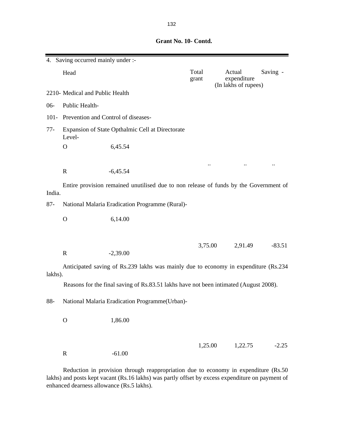|         | 4. Saving occurred mainly under :-       |                                                                                       |                |                                               |          |
|---------|------------------------------------------|---------------------------------------------------------------------------------------|----------------|-----------------------------------------------|----------|
|         | Head                                     |                                                                                       | Total<br>grant | Actual<br>expenditure<br>(In lakhs of rupees) | Saving - |
|         | 2210- Medical and Public Health          |                                                                                       |                |                                               |          |
| $06-$   | Public Health-                           |                                                                                       |                |                                               |          |
|         | 101- Prevention and Control of diseases- |                                                                                       |                |                                               |          |
| $77-$   | Level-                                   | Expansion of State Opthalmic Cell at Directorate                                      |                |                                               |          |
|         | $\mathbf{O}$                             | 6,45.54                                                                               |                |                                               |          |
|         |                                          |                                                                                       |                |                                               |          |
|         | $\mathbf R$                              | $-6,45.54$                                                                            |                |                                               |          |
| India.  |                                          | Entire provision remained unutilised due to non release of funds by the Government of |                |                                               |          |
| $87 -$  |                                          | National Malaria Eradication Programme (Rural)-                                       |                |                                               |          |
|         | $\mathbf O$                              | 6,14.00                                                                               |                |                                               |          |
|         | $\mathbf R$                              | $-2,39.00$                                                                            | 3,75.00        | 2,91.49                                       | $-83.51$ |
| lakhs). |                                          | Anticipated saving of Rs.239 lakhs was mainly due to economy in expenditure (Rs.234)  |                |                                               |          |
|         |                                          | Reasons for the final saving of Rs.83.51 lakhs have not been intimated (August 2008). |                |                                               |          |
| 88-     |                                          | National Malaria Eradication Programme(Urban)-                                        |                |                                               |          |
|         | $\mathbf{O}$                             | 1,86.00                                                                               |                |                                               |          |
|         | $\mathbf R$                              | $-61.00$                                                                              | 1,25.00        | 1,22.75                                       | $-2.25$  |

Reduction in provision through reappropriation due to economy in expenditure (Rs.50 lakhs) and posts kept vacant (Rs.16 lakhs) was partly offset by excess expenditure on payment of enhanced dearness allowance (Rs.5 lakhs).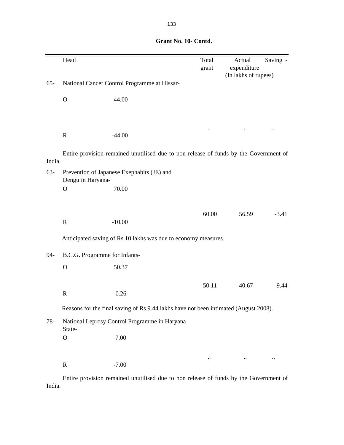|        | Head                          |                                                                                       | Total<br>grant | Actual<br>expenditure<br>(In lakhs of rupees) | Saving - |
|--------|-------------------------------|---------------------------------------------------------------------------------------|----------------|-----------------------------------------------|----------|
| $65 -$ |                               | National Cancer Control Programme at Hissar-                                          |                |                                               |          |
|        | $\mathbf O$                   | 44.00                                                                                 |                |                                               |          |
|        |                               |                                                                                       |                |                                               |          |
|        | $\mathbf R$                   | $-44.00$                                                                              |                |                                               |          |
| India. |                               | Entire provision remained unutilised due to non release of funds by the Government of |                |                                               |          |
| $63-$  | Dengu in Haryana-             | Prevention of Japanese Exephabits (JE) and                                            |                |                                               |          |
|        | $\mathbf{O}$                  | 70.00                                                                                 |                |                                               |          |
|        |                               |                                                                                       | 60.00          | 56.59                                         | $-3.41$  |
|        | $\mathbf R$                   | $-10.00$                                                                              |                |                                               |          |
|        |                               | Anticipated saving of Rs.10 lakhs was due to economy measures.                        |                |                                               |          |
| 94-    | B.C.G. Programme for Infants- |                                                                                       |                |                                               |          |
|        | $\mathbf O$                   | 50.37                                                                                 |                |                                               |          |
|        |                               |                                                                                       | 50.11          | 40.67                                         | $-9.44$  |
|        | $\mathbf R$                   | $-0.26$                                                                               |                |                                               |          |
|        |                               | Reasons for the final saving of Rs.9.44 lakhs have not been intimated (August 2008).  |                |                                               |          |
| $78-$  | State-                        | National Leprosy Control Programme in Haryana                                         |                |                                               |          |
|        | $\mathbf O$                   | 7.00                                                                                  |                |                                               |          |
|        |                               |                                                                                       |                |                                               |          |
|        | $\mathbf R$                   | $-7.00$                                                                               |                |                                               |          |

Entire provision remained unutilised due to non release of funds by the Government of India.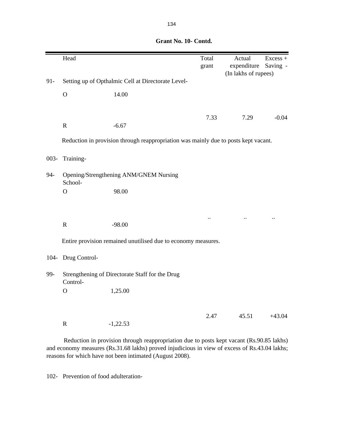|         | Head           |                                                                                     | Total<br>grant            | Actual<br>expenditure<br>(In lakhs of rupees) | Excess +<br>Saving - |
|---------|----------------|-------------------------------------------------------------------------------------|---------------------------|-----------------------------------------------|----------------------|
| $91 -$  |                | Setting up of Opthalmic Cell at Directorate Level-                                  |                           |                                               |                      |
|         | $\mathbf O$    | 14.00                                                                               |                           |                                               |                      |
|         |                |                                                                                     | 7.33                      | 7.29                                          | $-0.04$              |
|         | ${\bf R}$      | $-6.67$                                                                             |                           |                                               |                      |
|         |                | Reduction in provision through reappropriation was mainly due to posts kept vacant. |                           |                                               |                      |
| $003 -$ | Training-      |                                                                                     |                           |                                               |                      |
| 94-     | School-        | Opening/Strengthening ANM/GNEM Nursing                                              |                           |                                               |                      |
|         | $\overline{O}$ | 98.00                                                                               |                           |                                               |                      |
|         |                |                                                                                     | $\ddot{\phantom{0}}\cdot$ | $\ddot{\phantom{0}}$                          | $\ddot{\phantom{0}}$ |
|         | $\mathbf R$    | $-98.00$                                                                            |                           |                                               |                      |
|         |                | Entire provision remained unutilised due to economy measures.                       |                           |                                               |                      |
| $104 -$ | Drug Control-  |                                                                                     |                           |                                               |                      |
| 99-     | Control-       | Strengthening of Directorate Staff for the Drug                                     |                           |                                               |                      |
|         | $\mathbf O$    | 1,25.00                                                                             |                           |                                               |                      |
|         |                |                                                                                     | 2.47                      | 45.51                                         | $+43.04$             |
|         | ${\bf R}$      | $-1,22.53$                                                                          |                           |                                               |                      |

Reduction in provision through reappropriation due to posts kept vacant (Rs.90.85 lakhs) and economy measures (Rs.31.68 lakhs) proved injudicious in view of excess of Rs.43.04 lakhs; reasons for which have not been intimated (August 2008).

102- Prevention of food adulteration-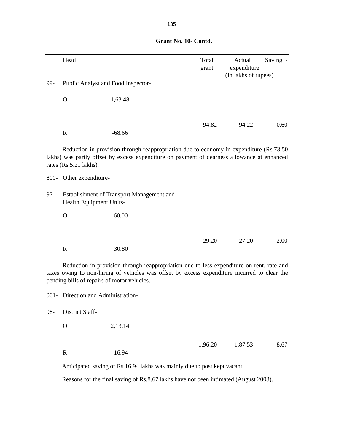| Grant No. 10- Contd. |
|----------------------|
|                      |

|                                                                                                                                                                                                                                         | Head                               |                                                                                                                                                                                        | Total   | Actual                              | Saving - |  |
|-----------------------------------------------------------------------------------------------------------------------------------------------------------------------------------------------------------------------------------------|------------------------------------|----------------------------------------------------------------------------------------------------------------------------------------------------------------------------------------|---------|-------------------------------------|----------|--|
|                                                                                                                                                                                                                                         |                                    |                                                                                                                                                                                        | grant   | expenditure<br>(In lakhs of rupees) |          |  |
| 99-                                                                                                                                                                                                                                     | Public Analyst and Food Inspector- |                                                                                                                                                                                        |         |                                     |          |  |
|                                                                                                                                                                                                                                         |                                    |                                                                                                                                                                                        |         |                                     |          |  |
|                                                                                                                                                                                                                                         | $\mathbf{O}$                       | 1,63.48                                                                                                                                                                                |         |                                     |          |  |
|                                                                                                                                                                                                                                         |                                    |                                                                                                                                                                                        |         |                                     |          |  |
|                                                                                                                                                                                                                                         |                                    |                                                                                                                                                                                        | 94.82   | 94.22                               | $-0.60$  |  |
|                                                                                                                                                                                                                                         | $\mathbf R$                        | $-68.66$                                                                                                                                                                               |         |                                     |          |  |
|                                                                                                                                                                                                                                         | rates (Rs.5.21 lakhs).             | Reduction in provision through reappropriation due to economy in expenditure (Rs.73.50)<br>lakhs) was partly offset by excess expenditure on payment of dearness allowance at enhanced |         |                                     |          |  |
|                                                                                                                                                                                                                                         | 800- Other expenditure-            |                                                                                                                                                                                        |         |                                     |          |  |
| $97 -$                                                                                                                                                                                                                                  | Health Equipment Units-            | Establishment of Transport Management and                                                                                                                                              |         |                                     |          |  |
|                                                                                                                                                                                                                                         | $\mathbf O$                        | 60.00                                                                                                                                                                                  |         |                                     |          |  |
|                                                                                                                                                                                                                                         |                                    |                                                                                                                                                                                        |         |                                     |          |  |
|                                                                                                                                                                                                                                         |                                    |                                                                                                                                                                                        | 29.20   | 27.20                               | $-2.00$  |  |
|                                                                                                                                                                                                                                         | $\mathbf R$                        | $-30.80$                                                                                                                                                                               |         |                                     |          |  |
| Reduction in provision through reappropriation due to less expenditure on rent, rate and<br>taxes owing to non-hiring of vehicles was offset by excess expenditure incurred to clear the<br>pending bills of repairs of motor vehicles. |                                    |                                                                                                                                                                                        |         |                                     |          |  |
|                                                                                                                                                                                                                                         | 001- Direction and Administration- |                                                                                                                                                                                        |         |                                     |          |  |
| 98-                                                                                                                                                                                                                                     | District Staff-                    |                                                                                                                                                                                        |         |                                     |          |  |
|                                                                                                                                                                                                                                         | $\mathbf{O}$                       | 2,13.14                                                                                                                                                                                |         |                                     |          |  |
|                                                                                                                                                                                                                                         |                                    |                                                                                                                                                                                        | 1,96.20 | 1,87.53                             | $-8.67$  |  |
|                                                                                                                                                                                                                                         | $\mathbf R$                        | $-16.94$                                                                                                                                                                               |         |                                     |          |  |
|                                                                                                                                                                                                                                         |                                    | Anticipated saving of Rs.16.94 lakhs was mainly due to post kept vacant.                                                                                                               |         |                                     |          |  |

Reasons for the final saving of Rs.8.67 lakhs have not been intimated (August 2008).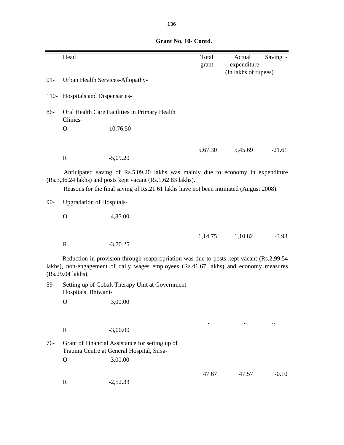|        |                                  | Grant No. 10- Contd.                                                                                                                                                                                                                     |                |                                               |          |
|--------|----------------------------------|------------------------------------------------------------------------------------------------------------------------------------------------------------------------------------------------------------------------------------------|----------------|-----------------------------------------------|----------|
|        | Head                             |                                                                                                                                                                                                                                          | Total<br>grant | Actual<br>expenditure<br>(In lakhs of rupees) | Saving - |
| $01 -$ | Urban Health Services-Allopathy- |                                                                                                                                                                                                                                          |                |                                               |          |
| $110-$ | Hospitals and Dispensaries-      |                                                                                                                                                                                                                                          |                |                                               |          |
| 86-    | Clinics-                         | Oral Health Care Facilities in Primary Health                                                                                                                                                                                            |                |                                               |          |
|        | O                                | 10,76.50                                                                                                                                                                                                                                 |                |                                               |          |
|        | $\mathbf R$                      | $-5,09.20$                                                                                                                                                                                                                               | 5,67.30        | 5,45.69                                       | $-21.61$ |
|        |                                  | Anticipated saving of Rs.5,09.20 lakhs was mainly due to economy in expenditure<br>(Rs.3,36.24 lakhs) and posts kept vacant (Rs.1,62.83 lakhs).<br>Reasons for the final saving of Rs.21.61 lakhs have not been intimated (August 2008). |                |                                               |          |
| $90-$  | <b>Upgradation of Hospitals-</b> |                                                                                                                                                                                                                                          |                |                                               |          |
|        | $\mathbf{O}$                     | 4,85.00                                                                                                                                                                                                                                  |                |                                               |          |
|        | $\mathbf R$                      | $-3,70.25$                                                                                                                                                                                                                               | 1,14.75        | 1,10.82                                       | $-3.93$  |
|        | (Rs.29.04 lakhs).                | Reduction in provision through reappropriation was due to posts kept vacant (Rs.2,99.54)<br>lakhs), non-engagement of daily wages employees (Rs.41.67 lakhs) and economy measures                                                        |                |                                               |          |
| 59-    | Hospitals, Bhiwani-              | Setting up of Cobalt Therapy Unit at Government                                                                                                                                                                                          |                |                                               |          |
|        | $\mathbf{O}$                     | 3,00.00                                                                                                                                                                                                                                  |                |                                               |          |
| $76-$  | $\mathbf R$                      | $-3,00.00$                                                                                                                                                                                                                               |                |                                               |          |
|        |                                  | Grant of Financial Assistance for setting up of<br>Trauma Centre at General Hospital, Sirsa-                                                                                                                                             |                |                                               |          |
|        | $\mathbf{O}$                     | 3,00.00                                                                                                                                                                                                                                  |                |                                               |          |

R -2,52.33

47.67 47.57 -0.10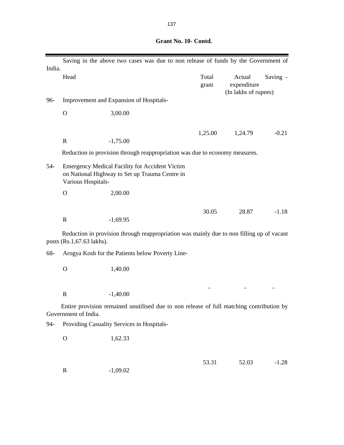| India. |                           | Saving in the above two cases was due to non release of funds by the Government of                      |                |                                               |          |
|--------|---------------------------|---------------------------------------------------------------------------------------------------------|----------------|-----------------------------------------------|----------|
|        | Head                      |                                                                                                         | Total<br>grant | Actual<br>expenditure<br>(In lakhs of rupees) | Saving - |
| 96-    |                           | Improvement and Expansion of Hospitals-                                                                 |                |                                               |          |
|        | $\mathbf O$               | 3,00.00                                                                                                 |                |                                               |          |
|        |                           |                                                                                                         | 1,25.00        | 1,24.79                                       | $-0.21$  |
|        | $\mathbf R$               | $-1,75.00$                                                                                              |                |                                               |          |
|        |                           | Reduction in provision through reappropriation was due to economy measures.                             |                |                                               |          |
| $54-$  | Various Hospitals-        | <b>Emergency Medical Facility for Accident Victim</b><br>on National Highway to Set up Trauma Centre in |                |                                               |          |
|        | $\Omega$                  | 2,00.00                                                                                                 |                |                                               |          |
|        |                           |                                                                                                         | 30.05          | 28.87                                         | $-1.18$  |
|        | $\mathbf R$               | $-1,69.95$                                                                                              |                |                                               |          |
|        | posts (Rs.1,67.63 lakhs). | Reduction in provision through reappropriation was mainly due to non filling up of vacant               |                |                                               |          |
| 68-    |                           | Arogya Kosh for the Patients below Poverty Line-                                                        |                |                                               |          |
|        | $\mathbf{O}$              | 1,40.00                                                                                                 |                |                                               |          |
|        |                           |                                                                                                         |                |                                               |          |
|        | $\mathbb{R}$              | $-1,40.00$                                                                                              |                |                                               |          |
|        | Government of India.      | Entire provision remained unutilised due to non release of full matching contribution by                |                |                                               |          |
| $94-$  |                           | Providing Casuality Services in Hospitals-                                                              |                |                                               |          |
|        | $\mathbf O$               | 1,62.33                                                                                                 |                |                                               |          |
|        |                           |                                                                                                         | 53.31          | 52.03                                         | $-1.28$  |
|        | $\mathbf R$               | $-1,09.02$                                                                                              |                |                                               |          |
|        |                           |                                                                                                         |                |                                               |          |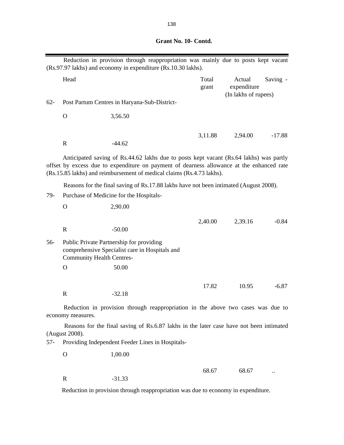| Grant No. 10- Contd. |
|----------------------|
|                      |
|                      |
|                      |

|        |                                                                                       | Reduction in provision through reappropriation was mainly due to posts kept vacant<br>(Rs.97.97 lakhs) and economy in expenditure (Rs.10.30 lakhs).                                                                                                          |                |                                               |          |  |  |
|--------|---------------------------------------------------------------------------------------|--------------------------------------------------------------------------------------------------------------------------------------------------------------------------------------------------------------------------------------------------------------|----------------|-----------------------------------------------|----------|--|--|
|        | Head                                                                                  |                                                                                                                                                                                                                                                              | Total<br>grant | Actual<br>expenditure<br>(In lakhs of rupees) | Saving - |  |  |
| $62 -$ |                                                                                       | Post Partum Centres in Haryana-Sub-District-                                                                                                                                                                                                                 |                |                                               |          |  |  |
|        | $\mathbf{O}$                                                                          | 3,56.50                                                                                                                                                                                                                                                      |                |                                               |          |  |  |
|        | $\mathbf R$                                                                           | $-44.62$                                                                                                                                                                                                                                                     | 3,11.88        | 2,94.00                                       | $-17.88$ |  |  |
|        |                                                                                       | Anticipated saving of Rs.44.62 lakhs due to posts kept vacant (Rs.64 lakhs) was partly<br>offset by excess due to expenditure on payment of dearness allowance at the enhanced rate<br>(Rs.15.85 lakhs) and reimbursement of medical claims (Rs.4.73 lakhs). |                |                                               |          |  |  |
|        | Reasons for the final saving of Rs.17.88 lakhs have not been intimated (August 2008). |                                                                                                                                                                                                                                                              |                |                                               |          |  |  |
| 79-    | Purchase of Medicine for the Hospitals-                                               |                                                                                                                                                                                                                                                              |                |                                               |          |  |  |
|        | $\mathbf{O}$                                                                          | 2,90.00                                                                                                                                                                                                                                                      |                |                                               |          |  |  |
|        | $\mathbf R$                                                                           | $-50.00$                                                                                                                                                                                                                                                     | 2,40.00        | 2,39.16                                       | $-0.84$  |  |  |
| 56-    | <b>Community Health Centres-</b>                                                      | Public Private Partnership for providing<br>comprehensive Specialist care in Hospitals and                                                                                                                                                                   |                |                                               |          |  |  |
|        | $\mathbf{O}$                                                                          | 50.00                                                                                                                                                                                                                                                        |                |                                               |          |  |  |
|        |                                                                                       |                                                                                                                                                                                                                                                              | 17.82          | 10.95                                         | $-6.87$  |  |  |
|        | $\mathbf R$                                                                           | $-32.18$                                                                                                                                                                                                                                                     |                |                                               |          |  |  |
|        | economy measures.                                                                     | Reduction in provision through reappropriation in the above two cases was due to                                                                                                                                                                             |                |                                               |          |  |  |
|        | (August 2008).                                                                        | Reasons for the final saving of Rs.6.87 lakhs in the later case have not been intimated                                                                                                                                                                      |                |                                               |          |  |  |
| 57-    |                                                                                       | Providing Independent Feeder Lines in Hospitals-                                                                                                                                                                                                             |                |                                               |          |  |  |
|        | $\mathbf{O}$                                                                          | 1,00.00                                                                                                                                                                                                                                                      |                |                                               |          |  |  |
|        | $\mathbf R$                                                                           | $-31.33$                                                                                                                                                                                                                                                     | 68.67          | 68.67                                         |          |  |  |

Reduction in provision through reappropriation was due to economy in expenditure.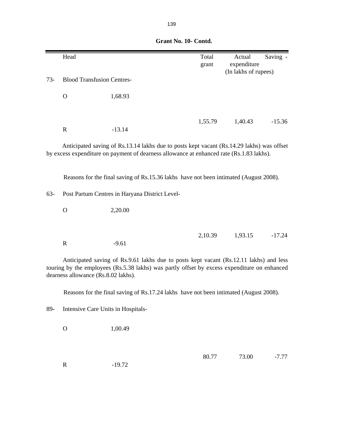|       | Head                                |                                                                                                                                                                                        | Total<br>grant | Actual<br>expenditure | Saving - |
|-------|-------------------------------------|----------------------------------------------------------------------------------------------------------------------------------------------------------------------------------------|----------------|-----------------------|----------|
|       |                                     |                                                                                                                                                                                        |                | (In lakhs of rupees)  |          |
| $73-$ | <b>Blood Transfusion Centres-</b>   |                                                                                                                                                                                        |                |                       |          |
|       | $\mathbf O$                         | 1,68.93                                                                                                                                                                                |                |                       |          |
|       | ${\bf R}$                           | $-13.14$                                                                                                                                                                               | 1,55.79        | 1,40.43               | $-15.36$ |
|       |                                     |                                                                                                                                                                                        |                |                       |          |
|       |                                     | Anticipated saving of Rs.13.14 lakhs due to posts kept vacant (Rs.14.29 lakhs) was offset<br>by excess expenditure on payment of dearness allowance at enhanced rate (Rs.1.83 lakhs).  |                |                       |          |
|       |                                     | Reasons for the final saving of Rs.15.36 lakhs have not been intimated (August 2008).                                                                                                  |                |                       |          |
| $63-$ |                                     | Post Partum Centres in Haryana District Level-                                                                                                                                         |                |                       |          |
|       | $\mathbf O$                         | 2,20.00                                                                                                                                                                                |                |                       |          |
|       |                                     |                                                                                                                                                                                        | 2,10.39        | 1,93.15               | $-17.24$ |
|       | ${\bf R}$                           | $-9.61$                                                                                                                                                                                |                |                       |          |
|       | dearness allowance (Rs.8.02 lakhs). | Anticipated saving of Rs.9.61 lakhs due to posts kept vacant (Rs.12.11 lakhs) and less<br>touring by the employees (Rs.5.38 lakhs) was partly offset by excess expenditure on enhanced |                |                       |          |
|       |                                     | Reasons for the final saving of Rs.17.24 lakhs have not been intimated (August 2008).                                                                                                  |                |                       |          |
| 89-   | Intensive Care Units in Hospitals-  |                                                                                                                                                                                        |                |                       |          |
|       | $\mathbf O$                         | 1,00.49                                                                                                                                                                                |                |                       |          |

80.77 73.00 -7.77

### **Grant No. 10- Contd.**

R -19.72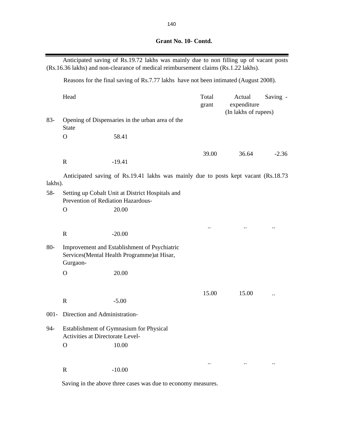| Grant No. 10- Contd. |
|----------------------|
|                      |

|         |                                                                                        | Anticipated saving of Rs.19.72 lakhs was mainly due to non filling up of vacant posts<br>(Rs.16.36 lakhs) and non-clearance of medical reimbursement claims (Rs.1.22 lakhs). |                        |                                               |           |  |
|---------|----------------------------------------------------------------------------------------|------------------------------------------------------------------------------------------------------------------------------------------------------------------------------|------------------------|-----------------------------------------------|-----------|--|
|         | Reasons for the final saving of Rs.7.77 lakhs have not been intimated (August 2008).   |                                                                                                                                                                              |                        |                                               |           |  |
|         | Head                                                                                   |                                                                                                                                                                              | Total<br>grant         | Actual<br>expenditure<br>(In lakhs of rupees) | Saving -  |  |
| $83 -$  | <b>State</b>                                                                           | Opening of Dispensaries in the urban area of the                                                                                                                             |                        |                                               |           |  |
|         | $\mathbf{O}$                                                                           | 58.41                                                                                                                                                                        |                        |                                               |           |  |
|         | $\mathbf R$                                                                            | $-19.41$                                                                                                                                                                     | 39.00                  | 36.64                                         | $-2.36$   |  |
| lakhs). |                                                                                        | Anticipated saving of Rs.19.41 lakhs was mainly due to posts kept vacant (Rs.18.73)                                                                                          |                        |                                               |           |  |
| $58 -$  | Setting up Cobalt Unit at District Hospitals and<br>Prevention of Rediation Hazardous- |                                                                                                                                                                              |                        |                                               |           |  |
|         | $\mathbf{O}$                                                                           | 20.00                                                                                                                                                                        |                        |                                               |           |  |
|         | $\mathbf R$                                                                            | $-20.00$                                                                                                                                                                     |                        |                                               |           |  |
| $80-$   | Gurgaon-                                                                               | Improvement and Establishment of Psychiatric<br>Services(Mental Health Programme) at Hisar,                                                                                  |                        |                                               |           |  |
|         | $\mathbf{O}$                                                                           | 20.00                                                                                                                                                                        |                        |                                               |           |  |
|         | $\mathbf R$                                                                            | $-5.00$                                                                                                                                                                      | 15.00                  | 15.00                                         | $\cdot$ . |  |
|         | 001- Direction and Administration-                                                     |                                                                                                                                                                              |                        |                                               |           |  |
| 94-     | Activities at Directorate Level-                                                       | Establishment of Gymnasium for Physical                                                                                                                                      |                        |                                               |           |  |
|         | $\mathbf{O}$                                                                           | 10.00                                                                                                                                                                        |                        |                                               |           |  |
|         | $\mathbf R$                                                                            | $-10.00$                                                                                                                                                                     | $\ddot{\phantom{a}}$ . |                                               |           |  |

Saving in the above three cases was due to economy measures.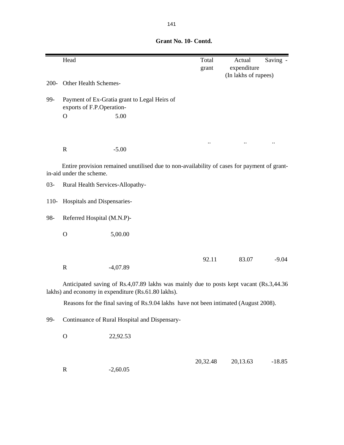|         | Head                                                                                                                                           |                                                                                             | Total<br>grant | Actual<br>expenditure | Saving - |  |
|---------|------------------------------------------------------------------------------------------------------------------------------------------------|---------------------------------------------------------------------------------------------|----------------|-----------------------|----------|--|
|         |                                                                                                                                                |                                                                                             |                | (In lakhs of rupees)  |          |  |
| $200 -$ | Other Health Schemes-                                                                                                                          |                                                                                             |                |                       |          |  |
| 99-     | exports of F.P.Operation-                                                                                                                      | Payment of Ex-Gratia grant to Legal Heirs of                                                |                |                       |          |  |
|         | $\mathbf O$                                                                                                                                    | 5.00                                                                                        |                |                       |          |  |
|         |                                                                                                                                                |                                                                                             |                |                       |          |  |
|         |                                                                                                                                                |                                                                                             |                |                       |          |  |
|         | $\mathbb{R}$                                                                                                                                   | $-5.00$                                                                                     |                |                       |          |  |
|         |                                                                                                                                                |                                                                                             |                |                       |          |  |
|         | in-aid under the scheme.                                                                                                                       | Entire provision remained unutilised due to non-availability of cases for payment of grant- |                |                       |          |  |
| $03 -$  | Rural Health Services-Allopathy-                                                                                                               |                                                                                             |                |                       |          |  |
|         |                                                                                                                                                |                                                                                             |                |                       |          |  |
| $110-$  | Hospitals and Dispensaries-                                                                                                                    |                                                                                             |                |                       |          |  |
| 98-     | Referred Hospital (M.N.P)-                                                                                                                     |                                                                                             |                |                       |          |  |
|         | $\Omega$                                                                                                                                       | 5,00.00                                                                                     |                |                       |          |  |
|         |                                                                                                                                                |                                                                                             |                |                       |          |  |
|         |                                                                                                                                                |                                                                                             | 92.11          | 83.07                 | $-9.04$  |  |
|         | $\mathbb{R}$                                                                                                                                   | $-4,07.89$                                                                                  |                |                       |          |  |
|         | Anticipated saving of Rs.4,07.89 lakhs was mainly due to posts kept vacant (Rs.3,44.36)<br>lakhs) and economy in expenditure (Rs.61.80 lakhs). |                                                                                             |                |                       |          |  |
|         |                                                                                                                                                | Reasons for the final saving of Rs.9.04 lakhs have not been intimated (August 2008).        |                |                       |          |  |
|         |                                                                                                                                                |                                                                                             |                |                       |          |  |
| 99-     |                                                                                                                                                | Continuance of Rural Hospital and Dispensary-                                               |                |                       |          |  |
|         | $\mathbf O$                                                                                                                                    | 22,92.53                                                                                    |                |                       |          |  |
|         |                                                                                                                                                |                                                                                             |                |                       |          |  |
|         |                                                                                                                                                |                                                                                             | 20,32.48       | 20,13.63              | $-18.85$ |  |
|         | $\mathbf R$                                                                                                                                    | $-2,60.05$                                                                                  |                |                       |          |  |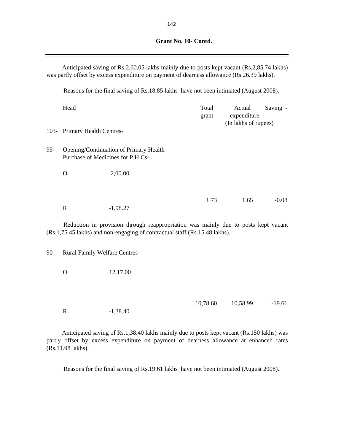|                                                                                                                                                                  | Anticipated saving of Rs.2,60.05 lakhs mainly due to posts kept vacant (Rs.2,85.74 lakhs)<br>was partly offset by excess expenditure on payment of dearness allowance (Rs.26.39 lakhs). |            |                |                                               |          |  |  |
|------------------------------------------------------------------------------------------------------------------------------------------------------------------|-----------------------------------------------------------------------------------------------------------------------------------------------------------------------------------------|------------|----------------|-----------------------------------------------|----------|--|--|
|                                                                                                                                                                  | Reasons for the final saving of Rs.18.85 lakhs have not been intimated (August 2008).                                                                                                   |            |                |                                               |          |  |  |
|                                                                                                                                                                  | Head                                                                                                                                                                                    |            | Total<br>grant | Actual<br>expenditure<br>(In lakhs of rupees) | Saving - |  |  |
| $103-$                                                                                                                                                           | Primary Health Centres-                                                                                                                                                                 |            |                |                                               |          |  |  |
| 99-                                                                                                                                                              | Opening/Continuation of Primary Health<br>Purchase of Medicines for P.H.Cs-                                                                                                             |            |                |                                               |          |  |  |
|                                                                                                                                                                  | $\mathbf O$                                                                                                                                                                             | 2,00.00    |                |                                               |          |  |  |
|                                                                                                                                                                  |                                                                                                                                                                                         |            |                |                                               |          |  |  |
|                                                                                                                                                                  | $\mathbf R$                                                                                                                                                                             | $-1,98.27$ | 1.73           | 1.65                                          | $-0.08$  |  |  |
| Reduction in provision through reappropriation was mainly due to posts kept vacant<br>(Rs.1,75.45 lakhs) and non-engaging of contractual staff (Rs.15.48 lakhs). |                                                                                                                                                                                         |            |                |                                               |          |  |  |
| $90 -$                                                                                                                                                           | <b>Rural Family Welfare Centres-</b>                                                                                                                                                    |            |                |                                               |          |  |  |
|                                                                                                                                                                  | $\Omega$                                                                                                                                                                                | 12,17.00   |                |                                               |          |  |  |
|                                                                                                                                                                  | $\mathbf R$                                                                                                                                                                             | $-1,38.40$ | 10,78.60       | 10,58.99                                      | $-19.61$ |  |  |

Anticipated saving of Rs.1,38.40 lakhs mainly due to posts kept vacant (Rs.150 lakhs) was partly offset by excess expenditure on payment of dearness allowance at enhanced rates (Rs.11.98 lakhs).

Reasons for the final saving of Rs.19.61 lakhs have not been intimated (August 2008).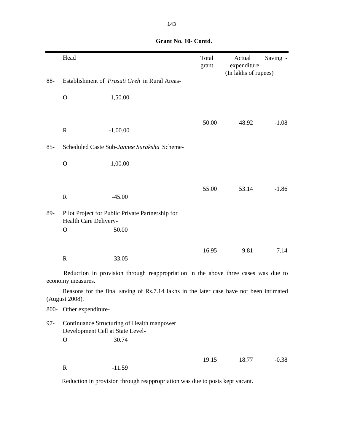|        | Head                    |                                                                                         | Total<br>grant | Actual<br>expenditure | Saving - |
|--------|-------------------------|-----------------------------------------------------------------------------------------|----------------|-----------------------|----------|
| 88-    |                         | Establishment of Prasuti Greh in Rural Areas-                                           |                | (In lakhs of rupees)  |          |
|        | $\mathbf{O}$            | 1,50.00                                                                                 |                |                       |          |
|        |                         |                                                                                         |                |                       |          |
|        | $\mathbf R$             | $-1,00.00$                                                                              | 50.00          | 48.92                 | $-1.08$  |
| $85-$  |                         | Scheduled Caste Sub-Jannee Suraksha Scheme-                                             |                |                       |          |
|        | $\mathbf{O}$            | 1,00.00                                                                                 |                |                       |          |
|        |                         |                                                                                         |                |                       |          |
|        | $\mathbf R$             | $-45.00$                                                                                | 55.00          | 53.14                 | $-1.86$  |
| 89-    | Health Care Delivery-   | Pilot Project for Public Private Partnership for                                        |                |                       |          |
|        | $\mathbf{O}$            | 50.00                                                                                   |                |                       |          |
|        |                         |                                                                                         | 16.95          | 9.81                  | $-7.14$  |
|        | $\mathbf R$             | $-33.05$                                                                                |                |                       |          |
|        | economy measures.       | Reduction in provision through reappropriation in the above three cases was due to      |                |                       |          |
|        | (August 2008).          | Reasons for the final saving of Rs.7.14 lakhs in the later case have not been intimated |                |                       |          |
|        | 800- Other expenditure- |                                                                                         |                |                       |          |
| $97 -$ |                         | Continuance Structuring of Health manpower<br>Development Cell at State Level-          |                |                       |          |
|        | $\mathbf{O}$            | 30.74                                                                                   |                |                       |          |
|        |                         |                                                                                         | 19.15          | 18.77                 | $-0.38$  |
|        | $\mathbf R$             | $-11.59$                                                                                |                |                       |          |

Reduction in provision through reappropriation was due to posts kept vacant.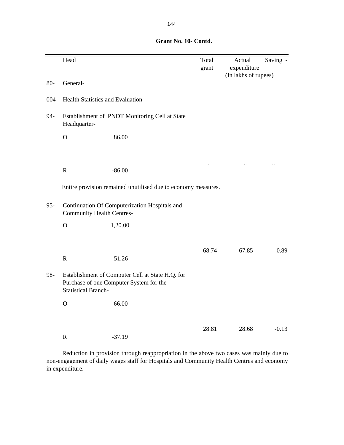|        | Head                                                                                                                      |                                                               | Total<br>grant       | Actual<br>expenditure | Saving -             |
|--------|---------------------------------------------------------------------------------------------------------------------------|---------------------------------------------------------------|----------------------|-----------------------|----------------------|
| $80-$  | General-                                                                                                                  |                                                               |                      | (In lakhs of rupees)  |                      |
| 004-   | Health Statistics and Evaluation-                                                                                         |                                                               |                      |                       |                      |
| 94-    | Headquarter-                                                                                                              | Establishment of PNDT Monitoring Cell at State                |                      |                       |                      |
|        | $\mathbf O$                                                                                                               | 86.00                                                         |                      |                       |                      |
|        |                                                                                                                           |                                                               |                      |                       |                      |
|        | $\mathbf R$                                                                                                               | $-86.00$                                                      | $\ddot{\phantom{a}}$ | $\ddot{\phantom{a}}$  | $\ddot{\phantom{a}}$ |
|        |                                                                                                                           | Entire provision remained unutilised due to economy measures. |                      |                       |                      |
| $95 -$ | Continuation Of Computerization Hospitals and<br><b>Community Health Centres-</b>                                         |                                                               |                      |                       |                      |
|        | $\mathbf O$                                                                                                               | 1,20.00                                                       |                      |                       |                      |
|        | ${\bf R}$                                                                                                                 | $-51.26$                                                      | 68.74                | 67.85                 | $-0.89$              |
| 98-    | Establishment of Computer Cell at State H.Q. for<br>Purchase of one Computer System for the<br><b>Statistical Branch-</b> |                                                               |                      |                       |                      |
|        | $\mathbf O$                                                                                                               | 66.00                                                         |                      |                       |                      |
|        |                                                                                                                           |                                                               | 28.81                | 28.68                 | $-0.13$              |
|        | $\mathbf R$                                                                                                               | $-37.19$                                                      |                      |                       |                      |

Reduction in provision through reappropriation in the above two cases was mainly due to non-engagement of daily wages staff for Hospitals and Community Health Centres and economy in expenditure.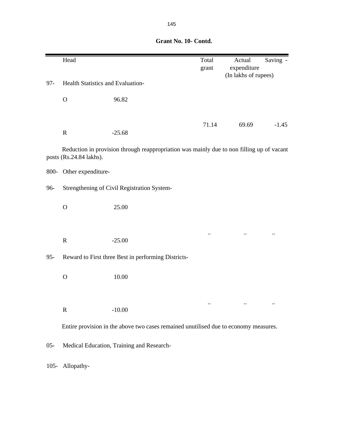|         | Head                              |                                                                                           | Total<br>grant | Actual<br>expenditure | Saving - |
|---------|-----------------------------------|-------------------------------------------------------------------------------------------|----------------|-----------------------|----------|
| $97 -$  | Health Statistics and Evaluation- |                                                                                           |                | (In lakhs of rupees)  |          |
|         | $\mathbf O$                       | 96.82                                                                                     |                |                       |          |
|         | $\mathbf R$                       | $-25.68$                                                                                  | 71.14          | 69.69                 | $-1.45$  |
|         | posts (Rs.24.84 lakhs).           | Reduction in provision through reappropriation was mainly due to non filling up of vacant |                |                       |          |
| 800-    | Other expenditure-                |                                                                                           |                |                       |          |
| 96-     |                                   | Strengthening of Civil Registration System-                                               |                |                       |          |
|         | $\mathbf O$                       | 25.00                                                                                     |                |                       |          |
|         | $\mathbf R$                       | $-25.00$                                                                                  |                |                       |          |
| $95 -$  |                                   | Reward to First three Best in performing Districts-                                       |                |                       |          |
|         | $\mathbf{O}$                      | 10.00                                                                                     |                |                       |          |
|         |                                   |                                                                                           |                |                       |          |
|         | $\mathbf R$                       | $-10.00$                                                                                  |                |                       |          |
|         |                                   | Entire provision in the above two cases remained unutilised due to economy measures.      |                |                       |          |
| $05 -$  |                                   | Medical Education, Training and Research-                                                 |                |                       |          |
| $105 -$ | Allopathy-                        |                                                                                           |                |                       |          |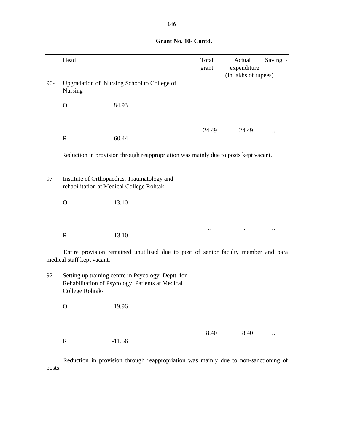|        | Head                       |                                                                                                       | Total | Actual |                      | Saving -             |
|--------|----------------------------|-------------------------------------------------------------------------------------------------------|-------|--------|----------------------|----------------------|
|        |                            |                                                                                                       | grant |        | expenditure          |                      |
|        |                            |                                                                                                       |       |        | (In lakhs of rupees) |                      |
| $90 -$ | Nursing-                   | Upgradation of Nursing School to College of                                                           |       |        |                      |                      |
|        | $\overline{O}$             | 84.93                                                                                                 |       |        |                      |                      |
|        |                            |                                                                                                       | 24.49 |        | 24.49                |                      |
|        | $\mathbf R$                | $-60.44$                                                                                              |       |        |                      |                      |
|        |                            | Reduction in provision through reappropriation was mainly due to posts kept vacant.                   |       |        |                      |                      |
| $97 -$ |                            | Institute of Orthopaedics, Traumatology and<br>rehabilitation at Medical College Rohtak-              |       |        |                      |                      |
|        | $\mathbf O$                | 13.10                                                                                                 |       |        |                      |                      |
|        |                            |                                                                                                       |       |        |                      |                      |
|        | ${\bf R}$                  | $-13.10$                                                                                              |       |        |                      |                      |
|        | medical staff kept vacant. | Entire provision remained unutilised due to post of senior faculty member and para                    |       |        |                      |                      |
| $92 -$ | College Rohtak-            | Setting up training centre in Psycology Deptt. for<br>Rehabilitation of Psycology Patients at Medical |       |        |                      |                      |
|        | $\mathbf{O}$               | 19.96                                                                                                 |       |        |                      |                      |
|        |                            |                                                                                                       |       |        |                      |                      |
|        | $\mathbf R$                | $-11.56$                                                                                              | 8.40  |        | 8.40                 | $\ddot{\phantom{a}}$ |

Reduction in provision through reappropriation was mainly due to non-sanctioning of posts.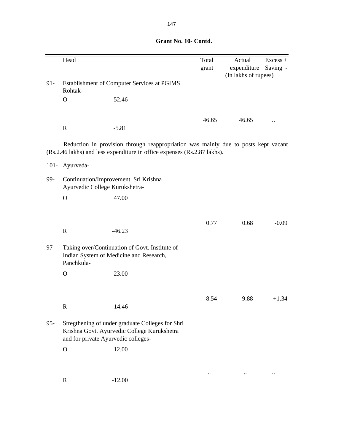Head Excess + grant expenditure Saving - (In lakhs of rupees) 91- Establishment of Computer Services at PGIMS Rohtak- . O 52.46 46.65 46.65 .. R -5.81 101- Ayurveda-99- Continuation/Improvement Sri Krishna Ayurvedic College Kurukshetra- O 47.00 0.77 0.68 -0.09 R  $-46.23$ 97- Taking over/Continuation of Govt. Institute of Indian System of Medicine and Research, Panchkula- O 23.00 8.54 9.88 +1.34 R  $-14.46$ 95- Stregthening of under graduate Colleges for Shri Krishna Govt. Ayurvedic College Kurukshetra and for private Ayurvedic colleges- O 12.00 .. .. .. R -12.00 Reduction in provision through reappropriation was mainly due to posts kept vacant (Rs.2.46 lakhs) and less expenditure in office expenses (Rs.2.87 lakhs).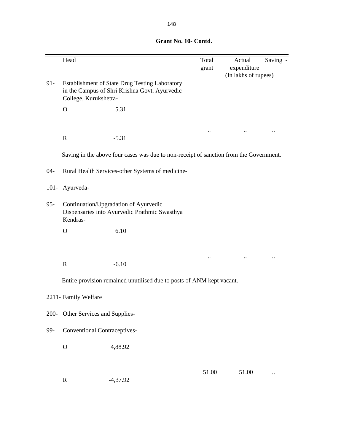|         | Head                                                                                               |                                                                                                 | Total<br>grant | Actual<br>expenditure | Saving - |  |
|---------|----------------------------------------------------------------------------------------------------|-------------------------------------------------------------------------------------------------|----------------|-----------------------|----------|--|
| $91 -$  | College, Kurukshetra-                                                                              | Establishment of State Drug Testing Laboratory<br>in the Campus of Shri Krishna Govt. Ayurvedic |                | (In lakhs of rupees)  |          |  |
|         | $\mathbf{O}$                                                                                       | 5.31                                                                                            |                |                       |          |  |
|         |                                                                                                    |                                                                                                 |                |                       |          |  |
|         | $\mathbf R$                                                                                        | $-5.31$                                                                                         |                |                       |          |  |
|         |                                                                                                    | Saving in the above four cases was due to non-receipt of sanction from the Government.          |                |                       |          |  |
| $04 -$  |                                                                                                    | Rural Health Services-other Systems of medicine-                                                |                |                       |          |  |
| $101 -$ | Ayurveda-                                                                                          |                                                                                                 |                |                       |          |  |
| $95 -$  | Continuation/Upgradation of Ayurvedic<br>Dispensaries into Ayurvedic Prathmic Swasthya<br>Kendras- |                                                                                                 |                |                       |          |  |
|         | $\mathbf{O}$                                                                                       | 6.10                                                                                            |                |                       |          |  |
|         |                                                                                                    |                                                                                                 |                |                       |          |  |
|         | $\mathbf R$                                                                                        | $-6.10$                                                                                         |                |                       |          |  |
|         |                                                                                                    | Entire provision remained unutilised due to posts of ANM kept vacant.                           |                |                       |          |  |
|         | 2211- Family Welfare                                                                               |                                                                                                 |                |                       |          |  |
| $200 -$ | Other Services and Supplies-                                                                       |                                                                                                 |                |                       |          |  |
| 99-     | <b>Conventional Contraceptives-</b>                                                                |                                                                                                 |                |                       |          |  |
|         | $\mathbf O$                                                                                        | 4,88.92                                                                                         |                |                       |          |  |
|         |                                                                                                    |                                                                                                 |                |                       |          |  |
|         | $\mathbf R$                                                                                        | $-4,37.92$                                                                                      | 51.00          | 51.00                 |          |  |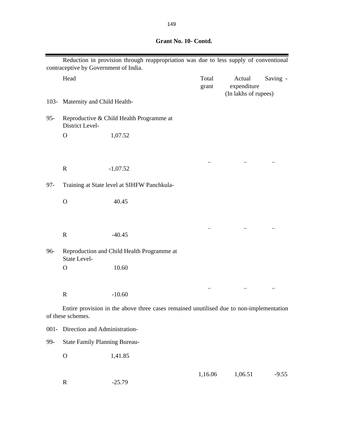|         | contraceptive by Government of India. | Reduction in provision through reappropriation was due to less supply of conventional   |                |                                               |          |
|---------|---------------------------------------|-----------------------------------------------------------------------------------------|----------------|-----------------------------------------------|----------|
|         | Head                                  |                                                                                         | Total<br>grant | Actual<br>expenditure<br>(In lakhs of rupees) | Saving - |
| $103 -$ | Maternity and Child Health-           |                                                                                         |                |                                               |          |
| $95 -$  | District Level-                       | Reproductive & Child Health Programme at                                                |                |                                               |          |
|         | $\mathbf{O}$                          | 1,07.52                                                                                 |                |                                               |          |
|         |                                       |                                                                                         |                |                                               |          |
|         | $\mathbf R$                           | $-1,07.52$                                                                              |                |                                               |          |
| $97 -$  |                                       | Training at State level at SIHFW Panchkula-                                             |                |                                               |          |
|         | $\mathbf{O}$                          | 40.45                                                                                   |                |                                               |          |
|         | $\mathbf R$                           | $-40.45$                                                                                |                |                                               |          |
| 96-     | <b>State Level-</b>                   | Reproduction and Child Health Programme at                                              |                |                                               |          |
|         | $\mathbf{O}$                          | 10.60                                                                                   |                |                                               |          |
|         |                                       |                                                                                         |                |                                               |          |
|         | $\mathbb{R}$                          | $-10.60$                                                                                |                |                                               |          |
|         | of these schemes.                     | Entire provision in the above three cases remained unutilised due to non-implementation |                |                                               |          |
| $001 -$ | Direction and Administration-         |                                                                                         |                |                                               |          |
| 99-     | <b>State Family Planning Bureau-</b>  |                                                                                         |                |                                               |          |
|         | $\mathbf{O}$                          | 1,41.85                                                                                 |                |                                               |          |
|         | $\mathbf R$                           | $-25.79$                                                                                | 1,16.06        | 1,06.51                                       | $-9.55$  |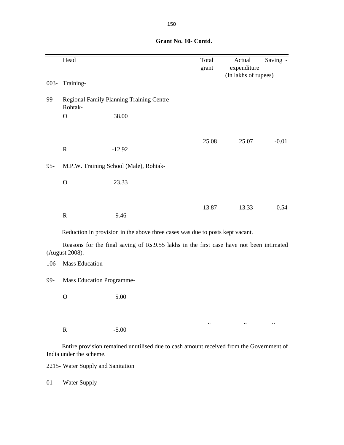|        | Head                             |                                                                                         | Total<br>grant | Actual<br>expenditure<br>(In lakhs of rupees) | Saving - |  |
|--------|----------------------------------|-----------------------------------------------------------------------------------------|----------------|-----------------------------------------------|----------|--|
|        | 003- Training-                   |                                                                                         |                |                                               |          |  |
| 99-    | Rohtak-                          | Regional Family Planning Training Centre                                                |                |                                               |          |  |
|        | $\mathbf{O}$                     | 38.00                                                                                   |                |                                               |          |  |
|        |                                  |                                                                                         |                |                                               |          |  |
|        |                                  |                                                                                         | 25.08          | 25.07                                         | $-0.01$  |  |
|        | ${\bf R}$                        | $-12.92$                                                                                |                |                                               |          |  |
| $95 -$ |                                  | M.P.W. Training School (Male), Rohtak-                                                  |                |                                               |          |  |
|        | $\overline{O}$                   | 23.33                                                                                   |                |                                               |          |  |
|        |                                  |                                                                                         |                |                                               |          |  |
|        |                                  |                                                                                         | 13.87          | 13.33                                         | $-0.54$  |  |
|        | $\mathbf R$                      | $-9.46$                                                                                 |                |                                               |          |  |
|        |                                  | Reduction in provision in the above three cases was due to posts kept vacant.           |                |                                               |          |  |
|        | (August 2008).                   | Reasons for the final saving of Rs.9.55 lakhs in the first case have not been intimated |                |                                               |          |  |
|        | 106- Mass Education-             |                                                                                         |                |                                               |          |  |
| 99-    | <b>Mass Education Programme-</b> |                                                                                         |                |                                               |          |  |
|        | $\mathbf O$                      | 5.00                                                                                    |                |                                               |          |  |
|        |                                  |                                                                                         |                |                                               |          |  |

Entire provision remained unutilised due to cash amount received from the Government of India under the scheme.

.. .. ..

2215- Water Supply and Sanitation

R -5.00

01- Water Supply-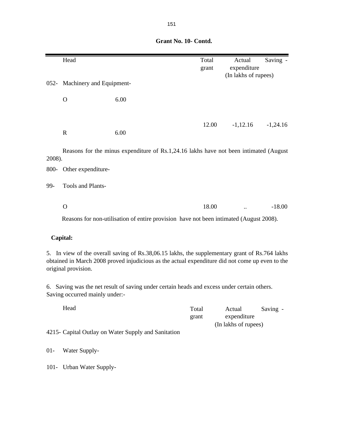|              | Head                           |                                                                                                                                                                                                   | Total<br>grant | Actual<br>expenditure | Saving -   |
|--------------|--------------------------------|---------------------------------------------------------------------------------------------------------------------------------------------------------------------------------------------------|----------------|-----------------------|------------|
|              | 052- Machinery and Equipment-  |                                                                                                                                                                                                   |                | (In lakhs of rupees)  |            |
|              |                                |                                                                                                                                                                                                   |                |                       |            |
| $\mathbf{O}$ |                                | 6.00                                                                                                                                                                                              |                |                       |            |
|              |                                |                                                                                                                                                                                                   |                |                       |            |
| $\mathbf R$  |                                | 6.00                                                                                                                                                                                              | 12.00          | $-1,12.16$            | $-1,24.16$ |
|              |                                | Reasons for the minus expenditure of Rs.1,24.16 lakhs have not been intimated (August                                                                                                             |                |                       |            |
| 2008).       |                                |                                                                                                                                                                                                   |                |                       |            |
|              | 800- Other expenditure-        |                                                                                                                                                                                                   |                |                       |            |
| 99-          | Tools and Plants-              |                                                                                                                                                                                                   |                |                       |            |
| $\Omega$     |                                |                                                                                                                                                                                                   | 18.00          |                       | $-18.00$   |
|              |                                | Reasons for non-utilisation of entire provision have not been intimated (August 2008).                                                                                                            |                |                       |            |
| Capital:     |                                |                                                                                                                                                                                                   |                |                       |            |
|              | original provision.            | 5. In view of the overall saving of Rs.38,06.15 lakhs, the supplementary grant of Rs.764 lakhs<br>obtained in March 2008 proved injudicious as the actual expenditure did not come up even to the |                |                       |            |
|              | Saving occurred mainly under:- | 6. Saving was the net result of saving under certain heads and excess under certain others.                                                                                                       |                |                       |            |
|              | Head                           |                                                                                                                                                                                                   | Total<br>grant | Actual<br>expenditure | Saving -   |
|              |                                | 4215- Capital Outlay on Water Supply and Sanitation                                                                                                                                               |                | (In lakhs of rupees)  |            |
| $01 -$       | Water Supply-                  |                                                                                                                                                                                                   |                |                       |            |

101- Urban Water Supply-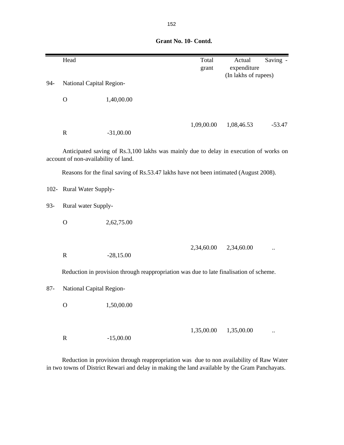|  | Grant No. 10- Contd. |
|--|----------------------|
|  |                      |

|         | Head                                 |                                                                                        | Total      | Actual               | Saving - |
|---------|--------------------------------------|----------------------------------------------------------------------------------------|------------|----------------------|----------|
|         |                                      |                                                                                        | grant      | expenditure          |          |
| 94-     | National Capital Region-             |                                                                                        |            | (In lakhs of rupees) |          |
|         |                                      |                                                                                        |            |                      |          |
|         | $\mathbf O$                          | 1,40,00.00                                                                             |            |                      |          |
|         |                                      |                                                                                        |            |                      |          |
|         |                                      |                                                                                        | 1,09,00.00 | 1,08,46.53           | $-53.47$ |
|         | $\mathbf R$                          | $-31,00.00$                                                                            |            |                      |          |
|         |                                      |                                                                                        |            |                      |          |
|         | account of non-availability of land. | Anticipated saving of Rs.3,100 lakhs was mainly due to delay in execution of works on  |            |                      |          |
|         |                                      | Reasons for the final saving of Rs.53.47 lakhs have not been intimated (August 2008).  |            |                      |          |
|         |                                      |                                                                                        |            |                      |          |
| $102 -$ | Rural Water Supply-                  |                                                                                        |            |                      |          |
| 93-     | Rural water Supply-                  |                                                                                        |            |                      |          |
|         | $\mathbf O$                          | 2,62,75.00                                                                             |            |                      |          |
|         |                                      |                                                                                        |            |                      |          |
|         |                                      |                                                                                        |            |                      |          |
|         | $\mathbf R$                          | $-28,15.00$                                                                            | 2,34,60.00 | 2,34,60.00           |          |
|         |                                      |                                                                                        |            |                      |          |
|         |                                      | Reduction in provision through reappropriation was due to late finalisation of scheme. |            |                      |          |
| $87 -$  | National Capital Region-             |                                                                                        |            |                      |          |
|         |                                      |                                                                                        |            |                      |          |
|         | $\mathbf O$                          | 1,50,00.00                                                                             |            |                      |          |
|         |                                      |                                                                                        |            |                      |          |
|         |                                      |                                                                                        | 1,35,00.00 | 1,35,00.00           |          |
|         | $\mathbf R$                          | $-15,00.00$                                                                            |            |                      |          |

Reduction in provision through reappropriation was due to non availability of Raw Water in two towns of District Rewari and delay in making the land available by the Gram Panchayats.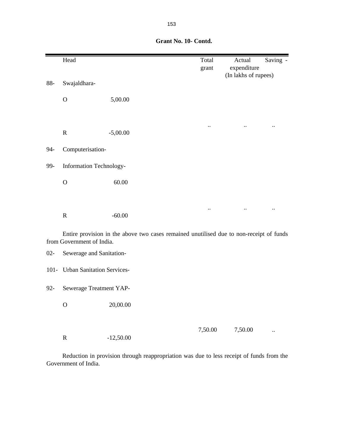|        | Head                      |                                                                                         | Total<br>grant         | Actual<br>expenditure<br>(In lakhs of rupees) | Saving -               |
|--------|---------------------------|-----------------------------------------------------------------------------------------|------------------------|-----------------------------------------------|------------------------|
| $88 -$ | Swajaldhara-              |                                                                                         |                        |                                               |                        |
|        | $\mathbf{O}$              | 5,00.00                                                                                 |                        |                                               |                        |
|        | $\mathbf R$               | $-5,00.00$                                                                              | $\ddot{\phantom{a}}$ . | $\ddot{\phantom{a}}$ .                        | $\ddot{\phantom{a}}$ . |
|        |                           |                                                                                         |                        |                                               |                        |
| $94-$  | Computerisation-          |                                                                                         |                        |                                               |                        |
| 99-    | Information Technology-   |                                                                                         |                        |                                               |                        |
|        | $\mathbf O$               | 60.00                                                                                   |                        |                                               |                        |
|        |                           |                                                                                         |                        |                                               |                        |
|        | $\mathbf R$               | $-60.00$                                                                                |                        |                                               |                        |
|        | from Government of India. | Entire provision in the above two cases remained unutilised due to non-receipt of funds |                        |                                               |                        |
| $02 -$ | Sewerage and Sanitation-  |                                                                                         |                        |                                               |                        |

101- Urban Sanitation Services-

92- Sewerage Treatment YAP-

O 20,00.00

R -12,50.00

7,50.00 ...

Reduction in provision through reappropriation was due to less receipt of funds from the Government of India.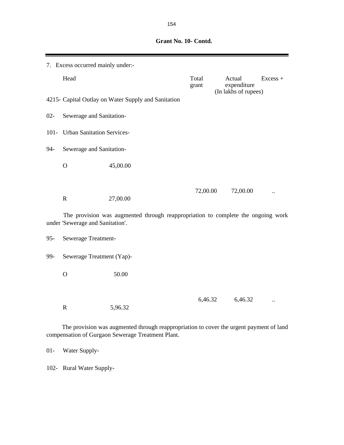|        | 7. Excess occurred mainly under:- |                                                                                  |                |  |                                               |                      |  |  |
|--------|-----------------------------------|----------------------------------------------------------------------------------|----------------|--|-----------------------------------------------|----------------------|--|--|
|        | Head                              |                                                                                  | Total<br>grant |  | Actual<br>expenditure<br>(In lakhs of rupees) | Excess +             |  |  |
|        |                                   | 4215- Capital Outlay on Water Supply and Sanitation                              |                |  |                                               |                      |  |  |
| $02 -$ | Sewerage and Sanitation-          |                                                                                  |                |  |                                               |                      |  |  |
|        | 101- Urban Sanitation Services-   |                                                                                  |                |  |                                               |                      |  |  |
| 94-    | Sewerage and Sanitation-          |                                                                                  |                |  |                                               |                      |  |  |
|        | $\mathbf O$                       | 45,00.00                                                                         |                |  |                                               |                      |  |  |
|        |                                   |                                                                                  |                |  |                                               |                      |  |  |
|        | ${\bf R}$                         | 27,00.00                                                                         | 72,00.00       |  | 72,00.00                                      |                      |  |  |
|        | under 'Sewerage and Sanitation'.  | The provision was augmented through reappropriation to complete the ongoing work |                |  |                                               |                      |  |  |
| $95 -$ | Sewerage Treatment-               |                                                                                  |                |  |                                               |                      |  |  |
| 99-    | Sewerage Treatment (Yap)-         |                                                                                  |                |  |                                               |                      |  |  |
|        | $\mathbf{O}$                      | 50.00                                                                            |                |  |                                               |                      |  |  |
|        | $\mathbf R$                       | 5,96.32                                                                          | 6,46.32        |  | 6,46.32                                       | $\ddot{\phantom{0}}$ |  |  |
|        |                                   |                                                                                  |                |  |                                               |                      |  |  |

The provision was augmented through reappropriation to cover the urgent payment of land compensation of Gurgaon Sewerage Treatment Plant.

01- Water Supply-

102- Rural Water Supply-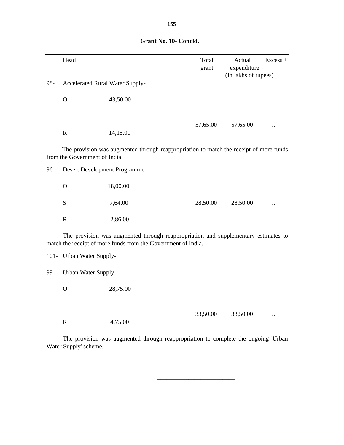|     | Head                            |                                                                                                                                                     | Total    | Actual                              | Excess + |
|-----|---------------------------------|-----------------------------------------------------------------------------------------------------------------------------------------------------|----------|-------------------------------------|----------|
|     |                                 |                                                                                                                                                     | grant    | expenditure<br>(In lakhs of rupees) |          |
| 98- | Accelerated Rural Water Supply- |                                                                                                                                                     |          |                                     |          |
|     | $\mathbf{O}$                    | 43,50.00                                                                                                                                            |          |                                     |          |
|     | ${\bf R}$                       | 14,15.00                                                                                                                                            | 57,65.00 | 57,65.00                            |          |
|     | from the Government of India.   | The provision was augmented through reappropriation to match the receipt of more funds                                                              |          |                                     |          |
| 96- | Desert Development Programme-   |                                                                                                                                                     |          |                                     |          |
|     | $\mathbf{O}$                    | 18,00.00                                                                                                                                            |          |                                     |          |
|     | ${\bf S}$                       | 7,64.00                                                                                                                                             | 28,50.00 | 28,50.00                            |          |
|     | ${\bf R}$                       | 2,86.00                                                                                                                                             |          |                                     |          |
|     |                                 | The provision was augmented through reappropriation and supplementary estimates to<br>match the receipt of more funds from the Government of India. |          |                                     |          |
|     | 101- Urban Water Supply-        |                                                                                                                                                     |          |                                     |          |
| 99- | Urban Water Supply-             |                                                                                                                                                     |          |                                     |          |
|     | $\mathbf{O}$                    | 28,75.00                                                                                                                                            |          |                                     |          |
|     | $\mathbf R$                     | 4,75.00                                                                                                                                             | 33,50.00 | 33,50.00                            |          |

The provision was augmented through reappropriation to complete the ongoing 'Urban Water Supply' scheme.

 $\frac{1}{\sqrt{2}}$  ,  $\frac{1}{\sqrt{2}}$  ,  $\frac{1}{\sqrt{2}}$  ,  $\frac{1}{\sqrt{2}}$  ,  $\frac{1}{\sqrt{2}}$  ,  $\frac{1}{\sqrt{2}}$  ,  $\frac{1}{\sqrt{2}}$  ,  $\frac{1}{\sqrt{2}}$  ,  $\frac{1}{\sqrt{2}}$  ,  $\frac{1}{\sqrt{2}}$  ,  $\frac{1}{\sqrt{2}}$  ,  $\frac{1}{\sqrt{2}}$  ,  $\frac{1}{\sqrt{2}}$  ,  $\frac{1}{\sqrt{2}}$  ,  $\frac{1}{\sqrt{2}}$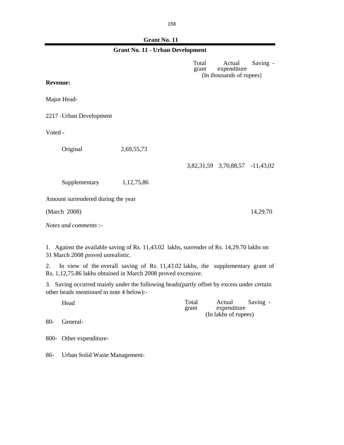g

| <b>Grant No. 11 - Urban Development</b>        |                                                                                                                                                  |                |                                                   |          |  |
|------------------------------------------------|--------------------------------------------------------------------------------------------------------------------------------------------------|----------------|---------------------------------------------------|----------|--|
|                                                |                                                                                                                                                  | Total<br>grant | Actual<br>expenditure<br>(In thousands of rupees) | Saving - |  |
| <b>Revenue:</b>                                |                                                                                                                                                  |                |                                                   |          |  |
| Major Head-                                    |                                                                                                                                                  |                |                                                   |          |  |
| 2217 - Urban Development                       |                                                                                                                                                  |                |                                                   |          |  |
| Voted -                                        |                                                                                                                                                  |                |                                                   |          |  |
| Original                                       | 2,69,55,73                                                                                                                                       |                |                                                   |          |  |
|                                                |                                                                                                                                                  |                | 3,82,31,59 3,70,88,57 -11,43,02                   |          |  |
| Supplementary                                  | 1, 12, 75, 86                                                                                                                                    |                |                                                   |          |  |
| Amount surrendered during the year             |                                                                                                                                                  |                |                                                   |          |  |
| (March 2008)                                   |                                                                                                                                                  |                |                                                   | 14,29,70 |  |
| Notes and comments :-                          |                                                                                                                                                  |                |                                                   |          |  |
| 31 March 2008 proved unrealistic.              | 1. Against the available saving of Rs. 11,43.02 lakhs, surrender of Rs. 14,29.70 lakhs on                                                        |                |                                                   |          |  |
| 2.                                             | In view of the overall saving of Rs. 11,43.02 lakhs, the supplementary grant of<br>Rs. 1,12,75.86 lakhs obtained in March 2008 proved excessive. |                |                                                   |          |  |
| 3.<br>other heads mentioned in note 4 below):- | Saving occurred mainly under the following heads (partly offset by excess under certain                                                          |                |                                                   |          |  |
| Head                                           |                                                                                                                                                  | Total<br>grant | Actual<br>expenditure<br>(In lakhs of rupees)     | Saving - |  |
| $80-$<br>General-                              |                                                                                                                                                  |                |                                                   |          |  |
| Other expenditure-<br>800-                     |                                                                                                                                                  |                |                                                   |          |  |
| Urban Solid Waste Management-<br>86-           |                                                                                                                                                  |                |                                                   |          |  |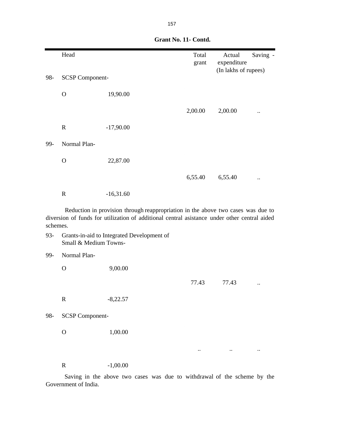|     | Head                   |             | Total   | Actual               | Saving -  |
|-----|------------------------|-------------|---------|----------------------|-----------|
|     |                        |             | grant   | expenditure          |           |
|     |                        |             |         | (In lakhs of rupees) |           |
| 98- | <b>SCSP Component-</b> |             |         |                      |           |
|     | $\mathbf{O}$           | 19,90.00    |         |                      |           |
|     |                        |             | 2,00.00 | 2,00.00              |           |
|     | $\mathbf R$            | $-17,90.00$ |         |                      |           |
| 99- | Normal Plan-           |             |         |                      |           |
|     | $\mathbf{O}$           | 22,87.00    |         |                      |           |
|     |                        |             | 6,55.40 | 6,55.40              | $\ddotsc$ |
|     | $\mathbf R$            | $-16,31.60$ |         |                      |           |

Reduction in provision through reappropriation in the above two cases was due to diversion of funds for utilization of additional central asistance under other central aided schemes.

93- Grants-in-aid to Integrated Development of Small & Medium Towns-

99- Normal Plan-

O 9,00.00

R  $-8,22.57$ 

77.43 77.43 ..

.. .. ..

98- SCSP Component-

O 1,00.00

R -1,00.00

Saving in the above two cases was due to withdrawal of the scheme by the Government of India.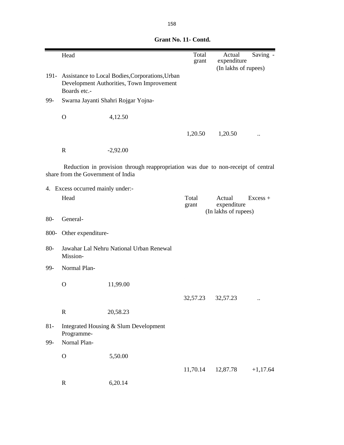|        | Head                               |                                                                                                   | Total<br>grant | Actual<br>expenditure                         | Saving -   |
|--------|------------------------------------|---------------------------------------------------------------------------------------------------|----------------|-----------------------------------------------|------------|
|        |                                    |                                                                                                   |                | (In lakhs of rupees)                          |            |
|        | Boards etc.-                       | 191- Assistance to Local Bodies, Corporations, Urban<br>Development Authorities, Town Improvement |                |                                               |            |
| 99-    |                                    | Swarna Jayanti Shahri Rojgar Yojna-                                                               |                |                                               |            |
|        | $\mathbf{O}$                       | 4,12.50                                                                                           |                |                                               |            |
|        |                                    |                                                                                                   | 1,20.50        | 1,20.50                                       |            |
|        | $\mathbb{R}$                       | $-2,92.00$                                                                                        |                |                                               |            |
|        | share from the Government of India | Reduction in provision through reappropriation was due to non-receipt of central                  |                |                                               |            |
|        | 4. Excess occurred mainly under:-  |                                                                                                   |                |                                               |            |
|        | Head                               |                                                                                                   | Total<br>grant | Actual<br>expenditure<br>(In lakhs of rupees) | $Excess +$ |
| $80-$  | General-                           |                                                                                                   |                |                                               |            |
| 800-   | Other expenditure-                 |                                                                                                   |                |                                               |            |
| $80-$  | Mission-                           | Jawahar Lal Nehru National Urban Renewal                                                          |                |                                               |            |
| 99-    | Normal Plan-                       |                                                                                                   |                |                                               |            |
|        | $\mathbf O$                        | 11,99.00                                                                                          |                |                                               |            |
|        |                                    |                                                                                                   | 32,57.23       | 32,57.23                                      |            |
|        | $\mathbf R$                        | 20,58.23                                                                                          |                |                                               |            |
| $81 -$ | Programme-                         | Integrated Housing & Slum Development                                                             |                |                                               |            |
| 99-    | Nornal Plan-                       |                                                                                                   |                |                                               |            |
|        | $\mathbf O$                        | 5,50.00                                                                                           |                |                                               |            |
|        |                                    |                                                                                                   | 11,70.14       | 12,87.78                                      | $+1,17.64$ |
|        | $\mathbf R$                        | 6,20.14                                                                                           |                |                                               |            |

| Grant No. 11- Contd. |
|----------------------|
|                      |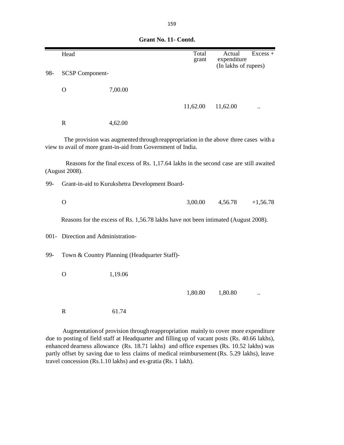|     | Head                               |                                                                                                                                                     | Total<br>grant | Actual<br>expenditure<br>(In lakhs of rupees) | Excess +   |
|-----|------------------------------------|-----------------------------------------------------------------------------------------------------------------------------------------------------|----------------|-----------------------------------------------|------------|
| 98- | <b>SCSP Component-</b>             |                                                                                                                                                     |                |                                               |            |
|     | $\mathbf O$                        | 7,00.00                                                                                                                                             |                |                                               |            |
|     |                                    |                                                                                                                                                     | 11,62.00       | 11,62.00                                      |            |
|     | $\mathbf R$                        | 4,62.00                                                                                                                                             |                |                                               |            |
|     |                                    | The provision was augmented through reappropriation in the above three cases with a<br>view to avail of more grant-in-aid from Government of India. |                |                                               |            |
|     | (August 2008).                     | Reasons for the final excess of Rs. 1,17.64 lakhs in the second case are still awaited                                                              |                |                                               |            |
| 99- |                                    | Grant-in-aid to Kurukshetra Development Board-                                                                                                      |                |                                               |            |
|     | $\mathbf O$                        |                                                                                                                                                     | 3,00.00        | 4,56.78                                       | $+1,56.78$ |
|     |                                    | Reasons for the excess of Rs. 1,56.78 lakhs have not been intimated (August 2008).                                                                  |                |                                               |            |
|     | 001- Direction and Administration- |                                                                                                                                                     |                |                                               |            |
| 99- |                                    | Town & Country Planning (Headquarter Staff)-                                                                                                        |                |                                               |            |
|     | $\mathbf O$                        | 1,19.06                                                                                                                                             |                |                                               |            |
|     |                                    |                                                                                                                                                     | 1,80.80        | 1,80.80                                       |            |
|     | $\mathbf R$                        | 61.74                                                                                                                                               |                |                                               |            |
|     |                                    |                                                                                                                                                     |                |                                               |            |

 **Grant No. 11- Contd.**

Augmentation of provision through reappropriation mainly to cover more expenditure due to posting of field staff at Headquarter and filling up of vacant posts (Rs. 40.66 lakhs), enhanced dearness allowance (Rs. 18.71 lakhs) and office expenses (Rs. 10.52 lakhs) was partly offset by saving due to less claims of medical reimbursement (Rs. 5.29 lakhs), leave travel concession (Rs.1.10 lakhs) and ex-gratia (Rs. 1 lakh).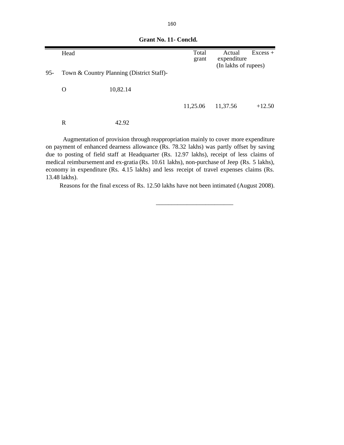|        | Head |                                           | Total<br>grant | Actual<br>expenditure<br>(In lakhs of rupees) | $Excess +$ |
|--------|------|-------------------------------------------|----------------|-----------------------------------------------|------------|
| $95 -$ |      | Town & Country Planning (District Staff)- |                |                                               |            |
|        | O    | 10,82.14                                  |                |                                               |            |
|        |      |                                           | 11,25.06       | 11,37.56                                      | $+12.50$   |
|        | R    | 42.92                                     |                |                                               |            |

 **Grant No. 11- Concld.**

Augmentation of provision through reappropriation mainly to cover more expenditure on payment of enhanced dearness allowance (Rs. 78.32 lakhs) was partly offset by saving due to posting of field staff at Headquarter (Rs. 12.97 lakhs), receipt of less claims of medical reimbursement and ex-gratia (Rs. 10.61 lakhs), non-purchase of Jeep (Rs. 5 lakhs), economy in expenditure (Rs. 4.15 lakhs) and less receipt of travel expenses claims (Rs. 13.48 lakhs).

 $\overline{\phantom{a}}$  , and the contract of the contract of the contract of the contract of the contract of the contract of the contract of the contract of the contract of the contract of the contract of the contract of the contrac

Reasons for the final excess of Rs. 12.50 lakhs have not been intimated (August 2008).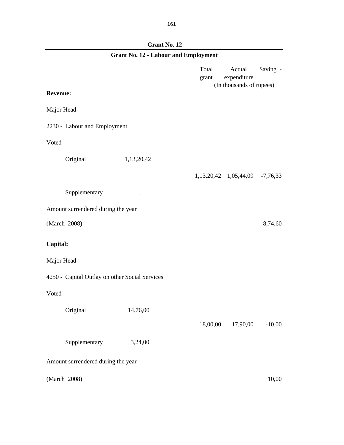Г

| <b>Grant No. 12 - Labour and Employment</b>    |            |                |                                                   |          |  |  |
|------------------------------------------------|------------|----------------|---------------------------------------------------|----------|--|--|
|                                                |            | Total<br>grant | Actual<br>expenditure<br>(In thousands of rupees) | Saving - |  |  |
| <b>Revenue:</b>                                |            |                |                                                   |          |  |  |
| Major Head-                                    |            |                |                                                   |          |  |  |
| 2230 - Labour and Employment                   |            |                |                                                   |          |  |  |
| Voted -                                        |            |                |                                                   |          |  |  |
| Original                                       | 1,13,20,42 |                |                                                   |          |  |  |
|                                                |            |                | 1,13,20,42 1,05,44,09 -7,76,33                    |          |  |  |
| Supplementary                                  | $\ddotsc$  |                |                                                   |          |  |  |
| Amount surrendered during the year             |            |                |                                                   |          |  |  |
| (March 2008)                                   |            |                |                                                   | 8,74,60  |  |  |
| Capital:                                       |            |                |                                                   |          |  |  |
| Major Head-                                    |            |                |                                                   |          |  |  |
| 4250 - Capital Outlay on other Social Services |            |                |                                                   |          |  |  |
| Voted -                                        |            |                |                                                   |          |  |  |
| Original                                       | 14,76,00   |                |                                                   |          |  |  |
|                                                |            | 18,00,00       | 17,90,00                                          | $-10,00$ |  |  |
| Supplementary                                  | 3,24,00    |                |                                                   |          |  |  |
| Amount surrendered during the year             |            |                |                                                   |          |  |  |
| (March 2008)                                   |            |                |                                                   | 10,00    |  |  |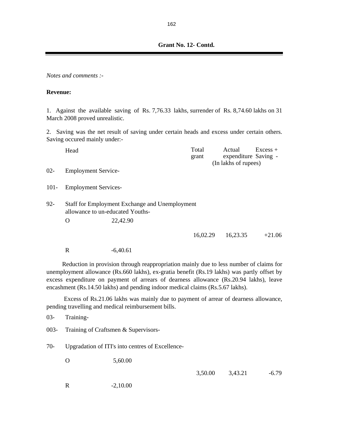*Notes and comments :-*

#### **Revenue:**

1. Against the available saving of Rs. 7,76.33 lakhs, surrender of Rs. 8,74.60 lakhs on 31 March 2008 proved unrealistic.

2. Saving was the net result of saving under certain heads and excess under certain others. Saving occured mainly under:-

|         | Head                             |                                                | Total<br>grant | Actual<br>expenditure Saving - | $Excess +$ |
|---------|----------------------------------|------------------------------------------------|----------------|--------------------------------|------------|
| $02 -$  | <b>Employment Service-</b>       |                                                |                | (In lakhs of rupees)           |            |
| $101 -$ | <b>Employment Services-</b>      |                                                |                |                                |            |
| $92 -$  | allowance to un-educated Youths- | Staff for Employment Exchange and Unemployment |                |                                |            |
|         | O                                | 22,42.90                                       |                |                                |            |
|         |                                  |                                                | 16,02.29       | 16,23.35                       | $+21.06$   |

R -6,40.61

Reduction in provision through reappropriation mainly due to less number of claims for unemployment allowance (Rs.660 lakhs), ex-gratia benefit (Rs.19 lakhs) was partly offset by excess expenditure on payment of arrears of dearness allowance (Rs.20.94 lakhs), leave encashment (Rs.14.50 lakhs) and pending indoor medical claims (Rs.5.67 lakhs).

Excess of Rs.21.06 lakhs was mainly due to payment of arrear of dearness allowance, pending travelling and medical reimbursement bills.

03- Training-

003- Training of Craftsmen & Supervisors-

70- Upgradation of ITI's into centres of Excellence-

O 5,60.00

3,50.00 3,43.21 -6.79

R  $-2,10.00$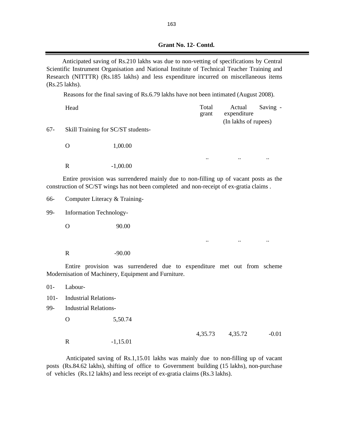| Grant No. 12- Contd. |
|----------------------|
|                      |

Anticipated saving of Rs.210 lakhs was due to non-vetting of specifications by Central Scientific Instrument Organisation and National Institute of Technical Teacher Training and Research (NITTTR) (Rs.185 lakhs) and less expenditure incurred on miscellaneous items (Rs.25 lakhs).

Reasons for the final saving of Rs.6.79 lakhs have not been intimated (August 2008).

|     | Head                               |            | Total<br>grant       | Actual<br>expenditure<br>(In lakhs of rupees) | Saving -  |  |
|-----|------------------------------------|------------|----------------------|-----------------------------------------------|-----------|--|
| 67- | Skill Training for SC/ST students- |            |                      |                                               |           |  |
|     | O                                  | 1,00.00    |                      |                                               |           |  |
|     | R                                  | $-1,00.00$ | $\ddot{\phantom{0}}$ | $\ddotsc$                                     | $\ddotsc$ |  |

Entire provision was surrendered mainly due to non-filling up of vacant posts as the construction of SC/ST wings has not been completed and non-receipt of ex-gratia claims .

66- Computer Literacy & Training-

99- Information Technology-

O 90.00

R -90.00

Entire provision was surrendered due to expenditure met out from scheme Modernisation of Machinery, Equipment and Furniture.

.. .. ..

| $01 -$ | Labour-                      |            |         |         |         |
|--------|------------------------------|------------|---------|---------|---------|
|        | 101- Industrial Relations-   |            |         |         |         |
| 99-    | <b>Industrial Relations-</b> |            |         |         |         |
|        | O                            | 5,50.74    |         |         |         |
|        |                              |            | 4,35.73 | 4,35.72 | $-0.01$ |
|        | R                            | $-1,15.01$ |         |         |         |

Anticipated saving of Rs.1,15.01 lakhs was mainly due to non-filling up of vacant posts (Rs.84.62 lakhs), shifting of office to Government building (15 lakhs), non-purchase of vehicles (Rs.12 lakhs) and less receipt of ex-gratia claims (Rs.3 lakhs).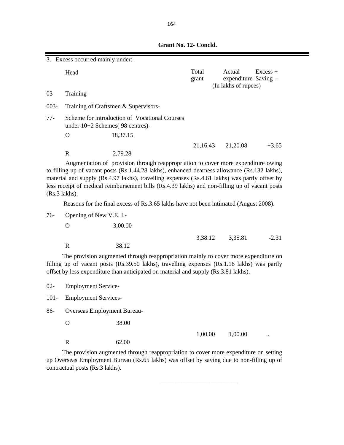**Grant No. 12- Concld.**

| 3. Excess occurred mainly under:- |                                                                                                                                                                                                                                                                                                                                                                                                          |                                                                                                                                                                                                                                                                           |                |  |                                                        |            |  |
|-----------------------------------|----------------------------------------------------------------------------------------------------------------------------------------------------------------------------------------------------------------------------------------------------------------------------------------------------------------------------------------------------------------------------------------------------------|---------------------------------------------------------------------------------------------------------------------------------------------------------------------------------------------------------------------------------------------------------------------------|----------------|--|--------------------------------------------------------|------------|--|
|                                   | Head                                                                                                                                                                                                                                                                                                                                                                                                     |                                                                                                                                                                                                                                                                           | Total<br>grant |  | Actual<br>expenditure Saving -<br>(In lakhs of rupees) | $Excess +$ |  |
| $03 -$                            | Training-                                                                                                                                                                                                                                                                                                                                                                                                |                                                                                                                                                                                                                                                                           |                |  |                                                        |            |  |
| $003 -$                           |                                                                                                                                                                                                                                                                                                                                                                                                          | Training of Craftsmen & Supervisors-                                                                                                                                                                                                                                      |                |  |                                                        |            |  |
| $77-$                             | under $10+2$ Schemes(98 centres)-                                                                                                                                                                                                                                                                                                                                                                        | Scheme for introduction of Vocational Courses                                                                                                                                                                                                                             |                |  |                                                        |            |  |
|                                   | $\mathbf{O}$                                                                                                                                                                                                                                                                                                                                                                                             | 18,37.15                                                                                                                                                                                                                                                                  |                |  |                                                        |            |  |
|                                   | $\mathbf R$                                                                                                                                                                                                                                                                                                                                                                                              | 2,79.28                                                                                                                                                                                                                                                                   | 21,16.43       |  | 21,20.08                                               | $+3.65$    |  |
|                                   | Augmentation of provision through reappropriation to cover more expenditure owing<br>to filling up of vacant posts (Rs.1,44.28 lakhs), enhanced dearness allowance (Rs.132 lakhs),<br>material and supply (Rs.4.97 lakhs), travelling expenses (Rs.4.61 lakhs) was partly offset by<br>less receipt of medical reimbursement bills (Rs.4.39 lakhs) and non-filling up of vacant posts<br>$(Rs.3$ lakhs). |                                                                                                                                                                                                                                                                           |                |  |                                                        |            |  |
|                                   |                                                                                                                                                                                                                                                                                                                                                                                                          | Reasons for the final excess of Rs.3.65 lakhs have not been intimated (August 2008).                                                                                                                                                                                      |                |  |                                                        |            |  |
| $76-$                             | Opening of New V.E. I.-                                                                                                                                                                                                                                                                                                                                                                                  |                                                                                                                                                                                                                                                                           |                |  |                                                        |            |  |
|                                   | $\mathbf O$                                                                                                                                                                                                                                                                                                                                                                                              | 3,00.00                                                                                                                                                                                                                                                                   |                |  |                                                        |            |  |
|                                   | $\mathbf R$                                                                                                                                                                                                                                                                                                                                                                                              | 38.12                                                                                                                                                                                                                                                                     | 3,38.12        |  | 3,35.81                                                | $-2.31$    |  |
|                                   |                                                                                                                                                                                                                                                                                                                                                                                                          | The provision augmented through reappropriation mainly to cover more expenditure on<br>filling up of vacant posts (Rs.39.50 lakhs), travelling expenses (Rs.1.16 lakhs) was partly<br>offset by less expenditure than anticipated on material and supply (Rs.3.81 lakhs). |                |  |                                                        |            |  |
| $02 -$                            | <b>Employment Service-</b>                                                                                                                                                                                                                                                                                                                                                                               |                                                                                                                                                                                                                                                                           |                |  |                                                        |            |  |
| $101 -$                           | <b>Employment Services-</b>                                                                                                                                                                                                                                                                                                                                                                              |                                                                                                                                                                                                                                                                           |                |  |                                                        |            |  |
| 86-                               | <b>Overseas Employment Bureau-</b>                                                                                                                                                                                                                                                                                                                                                                       |                                                                                                                                                                                                                                                                           |                |  |                                                        |            |  |
|                                   | $\mathbf O$                                                                                                                                                                                                                                                                                                                                                                                              | 38.00                                                                                                                                                                                                                                                                     |                |  |                                                        |            |  |
|                                   | $\mathbf R$                                                                                                                                                                                                                                                                                                                                                                                              | 62.00                                                                                                                                                                                                                                                                     | 1,00.00        |  | 1,00.00                                                |            |  |
|                                   |                                                                                                                                                                                                                                                                                                                                                                                                          | The provision augmented through reappropriation to cover more expenditure on setting                                                                                                                                                                                      |                |  |                                                        |            |  |

up Overseas Employment Bureau (Rs.65 lakhs) was offset by saving due to non-filling up of contractual posts (Rs.3 lakhs).

 $\frac{1}{\sqrt{2}}$  ,  $\frac{1}{\sqrt{2}}$  ,  $\frac{1}{\sqrt{2}}$  ,  $\frac{1}{\sqrt{2}}$  ,  $\frac{1}{\sqrt{2}}$  ,  $\frac{1}{\sqrt{2}}$  ,  $\frac{1}{\sqrt{2}}$  ,  $\frac{1}{\sqrt{2}}$  ,  $\frac{1}{\sqrt{2}}$  ,  $\frac{1}{\sqrt{2}}$  ,  $\frac{1}{\sqrt{2}}$  ,  $\frac{1}{\sqrt{2}}$  ,  $\frac{1}{\sqrt{2}}$  ,  $\frac{1}{\sqrt{2}}$  ,  $\frac{1}{\sqrt{2}}$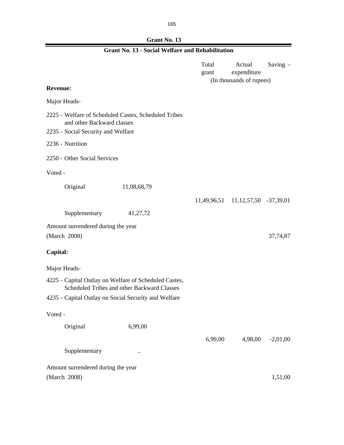### **Grant No. 13**

|                                                                                                                          | <b>Grant No. 13 - Social Welfare and Rehabilitation</b> |                |                                                   |            |
|--------------------------------------------------------------------------------------------------------------------------|---------------------------------------------------------|----------------|---------------------------------------------------|------------|
|                                                                                                                          |                                                         | Total<br>grant | Actual<br>expenditure<br>(In thousands of rupees) | Saving -   |
| <b>Revenue:</b>                                                                                                          |                                                         |                |                                                   |            |
| Major Heads-                                                                                                             |                                                         |                |                                                   |            |
| 2225 - Welfare of Scheduled Castes, Scheduled Tribes<br>and other Backward classes<br>2235 - Social Security and Welfare |                                                         |                |                                                   |            |
| 2236 - Nutrition                                                                                                         |                                                         |                |                                                   |            |
| 2250 - Other Social Services                                                                                             |                                                         |                |                                                   |            |
| Voted -                                                                                                                  |                                                         |                |                                                   |            |
| Original                                                                                                                 | 11,08,68,79                                             |                |                                                   |            |
|                                                                                                                          |                                                         |                | 11,49,96,51 11,12,57,50 -37,39,01                 |            |
| Supplementary                                                                                                            | 41,27,72                                                |                |                                                   |            |
| Amount surrendered during the year<br>(March 2008)                                                                       |                                                         |                |                                                   | 37,74,87   |
| Capital:                                                                                                                 |                                                         |                |                                                   |            |
| Major Heads-                                                                                                             |                                                         |                |                                                   |            |
| 4225 - Capital Outlay on Welfare of Scheduled Castes,                                                                    | Scheduled Tribes and other Backward Classes             |                |                                                   |            |
| 4235 - Capital Outlay on Social Security and Welfare                                                                     |                                                         |                |                                                   |            |
| Voted -                                                                                                                  |                                                         |                |                                                   |            |
| Original                                                                                                                 | 6,99,00                                                 |                |                                                   |            |
|                                                                                                                          |                                                         | 6,99,00        | 4,98,00                                           | $-2,01,00$ |
| Supplementary                                                                                                            |                                                         |                |                                                   |            |
| Amount surrendered during the year                                                                                       |                                                         |                |                                                   |            |
| (March 2008)                                                                                                             |                                                         |                |                                                   | 1,51,00    |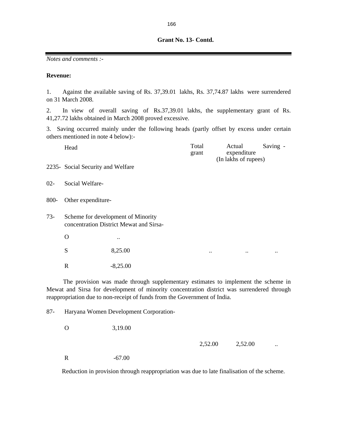*Notes and comments :-*

#### **Revenue:**

1. Against the available saving of Rs. 37,39.01 lakhs, Rs. 37,74.87 lakhs were surrendered on 31 March 2008.

2. In view of overall saving of Rs.37,39.01 lakhs, the supplementary grant of Rs. 41,27.72 lakhs obtained in March 2008 proved excessive.

3. Saving occurred mainly under the following heads (partly offset by excess under certain others mentioned in note 4 below):-

|        | Head                              |                                                                               | Total<br>grant | Actual<br>expenditure<br>(In lakhs of rupees) | Saving -    |  |  |
|--------|-----------------------------------|-------------------------------------------------------------------------------|----------------|-----------------------------------------------|-------------|--|--|
|        | 2235- Social Security and Welfare |                                                                               |                |                                               |             |  |  |
| $02 -$ | Social Welfare-                   |                                                                               |                |                                               |             |  |  |
| 800-   | Other expenditure-                |                                                                               |                |                                               |             |  |  |
| $73-$  |                                   | Scheme for development of Minority<br>concentration District Mewat and Sirsa- |                |                                               |             |  |  |
|        | O                                 |                                                                               |                |                                               |             |  |  |
|        | S                                 | 8,25.00                                                                       | $\cdot \cdot$  | $\bullet\,\bullet$                            | $\bullet$ . |  |  |
|        | R                                 | $-8,25.00$                                                                    |                |                                               |             |  |  |

The provision was made through supplementary estimates to implement the scheme in Mewat and Sirsa for development of minority concentration district was surrendered through reappropriation due to non-receipt of funds from the Government of India.

87- Haryana Women Development Corporation-

O 3,19.00

2,52.00 ...

R -67.00

Reduction in provision through reappropriation was due to late finalisation of the scheme.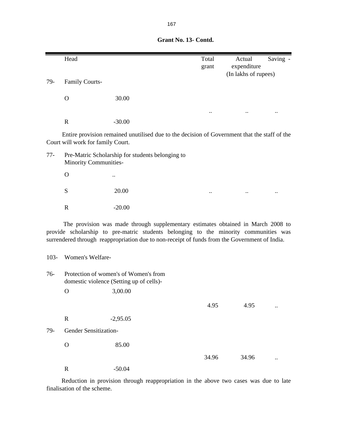|       | Head                              |                                                                                              | Total<br>grant       | Actual<br>expenditure<br>(In lakhs of rupees) | Saving - |
|-------|-----------------------------------|----------------------------------------------------------------------------------------------|----------------------|-----------------------------------------------|----------|
| 79-   | <b>Family Courts-</b>             |                                                                                              |                      |                                               |          |
|       | $\Omega$                          | 30.00                                                                                        |                      |                                               |          |
|       |                                   |                                                                                              |                      |                                               |          |
|       | $\mathbf R$                       | $-30.00$                                                                                     |                      |                                               |          |
|       | Court will work for family Court. | Entire provision remained unutilised due to the decision of Government that the staff of the |                      |                                               |          |
| $77-$ | Minority Communities-             | Pre-Matric Scholarship for students belonging to                                             |                      |                                               |          |
|       | $\Omega$                          |                                                                                              |                      |                                               |          |
|       | S                                 | 20.00                                                                                        | $\ddot{\phantom{0}}$ |                                               |          |
|       | $\mathbf R$                       | $-20.00$                                                                                     |                      |                                               |          |
|       |                                   |                                                                                              |                      |                                               |          |

The provision was made through supplementary estimates obtained in March 2008 to provide scholarship to pre-matric students belonging to the minority communities was surrendered through reappropriation due to non-receipt of funds from the Government of India.

### 103- Women's Welfare-

| $76-$ | Protection of women's of Women's from<br>domestic violence (Setting up of cells)- |            |       |       |  |  |  |
|-------|-----------------------------------------------------------------------------------|------------|-------|-------|--|--|--|
|       | O                                                                                 | 3,00.00    |       |       |  |  |  |
|       |                                                                                   |            | 4.95  | 4.95  |  |  |  |
|       | $\mathbf R$                                                                       | $-2,95.05$ |       |       |  |  |  |
| 79-   | Gender Sensitization-                                                             |            |       |       |  |  |  |
|       | O                                                                                 | 85.00      |       |       |  |  |  |
|       |                                                                                   |            | 34.96 | 34.96 |  |  |  |
|       | R                                                                                 | $-50.04$   |       |       |  |  |  |

Reduction in provision through reappropriation in the above two cases was due to late finalisation of the scheme.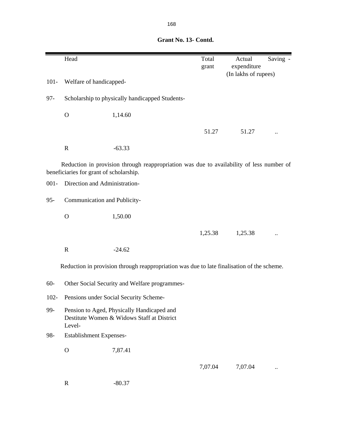|         | Head                                    |                                                                                            | Total<br>grant | Actual<br>expenditure | Saving - |
|---------|-----------------------------------------|--------------------------------------------------------------------------------------------|----------------|-----------------------|----------|
| $101 -$ | Welfare of handicapped-                 |                                                                                            |                | (In lakhs of rupees)  |          |
| $97 -$  |                                         | Scholarship to physically handicapped Students-                                            |                |                       |          |
|         | $\mathbf{O}$                            | 1,14.60                                                                                    |                |                       |          |
|         |                                         |                                                                                            | 51.27          | 51.27                 |          |
|         | $\mathbf R$                             | $-63.33$                                                                                   |                |                       |          |
|         | beneficiaries for grant of scholarship. | Reduction in provision through reappropriation was due to availability of less number of   |                |                       |          |
| $001 -$ | Direction and Administration-           |                                                                                            |                |                       |          |
| $95 -$  | Communication and Publicity-            |                                                                                            |                |                       |          |
|         | $\mathbf{O}$                            | 1,50.00                                                                                    |                |                       |          |
|         |                                         |                                                                                            | 1,25.38        | 1,25.38               |          |
|         | $\mathbf R$                             | $-24.62$                                                                                   |                |                       |          |
|         |                                         | Reduction in provision through reappropriation was due to late finalisation of the scheme. |                |                       |          |
| $60 -$  |                                         | Other Social Security and Welfare programmes-                                              |                |                       |          |
| $102 -$ |                                         | Pensions under Social Security Scheme-                                                     |                |                       |          |
| 99-     | Level-                                  | Pension to Aged, Physically Handicaped and<br>Destitute Women & Widows Staff at District   |                |                       |          |
| 98-     | <b>Establishment Expenses-</b>          |                                                                                            |                |                       |          |
|         | $\mathbf O$                             | 7,87.41                                                                                    |                |                       |          |
|         |                                         |                                                                                            | 7,07.04        | 7,07.04               |          |

R  $-80.37$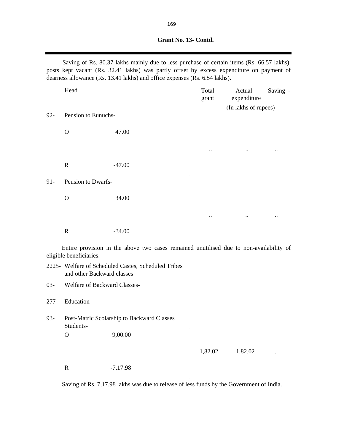Saving of Rs. 80.37 lakhs mainly due to less purchase of certain items (Rs. 66.57 lakhs), posts kept vacant (Rs. 32.41 lakhs) was partly offset by excess expenditure on payment of dearness allowance (Rs. 13.41 lakhs) and office expenses (Rs. 6.54 lakhs).

|        | Head                |          | Total<br>grant | Actual<br>expenditure | Saving -    |
|--------|---------------------|----------|----------------|-----------------------|-------------|
| $92 -$ | Pension to Eunuchs- |          |                | (In lakhs of rupees)  |             |
|        | $\mathbf O$         | 47.00    |                |                       |             |
|        |                     |          | $\bullet$ .    | $\ddotsc$             | $\bullet$ . |
|        | $\mathbf R$         | $-47.00$ |                |                       |             |
| $91 -$ | Pension to Dwarfs-  |          |                |                       |             |
|        | $\mathbf O$         | 34.00    |                |                       |             |
|        |                     |          | $\ddotsc$      | $\ddotsc$             | $\ddotsc$   |
|        | $\mathbf R$         | $-34.00$ |                |                       |             |

Entire provision in the above two cases remained unutilised due to non-availability of eligible beneficiaries.

| 2225 - Welfare of Scheduled Castes, Scheduled Tribes |
|------------------------------------------------------|
| and other Backward classes                           |

03- Welfare of Backward Classes-

- 277- Education-
- 93- Post-Matric Scolarship to Backward Classes Students-O 9,00.00

1,82.02 ...

R  $-7,17.98$ 

Saving of Rs. 7,17.98 lakhs was due to release of less funds by the Government of India.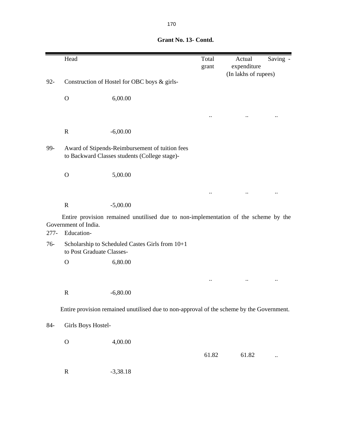|         | Head                               |                                                                                                  | Total<br>grant       | Actual<br>expenditure<br>(In lakhs of rupees) | Saving - |
|---------|------------------------------------|--------------------------------------------------------------------------------------------------|----------------------|-----------------------------------------------|----------|
| $92 -$  |                                    | Construction of Hostel for OBC boys & girls-                                                     |                      |                                               |          |
|         | $\mathbf{O}$                       | 6,00.00                                                                                          |                      |                                               |          |
|         |                                    |                                                                                                  | $\ddot{\phantom{0}}$ |                                               |          |
|         | $\mathbf R$                        | $-6,00.00$                                                                                       |                      |                                               |          |
| 99-     |                                    | Award of Stipends-Reimbursement of tuition fees<br>to Backward Classes students (College stage)- |                      |                                               |          |
|         | $\mathbf{O}$                       | 5,00.00                                                                                          |                      |                                               |          |
|         |                                    |                                                                                                  |                      |                                               |          |
|         | $\mathbf R$                        | $-5,00.00$                                                                                       |                      |                                               |          |
| $277 -$ | Government of India.<br>Education- | Entire provision remained unutilised due to non-implementation of the scheme by the              |                      |                                               |          |
| $76-$   | to Post Graduate Classes-          | Scholarship to Scheduled Castes Girls from 10+1                                                  |                      |                                               |          |
|         | $\mathbf{O}$                       | 6,80.00                                                                                          |                      |                                               |          |
|         |                                    |                                                                                                  |                      |                                               |          |
|         | $\mathbf R$                        | $-6,80.00$                                                                                       |                      |                                               |          |
|         |                                    | Entire provision remained unutilised due to non-approval of the scheme by the Government.        |                      |                                               |          |
| 84-     | Girls Boys Hostel-                 |                                                                                                  |                      |                                               |          |
|         | $\mathbf{O}$                       | 4,00.00                                                                                          |                      |                                               |          |
|         |                                    |                                                                                                  | 61.82                | 61.82                                         |          |
|         | $\mathbf R$                        | $-3,38.18$                                                                                       |                      |                                               |          |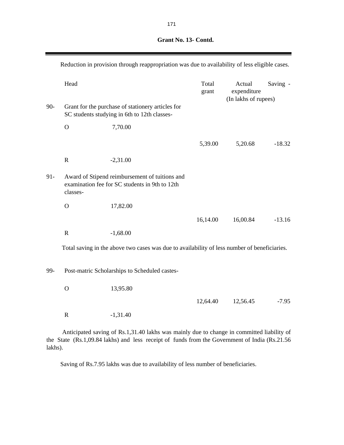|        | Reduction in provision through reappropriation was due to availability of less eligible cases. |                                                                                                  |                |                                               |          |  |
|--------|------------------------------------------------------------------------------------------------|--------------------------------------------------------------------------------------------------|----------------|-----------------------------------------------|----------|--|
| $90 -$ | Head                                                                                           | Grant for the purchase of stationery articles for                                                | Total<br>grant | Actual<br>expenditure<br>(In lakhs of rupees) | Saving - |  |
|        |                                                                                                | SC students studying in 6th to 12th classes-                                                     |                |                                               |          |  |
|        | $\mathbf O$                                                                                    | 7,70.00                                                                                          |                |                                               |          |  |
|        |                                                                                                |                                                                                                  | 5,39.00        | 5,20.68                                       | $-18.32$ |  |
|        | $\mathbf R$                                                                                    | $-2,31.00$                                                                                       |                |                                               |          |  |
| $91 -$ | classes-                                                                                       | Award of Stipend reimbursement of tuitions and<br>examination fee for SC students in 9th to 12th |                |                                               |          |  |
|        | $\mathbf O$                                                                                    | 17,82.00                                                                                         |                |                                               |          |  |
|        |                                                                                                |                                                                                                  | 16,14.00       | 16,00.84                                      | $-13.16$ |  |
|        | $\mathbf R$                                                                                    | $-1,68.00$                                                                                       |                |                                               |          |  |
|        |                                                                                                | Total saving in the above two cases was due to availability of less number of beneficiaries.     |                |                                               |          |  |
| 99-    |                                                                                                | Post-matric Scholarships to Scheduled castes-                                                    |                |                                               |          |  |
|        | $\mathcal{O}$                                                                                  | 13,95.80                                                                                         |                |                                               |          |  |
|        |                                                                                                |                                                                                                  | 12,64.40       | 12,56.45                                      | $-7.95$  |  |
|        | $\mathbf R$                                                                                    | $-1,31.40$                                                                                       |                |                                               |          |  |

Anticipated saving of Rs.1,31.40 lakhs was mainly due to change in committed liability of the State (Rs.1,09.84 lakhs) and less receipt of funds from the Government of India (Rs.21.56 lakhs).

Saving of Rs.7.95 lakhs was due to availability of less number of beneficiaries.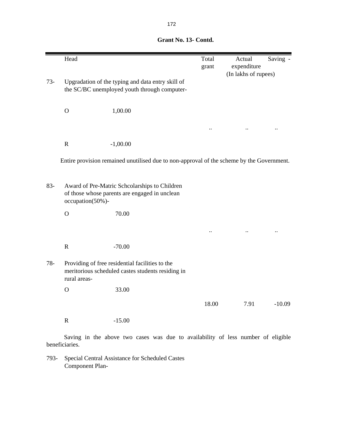|        | Head             |                                                                                                      | Total<br>grant | Actual<br>expenditure<br>(In lakhs of rupees) | Saving - |
|--------|------------------|------------------------------------------------------------------------------------------------------|----------------|-----------------------------------------------|----------|
| $73-$  |                  | Upgradation of the typing and data entry skill of<br>the SC/BC unemployed youth through computer-    |                |                                               |          |
|        | $\mathbf{O}$     | 1,00.00                                                                                              |                |                                               |          |
|        |                  |                                                                                                      |                |                                               |          |
|        | $\mathbf R$      | $-1,00.00$                                                                                           |                |                                               |          |
|        |                  | Entire provision remained unutilised due to non-approval of the scheme by the Government.            |                |                                               |          |
| $83 -$ | occupation(50%)- | Award of Pre-Matric Schcolarships to Children<br>of those whose parents are engaged in unclean       |                |                                               |          |
|        | $\mathbf{O}$     | 70.00                                                                                                |                |                                               |          |
|        |                  |                                                                                                      |                |                                               |          |
|        | $\mathbf R$      | $-70.00$                                                                                             |                |                                               |          |
| $78 -$ | rural areas-     | Providing of free residential facilities to the<br>meritorious scheduled castes students residing in |                |                                               |          |
|        | $\overline{O}$   | 33.00                                                                                                |                |                                               |          |
|        |                  |                                                                                                      | 18.00          | 7.91                                          | $-10.09$ |
|        | $\mathbf R$      | $-15.00$                                                                                             |                |                                               |          |
|        |                  | Saving in the above two cases was due to availability of less number of eligible                     |                |                                               |          |

beneficiaries.

793- Special Central Assistance for Scheduled Castes Component Plan-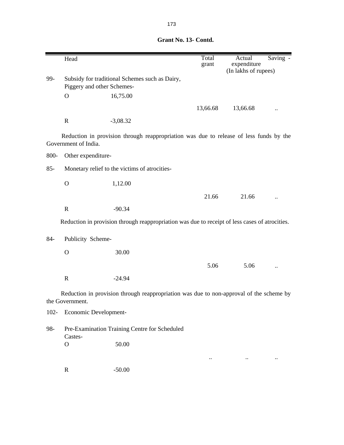|         | Head                       |                                                                                                | Total<br>grant | Actual<br>expenditure | Saving - |
|---------|----------------------------|------------------------------------------------------------------------------------------------|----------------|-----------------------|----------|
| 99-     | Piggery and other Schemes- | Subsidy for traditional Schemes such as Dairy,                                                 |                | (In lakhs of rupees)  |          |
|         | O                          | 16,75.00                                                                                       |                |                       |          |
|         |                            |                                                                                                | 13,66.68       | 13,66.68              |          |
|         | $\mathbf R$                | $-3,08.32$                                                                                     |                |                       |          |
|         | Government of India.       | Reduction in provision through reappropriation was due to release of less funds by the         |                |                       |          |
| 800-    | Other expenditure-         |                                                                                                |                |                       |          |
| $85 -$  |                            | Monetary relief to the victims of atrocities-                                                  |                |                       |          |
|         | $\mathbf{O}$               | 1,12.00                                                                                        |                |                       |          |
|         |                            |                                                                                                | 21.66          | 21.66                 |          |
|         | $\mathbf R$                | $-90.34$                                                                                       |                |                       |          |
|         |                            | Reduction in provision through reappropriation was due to receipt of less cases of atrocities. |                |                       |          |
| $84-$   | Publicity Scheme-          |                                                                                                |                |                       |          |
|         | $\mathbf{O}$               | 30.00                                                                                          |                |                       |          |
|         |                            |                                                                                                | 5.06           | 5.06                  |          |
|         | $\mathbf R$                | $-24.94$                                                                                       |                |                       |          |
|         | the Government.            | Reduction in provision through reappropriation was due to non-approval of the scheme by        |                |                       |          |
| $102 -$ | Economic Development-      |                                                                                                |                |                       |          |
| 98-     | Castes-                    | Pre-Examination Training Centre for Scheduled                                                  |                |                       |          |
|         | $\mathbf O$                | 50.00                                                                                          |                |                       |          |
|         |                            |                                                                                                |                |                       |          |
|         | $\mathbf R$                | $-50.00$                                                                                       |                |                       |          |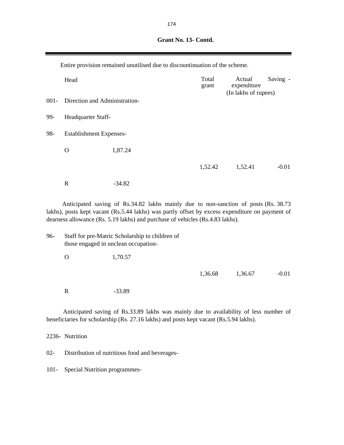| Grant No. 13- Contd. |
|----------------------|
|                      |

Entire provision remained unutilised due to discountinuation of the scheme.

|         | Head                                                  |          | Total<br>grant | Actual<br>expenditure | Saving - |  |
|---------|-------------------------------------------------------|----------|----------------|-----------------------|----------|--|
| $001 -$ | (In lakhs of rupees)<br>Direction and Administration- |          |                |                       |          |  |
| 99-     | Headquarter Staff-                                    |          |                |                       |          |  |
| 98-     | <b>Establishment Expenses-</b>                        |          |                |                       |          |  |
|         | O                                                     | 1,87.24  |                |                       |          |  |
|         |                                                       |          | 1,52.42        | 1,52.41               | $-0.01$  |  |
|         | $\mathbb{R}$                                          | $-34.82$ |                |                       |          |  |

Anticipated saving of Rs.34.82 lakhs mainly due to non-sanction of posts (Rs. 38.73 lakhs), posts kept vacant (Rs.5.44 lakhs) was partly offset by excess expenditure on payment of dearness allowance (Rs. 5.19 lakhs) and purchase of vehicles (Rs.4.83 lakhs).

96- Staff for pre-Matric Scholarship to children of those engaged in unclean occupation- O 1,70.57 1,36.68 1,36.67 -0.01

Anticipated saving of Rs.33.89 lakhs was mainly due to availability of less number of beneficiaries for scholarship (Rs. 27.16 lakhs) and posts kept vacant (Rs.5.94 lakhs).

2236- Nutrition

02- Distribution of nutritious food and beverages-

101- Special Nutrition programmes-

R  $-33.89$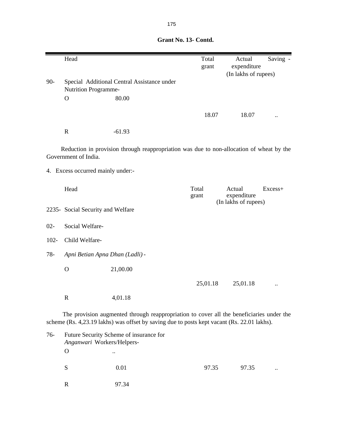|         | Head                                |                                                                                          | Total<br>grant              | Actual<br>expenditure<br>(In lakhs of rupees)                                                                   | Saving - |
|---------|-------------------------------------|------------------------------------------------------------------------------------------|-----------------------------|-----------------------------------------------------------------------------------------------------------------|----------|
| $90-$   | Nutrition Programme-<br>$\mathbf O$ | Special Additional Central Assistance under<br>80.00                                     |                             |                                                                                                                 |          |
|         |                                     |                                                                                          | 18.07                       | 18.07                                                                                                           |          |
|         | $\mathbf R$                         | $-61.93$                                                                                 |                             |                                                                                                                 |          |
|         | Government of India.                | Reduction in provision through reappropriation was due to non-allocation of wheat by the |                             |                                                                                                                 |          |
|         | 4. Excess occurred mainly under:-   |                                                                                          |                             |                                                                                                                 |          |
|         | Head                                |                                                                                          | Total<br>grant              | Actual<br>expenditure<br>(In lakhs of rupees)                                                                   | Excess+  |
|         | 2235- Social Security and Welfare   |                                                                                          |                             |                                                                                                                 |          |
| $02 -$  | Social Welfare-                     |                                                                                          |                             |                                                                                                                 |          |
| $102 -$ | Child Welfare-                      |                                                                                          |                             |                                                                                                                 |          |
| $78 -$  | Apni Betian Apna Dhan (Ladli) -     |                                                                                          |                             |                                                                                                                 |          |
|         | $\mathbf O$                         | 21,00.00                                                                                 |                             |                                                                                                                 |          |
|         |                                     |                                                                                          | 25,01.18                    | 25,01.18                                                                                                        |          |
|         | $\mathbf R$                         | 4,01.18                                                                                  |                             |                                                                                                                 |          |
|         | m.                                  | $\sim$ 1.4 $\sim$ 1.                                                                     | <b>Research Controllers</b> | $\mathbf{11}$ $\mathbf{12}$ $\mathbf{13}$ $\mathbf{14}$ $\mathbf{15}$ $\mathbf{16}$ $\mathbf{17}$ $\mathbf{18}$ |          |

The provision augmented through reappropriation to cover all the beneficiaries under the scheme (Rs. 4,23.19 lakhs) was offset by saving due to posts kept vacant (Rs. 22.01 lakhs).

| $76-$ | Future Security Scheme of insurance for<br>Anganwari Workers/Helpers- |           |       |       |                      |  |  |  |  |
|-------|-----------------------------------------------------------------------|-----------|-------|-------|----------------------|--|--|--|--|
|       | $\Omega$                                                              | $\ddotsc$ |       |       |                      |  |  |  |  |
|       | S                                                                     | 0.01      | 97.35 | 97.35 | $\ddot{\phantom{0}}$ |  |  |  |  |
|       | R                                                                     | 97.34     |       |       |                      |  |  |  |  |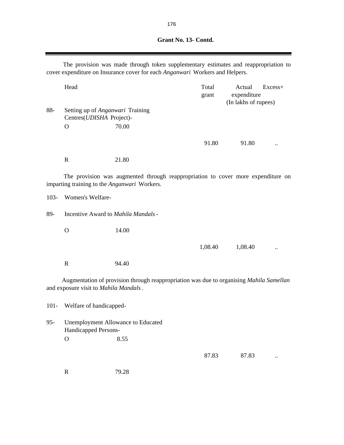9

|         |                                       | The provision was made through token supplementary estimates and reappropriation to<br>cover expenditure on Insurance cover for each Anganwari Workers and Helpers. |                |                                               |         |
|---------|---------------------------------------|---------------------------------------------------------------------------------------------------------------------------------------------------------------------|----------------|-----------------------------------------------|---------|
|         | Head                                  |                                                                                                                                                                     | Total<br>grant | Actual<br>expenditure<br>(In lakhs of rupees) | Excess+ |
| 88-     | Setting up of Anganwari Training      |                                                                                                                                                                     |                |                                               |         |
|         | Centres(UDISHA Project)-              |                                                                                                                                                                     |                |                                               |         |
|         | $\Omega$                              | 70.00                                                                                                                                                               |                |                                               |         |
|         |                                       |                                                                                                                                                                     |                |                                               |         |
|         |                                       |                                                                                                                                                                     | 91.80          | 91.80                                         |         |
|         | $\mathbf R$                           | 21.80                                                                                                                                                               |                |                                               |         |
|         |                                       | The provision was augmented through reappropriation to cover more expenditure on<br>imparting training to the Anganwari Workers.                                    |                |                                               |         |
| $103 -$ | Women's Welfare-                      |                                                                                                                                                                     |                |                                               |         |
| 89-     | Incentive Award to Mahila Mandals -   |                                                                                                                                                                     |                |                                               |         |
|         | $\mathbf{O}$                          | 14.00                                                                                                                                                               |                |                                               |         |
|         |                                       |                                                                                                                                                                     | 1,08.40        | 1,08.40                                       |         |
|         | $\mathbf R$                           | 94.40                                                                                                                                                               |                |                                               |         |
|         | and exposure visit to Mahila Mandals. | Augmentation of provision through reappropriation was due to organising Mahila Samellan                                                                             |                |                                               |         |
| $101 -$ | Welfare of handicapped-               |                                                                                                                                                                     |                |                                               |         |
| $95 -$  | <b>Handicapped Persons-</b>           | <b>Unemployment Allowance to Educated</b>                                                                                                                           |                |                                               |         |
|         | $\mathbf O$                           | 8.55                                                                                                                                                                |                |                                               |         |
|         |                                       |                                                                                                                                                                     | 87.83          | 87.83                                         |         |
|         | $\mathbf R$                           | 79.28                                                                                                                                                               |                |                                               |         |

E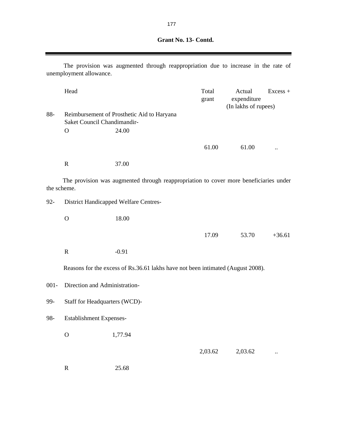| Grant No. 13- Contd. |
|----------------------|
|                      |

|             | unemployment allowance.       | The provision was augmented through reappropriation due to increase in the rate of    |                |                                               |            |
|-------------|-------------------------------|---------------------------------------------------------------------------------------|----------------|-----------------------------------------------|------------|
|             | Head                          |                                                                                       | Total<br>grant | Actual<br>expenditure<br>(In lakhs of rupees) | $Excess +$ |
| 88-         | Saket Council Chandimandir-   | Reimbursement of Prosthetic Aid to Haryana                                            |                |                                               |            |
|             | $\mathbf{O}$                  | 24.00                                                                                 |                |                                               |            |
|             |                               |                                                                                       | 61.00          | 61.00                                         |            |
|             | $\mathbf R$                   | 37.00                                                                                 |                |                                               |            |
| the scheme. |                               | The provision was augmented through reappropriation to cover more beneficiaries under |                |                                               |            |
| $92 -$      |                               | District Handicapped Welfare Centres-                                                 |                |                                               |            |
|             | $\mathbf{O}$                  | 18.00                                                                                 |                |                                               |            |
|             |                               |                                                                                       | 17.09          | 53.70                                         | $+36.61$   |
|             | $\mathbf R$                   | $-0.91$                                                                               |                |                                               |            |
|             |                               | Reasons for the excess of Rs.36.61 lakhs have not been intimated (August 2008).       |                |                                               |            |
| $001 -$     | Direction and Administration- |                                                                                       |                |                                               |            |
| 99-         | Staff for Headquarters (WCD)- |                                                                                       |                |                                               |            |
| 98-         | Establishment Expenses-       |                                                                                       |                |                                               |            |
|             | $\mathcal{O}$                 | 1,77.94                                                                               |                |                                               |            |
|             |                               |                                                                                       | 2,03.62        | 2,03.62                                       |            |
|             | $\mathbf R$                   | 25.68                                                                                 |                |                                               |            |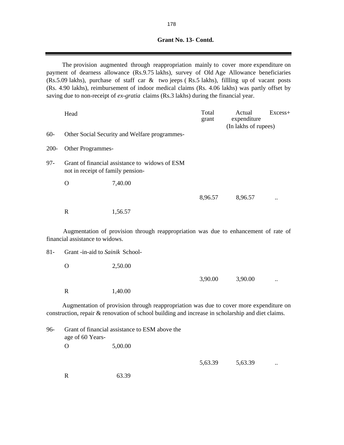The provision augmented through reappropriation mainly to cover more expenditure on payment of dearness allowance (Rs.9.75 lakhs), survey of Old Age Allowance beneficiaries (Rs.5.09 lakhs), purchase of staff car & two jeeps ( Rs.5 lakhs), fillling up of vacant posts (Rs. 4.90 lakhs), reimbursement of indoor medical claims (Rs. 4.06 lakhs) was partly offset by saving due to non-receipt of *ex-gratia* claims (Rs.3 lakhs) during the financial year.

|         | Head                              |                                                                                                                                                                                             | Total<br>grant | Actual<br>expenditure<br>(In lakhs of rupees) | Excess+ |
|---------|-----------------------------------|---------------------------------------------------------------------------------------------------------------------------------------------------------------------------------------------|----------------|-----------------------------------------------|---------|
| $60 -$  |                                   | Other Social Security and Welfare programmes-                                                                                                                                               |                |                                               |         |
| $200 -$ | Other Programmes-                 |                                                                                                                                                                                             |                |                                               |         |
| $97 -$  | not in receipt of family pension- | Grant of financial assistance to widows of ESM                                                                                                                                              |                |                                               |         |
|         | $\Omega$                          | 7,40.00                                                                                                                                                                                     |                |                                               |         |
|         |                                   |                                                                                                                                                                                             | 8,96.57        | 8,96.57                                       |         |
|         | $\mathbf R$                       | 1,56.57                                                                                                                                                                                     |                |                                               |         |
|         | financial assistance to widows.   | Augmentation of provision through reappropriation was due to enhancement of rate of                                                                                                         |                |                                               |         |
| $81 -$  | Grant -in-aid to Sainik School-   |                                                                                                                                                                                             |                |                                               |         |
|         | $\mathbf{O}$                      | 2,50.00                                                                                                                                                                                     |                |                                               |         |
|         |                                   |                                                                                                                                                                                             | 3,90.00        | 3,90.00                                       |         |
|         | $\mathbf R$                       | 1,40.00                                                                                                                                                                                     |                |                                               |         |
|         |                                   | Augmentation of provision through reappropriation was due to cover more expenditure on<br>construction, repair & renovation of school building and increase in scholarship and diet claims. |                |                                               |         |
| 96-     | age of 60 Years-                  | Grant of financial assistance to ESM above the                                                                                                                                              |                |                                               |         |

O 5,00.00

5,63.39 5,63.39 ..

R 63.39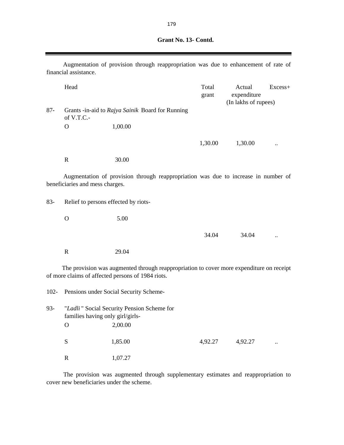| Grant No. 13- Contd. |
|----------------------|
|                      |

|        | financial assistance.                                          |         | Augmentation of provision through reappropriation was due to enhancement of rate of      |                |                                               |         |
|--------|----------------------------------------------------------------|---------|------------------------------------------------------------------------------------------|----------------|-----------------------------------------------|---------|
|        | Head                                                           |         |                                                                                          | Total<br>grant | Actual<br>expenditure<br>(In lakhs of rupees) | Excess+ |
| $87 -$ | Grants -in-aid to Rajya Sainik Board for Running<br>of V.T.C.- |         |                                                                                          |                |                                               |         |
|        | $\Omega$                                                       | 1,00.00 |                                                                                          |                |                                               |         |
|        |                                                                |         |                                                                                          | 1,30.00        | 1,30.00                                       |         |
|        | $\mathbb{R}$                                                   | 30.00   |                                                                                          |                |                                               |         |
|        | beneficiaries and mess charges.                                |         | Augmentation of provision through reappropriation was due to increase in number of       |                |                                               |         |
| $83 -$ | Relief to persons effected by riots-                           |         |                                                                                          |                |                                               |         |
|        | $\Omega$                                                       | 5.00    |                                                                                          |                |                                               |         |
|        |                                                                |         |                                                                                          | 34.04          | 34.04                                         |         |
|        | $\mathbf R$                                                    | 29.04   |                                                                                          |                |                                               |         |
|        | of more claims of affected persons of 1984 riots.              |         | The provision was augmented through reappropriation to cover more expenditure on receipt |                |                                               |         |

102- Pensions under Social Security Scheme-93- "*Ladli* " Social Security Pension Scheme for families having only girl/girls- . O 2,00.00  $S$  1,85.00  $4,92.27$  4,92.27 ... R 1,07.27

The provision was augmented through supplementary estimates and reappropriation to cover new beneficiaries under the scheme.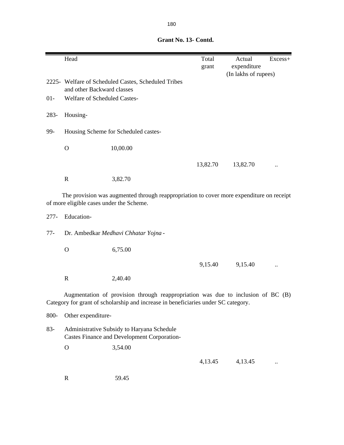|         | Head                                                                                                      |                                                                                                                                                                        | Total<br>grant | Actual<br>expenditure | Excess+ |
|---------|-----------------------------------------------------------------------------------------------------------|------------------------------------------------------------------------------------------------------------------------------------------------------------------------|----------------|-----------------------|---------|
|         | (In lakhs of rupees)<br>2225- Welfare of Scheduled Castes, Scheduled Tribes<br>and other Backward classes |                                                                                                                                                                        |                |                       |         |
| $01 -$  | Welfare of Scheduled Castes-                                                                              |                                                                                                                                                                        |                |                       |         |
| 283-    | Housing-                                                                                                  |                                                                                                                                                                        |                |                       |         |
| 99-     | Housing Scheme for Scheduled castes-                                                                      |                                                                                                                                                                        |                |                       |         |
|         | $\mathbf O$                                                                                               | 10,00.00                                                                                                                                                               |                |                       |         |
|         |                                                                                                           |                                                                                                                                                                        | 13,82.70       | 13,82.70              |         |
|         | $\mathbf R$                                                                                               | 3,82.70                                                                                                                                                                |                |                       |         |
|         | of more eligible cases under the Scheme.                                                                  | The provision was augmented through reappropriation to cover more expenditure on receipt                                                                               |                |                       |         |
| $277 -$ | Education-                                                                                                |                                                                                                                                                                        |                |                       |         |
| $77-$   | Dr. Ambedkar Medhavi Chhatar Yojna -                                                                      |                                                                                                                                                                        |                |                       |         |
|         | $\Omega$                                                                                                  | 6,75.00                                                                                                                                                                |                |                       |         |
|         |                                                                                                           |                                                                                                                                                                        | 9,15.40        | 9,15.40               |         |
|         | $\mathbf R$                                                                                               | 2,40.40                                                                                                                                                                |                |                       |         |
|         |                                                                                                           | Augmentation of provision through reappropriation was due to inclusion of BC (B)<br>Category for grant of scholarship and increase in beneficiaries under SC category. |                |                       |         |
| 800-    | Other expenditure-                                                                                        |                                                                                                                                                                        |                |                       |         |
| $83 -$  | Administrative Subsidy to Haryana Schedule<br>Castes Finance and Development Corporation-                 |                                                                                                                                                                        |                |                       |         |
|         | $\mathbf O$                                                                                               | 3,54.00                                                                                                                                                                |                |                       |         |
|         |                                                                                                           |                                                                                                                                                                        | 4,13.45        | 4,13.45               |         |
|         | $\mathbf R$                                                                                               | 59.45                                                                                                                                                                  |                |                       |         |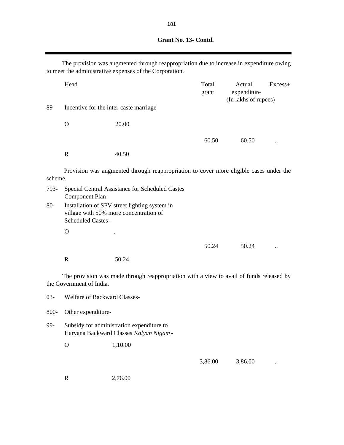|         |                              | The provision was augmented through reappropriation due to increase in expenditure owing<br>to meet the administrative expenses of the Corporation. |                |                                               |         |
|---------|------------------------------|-----------------------------------------------------------------------------------------------------------------------------------------------------|----------------|-----------------------------------------------|---------|
|         | Head                         |                                                                                                                                                     | Total<br>grant | Actual<br>expenditure<br>(In lakhs of rupees) | Excess+ |
| 89-     |                              | Incentive for the inter-caste marriage-                                                                                                             |                |                                               |         |
|         | $\mathbf{O}$                 | 20.00                                                                                                                                               |                |                                               |         |
|         |                              |                                                                                                                                                     | 60.50          | 60.50                                         |         |
|         | $\mathbf R$                  | 40.50                                                                                                                                               |                |                                               |         |
| scheme. |                              | Provision was augmented through reappropriation to cover more eligible cases under the                                                              |                |                                               |         |
| 793-    | Component Plan-              | Special Central Assistance for Scheduled Castes                                                                                                     |                |                                               |         |
| $80-$   | <b>Scheduled Castes-</b>     | Installation of SPV street lighting system in<br>village with 50% more concentration of                                                             |                |                                               |         |
|         | $\mathbf O$                  |                                                                                                                                                     |                |                                               |         |
|         |                              |                                                                                                                                                     | 50.24          | 50.24                                         |         |
|         | $\mathbf R$                  | 50.24                                                                                                                                               |                |                                               |         |
|         | the Government of India.     | The provision was made through reappropriation with a view to avail of funds released by                                                            |                |                                               |         |
| $03 -$  | Welfare of Backward Classes- |                                                                                                                                                     |                |                                               |         |
| 800-    | Other expenditure-           |                                                                                                                                                     |                |                                               |         |

99- Subsidy for administration expenditure to Haryana Backward Classes *Kalyan Nigam* -

O 1,10.00

3,86.00 ...

R 2,76.00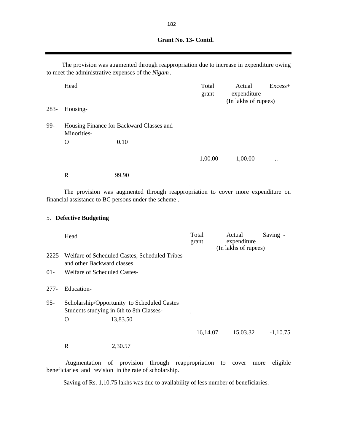Head Excess+ grant expenditure (In lakhs of rupees) 283- Housing-99- Housing Finance for Backward Classes and Minorities- . O 0.10 The provision was augmented through reappropriation due to increase in expenditure owing to meet the administrative expenses of the *Nigam* .

1,00.00 1,00.00

The provision was augmented through reappropriation to cover more expenditure on financial assistance to BC persons under the scheme .

#### 5. **Defective Budgeting**

R 99.90

|        | Head                         |                                                                                         | Total<br>grant | Actual<br>expenditure<br>(In lakhs of rupees) | Saving -   |
|--------|------------------------------|-----------------------------------------------------------------------------------------|----------------|-----------------------------------------------|------------|
|        | and other Backward classes   | 2225 - Welfare of Scheduled Castes, Scheduled Tribes                                    |                |                                               |            |
| $01 -$ | Welfare of Scheduled Castes- |                                                                                         |                |                                               |            |
| 277-   | Education-                   |                                                                                         |                |                                               |            |
| $95 -$ |                              | Scholarship/Opportunity to Scheduled Castes<br>Students studying in 6th to 8th Classes- |                |                                               |            |
|        | O                            | 13,83.50                                                                                |                |                                               |            |
|        |                              |                                                                                         | 16,14.07       | 15,03.32                                      | $-1,10.75$ |
|        | R                            | 2,30.57                                                                                 |                |                                               |            |

Augmentation of provision through reappropriation to cover more eligible beneficiaries and revision in the rate of scholarship.

Saving of Rs. 1,10.75 lakhs was due to availability of less number of beneficiaries.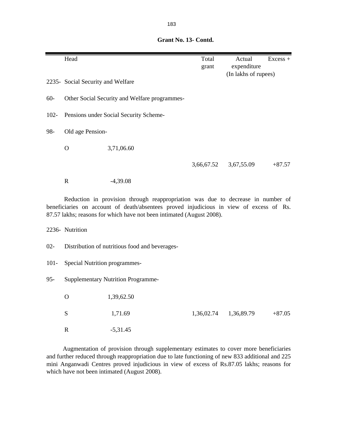|         | Head                              |                                               | Total<br>grant | Actual<br>expenditure<br>(In lakhs of rupees) | $Excess +$ |
|---------|-----------------------------------|-----------------------------------------------|----------------|-----------------------------------------------|------------|
|         | 2235- Social Security and Welfare |                                               |                |                                               |            |
| $60 -$  |                                   | Other Social Security and Welfare programmes- |                |                                               |            |
| $102 -$ |                                   | Pensions under Social Security Scheme-        |                |                                               |            |
| 98-     | Old age Pension-                  |                                               |                |                                               |            |
|         | $\Omega$                          | 3,71,06.60                                    |                |                                               |            |
|         |                                   |                                               | 3,66,67.52     | 3,67,55.09                                    | $+87.57$   |
|         | $\mathbf R$                       | $-4,39.08$                                    |                |                                               |            |

Reduction in provision through reappropriation was due to decrease in number of beneficiaries on account of death/absentees proved injudicious in view of excess of Rs. 87.57 lakhs; reasons for which have not been intimated (August 2008).

2236- Nutrition

- 02- Distribution of nutritious food and beverages-
- 101- Special Nutrition programmes-
- 95- Supplementary Nutrition Programme-

| $\overline{O}$ | 1,39,62.50 |                       |          |
|----------------|------------|-----------------------|----------|
| <sub>S</sub>   | 1,71.69    | 1,36,02.74 1,36,89.79 | $+87.05$ |
| R              | $-5,31.45$ |                       |          |

Augmentation of provision through supplementary estimates to cover more beneficiaries and further reduced through reappropriation due to late functioning of new 833 additional and 225 mini Anganwadi Centres proved injudicious in view of excess of Rs.87.05 lakhs; reasons for which have not been intimated (August 2008).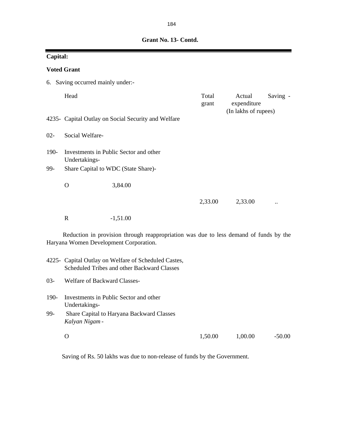| Capital: |                                |                                                                                                                                 |                |                                               |          |  |  |
|----------|--------------------------------|---------------------------------------------------------------------------------------------------------------------------------|----------------|-----------------------------------------------|----------|--|--|
|          | <b>Voted Grant</b>             |                                                                                                                                 |                |                                               |          |  |  |
| 6.       | Saving occurred mainly under:- |                                                                                                                                 |                |                                               |          |  |  |
|          | Head                           |                                                                                                                                 | Total<br>grant | Actual<br>expenditure<br>(In lakhs of rupees) | Saving - |  |  |
|          |                                | 4235- Capital Outlay on Social Security and Welfare                                                                             |                |                                               |          |  |  |
| $02 -$   | Social Welfare-                |                                                                                                                                 |                |                                               |          |  |  |
| 190-     | Undertakings-                  | Investments in Public Sector and other                                                                                          |                |                                               |          |  |  |
| 99-      |                                | Share Capital to WDC (State Share)-                                                                                             |                |                                               |          |  |  |
|          | $\mathbf{O}$                   | 3,84.00                                                                                                                         |                |                                               |          |  |  |
|          |                                |                                                                                                                                 | 2,33.00        | 2,33.00                                       |          |  |  |
|          | $\mathbf R$                    | $-1,51.00$                                                                                                                      |                |                                               |          |  |  |
|          |                                | Reduction in provision through reappropriation was due to less demand of funds by the<br>Haryana Women Development Corporation. |                |                                               |          |  |  |
|          |                                | 4225- Capital Outlay on Welfare of Scheduled Castes,<br>Scheduled Tribes and other Backward Classes                             |                |                                               |          |  |  |
| $03 -$   | Welfare of Backward Classes-   |                                                                                                                                 |                |                                               |          |  |  |
| 190-     | Undertakings-                  | Investments in Public Sector and other                                                                                          |                |                                               |          |  |  |
| 99-      | Kalyan Nigam -                 | Share Capital to Haryana Backward Classes                                                                                       |                |                                               |          |  |  |
|          | $\mathbf O$                    |                                                                                                                                 | 1,50.00        | 1,00.00                                       | $-50.00$ |  |  |

Saving of Rs. 50 lakhs was due to non-release of funds by the Government.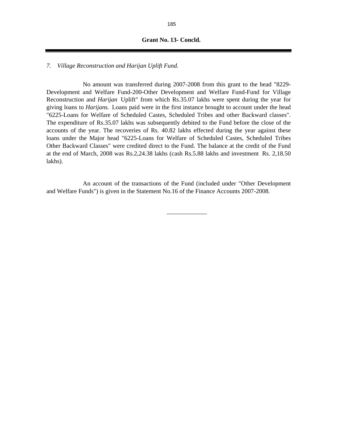#### **Grant No. 13- Concld.**

### *7. Village Reconstruction and Harijan Uplift Fund.*

No amount was transferred during 2007-2008 from this grant to the head "8229- Development and Welfare Fund-200-Other Development and Welfare Fund-Fund for Village Reconstruction and *Harijan* Uplift" from which Rs.35.07 lakhs were spent during the year for giving loans to *Harijans.* Loans paid were in the first instance brought to account under the head "6225-Loans for Welfare of Scheduled Castes, Scheduled Tribes and other Backward classes". The expenditure of Rs.35.07 lakhs was subsequently debited to the Fund before the close of the accounts of the year. The recoveries of Rs. 40.82 lakhs effected during the year against these loans under the Major head "6225-Loans for Welfare of Scheduled Castes, Scheduled Tribes Other Backward Classes" were credited direct to the Fund. The balance at the credit of the Fund at the end of March, 2008 was Rs.2,24.38 lakhs (cash Rs.5.88 lakhs and investment Rs. 2,18.50 lakhs).

An account of the transactions of the Fund (included under "Other Development and Welfare Funds") is given in the Statement No.16 of the Finance Accounts 2007-2008.

\_\_\_\_\_\_\_\_\_\_\_\_\_

185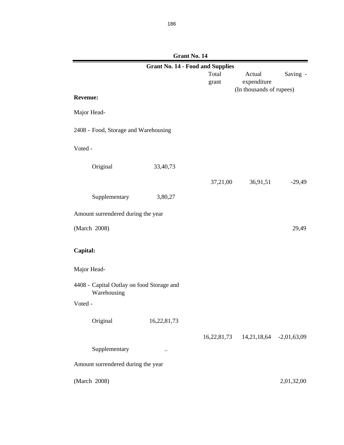|                                                          |             | <b>Grant No. 14 - Food and Supplies</b> |                                               |            |
|----------------------------------------------------------|-------------|-----------------------------------------|-----------------------------------------------|------------|
|                                                          |             | Total                                   | Actual                                        | Saving -   |
|                                                          |             | grant                                   | expenditure                                   |            |
| <b>Revenue:</b>                                          |             |                                         | (In thousands of rupees)                      |            |
|                                                          |             |                                         |                                               |            |
| Major Head-                                              |             |                                         |                                               |            |
| 2408 - Food, Storage and Warehousing                     |             |                                         |                                               |            |
| Voted -                                                  |             |                                         |                                               |            |
| Original                                                 | 33,40,73    |                                         |                                               |            |
|                                                          |             | 37,21,00                                | 36,91,51                                      | $-29,49$   |
| Supplementary                                            | 3,80,27     |                                         |                                               |            |
| Amount surrendered during the year                       |             |                                         |                                               |            |
| (March 2008)                                             |             |                                         |                                               | 29,49      |
| Capital:                                                 |             |                                         |                                               |            |
| Major Head-                                              |             |                                         |                                               |            |
| 4408 - Capital Outlay on food Storage and<br>Warehousing |             |                                         |                                               |            |
| Voted -                                                  |             |                                         |                                               |            |
| Original                                                 | 16,22,81,73 |                                         |                                               |            |
|                                                          |             |                                         | 16, 22, 81, 73 14, 21, 18, 64 - 2, 01, 63, 09 |            |
| Supplementary                                            | $\ddotsc$   |                                         |                                               |            |
| Amount surrendered during the year                       |             |                                         |                                               |            |
| (March 2008)                                             |             |                                         |                                               | 2,01,32,00 |

| Grant No. 14 |  |  |
|--------------|--|--|
|              |  |  |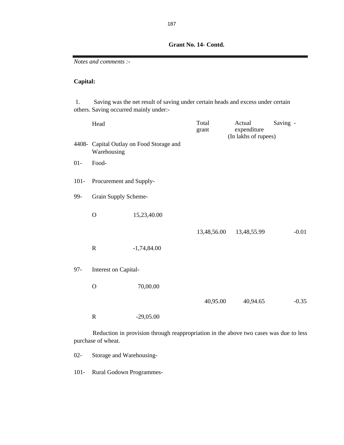*Notes and comments :-*

## **Capital:**

 1. Saving was the net result of saving under certain heads and excess under certain others. Saving occurred mainly under:-

|         | Head                        |                                          | Total<br>grant | Actual<br>expenditure<br>(In lakhs of rupees) | Saving - |
|---------|-----------------------------|------------------------------------------|----------------|-----------------------------------------------|----------|
|         | Warehousing                 | 4408- Capital Outlay on Food Storage and |                |                                               |          |
| $01-$   | Food-                       |                                          |                |                                               |          |
| $101 -$ | Procurement and Supply-     |                                          |                |                                               |          |
| 99-     | <b>Grain Supply Scheme-</b> |                                          |                |                                               |          |
|         | $\mathbf O$                 | 15,23,40.00                              |                |                                               |          |
|         |                             |                                          | 13,48,56.00    | 13,48,55.99                                   | $-0.01$  |
|         | $\mathbf R$                 | $-1,74,84.00$                            |                |                                               |          |
| $97 -$  | Interest on Capital-        |                                          |                |                                               |          |
|         | $\mathbf O$                 | 70,00.00                                 |                |                                               |          |
|         |                             |                                          | 40,95.00       | 40,94.65                                      | $-0.35$  |
|         | $\mathbf R$                 | $-29,05.00$                              |                |                                               |          |

Reduction in provision through reappropriation in the above two cases was due to less purchase of wheat.

02- Storage and Warehousing-

101- Rural Godown Programmes-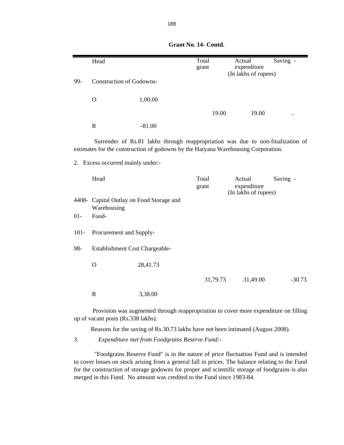|         | Head                              |                                                                                                                                                                      | Total<br>grant | Actual<br>expenditure<br>(In lakhs of rupees) | Saving - |
|---------|-----------------------------------|----------------------------------------------------------------------------------------------------------------------------------------------------------------------|----------------|-----------------------------------------------|----------|
| 99-     | <b>Construction of Godowns-</b>   |                                                                                                                                                                      |                |                                               |          |
|         | $\mathbf O$                       | 1,00.00                                                                                                                                                              |                |                                               |          |
|         |                                   |                                                                                                                                                                      | 19.00          | 19.00                                         |          |
|         | $\mathbf R$                       | $-81.00$                                                                                                                                                             |                |                                               |          |
|         |                                   | Surrender of Rs.81 lakhs through reappropriation was due to non-finalization of<br>estimates for the construction of godowns by the Haryana Warehousing Corporation. |                |                                               |          |
|         | 2. Excess occurred mainly under:- |                                                                                                                                                                      |                |                                               |          |
|         | Head                              |                                                                                                                                                                      | Total<br>grant | Actual<br>expenditure<br>(In lakhs of rupees) | Saving - |
|         | Warehousing                       | 4408- Capital Outlay on Food Storage and                                                                                                                             |                |                                               |          |
| $01-$   | Food-                             |                                                                                                                                                                      |                |                                               |          |
| $101 -$ | Procurement and Supply-           |                                                                                                                                                                      |                |                                               |          |
| 98-     | Establishment Cost Chargeable-    |                                                                                                                                                                      |                |                                               |          |
|         | $\mathbf O$                       | 28,41.73                                                                                                                                                             |                |                                               |          |
|         |                                   |                                                                                                                                                                      | 31,79.73       | 31,49.00                                      | $-30.73$ |
|         | $\mathbf R$                       | 3,38.00                                                                                                                                                              |                |                                               |          |

Provision was augmented through reappropriation to cover more expenditure on filling up of vacant posts (Rs.338 lakhs).

Reasons for the saving of Rs.30.73 lakhs have not been intimated (August 2008).

*3. Expenditure met from Foodgrains Reserve Fund:-*

"Foodgrains Reserve Fund" is in the nature of price fluctuation Fund and is intended to cover losses on stock arising from a general fall in prices. The balance relating to the Fund for the construction of storage godowns for proper and scientific storage of foodgrains is also merged in this Fund. No amount was credited to the Fund since 1983-84.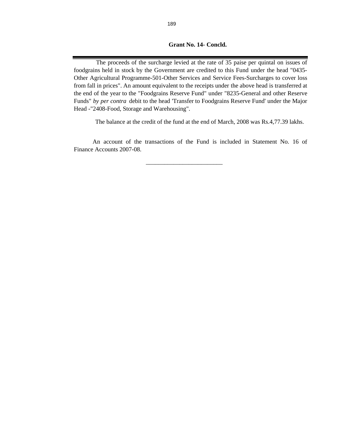## **Grant No. 14- Concld.**

The proceeds of the surcharge levied at the rate of 35 paise per quintal on issues of foodgrains held in stock by the Government are credited to this Fund under the head "0435- Other Agricultural Programme-501-Other Services and Service Fees-Surcharges to cover loss from fall in prices". An amount equivalent to the receipts under the above head is transferred at the end of the year to the "Foodgrains Reserve Fund" under "8235-General and other Reserve Funds" *by per contra* debit to the head 'Transfer to Foodgrains Reserve Fund' under the Major Head -"2408-Food, Storage and Warehousing".

The balance at the credit of the fund at the end of March, 2008 was Rs.4,77.39 lakhs.

An account of the transactions of the Fund is included in Statement No. 16 of Finance Accounts 2007-08.

 $\frac{1}{2}$  ,  $\frac{1}{2}$  ,  $\frac{1}{2}$  ,  $\frac{1}{2}$  ,  $\frac{1}{2}$  ,  $\frac{1}{2}$  ,  $\frac{1}{2}$  ,  $\frac{1}{2}$  ,  $\frac{1}{2}$  ,  $\frac{1}{2}$  ,  $\frac{1}{2}$  ,  $\frac{1}{2}$  ,  $\frac{1}{2}$  ,  $\frac{1}{2}$  ,  $\frac{1}{2}$  ,  $\frac{1}{2}$  ,  $\frac{1}{2}$  ,  $\frac{1}{2}$  ,  $\frac{1$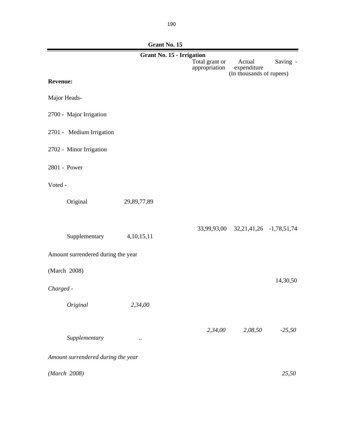|                                    | Grant No. 15                     |                                 |                                     |          |  |  |  |
|------------------------------------|----------------------------------|---------------------------------|-------------------------------------|----------|--|--|--|
|                                    | <b>Grant No. 15 - Irrigation</b> |                                 |                                     |          |  |  |  |
|                                    |                                  | Total grant or<br>appropriation | Actual<br>expenditure               | Saving - |  |  |  |
|                                    |                                  |                                 | (In thousands of rupees)            |          |  |  |  |
| <b>Revenue:</b>                    |                                  |                                 |                                     |          |  |  |  |
| Major Heads-                       |                                  |                                 |                                     |          |  |  |  |
| 2700 - Major Irrigation            |                                  |                                 |                                     |          |  |  |  |
| 2701 - Medium Irrigation           |                                  |                                 |                                     |          |  |  |  |
| 2702 - Minor Irrigation            |                                  |                                 |                                     |          |  |  |  |
| 2801 - Power                       |                                  |                                 |                                     |          |  |  |  |
| Voted -                            |                                  |                                 |                                     |          |  |  |  |
| Original                           | 29,89,77,89                      |                                 |                                     |          |  |  |  |
|                                    |                                  |                                 |                                     |          |  |  |  |
|                                    |                                  |                                 | 33,99,93,00 32,21,41,26 -1,78,51,74 |          |  |  |  |
| Supplementary                      | 4, 10, 15, 11                    |                                 |                                     |          |  |  |  |
| Amount surrendered during the year |                                  |                                 |                                     |          |  |  |  |
| (March 2008)                       |                                  |                                 |                                     |          |  |  |  |
|                                    |                                  |                                 |                                     | 14,30,50 |  |  |  |
| Charged -                          |                                  |                                 |                                     |          |  |  |  |
| Original                           | 2,34,00                          |                                 |                                     |          |  |  |  |
|                                    |                                  |                                 |                                     |          |  |  |  |
| Supplementary                      | $\cdot \cdot$                    | 2,34,00                         | 2,08,50                             | $-25,50$ |  |  |  |
|                                    |                                  |                                 |                                     |          |  |  |  |
| Amount surrendered during the year |                                  |                                 |                                     |          |  |  |  |
| (March 2008)                       |                                  |                                 |                                     | 25,50    |  |  |  |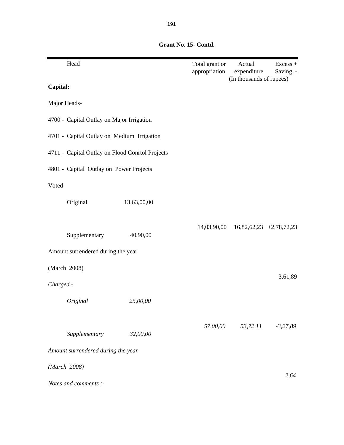| Head                                            |             | Total grant or<br>appropriation | Actual<br>expenditure     | Excess +<br>Saving - |  |
|-------------------------------------------------|-------------|---------------------------------|---------------------------|----------------------|--|
| Capital:                                        |             |                                 | (In thousands of rupees)  |                      |  |
| Major Heads-                                    |             |                                 |                           |                      |  |
| 4700 - Capital Outlay on Major Irrigation       |             |                                 |                           |                      |  |
| 4701 - Capital Outlay on Medium Irrigation      |             |                                 |                           |                      |  |
| 4711 - Capital Outlay on Flood Conrtol Projects |             |                                 |                           |                      |  |
| 4801 - Capital Outlay on Power Projects         |             |                                 |                           |                      |  |
| Voted -                                         |             |                                 |                           |                      |  |
| Original                                        | 13,63,00,00 |                                 |                           |                      |  |
| Supplementary                                   | 40,90,00    | 14,03,90,00                     | $16,82,62,23$ +2,78,72,23 |                      |  |
| Amount surrendered during the year              |             |                                 |                           |                      |  |
| (March 2008)                                    |             |                                 |                           |                      |  |
| Charged -                                       |             |                                 |                           | 3,61,89              |  |
| Original                                        | 25,00,00    |                                 |                           |                      |  |
| Supplementary                                   | 32,00,00    | 57,00,00                        | 53,72,11                  | $-3,27,89$           |  |
| Amount surrendered during the year              |             |                                 |                           |                      |  |
| (March 2008)                                    |             |                                 |                           |                      |  |
| Notes and comments :-                           |             |                                 |                           | 2,64                 |  |

 **Grant No. 15- Contd.**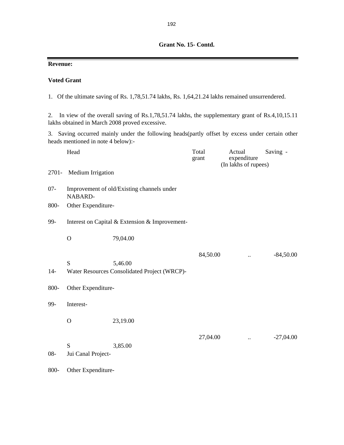## **Revenue:**

## **Voted Grant**

1. Of the ultimate saving of Rs. 1,78,51.74 lakhs, Rs. 1,64,21.24 lakhs remained unsurrendered.

2. In view of the overall saving of Rs.1,78,51.74 lakhs, the supplementary grant of Rs.4,10,15.11 lakhs obtained in March 2008 proved excessive.

3. Saving occurred mainly under the following heads(partly offset by excess under certain other heads mentioned in note 4 below):-

|        | Head               |                                                         | Total<br>grant | Actual<br>expenditure<br>(In lakhs of rupees) | Saving -    |
|--------|--------------------|---------------------------------------------------------|----------------|-----------------------------------------------|-------------|
| 2701-  | Medium Irrigation  |                                                         |                |                                               |             |
| $07 -$ | NABARD-            | Improvement of old/Existing channels under              |                |                                               |             |
| 800-   | Other Expenditure- |                                                         |                |                                               |             |
| 99-    |                    | Interest on Capital & Extension & Improvement-          |                |                                               |             |
|        | $\overline{O}$     | 79,04.00                                                |                |                                               |             |
|        |                    |                                                         | 84,50.00       | $\ddot{\phantom{a}}$                          | $-84,50.00$ |
| $14-$  | S                  | 5,46.00<br>Water Resources Consolidated Project (WRCP)- |                |                                               |             |
| 800-   | Other Expenditure- |                                                         |                |                                               |             |
| 99-    | Interest-          |                                                         |                |                                               |             |
|        | $\mathbf O$        | 23,19.00                                                |                |                                               |             |
|        | S                  | 3,85.00                                                 | 27,04.00       | $\ddot{\phantom{a}}$                          | $-27,04.00$ |
| $08 -$ | Jui Canal Project- |                                                         |                |                                               |             |
| 800-   | Other Expenditure- |                                                         |                |                                               |             |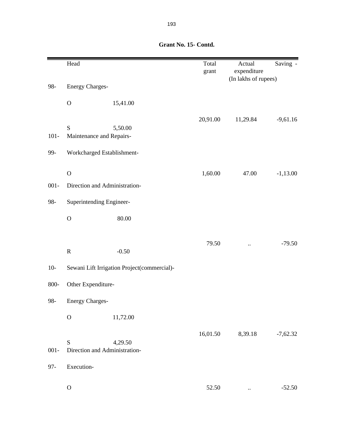|         | Head                                         |                                             | Total<br>grant | Actual<br>expenditure<br>(In lakhs of rupees) | Saving -   |
|---------|----------------------------------------------|---------------------------------------------|----------------|-----------------------------------------------|------------|
| 98-     | <b>Energy Charges-</b>                       |                                             |                |                                               |            |
|         | $\mathcal O$                                 | 15,41.00                                    |                |                                               |            |
| $101 -$ | S<br>Maintenance and Repairs-                | 5,50.00                                     | 20,91.00       | 11,29.84                                      | $-9,61.16$ |
| 99-     | Workcharged Establishment-                   |                                             |                |                                               |            |
| $001 -$ | $\mathbf O$<br>Direction and Administration- |                                             | 1,60.00        | 47.00                                         | $-1,13.00$ |
| 98-     | Superintending Engineer-                     |                                             |                |                                               |            |
|         | $\mathbf O$                                  | 80.00                                       |                |                                               |            |
|         | ${\bf R}$                                    | $-0.50$                                     | 79.50          | $\ddot{\phantom{a}}$                          | $-79.50$   |
| $10-$   |                                              | Sewani Lift Irrigation Project(commercial)- |                |                                               |            |
| 800-    | Other Expenditure-                           |                                             |                |                                               |            |
| 98-     | <b>Energy Charges-</b>                       |                                             |                |                                               |            |
|         | $\mathbf O$                                  | 11,72.00                                    |                |                                               |            |
| $001 -$ | S<br>Direction and Administration-           | 4,29.50                                     | 16,01.50       | 8,39.18                                       | $-7,62.32$ |
| $97 -$  | Execution-                                   |                                             |                |                                               |            |
|         | ${\bf O}$                                    |                                             | 52.50          |                                               | $-52.50$   |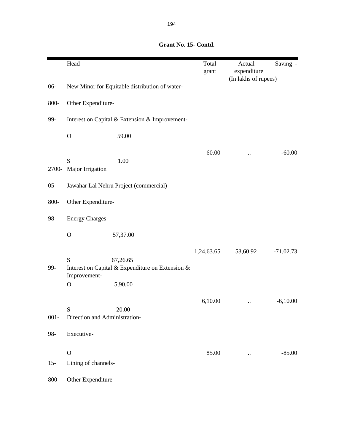|         | Head                                     |                                                                         | Total<br>grant | Actual<br>expenditure<br>(In lakhs of rupees) | Saving -    |
|---------|------------------------------------------|-------------------------------------------------------------------------|----------------|-----------------------------------------------|-------------|
| $06 -$  |                                          | New Minor for Equitable distribution of water-                          |                |                                               |             |
| 800-    | Other Expenditure-                       |                                                                         |                |                                               |             |
| 99-     |                                          | Interest on Capital & Extension & Improvement-                          |                |                                               |             |
|         | $\mathbf O$                              | 59.00                                                                   |                |                                               |             |
| 2700-   | S<br>Major Irrigation                    | 1.00                                                                    | 60.00          |                                               | $-60.00$    |
| $05 -$  |                                          | Jawahar Lal Nehru Project (commercial)-                                 |                |                                               |             |
| 800-    | Other Expenditure-                       |                                                                         |                |                                               |             |
| 98-     | <b>Energy Charges-</b>                   |                                                                         |                |                                               |             |
|         | $\overline{O}$                           | 57,37.00                                                                |                |                                               |             |
| 99-     | ${\bf S}$<br>Improvement-<br>$\mathbf O$ | 67,26.65<br>Interest on Capital & Expenditure on Extension &<br>5,90.00 | 1,24,63.65     | 53,60.92                                      | $-71,02.73$ |
| $001 -$ | S<br>Direction and Administration-       | 20.00                                                                   | 6,10.00        |                                               | $-6,10.00$  |
| 98-     | Executive-                               |                                                                         |                |                                               |             |
| $15 -$  | $\mathbf O$<br>Lining of channels-       |                                                                         | 85.00          |                                               | $-85.00$    |
| 800-    | Other Expenditure-                       |                                                                         |                |                                               |             |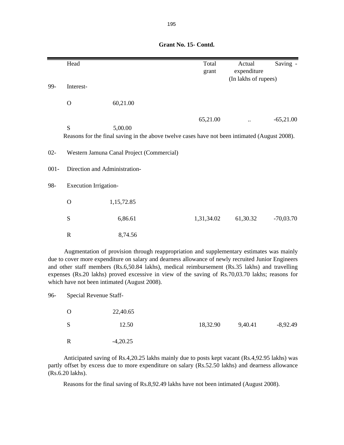|         | Head                         |                                                                                                          | Total<br>grant | Actual<br>expenditure | Saving -    |
|---------|------------------------------|----------------------------------------------------------------------------------------------------------|----------------|-----------------------|-------------|
| 99-     | Interest-                    |                                                                                                          |                | (In lakhs of rupees)  |             |
|         | $\mathbf O$                  | 60,21.00                                                                                                 |                |                       |             |
|         |                              |                                                                                                          | 65,21.00       |                       | $-65,21.00$ |
|         | S                            | 5,00.00<br>Reasons for the final saving in the above twelve cases have not been intimated (August 2008). |                |                       |             |
| $02 -$  |                              | Western Jamuna Canal Project (Commercial)                                                                |                |                       |             |
| $001 -$ |                              | Direction and Administration-                                                                            |                |                       |             |
| 98-     | <b>Execution Irrigation-</b> |                                                                                                          |                |                       |             |
|         | $\mathbf O$                  | 1,15,72.85                                                                                               |                |                       |             |
|         | S                            | 6,86.61                                                                                                  | 1,31,34.02     | 61,30.32              | $-70,03.70$ |
|         | $\mathbf R$                  | 8,74.56                                                                                                  |                |                       |             |

Augmentation of provision through reappropriation and supplementary estimates was mainly due to cover more expenditure on salary and dearness allowance of newly recruited Junior Engineers and other staff members (Rs.6,50.84 lakhs), medical reimbursement (Rs.35 lakhs) and travelling expenses (Rs.20 lakhs) proved excessive in view of the saving of Rs.70,03.70 lakhs; reasons for which have not been intimated (August 2008).

96- Special Revenue Staff-

| $\Omega$ | 22,40.65   |          |         |            |
|----------|------------|----------|---------|------------|
| S        | 12.50      | 18,32.90 | 9,40.41 | $-8,92.49$ |
| R        | $-4,20.25$ |          |         |            |

Anticipated saving of Rs.4,20.25 lakhs mainly due to posts kept vacant (Rs.4,92.95 lakhs) was partly offset by excess due to more expenditure on salary (Rs.52.50 lakhs) and dearness allowance (Rs.6.20 lakhs).

Reasons for the final saving of Rs.8,92.49 lakhs have not been intimated (August 2008).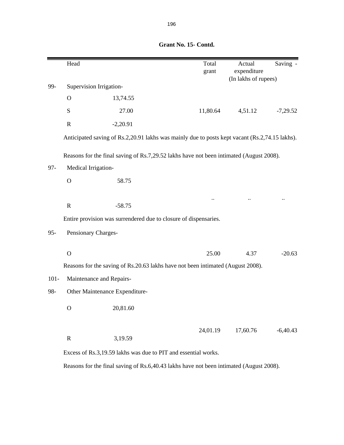|         | Head                                                                                    |                                | Total<br>grant                                                                                 | Actual<br>expenditure<br>(In lakhs of rupees) | Saving -   |  |
|---------|-----------------------------------------------------------------------------------------|--------------------------------|------------------------------------------------------------------------------------------------|-----------------------------------------------|------------|--|
| 99-     | Supervision Irrigation-                                                                 |                                |                                                                                                |                                               |            |  |
|         | $\mathbf O$                                                                             | 13,74.55                       |                                                                                                |                                               |            |  |
|         | S                                                                                       | 27.00                          | 11,80.64                                                                                       | 4,51.12                                       | $-7,29.52$ |  |
|         | $\mathbf R$                                                                             | $-2,20.91$                     |                                                                                                |                                               |            |  |
|         |                                                                                         |                                | Anticipated saving of Rs.2,20.91 lakhs was mainly due to posts kept vacant (Rs.2,74.15 lakhs). |                                               |            |  |
|         |                                                                                         |                                | Reasons for the final saving of Rs.7,29.52 lakhs have not been intimated (August 2008).        |                                               |            |  |
| $97 -$  | Medical Irrigation-                                                                     |                                |                                                                                                |                                               |            |  |
|         | $\mathbf O$                                                                             | 58.75                          |                                                                                                |                                               |            |  |
|         |                                                                                         |                                |                                                                                                |                                               |            |  |
|         | $\mathbf R$                                                                             | $-58.75$                       | $\ddotsc$                                                                                      |                                               |            |  |
|         |                                                                                         |                                | Entire provision was surrendered due to closure of dispensaries.                               |                                               |            |  |
| $95 -$  | Pensionary Charges-                                                                     |                                |                                                                                                |                                               |            |  |
|         | $\mathbf O$                                                                             |                                | 25.00                                                                                          | 4.37                                          | $-20.63$   |  |
|         |                                                                                         |                                | Reasons for the saving of Rs.20.63 lakhs have not been intimated (August 2008).                |                                               |            |  |
| $101 -$ | Maintenance and Repairs-                                                                |                                |                                                                                                |                                               |            |  |
| 98-     |                                                                                         | Other Maintenance Expenditure- |                                                                                                |                                               |            |  |
|         | O                                                                                       | 20,81.60                       |                                                                                                |                                               |            |  |
|         |                                                                                         |                                |                                                                                                |                                               |            |  |
|         | ${\bf R}$                                                                               | 3,19.59                        | 24,01.19                                                                                       | 17,60.76                                      | $-6,40.43$ |  |
|         |                                                                                         |                                | Excess of Rs.3,19.59 lakhs was due to PIT and essential works.                                 |                                               |            |  |
|         | Reasons for the final saving of Rs.6,40.43 lakhs have not been intimated (August 2008). |                                |                                                                                                |                                               |            |  |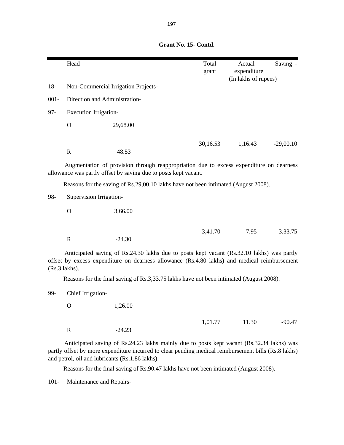|         | Head                          |                                     | Total<br>grant | Actual<br>expenditure<br>(In lakhs of rupees) | Saving -    |
|---------|-------------------------------|-------------------------------------|----------------|-----------------------------------------------|-------------|
| $18-$   |                               | Non-Commercial Irrigation Projects- |                |                                               |             |
| $001 -$ | Direction and Administration- |                                     |                |                                               |             |
| 97-     | <b>Execution Irrigation-</b>  |                                     |                |                                               |             |
|         | $\mathbf O$                   | 29,68.00                            |                |                                               |             |
|         | R                             | 48.53                               | 30,16.53       | 1,16.43                                       | $-29,00.10$ |

Augmentation of provision through reappropriation due to excess expenditure on dearness allowance was partly offset by saving due to posts kept vacant.

Reasons for the saving of Rs.29,00.10 lakhs have not been intimated (August 2008).

98- Supervision Irrigation-

O 3,66.00

R  $-24.30$ 

3,41.70 7.95 -3,33.75

Anticipated saving of Rs.24.30 lakhs due to posts kept vacant (Rs.32.10 lakhs) was partly offset by excess expenditure on dearness allowance (Rs.4.80 lakhs) and medical reimbursement

Reasons for the final saving of Rs.3,33.75 lakhs have not been intimated (August 2008).

99- Chief Irrigation-

(Rs.3 lakhs).

O 1,26.00

R -24.23

1,01.77 11.30 -90.47

Anticipated saving of Rs.24.23 lakhs mainly due to posts kept vacant (Rs.32.34 lakhs) was partly offset by more expenditure incurred to clear pending medical reimbursement bills (Rs.8 lakhs) and petrol, oil and lubricants (Rs.1.86 lakhs).

Reasons for the final saving of Rs.90.47 lakhs have not been intimated (August 2008).

101- Maintenance and Repairs-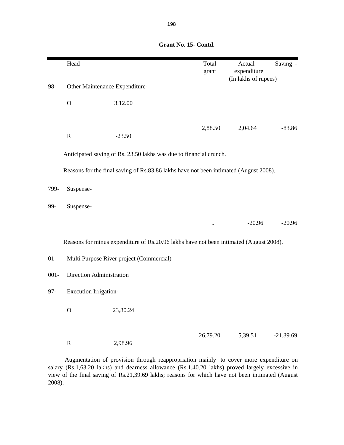|         | Head                         |                                                                                        | Total<br>grant | Actual<br>expenditure | Saving -    |
|---------|------------------------------|----------------------------------------------------------------------------------------|----------------|-----------------------|-------------|
|         |                              |                                                                                        |                | (In lakhs of rupees)  |             |
| 98-     |                              | Other Maintenance Expenditure-                                                         |                |                       |             |
|         | $\mathbf O$                  | 3,12.00                                                                                |                |                       |             |
|         |                              |                                                                                        | 2,88.50        | 2,04.64               | $-83.86$    |
|         | ${\bf R}$                    | $-23.50$                                                                               |                |                       |             |
|         |                              | Anticipated saving of Rs. 23.50 lakhs was due to financial crunch.                     |                |                       |             |
|         |                              | Reasons for the final saving of Rs.83.86 lakhs have not been intimated (August 2008).  |                |                       |             |
| 799-    | Suspense-                    |                                                                                        |                |                       |             |
| 99-     | Suspense-                    |                                                                                        |                |                       |             |
|         |                              |                                                                                        |                | $-20.96$              | $-20.96$    |
|         |                              | Reasons for minus expenditure of Rs.20.96 lakhs have not been intimated (August 2008). |                |                       |             |
| $01-$   |                              | Multi Purpose River project (Commercial)-                                              |                |                       |             |
| $001 -$ | Direction Administration     |                                                                                        |                |                       |             |
| $97 -$  | <b>Execution Irrigation-</b> |                                                                                        |                |                       |             |
|         | $\mathbf O$                  | 23,80.24                                                                               |                |                       |             |
|         | $\mathbf R$                  | 2,98.96                                                                                | 26,79.20       | 5,39.51               | $-21,39.69$ |

Augmentation of provision through reappropriation mainly to cover more expenditure on salary (Rs.1,63.20 lakhs) and dearness allowance (Rs.1,40.20 lakhs) proved largely excessive in view of the final saving of Rs.21,39.69 lakhs; reasons for which have not been intimated (August 2008).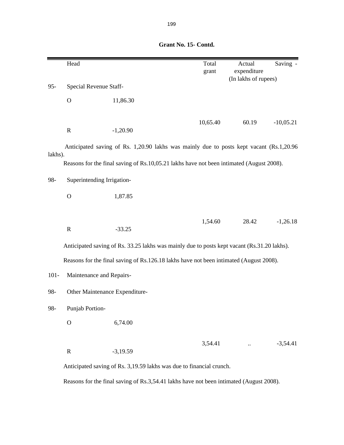|         | Head            |                                                                                             | Total<br>grant | Actual<br>expenditure<br>(In lakhs of rupees) | Saving -    |
|---------|-----------------|---------------------------------------------------------------------------------------------|----------------|-----------------------------------------------|-------------|
| $95 -$  |                 | Special Revenue Staff-                                                                      |                |                                               |             |
|         | $\mathbf{O}$    | 11,86.30                                                                                    |                |                                               |             |
|         | $\mathbf R$     | $-1,20.90$                                                                                  | 10,65.40       | 60.19                                         | $-10,05.21$ |
| lakhs). |                 | Anticipated saving of Rs. 1,20.90 lakhs was mainly due to posts kept vacant (Rs.1,20.96)    |                |                                               |             |
|         |                 | Reasons for the final saving of Rs.10,05.21 lakhs have not been intimated (August 2008).    |                |                                               |             |
| 98-     |                 | Superintending Irrigation-                                                                  |                |                                               |             |
|         | $\mathbf O$     | 1,87.85                                                                                     |                |                                               |             |
|         |                 |                                                                                             | 1,54.60        | 28.42                                         | $-1,26.18$  |
|         | $\mathbf R$     | $-33.25$                                                                                    |                |                                               |             |
|         |                 | Anticipated saving of Rs. 33.25 lakhs was mainly due to posts kept vacant (Rs.31.20 lakhs). |                |                                               |             |
|         |                 | Reasons for the final saving of Rs.126.18 lakhs have not been intimated (August 2008).      |                |                                               |             |
| $101 -$ |                 | Maintenance and Repairs-                                                                    |                |                                               |             |
| 98-     |                 | Other Maintenance Expenditure-                                                              |                |                                               |             |
| 98-     | Punjab Portion- |                                                                                             |                |                                               |             |
|         | $\mathbf{O}$    | 6,74.00                                                                                     |                |                                               |             |
|         |                 |                                                                                             | 3,54.41        | $\ddotsc$                                     | $-3,54.41$  |
|         | $\mathbf R$     | $-3,19.59$                                                                                  |                |                                               |             |
|         |                 | Anticipated saving of Rs. 3,19.59 lakhs was due to financial crunch.                        |                |                                               |             |
|         |                 | Reasons for the final saving of Rs.3,54.41 lakhs have not been intimated (August 2008).     |                |                                               |             |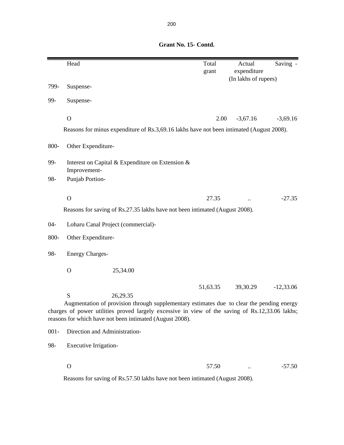Head Saving - Total Actual Saving grant expenditure (In lakhs of rupees) 799- Suspense-99- Suspense-O  $2.00 \t -3,67.16 \t -3,69.16$ 800- Other Expenditure-99- Interest on Capital & Expenditure on Extension & Improvement-98- Punjab Portion- $0$  27.35 ..  $-27.35$ 04- Loharu Canal Project (commercial)- 800- Other Expenditure-98- Energy Charges-O 25,34.00 S 26,29.35 51,63.35 39,30.29 -12,33.06 001- Direction and Administration- Reasons for saving of Rs.27.35 lakhs have not been intimated (August 2008). Augmentation of provision through supplementary estimates due to clear the pending energy charges of power utilities proved largely excessive in view of the saving of Rs.12,33.06 lakhs; reasons for which have not been intimated (August 2008). Reasons for minus expenditure of Rs.3,69.16 lakhs have not been intimated (August 2008).

## **Grant No. 15- Contd.**

98- Executive Irrigation-

 $\rm O$  ...  $\rm 57.50$  ...  $\rm -57.50$ 

Reasons for saving of Rs.57.50 lakhs have not been intimated (August 2008).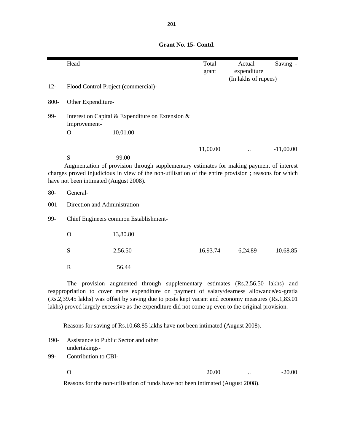|         | Head                                                                                                                                                                                                                                            |          |                                           | Total    | Actual                              | Saving -      |
|---------|-------------------------------------------------------------------------------------------------------------------------------------------------------------------------------------------------------------------------------------------------|----------|-------------------------------------------|----------|-------------------------------------|---------------|
|         |                                                                                                                                                                                                                                                 |          |                                           | grant    | expenditure<br>(In lakhs of rupees) |               |
| $12 -$  | Flood Control Project (commercial)-                                                                                                                                                                                                             |          |                                           |          |                                     |               |
| 800-    | Other Expenditure-                                                                                                                                                                                                                              |          |                                           |          |                                     |               |
| 99-     | Interest on Capital & Expenditure on Extension &<br>Improvement-                                                                                                                                                                                |          |                                           |          |                                     |               |
|         | $\Omega$                                                                                                                                                                                                                                        | 10,01.00 |                                           |          |                                     |               |
|         |                                                                                                                                                                                                                                                 |          |                                           | 11,00.00 |                                     | $-11,00.00$   |
|         | S<br>Augmentation of provision through supplementary estimates for making payment of interest<br>charges proved injudicious in view of the non-utilisation of the entire provision; reasons for which<br>have not been intimated (August 2008). | 99.00    |                                           |          |                                     |               |
| $80-$   | General-                                                                                                                                                                                                                                        |          |                                           |          |                                     |               |
| $001 -$ | Direction and Administration-                                                                                                                                                                                                                   |          |                                           |          |                                     |               |
| 99-     | Chief Engineers common Establishment-                                                                                                                                                                                                           |          |                                           |          |                                     |               |
|         | $\mathbf O$                                                                                                                                                                                                                                     | 13,80.80 |                                           |          |                                     |               |
|         | S                                                                                                                                                                                                                                               | 2,56.50  |                                           | 16,93.74 | 6,24.89                             | $-10,68.85$   |
|         | $\mathbf R$                                                                                                                                                                                                                                     | 56.44    |                                           |          |                                     |               |
|         | The<br>provision                                                                                                                                                                                                                                |          | augmented through supplementary estimates |          | (Rs.2, 56.50)                       | lakhs)<br>and |

reappropriation to cover more expenditure on payment of salary/dearness allowance/ex-gratia (Rs.2,39.45 lakhs) was offset by saving due to posts kept vacant and economy measures (Rs.1,83.01 lakhs) proved largely excessive as the expenditure did not come up even to the original provision.

Reasons for saving of Rs.10,68.85 lakhs have not been intimated (August 2008).

190- Assistance to Public Sector and other undertakings-

99- Contribution to CBI-

 $20.00$  ...  $-20.00$ 

Reasons for the non-utilisation of funds have not been intimated (August 2008).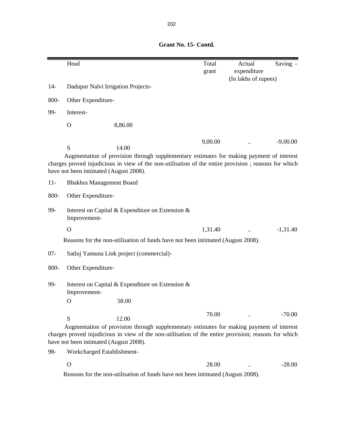|        | Head                                        |                                                                                                                                                                                                            | Total<br>grant | Actual<br>expenditure | Saving -   |
|--------|---------------------------------------------|------------------------------------------------------------------------------------------------------------------------------------------------------------------------------------------------------------|----------------|-----------------------|------------|
|        |                                             |                                                                                                                                                                                                            |                | (In lakhs of rupees)  |            |
| $14-$  | Dadupur Nalvi Irrigation Projects-          |                                                                                                                                                                                                            |                |                       |            |
| 800-   | Other Expenditure-                          |                                                                                                                                                                                                            |                |                       |            |
| 99-    | Interest-                                   |                                                                                                                                                                                                            |                |                       |            |
|        | $\mathbf O$                                 | 8,86.00                                                                                                                                                                                                    |                |                       |            |
|        |                                             |                                                                                                                                                                                                            | 9,00.00        |                       | $-9,00.00$ |
|        | S<br>have not been intimated (August 2008). | 14.00<br>Augmentation of provision through supplementary estimates for making payment of interest<br>charges proved injudicious in view of the non-utilisation of the entire provision ; reasons for which |                |                       |            |
| $11 -$ | <b>Bhakhra Management Board</b>             |                                                                                                                                                                                                            |                |                       |            |
| 800-   | Other Expenditure-                          |                                                                                                                                                                                                            |                |                       |            |
| 99-    | Improvement-                                | Interest on Capital & Expenditure on Extension &                                                                                                                                                           |                |                       |            |
|        | $\mathbf O$                                 |                                                                                                                                                                                                            | 1,31.40        |                       | $-1,31.40$ |
|        |                                             | Reasons for the non-utilisation of funds have not been intimated (August 2008).                                                                                                                            |                |                       |            |
| $07 -$ |                                             | Satluj Yamuna Link project (commercial)-                                                                                                                                                                   |                |                       |            |
| 800-   | Other Expenditure-                          |                                                                                                                                                                                                            |                |                       |            |
| 99-    | Improvement-                                | Interest on Capital & Expenditure on Extension &                                                                                                                                                           |                |                       |            |
|        | $\mathbf O$                                 | 58.00                                                                                                                                                                                                      |                |                       |            |
|        | S                                           | 12.00                                                                                                                                                                                                      | 70.00          |                       | $-70.00$   |
|        | have not been intimated (August 2008).      | Augmentation of provision through supplementary estimates for making payment of interest<br>charges proved injudicious in view of the non-utilisation of the entire provision; reasons for which           |                |                       |            |
| 98-    | Workcharged Establishment-                  |                                                                                                                                                                                                            |                |                       |            |

| $\overline{O}$ |     |                                       |   |        | 28.00 | $\ddotsc$ | $-28.00$ |
|----------------|-----|---------------------------------------|---|--------|-------|-----------|----------|
|                | $-$ | $\sim$ $\sim$ $\sim$<br>$\sim$ $\sim$ | . | $\sim$ | .     | .         |          |

Reasons for the non-utilisation of funds have not been intimated (August 2008).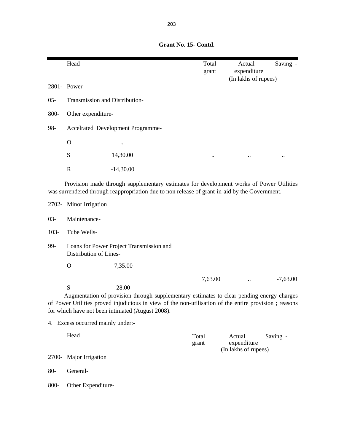|         | Head                              |                                                                                                                                                                                                                                                                 | Total<br>grant | Actual<br>expenditure<br>(In lakhs of rupees) | Saving -   |
|---------|-----------------------------------|-----------------------------------------------------------------------------------------------------------------------------------------------------------------------------------------------------------------------------------------------------------------|----------------|-----------------------------------------------|------------|
|         | 2801- Power                       |                                                                                                                                                                                                                                                                 |                |                                               |            |
| $05 -$  | Transmission and Distribution-    |                                                                                                                                                                                                                                                                 |                |                                               |            |
| 800-    | Other expenditure-                |                                                                                                                                                                                                                                                                 |                |                                               |            |
| 98-     |                                   | Accelrated Development Programme-                                                                                                                                                                                                                               |                |                                               |            |
|         | $\mathbf{O}$                      |                                                                                                                                                                                                                                                                 |                |                                               |            |
|         | S                                 | 14,30.00                                                                                                                                                                                                                                                        |                |                                               |            |
|         | $\mathbf R$                       | $-14,30.00$                                                                                                                                                                                                                                                     |                |                                               |            |
|         |                                   | Provision made through supplementary estimates for development works of Power Utilities<br>was surrendered through reappropriation due to non release of grant-in-aid by the Government.                                                                        |                |                                               |            |
|         | 2702- Minor Irrigation            |                                                                                                                                                                                                                                                                 |                |                                               |            |
| $03 -$  | Maintenance-                      |                                                                                                                                                                                                                                                                 |                |                                               |            |
| $103 -$ | Tube Wells-                       |                                                                                                                                                                                                                                                                 |                |                                               |            |
| 99-     | Distribution of Lines-            | Loans for Power Project Transmission and                                                                                                                                                                                                                        |                |                                               |            |
|         | $\mathbf O$                       | 7,35.00                                                                                                                                                                                                                                                         |                |                                               |            |
|         | S                                 | 28.00<br>Augmentation of provision through supplementary estimates to clear pending energy charges<br>of Power Utilities proved injudicious in view of the non-utilisation of the entire provision; reasons<br>for which have not been intimated (August 2008). | 7,63.00        |                                               | $-7,63.00$ |
|         | 4. Excess occurred mainly under:- |                                                                                                                                                                                                                                                                 |                |                                               |            |
|         | Head                              |                                                                                                                                                                                                                                                                 | Total<br>grant | Actual<br>expenditure<br>(In lakhs of rupees) | Saving -   |
| 2700-   | Major Irrigation                  |                                                                                                                                                                                                                                                                 |                |                                               |            |
| $80-$   | General-                          |                                                                                                                                                                                                                                                                 |                |                                               |            |
| 800-    | Other Expenditure-                |                                                                                                                                                                                                                                                                 |                |                                               |            |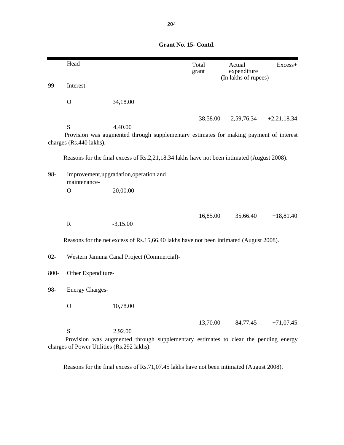|        | Head                                            |                                                                                                   | Total<br>grant | Actual<br>expenditure<br>(In lakhs of rupees) | Excess+       |
|--------|-------------------------------------------------|---------------------------------------------------------------------------------------------------|----------------|-----------------------------------------------|---------------|
| 99-    | Interest-                                       |                                                                                                   |                |                                               |               |
|        | $\mathbf{O}$                                    | 34,18.00                                                                                          |                |                                               |               |
|        |                                                 |                                                                                                   | 38,58.00       | 2,59,76.34                                    | $+2,21,18.34$ |
|        | S<br>charges (Rs.440 lakhs).                    | 4,40.00<br>Provision was augmented through supplementary estimates for making payment of interest |                |                                               |               |
|        |                                                 | Reasons for the final excess of Rs.2,21,18.34 lakhs have not been intimated (August 2008).        |                |                                               |               |
| 98-    | maintenance-                                    | Improvement, upgradation, operation and                                                           |                |                                               |               |
|        | $\mathbf O$                                     | 20,00.00                                                                                          |                |                                               |               |
|        | $\mathbf R$                                     | $-3,15.00$                                                                                        | 16,85.00       | 35,66.40                                      | $+18,81.40$   |
|        |                                                 | Reasons for the net excess of Rs.15,66.40 lakhs have not been intimated (August 2008).            |                |                                               |               |
| $02 -$ |                                                 | Western Jamuna Canal Project (Commercial)-                                                        |                |                                               |               |
| 800-   | Other Expenditure-                              |                                                                                                   |                |                                               |               |
| 98-    | <b>Energy Charges-</b>                          |                                                                                                   |                |                                               |               |
|        | $\mathbf O$                                     | 10,78.00                                                                                          |                |                                               |               |
|        | S<br>charges of Power Utilities (Rs.292 lakhs). | 2,92.00<br>Provision was augmented through supplementary estimates to clear the pending energy    | 13,70.00       | 84,77.45                                      | $+71,07.45$   |

Reasons for the final excess of Rs.71,07.45 lakhs have not been intimated (August 2008).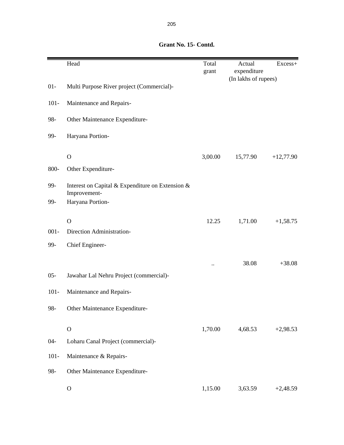# Head Excess+ grant expenditure (In lakhs of rupees) 01- Multi Purpose River project (Commercial)- 101- Maintenance and Repairs-98- Other Maintenance Expenditure-99- Haryana Portion-O 3,00.00 15,77.90 +12,77.90 800- Other Expenditure-99- Interest on Capital & Expenditure on Extension & Improvement-99- Haryana Portion-O  $12.25$   $1,71.00$   $+1,58.75$ 001- Direction Administration-99- Chief Engineer-  $.1 + 38.08 +38.08$ 05- Jawahar Lal Nehru Project (commercial)- 101- Maintenance and Repairs-98- Other Maintenance Expenditure-O  $1,70.00$   $4,68.53$   $+2,98.53$ 04- Loharu Canal Project (commercial)- 101- Maintenance & Repairs-98- Other Maintenance Expenditure-O  $1,15.00$   $3,63.59$   $+2,48.59$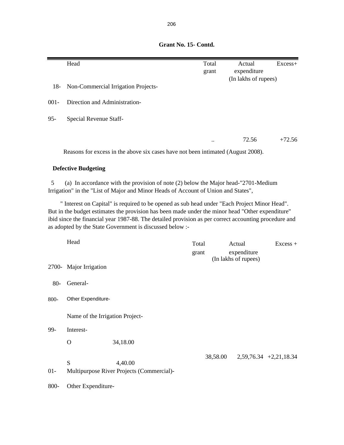|         | Head                            |                                                                                                                                                                                                                                                                                                                                                                       |       | Total    | Actual                              | Excess+                  |
|---------|---------------------------------|-----------------------------------------------------------------------------------------------------------------------------------------------------------------------------------------------------------------------------------------------------------------------------------------------------------------------------------------------------------------------|-------|----------|-------------------------------------|--------------------------|
|         |                                 |                                                                                                                                                                                                                                                                                                                                                                       |       | grant    | expenditure                         |                          |
| $18-$   |                                 | Non-Commercial Irrigation Projects-                                                                                                                                                                                                                                                                                                                                   |       |          | (In lakhs of rupees)                |                          |
| $001 -$ | Direction and Administration-   |                                                                                                                                                                                                                                                                                                                                                                       |       |          |                                     |                          |
| $95 -$  | Special Revenue Staff-          |                                                                                                                                                                                                                                                                                                                                                                       |       |          |                                     |                          |
|         |                                 |                                                                                                                                                                                                                                                                                                                                                                       |       |          | 72.56                               | $+72.56$                 |
|         |                                 | Reasons for excess in the above six cases have not been intimated (August 2008).                                                                                                                                                                                                                                                                                      |       |          |                                     |                          |
|         | <b>Defective Budgeting</b>      |                                                                                                                                                                                                                                                                                                                                                                       |       |          |                                     |                          |
| 5       |                                 | (a) In accordance with the provision of note (2) below the Major head-"2701-Medium<br>Irrigation" in the "List of Major and Minor Heads of Account of Union and States",                                                                                                                                                                                              |       |          |                                     |                          |
|         |                                 | " Interest on Capital" is required to be opened as sub head under "Each Project Minor Head".<br>But in the budget estimates the provision has been made under the minor head "Other expenditure"<br>ibid since the financial year 1987-88. The detailed provision as per correct accounting procedure and<br>as adopted by the State Government is discussed below :- |       |          |                                     |                          |
|         | Head                            |                                                                                                                                                                                                                                                                                                                                                                       | Total |          | Actual                              | $Excess +$               |
|         |                                 |                                                                                                                                                                                                                                                                                                                                                                       | grant |          | expenditure<br>(In lakhs of rupees) |                          |
|         | 2700- Major Irrigation          |                                                                                                                                                                                                                                                                                                                                                                       |       |          |                                     |                          |
| $80-$   | General-                        |                                                                                                                                                                                                                                                                                                                                                                       |       |          |                                     |                          |
| 800-    | Other Expenditure-              |                                                                                                                                                                                                                                                                                                                                                                       |       |          |                                     |                          |
|         | Name of the Irrigation Project- |                                                                                                                                                                                                                                                                                                                                                                       |       |          |                                     |                          |
| 99-     | Interest-                       |                                                                                                                                                                                                                                                                                                                                                                       |       |          |                                     |                          |
|         | $\mathbf{O}$                    | 34,18.00                                                                                                                                                                                                                                                                                                                                                              |       |          |                                     |                          |
|         | S                               | 4,40.00                                                                                                                                                                                                                                                                                                                                                               |       | 38,58.00 |                                     | $2,59,76.34$ +2,21,18.34 |
| $01 -$  |                                 | Multipurpose River Projects (Commercial)-                                                                                                                                                                                                                                                                                                                             |       |          |                                     |                          |
| 800-    | Other Expenditure-              |                                                                                                                                                                                                                                                                                                                                                                       |       |          |                                     |                          |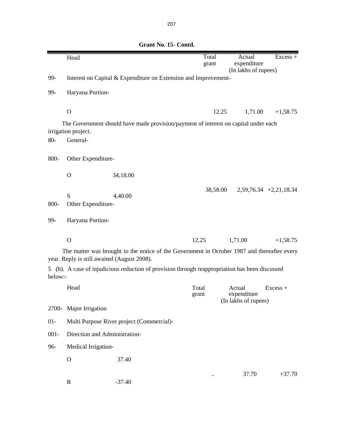|         | Head                                        |                                                                                                | Total<br>grant | Actual<br>expenditure                         | $Excess +$               |
|---------|---------------------------------------------|------------------------------------------------------------------------------------------------|----------------|-----------------------------------------------|--------------------------|
| 99-     |                                             | Interest on Capital & Expenditure on Extension and Improvement-                                |                | (In lakhs of rupees)                          |                          |
|         |                                             |                                                                                                |                |                                               |                          |
| 99-     | Haryana Portion-                            |                                                                                                |                |                                               |                          |
|         | $\mathbf O$                                 |                                                                                                | 12.25          | 1,71.00                                       | $+1,58.75$               |
|         | irrigation project.                         | The Government should have made provision/payment of interest on capital under each            |                |                                               |                          |
| $80-$   | General-                                    |                                                                                                |                |                                               |                          |
| 800-    | Other Expenditure-                          |                                                                                                |                |                                               |                          |
|         | $\mathbf O$                                 | 34,18.00                                                                                       |                |                                               |                          |
|         |                                             |                                                                                                | 38,58.00       |                                               | $2,59,76.34$ +2,21,18.34 |
|         | S                                           | 4,40.00                                                                                        |                |                                               |                          |
| 800-    | Other Expenditure-                          |                                                                                                |                |                                               |                          |
| 99-     | Haryana Portion-                            |                                                                                                |                |                                               |                          |
|         | $\mathbf O$                                 |                                                                                                | 12.25          | 1,71.00                                       | $+1,58.75$               |
|         | year. Reply is still awaited (August 2008). | The matter was brought to the notice of the Government in October 1987 and thereafter every    |                |                                               |                          |
| below:- |                                             | 5 (b). A case of injudicious reduction of provision through reappropriation has been discussed |                |                                               |                          |
|         | Head                                        |                                                                                                | Total<br>grant | Actual<br>expenditure<br>(In lakhs of rupees) | $Excess +$               |
| 2700-   | Major Irrigation                            |                                                                                                |                |                                               |                          |
| $01 -$  |                                             | Multi Purpose River project (Commercial)-                                                      |                |                                               |                          |
| $001 -$ | Direction and Administration-               |                                                                                                |                |                                               |                          |
| 96-     | Medical Irrigation-                         |                                                                                                |                |                                               |                          |
|         | $\mathbf O$                                 | 37.40                                                                                          |                |                                               |                          |
|         | $\mathbf R$                                 | $-37.40$                                                                                       |                | 37.70                                         | $+37.70$                 |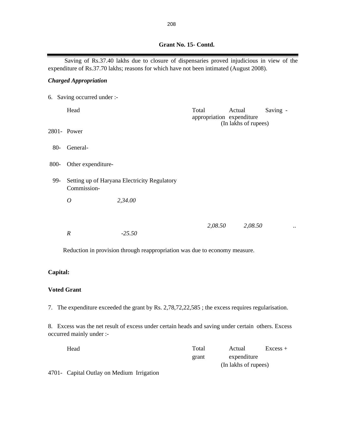|  |  |  |  |  |  |  |  |  |  |  |  |  |  |  |  |  |  |  |  | Grant No. 15- Contd. |  |
|--|--|--|--|--|--|--|--|--|--|--|--|--|--|--|--|--|--|--|--|----------------------|--|

Saving of Rs.37.40 lakhs due to closure of dispensaries proved injudicious in view of the expenditure of Rs.37.70 lakhs; reasons for which have not been intimated (August 2008).

## *Charged Appropriation*

|       | 6. Saving occurred under :- |                                                                            |                                    |                                |          |  |
|-------|-----------------------------|----------------------------------------------------------------------------|------------------------------------|--------------------------------|----------|--|
|       | Head                        |                                                                            | Total<br>appropriation expenditure | Actual<br>(In lakhs of rupees) | Saving - |  |
|       | 2801- Power                 |                                                                            |                                    |                                |          |  |
| $80-$ | General-                    |                                                                            |                                    |                                |          |  |
| 800-  | Other expenditure-          |                                                                            |                                    |                                |          |  |
| 99-   | Commission-                 | Setting up of Haryana Electricity Regulatory                               |                                    |                                |          |  |
|       | $\overline{O}$              | 2,34.00                                                                    |                                    |                                |          |  |
|       | $\boldsymbol{R}$            | $-25.50$                                                                   | 2,08.50                            | 2,08.50                        |          |  |
|       |                             | Reduction in provision through reappropriation was due to economy measure. |                                    |                                |          |  |

## **Capital:**

### **Voted Grant**

7. The expenditure exceeded the grant by Rs. 2,78,72,22,585 ; the excess requires regularisation.

8. Excess was the net result of excess under certain heads and saving under certain others. Excess occurred mainly under :-

| Head                                                                                                                                                                                                                                                                                                                               | Total | Actual               | $Excess +$ |
|------------------------------------------------------------------------------------------------------------------------------------------------------------------------------------------------------------------------------------------------------------------------------------------------------------------------------------|-------|----------------------|------------|
|                                                                                                                                                                                                                                                                                                                                    | grant | expenditure          |            |
|                                                                                                                                                                                                                                                                                                                                    |       | (In lakhs of rupees) |            |
| $\mathbf{A}$ $\mathbf{A}$ $\mathbf{A}$ $\mathbf{A}$ $\mathbf{A}$ $\mathbf{A}$ $\mathbf{A}$ $\mathbf{A}$ $\mathbf{A}$ $\mathbf{A}$ $\mathbf{A}$ $\mathbf{A}$ $\mathbf{A}$ $\mathbf{A}$ $\mathbf{A}$ $\mathbf{A}$ $\mathbf{A}$ $\mathbf{A}$ $\mathbf{A}$ $\mathbf{A}$ $\mathbf{A}$ $\mathbf{A}$ $\mathbf{A}$ $\mathbf{A}$ $\mathbf{$ |       |                      |            |

4701- Capital Outlay on Medium Irrigation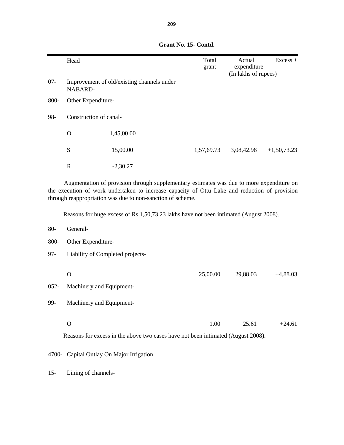|        | Head                   |                                            | Total<br>grant | Actual<br>expenditure<br>(In lakhs of rupees) | $Excess +$    |
|--------|------------------------|--------------------------------------------|----------------|-----------------------------------------------|---------------|
| $07 -$ | NABARD-                | Improvement of old/existing channels under |                |                                               |               |
| 800-   | Other Expenditure-     |                                            |                |                                               |               |
| 98-    | Construction of canal- |                                            |                |                                               |               |
|        | $\mathbf O$            | 1,45,00.00                                 |                |                                               |               |
|        | S                      | 15,00.00                                   | 1,57,69.73     | 3,08,42.96                                    | $+1,50,73.23$ |
|        | $\mathbb{R}$           | $-2,30.27$                                 |                |                                               |               |

Augmentation of provision through supplementary estimates was due to more expenditure on the execution of work undertaken to increase capacity of Ottu Lake and reduction of provision through reappropriation was due to non-sanction of scheme.

Reasons for huge excess of Rs.1,50,73.23 lakhs have not been intimated (August 2008).

- 80- General-
- 800- Other Expenditure-
- 97- Liability of Completed projects-

|     |                               | 25,00.00 | 29,88.03 | $+4,88.03$ |
|-----|-------------------------------|----------|----------|------------|
|     | 052- Machinery and Equipment- |          |          |            |
| 99- | Machinery and Equipment-      |          |          |            |
|     |                               |          |          |            |

O  $1.00$   $25.61$   $+24.61$ 

Reasons for excess in the above two cases have not been intimated (August 2008).

4700- Capital Outlay On Major Irrigation

15- Lining of channels-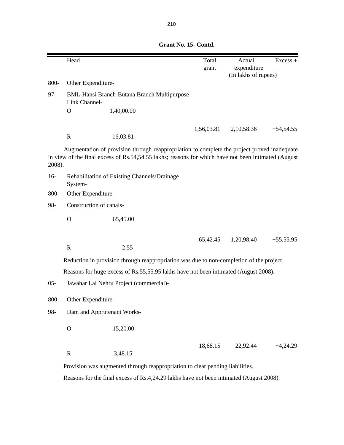|        | Head                                                                                     |                                                                                                                                                                                                    | Total<br>grant | Actual<br>expenditure<br>(In lakhs of rupees) | Excess +    |  |
|--------|------------------------------------------------------------------------------------------|----------------------------------------------------------------------------------------------------------------------------------------------------------------------------------------------------|----------------|-----------------------------------------------|-------------|--|
| 800-   | Other Expenditure-                                                                       |                                                                                                                                                                                                    |                |                                               |             |  |
| $97 -$ | Link Channel-                                                                            | <b>BML-Hansi Branch-Butana Branch Multipurpose</b>                                                                                                                                                 |                |                                               |             |  |
|        | $\Omega$                                                                                 | 1,40,00.00                                                                                                                                                                                         |                |                                               |             |  |
|        |                                                                                          |                                                                                                                                                                                                    |                |                                               |             |  |
|        | $\mathbb{R}$                                                                             | 16,03.81                                                                                                                                                                                           | 1,56,03.81     | 2,10,58.36                                    | $+54,54.55$ |  |
| 2008). |                                                                                          | Augmentation of provision through reappropriation to complete the project proved inadequate<br>in view of the final excess of Rs.54,54.55 lakhs; reasons for which have not been intimated (August |                |                                               |             |  |
| $16-$  | System-                                                                                  | Rehabilitation of Existing Channels/Drainage                                                                                                                                                       |                |                                               |             |  |
| 800-   | Other Expenditure-                                                                       |                                                                                                                                                                                                    |                |                                               |             |  |
| 98-    | Construction of canals-                                                                  |                                                                                                                                                                                                    |                |                                               |             |  |
|        | $\mathbf O$                                                                              | 65,45.00                                                                                                                                                                                           |                |                                               |             |  |
|        | $\mathbb{R}$                                                                             | $-2.55$                                                                                                                                                                                            | 65,42.45       | 1,20,98.40                                    | $+55,55.95$ |  |
|        | Reduction in provision through reappropriation was due to non-completion of the project. |                                                                                                                                                                                                    |                |                                               |             |  |
|        |                                                                                          | Reasons for huge excess of Rs.55,55.95 lakhs have not been intimated (August 2008).                                                                                                                |                |                                               |             |  |
| $05 -$ |                                                                                          | Jawahar Lal Nehru Project (commercial)-                                                                                                                                                            |                |                                               |             |  |
| 800-   | Other Expenditure-                                                                       |                                                                                                                                                                                                    |                |                                               |             |  |
| 98-    | Dam and Apprutenant Works-                                                               |                                                                                                                                                                                                    |                |                                               |             |  |
|        | $\mathbf O$                                                                              | 15,20.00                                                                                                                                                                                           |                |                                               |             |  |
|        | $\mathbf R$                                                                              | 3,48.15                                                                                                                                                                                            | 18,68.15       | 22,92.44                                      | $+4,24.29$  |  |
|        |                                                                                          | Provision was augmented through reappropriation to clear pending liabilities.                                                                                                                      |                |                                               |             |  |
|        |                                                                                          | Reasons for the final excess of Rs.4,24.29 lakhs have not been intimated (August 2008).                                                                                                            |                |                                               |             |  |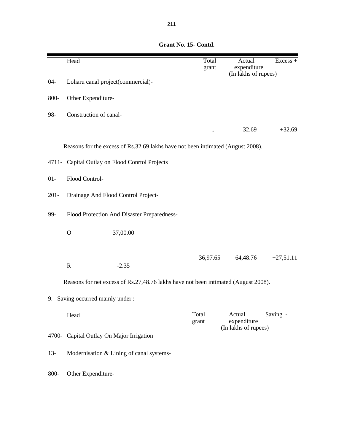|         | Head                                                                               | Total<br>grant | Actual<br>expenditure<br>(In lakhs of rupees) | Excess +    |
|---------|------------------------------------------------------------------------------------|----------------|-----------------------------------------------|-------------|
| $04 -$  | Loharu canal project(commercial)-                                                  |                |                                               |             |
| 800-    | Other Expenditure-                                                                 |                |                                               |             |
| 98-     | Construction of canal-                                                             |                |                                               |             |
|         |                                                                                    |                | 32.69                                         | $+32.69$    |
|         | Reasons for the excess of Rs.32.69 lakhs have not been intimated (August 2008).    |                |                                               |             |
|         | 4711- Capital Outlay on Flood Conrtol Projects                                     |                |                                               |             |
| $01 -$  | Flood Control-                                                                     |                |                                               |             |
| $201 -$ | Drainage And Flood Control Project-                                                |                |                                               |             |
| 99-     | Flood Protection And Disaster Preparedness-                                        |                |                                               |             |
|         | 37,00.00<br>$\mathbf O$                                                            |                |                                               |             |
|         | $\mathbf R$<br>$-2.35$                                                             | 36,97.65       | 64,48.76                                      | $+27,51.11$ |
|         | Reasons for net excess of Rs.27,48.76 lakhs have not been intimated (August 2008). |                |                                               |             |
| 9.      | Saving occurred mainly under :-                                                    |                |                                               |             |
|         | Head                                                                               | Total<br>grant | Actual<br>expenditure<br>(In lakhs of rupees) | Saving -    |
| 4700-   | Capital Outlay On Major Irrigation                                                 |                |                                               |             |
| $13-$   | Modernisation & Lining of canal systems-                                           |                |                                               |             |
| 800-    | Other Expenditure-                                                                 |                |                                               |             |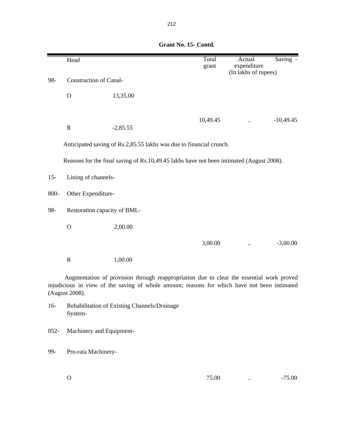|        | Head                          |            | Total<br>grant                                                                           | Actual<br>expenditure<br>(In lakhs of rupees) | Saving -    |  |  |
|--------|-------------------------------|------------|------------------------------------------------------------------------------------------|-----------------------------------------------|-------------|--|--|
| 98-    | <b>Construction of Canal-</b> |            |                                                                                          |                                               |             |  |  |
|        | $\mathbf O$                   | 13,35.00   |                                                                                          |                                               |             |  |  |
|        | $\mathbf R$                   | $-2,85.55$ | 10,49.45                                                                                 |                                               | $-10,49.45$ |  |  |
|        |                               |            | Anticipated saving of Rs.2,85.55 lakhs was due to financial crunch.                      |                                               |             |  |  |
|        |                               |            | Reasons for the final saving of Rs.10,49.45 lakhs have not been intimated (August 2008). |                                               |             |  |  |
| $15 -$ | Lining of channels-           |            |                                                                                          |                                               |             |  |  |
| 800-   | Other Expenditure-            |            |                                                                                          |                                               |             |  |  |
| 98-    | Restoration capacity of BML-  |            |                                                                                          |                                               |             |  |  |
|        | $\Omega$                      | 2,00.00    |                                                                                          |                                               |             |  |  |
|        |                               |            | 3,00.00                                                                                  |                                               | $-3,00.00$  |  |  |
|        | ${\bf R}$                     | 1,00.00    |                                                                                          |                                               |             |  |  |
|        |                               |            | Augmentation of provision through reappropriation due to clear the essential work proved |                                               |             |  |  |

injudicious in view of the saving of whole amount; reasons for which have not been intimated (August 2008).

- 16- Rehabilitation of Existing Channels/Drainage System-
- 052- Machinery and Equipment-
- 99- Pro-rata Machinery-
	- $0$  ...  $-75.00$  ...  $-75.00$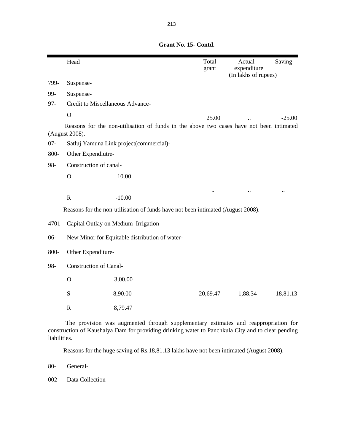|        | Head                                                                            |                                                                                         | Total<br>grant | Actual<br>expenditure | $\overline{\text{Saving}}$ - |  |  |  |
|--------|---------------------------------------------------------------------------------|-----------------------------------------------------------------------------------------|----------------|-----------------------|------------------------------|--|--|--|
|        |                                                                                 |                                                                                         |                | (In lakhs of rupees)  |                              |  |  |  |
| 799-   | Suspense-                                                                       |                                                                                         |                |                       |                              |  |  |  |
| 99-    | Suspense-                                                                       |                                                                                         |                |                       |                              |  |  |  |
| $97 -$ | Credit to Miscellaneous Advance-                                                |                                                                                         |                |                       |                              |  |  |  |
|        | $\overline{O}$                                                                  |                                                                                         | 25.00          |                       | $-25.00$                     |  |  |  |
|        | (August 2008).                                                                  | Reasons for the non-utilisation of funds in the above two cases have not been intimated |                |                       |                              |  |  |  |
| $07 -$ |                                                                                 | Satluj Yamuna Link project(commercial)-                                                 |                |                       |                              |  |  |  |
| 800-   | Other Expendiutre-                                                              |                                                                                         |                |                       |                              |  |  |  |
| 98-    | Construction of canal-                                                          |                                                                                         |                |                       |                              |  |  |  |
|        | $\mathbf{O}$                                                                    | 10.00                                                                                   |                |                       |                              |  |  |  |
|        |                                                                                 |                                                                                         |                |                       | $\ddot{\phantom{a}}$         |  |  |  |
|        | $\mathbf R$                                                                     | $-10.00$                                                                                |                |                       |                              |  |  |  |
|        | Reasons for the non-utilisation of funds have not been intimated (August 2008). |                                                                                         |                |                       |                              |  |  |  |
|        | 4701- Capital Outlay on Medium Irrigation-                                      |                                                                                         |                |                       |                              |  |  |  |
| $06-$  | New Minor for Equitable distribution of water-                                  |                                                                                         |                |                       |                              |  |  |  |
| 800-   | Other Expenditure-                                                              |                                                                                         |                |                       |                              |  |  |  |
| 98-    | <b>Construction of Canal-</b>                                                   |                                                                                         |                |                       |                              |  |  |  |
|        | $\mathbf O$                                                                     | 3,00.00                                                                                 |                |                       |                              |  |  |  |
|        | S                                                                               | 8,90.00                                                                                 | 20,69.47       | 1,88.34               | $-18,81.13$                  |  |  |  |
|        | $\mathbf R$                                                                     | 8,79.47                                                                                 |                |                       |                              |  |  |  |
|        |                                                                                 |                                                                                         |                |                       |                              |  |  |  |

The provision was augmented through supplementary estimates and reappropriation for construction of Kaushalya Dam for providing drinking water to Panchkula City and to clear pending liabilities.

Reasons for the huge saving of Rs.18,81.13 lakhs have not been intimated (August 2008).

80- General-

002- Data Collection-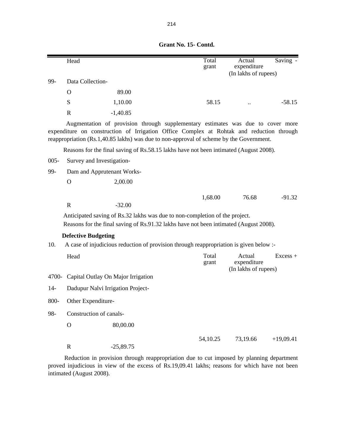|         | Head                               |             |                                                                                                                                                                                                                                                                        | Total<br>grant | Actual<br>expenditure<br>(In lakhs of rupees) | Saving -    |  |
|---------|------------------------------------|-------------|------------------------------------------------------------------------------------------------------------------------------------------------------------------------------------------------------------------------------------------------------------------------|----------------|-----------------------------------------------|-------------|--|
| 99-     | Data Collection-                   |             |                                                                                                                                                                                                                                                                        |                |                                               |             |  |
|         | $\Omega$                           | 89.00       |                                                                                                                                                                                                                                                                        |                |                                               |             |  |
|         | ${\bf S}$                          | 1,10.00     |                                                                                                                                                                                                                                                                        | 58.15          |                                               | $-58.15$    |  |
|         | $\mathbf R$                        | $-1,40.85$  |                                                                                                                                                                                                                                                                        |                |                                               |             |  |
|         |                                    |             | Augmentation of provision through supplementary estimates was due to cover more<br>expenditure on construction of Irrigation Office Complex at Rohtak and reduction through<br>reappropriation (Rs.1,40.85 lakhs) was due to non-approval of scheme by the Government. |                |                                               |             |  |
|         |                                    |             | Reasons for the final saving of Rs.58.15 lakhs have not been intimated (August 2008).                                                                                                                                                                                  |                |                                               |             |  |
| $005 -$ | Survey and Investigation-          |             |                                                                                                                                                                                                                                                                        |                |                                               |             |  |
| 99-     | Dam and Apprutenant Works-         |             |                                                                                                                                                                                                                                                                        |                |                                               |             |  |
|         | $\Omega$                           | 2,00.00     |                                                                                                                                                                                                                                                                        |                |                                               |             |  |
|         |                                    |             |                                                                                                                                                                                                                                                                        | 1,68.00        | 76.68                                         | $-91.32$    |  |
|         | $\mathbb{R}$                       | $-32.00$    |                                                                                                                                                                                                                                                                        |                |                                               |             |  |
|         |                                    |             | Anticipated saving of Rs.32 lakhs was due to non-completion of the project.<br>Reasons for the final saving of Rs.91.32 lakhs have not been intimated (August 2008).                                                                                                   |                |                                               |             |  |
|         | <b>Defective Budgeting</b>         |             |                                                                                                                                                                                                                                                                        |                |                                               |             |  |
| 10.     |                                    |             | A case of injudicious reduction of provision through reappropriation is given below :-                                                                                                                                                                                 |                |                                               |             |  |
|         | Head                               |             |                                                                                                                                                                                                                                                                        | Total<br>grant | Actual<br>expenditure<br>(In lakhs of rupees) | $Excess +$  |  |
| 4700-   | Capital Outlay On Major Irrigation |             |                                                                                                                                                                                                                                                                        |                |                                               |             |  |
| $14-$   | Dadupur Nalvi Irrigation Project-  |             |                                                                                                                                                                                                                                                                        |                |                                               |             |  |
| 800-    | Other Expenditure-                 |             |                                                                                                                                                                                                                                                                        |                |                                               |             |  |
| 98-     | Construction of canals-            |             |                                                                                                                                                                                                                                                                        |                |                                               |             |  |
|         | $\mathbf O$                        | 80,00.00    |                                                                                                                                                                                                                                                                        |                |                                               |             |  |
|         | $\mathbf R$                        | $-25,89.75$ |                                                                                                                                                                                                                                                                        | 54,10.25       | 73,19.66                                      | $+19,09.41$ |  |

Reduction in provision through reappropriation due to cut imposed by planning department proved injudicious in view of the excess of Rs.19,09.41 lakhs; reasons for which have not been intimated (August 2008).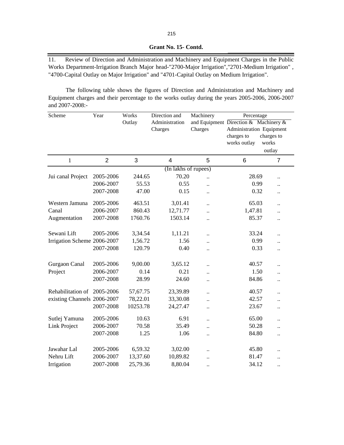11. Review of Direction and Administration and Machinery and Equipment Charges in the Public Works Department-Irrigation Branch Major head-"2700-Major Irrigation","2701-Medium Irrigation" , "4700-Capital Outlay on Major Irrigation" and "4701-Capital Outlay on Medium Irrigation".

The following table shows the figures of Direction and Administration and Machinery and Equipment charges and their percentage to the works outlay during the years 2005-2006, 2006-2007 and 2007-2008:-

| Scheme                      | Year           | Works    | Direction and           | Machinery                             | Percentage               |                      |
|-----------------------------|----------------|----------|-------------------------|---------------------------------------|--------------------------|----------------------|
|                             |                | Outlay   | Administration          | and Equipment Direction & Machinery & |                          |                      |
|                             |                |          | Charges                 | Charges                               | Administration Equipment |                      |
|                             |                |          |                         |                                       | charges to               | charges to           |
|                             |                |          |                         |                                       | works outlay             | works                |
|                             |                |          |                         |                                       |                          | outlay               |
| $\mathbf{1}$                | $\overline{2}$ | 3        | $\overline{\mathbf{4}}$ | 5                                     | 6                        | $\overline{7}$       |
|                             |                |          | (In lakhs of rupees)    |                                       |                          |                      |
| Jui canal Project           | 2005-2006      | 244.65   | 70.20                   |                                       | 28.69                    |                      |
|                             | 2006-2007      | 55.53    | 0.55                    | $\ddot{\phantom{0}}$                  | 0.99                     |                      |
|                             | 2007-2008      | 47.00    | 0.15                    | $\ddot{\phantom{a}}$                  | 0.32                     | $\ddotsc$            |
| Western Jamuna              | 2005-2006      | 463.51   | 3,01.41                 | $\ddot{\phantom{a}}$                  | 65.03                    | $\ddot{\phantom{0}}$ |
| Canal                       | 2006-2007      | 860.43   | 12,71.77                |                                       | 1,47.81                  |                      |
| Augmentation                | 2007-2008      | 1760.76  | 1503.14                 | $\ddot{\phantom{0}}$                  | 85.37                    | $\ddotsc$            |
| Sewani Lift                 | 2005-2006      | 3,34.54  | 1,11.21                 | $\ddot{\phantom{0}}$                  | 33.24                    | $\ddot{\phantom{0}}$ |
| Irrigation Scheme 2006-2007 |                | 1,56.72  | 1.56                    | $\ddot{\phantom{a}}$                  | 0.99                     | $\ddot{\phantom{0}}$ |
|                             | 2007-2008      | 120.79   | 0.40                    | $\ddot{\phantom{0}}$                  | 0.33                     | $\ddotsc$            |
|                             |                |          |                         |                                       |                          |                      |
| Gurgaon Canal               | 2005-2006      | 9,00.00  | 3,65.12                 | $\ddot{\phantom{0}}$                  | 40.57                    | $\ddot{\phantom{a}}$ |
| Project                     | 2006-2007      | 0.14     | 0.21                    | $\ddot{\phantom{a}}$                  | 1.50                     | $\ddot{\phantom{a}}$ |
|                             | 2007-2008      | 28.99    | 24.60                   | $\ddot{\phantom{a}}$                  | 84.86                    | $\ddot{\phantom{0}}$ |
| Rehabilitation of 2005-2006 |                | 57,67.75 | 23,39.89                | $\ddot{\phantom{0}}$                  | 40.57                    | $\ddot{\phantom{0}}$ |
| existing Channels 2006-2007 |                | 78,22.01 | 33,30.08                | $\ddot{\phantom{0}}$                  | 42.57                    |                      |
|                             | 2007-2008      | 10253.78 | 24,27.47                | $\ddot{\phantom{0}}$                  | 23.67                    | $\ddotsc$            |
| Sutlej Yamuna               | 2005-2006      | 10.63    | 6.91                    | $\ddot{\phantom{0}}$                  | 65.00                    | $\ddot{\phantom{0}}$ |
| <b>Link Project</b>         | 2006-2007      | 70.58    | 35.49                   | $\ddot{\phantom{a}}$                  | 50.28                    | $\ddot{\phantom{a}}$ |
|                             | 2007-2008      | 1.25     | 1.06                    | $\ddot{\phantom{0}}$                  | 84.80                    | $\ddotsc$            |
| Jawahar Lal                 | 2005-2006      | 6,59.32  | 3,02.00                 |                                       | 45.80                    |                      |
| Nehru Lift                  | 2006-2007      | 13,37.60 | 10,89.82                | $\ddot{\phantom{0}}$                  | 81.47                    |                      |
| Irrigation                  | 2007-2008      | 25,79.36 | 8,80.04                 | $\ddot{\phantom{0}}$                  | 34.12                    | $\ddot{\phantom{0}}$ |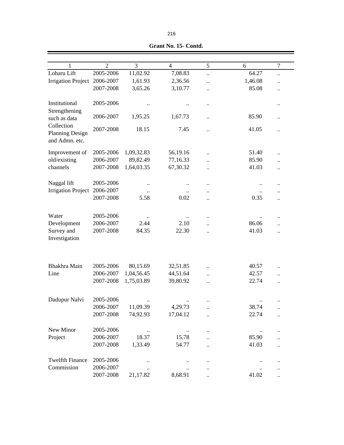| 1                         | $\overline{2}$ | 3            | $\overline{4}$       | 5                    | 6         | $\tau$               |  |
|---------------------------|----------------|--------------|----------------------|----------------------|-----------|----------------------|--|
| Loharu Lift               | 2005-2006      | 11,02.92     | 7,08.83              | $\ddot{\phantom{a}}$ | 64.27     | $\ddot{\phantom{0}}$ |  |
| <b>Irrigation Project</b> | 2006-2007      | 1,61.93      | 2,36.56              | $\ddot{\phantom{0}}$ | 1,46.08   | $\ddot{\phantom{0}}$ |  |
|                           | 2007-2008      | 3,65.26      | 3,10.77              | $\ddot{\phantom{0}}$ | 85.08     |                      |  |
|                           |                |              |                      |                      |           |                      |  |
| Institutional             | 2005-2006      |              |                      |                      |           |                      |  |
| Strengthening             |                |              |                      |                      |           |                      |  |
| such as data              | 2006-2007      | 1,95.25      | 1,67.73              | $\ddot{\phantom{a}}$ | 85.90     | $\ddot{\phantom{0}}$ |  |
| Collection                |                |              |                      |                      |           |                      |  |
| <b>Planning Design</b>    | 2007-2008      | 18.15        | 7.45                 |                      | 41.05     |                      |  |
| and Admn. etc.            |                |              |                      |                      |           |                      |  |
|                           |                |              |                      |                      |           |                      |  |
| Improvement of            | 2005-2006      | 1,09,32.83   | 56,19.16             | $\ddot{\phantom{a}}$ | 51.40     | $\ddot{\phantom{0}}$ |  |
| old/existing              | 2006-2007      | 89,82.49     | 77,16.33             |                      | 85.90     |                      |  |
| channels                  | 2007-2008      | 1,64,03.35   | 67,30.32             |                      | 41.03     |                      |  |
|                           |                |              |                      |                      |           |                      |  |
| Naggal lift               | 2005-2006      |              |                      |                      |           |                      |  |
| <b>Irrigation Project</b> | 2006-2007      |              |                      |                      |           |                      |  |
|                           | 2007-2008      | 5.58         | 0.02                 |                      | 0.35      | $\ddot{\phantom{0}}$ |  |
|                           |                |              |                      |                      |           |                      |  |
| Water                     | 2005-2006      |              |                      |                      |           |                      |  |
| Development               | 2006-2007      | 2.44         | 2.10                 |                      | 86.06     |                      |  |
| Survey and                | 2007-2008      | 84.35        | 22.30                |                      | 41.03     | $\ddot{\phantom{0}}$ |  |
| Investigation             |                |              |                      |                      |           |                      |  |
|                           |                |              |                      |                      |           |                      |  |
|                           |                |              |                      |                      |           |                      |  |
|                           |                |              |                      |                      |           |                      |  |
| Bhakhra Main              | 2005-2006      | 80,15.69     | 32,51.85             |                      | 40.57     |                      |  |
| Line                      | 2006-2007      | 1,04,56.45   | 44,51.64             |                      | 42.57     |                      |  |
|                           | 2007-2008      | 1,75,03.89   | 39,80.92             |                      | 22.74     | $\ddot{\phantom{0}}$ |  |
|                           |                |              |                      |                      |           |                      |  |
| Dadupur Nalvi             | 2005-2006      |              |                      |                      |           |                      |  |
|                           | 2006-2007      | 11,09.39     | 4,29.73              |                      | 38.74     |                      |  |
|                           | 2007-2008      | 74,92.93     | 17,04.12             |                      | 22.74     |                      |  |
|                           |                |              |                      | $\ddot{\phantom{a}}$ |           | $\ddot{\phantom{0}}$ |  |
| New Minor                 |                |              |                      |                      |           |                      |  |
|                           | 2005-2006      | $\cdot\cdot$ | $\ddotsc$            |                      | $\ddotsc$ |                      |  |
| Project                   | 2006-2007      | 18.37        | 15.78                |                      | 85.90     |                      |  |
|                           | 2007-2008      | 1,33.49      | 54.77                |                      | 41.03     | $\ddot{\phantom{a}}$ |  |
|                           |                |              |                      |                      |           |                      |  |
| <b>Twelfth Finance</b>    | 2005-2006      |              | $\ddot{\phantom{0}}$ |                      |           | $\ddot{\phantom{0}}$ |  |
| Commission                | 2006-2007      | $\ddotsc$    |                      | $\ddot{\phantom{0}}$ |           | $\ddot{\phantom{0}}$ |  |
|                           | 2007-2008      | 21,17.82     | 8,68.91              |                      | 41.02     | $\ddot{\phantom{a}}$ |  |

 **Grant No. 15- Contd.**

۰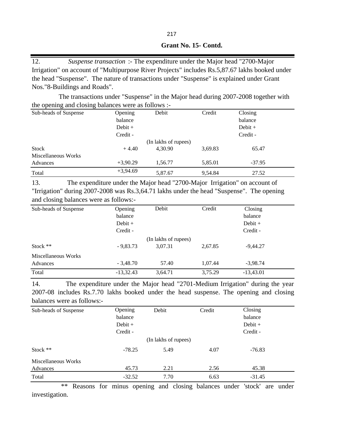| Grant No. 15- Contd. |  |
|----------------------|--|
|                      |  |

12. *Suspense transaction* :- The expenditure under the Major head "2700-Major Irrigation" on account of "Multipurpose River Projects" includes Rs.5,87.67 lakhs booked under the head "Suspense". The nature of transactions under "Suspense" is explained under Grant Nos."8-Buildings and Roads".

 The transactions under "Suspense" in the Major head during 2007-2008 together with the opening and closing balances were as follows :-

| Sub-heads of Suspense | Opening    | Debit                | Credit  | Closing   |
|-----------------------|------------|----------------------|---------|-----------|
|                       | balance    |                      |         | balance   |
|                       | Debit $+$  |                      |         | $Debit +$ |
|                       | Credit -   |                      |         | Credit -  |
|                       |            | (In lakhs of rupees) |         |           |
| Stock                 | $+4.40$    | 4.30.90              | 3,69.83 | 65.47     |
| Miscellaneous Works   |            |                      |         |           |
| Advances              | $+3,90.29$ | 1,56.77              | 5,85.01 | $-37.95$  |
| Total                 | $+3,94.69$ | 5,87.67              | 9,54.84 | 27.52     |

13. The expenditure under the Major head "2700-Major Irrigation" on account of "Irrigation" during 2007-2008 was Rs.3,64.71 lakhs under the head "Suspense". The opening and closing balances were as follows:-

| Sub-heads of Suspense           | Opening<br>balance<br>Debit $+$<br>Credit - | Debit                           | Credit  | Closing<br>balance<br>$Debit +$<br>Credit - |
|---------------------------------|---------------------------------------------|---------------------------------|---------|---------------------------------------------|
| Stock $**$                      | $-9,83.73$                                  | (In lakhs of rupees)<br>3,07.31 | 2,67.85 | $-9,44.27$                                  |
| Miscellaneous Works<br>Advances | $-3,48.70$                                  | 57.40                           | 1,07.44 | $-3,98.74$                                  |
| Total                           | $-13,32.43$                                 | 3,64.71                         | 3,75.29 | $-13,43.01$                                 |

14. The expenditure under the Major head "2701-Medium Irrigation" during the year 2007-08 includes Rs.7.70 lakhs booked under the head suspense. The opening and closing balances were as follows:-

| Sub-heads of Suspense | Opening<br>balance<br>$Debit +$<br>Credit - | Debit                | Credit | Closing<br>balance<br>$Debit +$<br>Credit - |
|-----------------------|---------------------------------------------|----------------------|--------|---------------------------------------------|
|                       |                                             | (In lakhs of rupees) |        |                                             |
| Stock $**$            | $-78.25$                                    | 5.49                 | 4.07   | $-76.83$                                    |
| Miscellaneous Works   |                                             |                      |        |                                             |
| Advances              | 45.73                                       | 2.21                 | 2.56   | 45.38                                       |
| Total                 | $-32.52$                                    | 7.70                 | 6.63   | $-31.45$                                    |

\*\* Reasons for minus opening and closing balances under 'stock' are under investigation.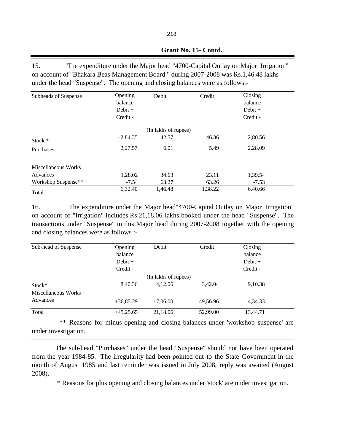15. The expenditure under the Major head "4700-Capital Outlay on Major Irrigation" on account of "Bhakara Beas Management Board " during 2007-2008 was Rs.1,46.48 lakhs under the head "Suspense". The opening and closing balances were as follows:-

| Subheads of Suspense | Opening<br>balance<br>Debit $+$<br>Credit - | Debit                | Credit  | Closing<br>balance<br>$Debit +$<br>Credit - |  |
|----------------------|---------------------------------------------|----------------------|---------|---------------------------------------------|--|
|                      |                                             | (In lakhs of rupees) |         |                                             |  |
| Stock $*$            | $+2,84.35$                                  | 42.57                | 46.36   | 2,80.56                                     |  |
| Purchases            | $+2,27.57$                                  | 6.01                 | 5.49    | 2,28.09                                     |  |
| Miscellaneous Works  |                                             |                      |         |                                             |  |
| Advances             | 1,28.02                                     | 34.63                | 23.11   | 1,39.54                                     |  |
| Workshop Suspense**  | $-7.54$                                     | 63.27                | 63.26   | $-7.53$                                     |  |
| Total                | $+6,32.40$                                  | 1,46.48              | 1,38.22 | 6,40.66                                     |  |

16. The expenditure under the Major head"4700-Capital Outlay on Major Irrigation" on account of "Irrigation" includes Rs.21,18.06 lakhs booked under the head "Suspense". The transactions under "Suspense" in this Major head during 2007-2008 together with the opening and closing balances were as follows :-

| Sub-head of Suspense | Opening<br>balance<br>Debit $+$<br>Credit - | Debit                | Credit   | Closing<br>balance<br>$Debit +$<br>Credit - |  |
|----------------------|---------------------------------------------|----------------------|----------|---------------------------------------------|--|
|                      |                                             | (In lakhs of rupees) |          |                                             |  |
| Stock*               | $+8,40.36$                                  | 4,12.06              | 3,42.04  | 9,10.38                                     |  |
| Miscellaneous Works  |                                             |                      |          |                                             |  |
| Advances             | $+36,85.29$                                 | 17,06.00             | 49,56.96 | 4,34.33                                     |  |
| Total                | $+45,25.65$                                 | 21,18.06             | 52,99.00 | 13,44.71                                    |  |

\*\* Reasons for minus opening and closing balances under 'workshop suspense' are under investigation.

The sub-head "Purchases" under the head "Suspense" should not have been operated from the year 1984-85. The irregularity had been pointed out to the State Government in the month of August 1985 and last reminder was issued in July 2008, reply was awaited (August 2008).

\* Reasons for plus opening and closing balances under 'stock' are under investigation.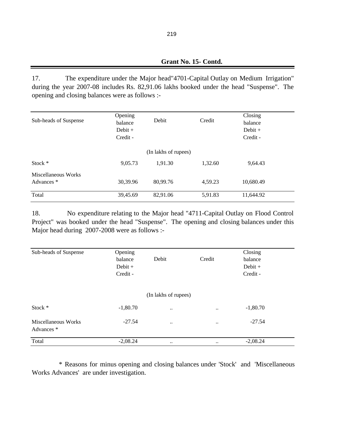17. The expenditure under the Major head"4701-Capital Outlay on Medium Irrigation" during the year 2007-08 includes Rs. 82,91.06 lakhs booked under the head "Suspense". The opening and closing balances were as follows :-

| Sub-heads of Suspense             | Opening<br>balance<br>Debit $+$<br>Credit - | Debit                | Credit  | Closing<br>balance<br>Debit $+$<br>Credit - |  |
|-----------------------------------|---------------------------------------------|----------------------|---------|---------------------------------------------|--|
|                                   |                                             | (In lakhs of rupees) |         |                                             |  |
| Stock *                           | 9,05.73                                     | 1,91.30              | 1,32.60 | 9,64.43                                     |  |
| Miscellaneous Works<br>Advances * | 30,39.96                                    | 80,99.76             | 4,59.23 | 10,680.49                                   |  |
| Total                             | 39,45.69                                    | 82,91.06             | 5,91.83 | 11,644.92                                   |  |

18. No expenditure relating to the Major head "4711-Capital Outlay on Flood Control Project" was booked under the head "Suspense". The opening and closing balances under this Major head during 2007-2008 were as follows :-

| Sub-heads of Suspense             | Opening<br>balance<br>$Debit +$<br>Credit - | Debit                | Credit                 | Closing<br>balance<br>$Debit +$<br>Credit - |
|-----------------------------------|---------------------------------------------|----------------------|------------------------|---------------------------------------------|
|                                   |                                             | (In lakhs of rupees) |                        |                                             |
| Stock *                           | $-1,80.70$                                  | $\ddotsc$            |                        | $-1,80.70$                                  |
| Miscellaneous Works<br>Advances * | $-27.54$                                    | $\ddotsc$            | $\ddot{\phantom{0}}$   | $-27.54$                                    |
| Total                             | $-2,08.24$                                  | $\bullet\bullet$     | $\ddot{\phantom{a}}$ . | $-2,08.24$                                  |

\* Reasons for minus opening and closing balances under 'Stock' and 'Miscellaneous Works Advances' are under investigation.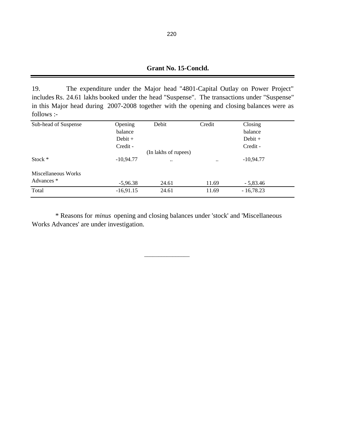## **Grant No. 15-Concld.**

19. The expenditure under the Major head "4801-Capital Outlay on Power Project" includes Rs. 24.61 lakhs booked under the head "Suspense". The transactions under "Suspense" in this Major head during 2007-2008 together with the opening and closing balances were as follows :-

| Sub-head of Suspense | Opening<br>balance<br>Debit $+$ | Debit                | Credit | Closing<br>balance<br>$Debit +$ |
|----------------------|---------------------------------|----------------------|--------|---------------------------------|
|                      | Credit -                        |                      |        | Credit -                        |
|                      |                                 | (In lakhs of rupees) |        |                                 |
| Stock $*$            | $-10,94.77$                     | $\ddotsc$            |        | $-10,94.77$                     |
| Miscellaneous Works  |                                 |                      |        |                                 |
| Advances *           | $-5,96.38$                      | 24.61                | 11.69  | $-5,83.46$                      |
| Total                | $-16,91.15$                     | 24.61                | 11.69  | $-16,78.23$                     |

 \* Reasons for *minus* opening and closing balances under 'stock' and 'Miscellaneous Works Advances' are under investigation.

 $\frac{1}{\sqrt{2}}$  ,  $\frac{1}{\sqrt{2}}$  ,  $\frac{1}{\sqrt{2}}$  ,  $\frac{1}{\sqrt{2}}$  ,  $\frac{1}{\sqrt{2}}$  ,  $\frac{1}{\sqrt{2}}$  ,  $\frac{1}{\sqrt{2}}$  ,  $\frac{1}{\sqrt{2}}$  ,  $\frac{1}{\sqrt{2}}$  ,  $\frac{1}{\sqrt{2}}$  ,  $\frac{1}{\sqrt{2}}$  ,  $\frac{1}{\sqrt{2}}$  ,  $\frac{1}{\sqrt{2}}$  ,  $\frac{1}{\sqrt{2}}$  ,  $\frac{1}{\sqrt{2}}$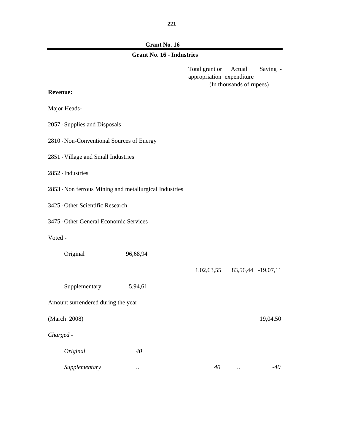**Grant No. 16**

| <b>Grant No. 16 - Industries</b> |  |  |  |  |
|----------------------------------|--|--|--|--|
|----------------------------------|--|--|--|--|

Total grant or Actual Saving appropriation expenditure (In thousands of rupees)

#### **Revenue:**

Major Heads-

- 2057 -Supplies and Disposals
- 2810 -Non-Conventional Sources of Energy
- 2851 -Village and Small Industries
- 2852 -Industries
- 2853 -Non ferrous Mining and metallurgical Industries
- 3425 -Other Scientific Research
- 3475 -Other General Economic Services
- Voted -

| Original                           | 96,68,94  |            |                    |
|------------------------------------|-----------|------------|--------------------|
|                                    |           | 1,02,63,55 | 83,56,44 -19,07,11 |
| Supplementary                      | 5,94,61   |            |                    |
| Amount surrendered during the year |           |            |                    |
| (March 2008)                       |           |            | 19,04,50           |
| Charged -                          |           |            |                    |
| Original                           | 40        |            |                    |
| Supplementary                      | $\ddotsc$ | 40         | -40<br>$\ddotsc$   |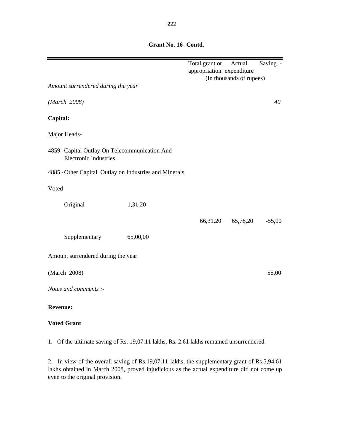|                                                                                |          | Total grant or<br>appropriation expenditure | Actual<br>(In thousands of rupees) | Saving - |
|--------------------------------------------------------------------------------|----------|---------------------------------------------|------------------------------------|----------|
| Amount surrendered during the year                                             |          |                                             |                                    |          |
| (March 2008)                                                                   |          |                                             |                                    | 40       |
| Capital:                                                                       |          |                                             |                                    |          |
| Major Heads-                                                                   |          |                                             |                                    |          |
| 4859 - Capital Outlay On Telecommunication And<br><b>Electronic Industries</b> |          |                                             |                                    |          |
| 4885 - Other Capital Outlay on Industries and Minerals                         |          |                                             |                                    |          |
| Voted -                                                                        |          |                                             |                                    |          |
| Original                                                                       | 1,31,20  |                                             |                                    |          |
|                                                                                |          | 66,31,20                                    | 65,76,20                           | $-55,00$ |
| Supplementary                                                                  | 65,00,00 |                                             |                                    |          |
| Amount surrendered during the year                                             |          |                                             |                                    |          |
| (March 2008)                                                                   |          |                                             |                                    | 55,00    |
| Notes and comments :-                                                          |          |                                             |                                    |          |
| <b>Revenue:</b>                                                                |          |                                             |                                    |          |
| <b>Voted Grant</b>                                                             |          |                                             |                                    |          |

1. Of the ultimate saving of Rs. 19,07.11 lakhs, Rs. 2.61 lakhs remained unsurrendered.

2. In view of the overall saving of Rs.19,07.11 lakhs, the supplementary grant of Rs.5,94.61 lakhs obtained in March 2008, proved injudicious as the actual expenditure did not come up even to the original provision.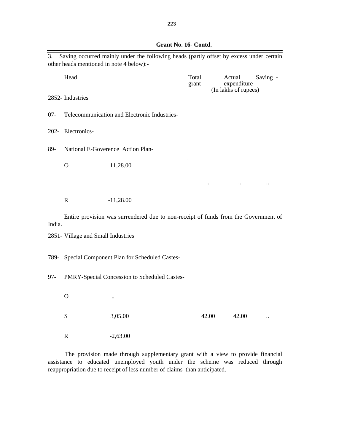| 3.     | other heads mentioned in note 4 below):-                                            | Saving occurred mainly under the following heads (partly offset by excess under certain |                |  |                                               |          |  |
|--------|-------------------------------------------------------------------------------------|-----------------------------------------------------------------------------------------|----------------|--|-----------------------------------------------|----------|--|
|        | Head                                                                                |                                                                                         | Total<br>grant |  | Actual<br>expenditure<br>(In lakhs of rupees) | Saving - |  |
|        | 2852- Industries                                                                    |                                                                                         |                |  |                                               |          |  |
| $07 -$ |                                                                                     | Telecommunication and Electronic Industries-                                            |                |  |                                               |          |  |
|        | 202- Electronics-                                                                   |                                                                                         |                |  |                                               |          |  |
| 89-    |                                                                                     | National E-Goverence Action Plan-                                                       |                |  |                                               |          |  |
|        | $\mathbf{O}$                                                                        | 11,28.00                                                                                |                |  |                                               |          |  |
|        |                                                                                     |                                                                                         |                |  |                                               |          |  |
|        | $\mathbf R$                                                                         | $-11,28.00$                                                                             |                |  |                                               |          |  |
| India. | Entire provision was surrendered due to non-receipt of funds from the Government of |                                                                                         |                |  |                                               |          |  |
|        | 2851- Village and Small Industries                                                  |                                                                                         |                |  |                                               |          |  |
| 789-   | Special Component Plan for Scheduled Castes-                                        |                                                                                         |                |  |                                               |          |  |
| $97 -$ |                                                                                     | PMRY-Special Concession to Scheduled Castes-                                            |                |  |                                               |          |  |
|        | O                                                                                   | $\ddotsc$                                                                               |                |  |                                               |          |  |
|        | ${\bf S}$                                                                           | 3,05.00                                                                                 | 42.00          |  | 42.00                                         |          |  |
|        | ${\bf R}$                                                                           | $-2,63.00$                                                                              |                |  |                                               |          |  |

The provision made through supplementary grant with a view to provide financial assistance to educated unemployed youth under the scheme was reduced through reappropriation due to receipt of less number of claims than anticipated.

 **Grant No. 16- Contd.**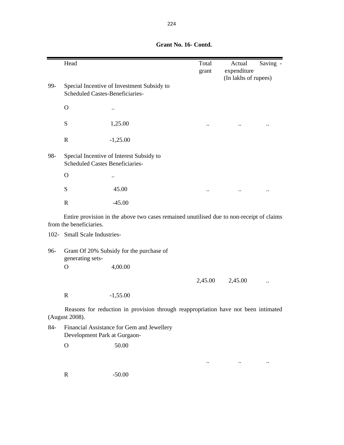|       | Head                                   |                                                                                          | Total<br>grant | Actual<br>expenditure | Saving - |
|-------|----------------------------------------|------------------------------------------------------------------------------------------|----------------|-----------------------|----------|
|       |                                        |                                                                                          |                | (In lakhs of rupees)  |          |
| 99-   | Scheduled Castes-Beneficiaries-        | Special Incentive of Investment Subsidy to                                               |                |                       |          |
|       | $\Omega$                               |                                                                                          |                |                       |          |
|       | ${\bf S}$                              | 1,25.00                                                                                  |                |                       |          |
|       | $\mathbf R$                            | $-1,25.00$                                                                               |                |                       |          |
| 98-   | <b>Scheduled Castes Beneficiaries-</b> | Special Incentive of Interest Subsidy to                                                 |                |                       |          |
|       | $\mathbf O$                            |                                                                                          |                |                       |          |
|       | ${\bf S}$                              | 45.00                                                                                    |                |                       |          |
|       | $\mathbb{R}$                           | $-45.00$                                                                                 |                |                       |          |
|       | from the beneficiaries.                | Entire provision in the above two cases remained unutilised due to non-receipt of claims |                |                       |          |
|       | 102- Small Scale Industries-           |                                                                                          |                |                       |          |
| 96-   | generating sets-                       | Grant Of 20% Subsidy for the purchase of                                                 |                |                       |          |
|       | $\Omega$                               | 4,00.00                                                                                  |                |                       |          |
|       |                                        |                                                                                          | 2,45.00        | 2,45.00               |          |
|       | $\mathbf R$                            | $-1,55.00$                                                                               |                |                       |          |
|       | (August 2008).                         | Reasons for reduction in provision through reappropriation have not been intimated       |                |                       |          |
| $84-$ | Development Park at Gurgaon-           | Financial Assistance for Gem and Jewellery                                               |                |                       |          |
|       | $\mathbf{O}$                           | 50.00                                                                                    |                |                       |          |
|       |                                        |                                                                                          |                |                       |          |

.. .. ..

# **Grant No. 16- Contd.**

R -50.00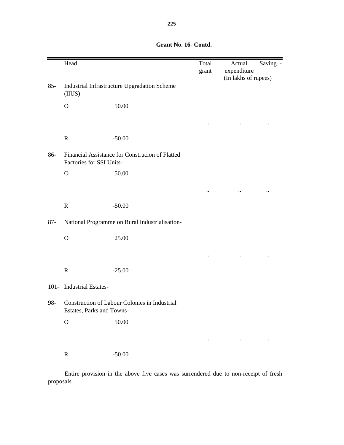|         | Head                       |                                                 | Total<br>grant | Actual<br>expenditure | Saving - |
|---------|----------------------------|-------------------------------------------------|----------------|-----------------------|----------|
| $85 -$  | (IIUS)-                    | Industrial Infrastructure Upgradation Scheme    |                | (In lakhs of rupees)  |          |
|         | $\mathcal{O}$              | 50.00                                           |                |                       |          |
|         |                            |                                                 |                |                       |          |
|         | $\mathbf R$                | $-50.00$                                        |                |                       |          |
| 86-     | Factories for SSI Units-   | Financial Assistance for Construcion of Flatted |                |                       |          |
|         | $\mathbf O$                | 50.00                                           |                |                       |          |
|         |                            |                                                 |                |                       |          |
|         | $\mathbf R$                | $-50.00$                                        |                |                       |          |
| $87 -$  |                            | National Programme on Rural Industrialisation-  |                |                       |          |
|         | $\mathbf O$                | 25.00                                           |                |                       |          |
|         |                            |                                                 |                |                       |          |
|         | $\mathbf R$                | $-25.00$                                        |                |                       |          |
| $101 -$ | <b>Industrial Estates-</b> |                                                 |                |                       |          |
| 98-     | Estates, Parks and Towns-  | Construction of Labour Colonies in Industrial   |                |                       |          |
|         | $\mathbf O$                | $50.00\,$                                       |                |                       |          |
|         |                            |                                                 |                |                       |          |
|         | ${\bf R}$                  | $-50.00$                                        |                |                       |          |

Entire provision in the above five cases was surrendered due to non-receipt of fresh proposals.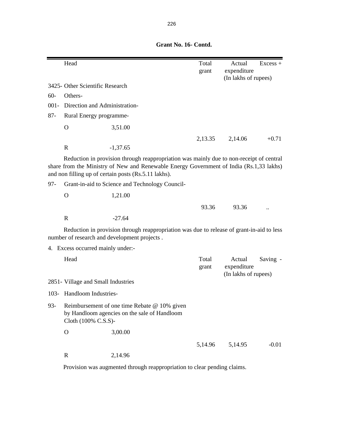|                                                                                                                                                                                                                                            | Head                                                                     |                                                                                                                                           | Total          | Actual                                        | $Excess +$ |  |
|--------------------------------------------------------------------------------------------------------------------------------------------------------------------------------------------------------------------------------------------|--------------------------------------------------------------------------|-------------------------------------------------------------------------------------------------------------------------------------------|----------------|-----------------------------------------------|------------|--|
|                                                                                                                                                                                                                                            |                                                                          |                                                                                                                                           | grant          | expenditure                                   |            |  |
|                                                                                                                                                                                                                                            | 3425- Other Scientific Research                                          |                                                                                                                                           |                | (In lakhs of rupees)                          |            |  |
| $60 -$                                                                                                                                                                                                                                     | Others-                                                                  |                                                                                                                                           |                |                                               |            |  |
| $001 -$                                                                                                                                                                                                                                    | Direction and Administration-                                            |                                                                                                                                           |                |                                               |            |  |
| $87 -$                                                                                                                                                                                                                                     | Rural Energy programme-                                                  |                                                                                                                                           |                |                                               |            |  |
|                                                                                                                                                                                                                                            |                                                                          |                                                                                                                                           |                |                                               |            |  |
|                                                                                                                                                                                                                                            | $\mathbf O$                                                              | 3,51.00                                                                                                                                   |                |                                               |            |  |
|                                                                                                                                                                                                                                            |                                                                          |                                                                                                                                           | 2,13.35        | 2,14.06                                       | $+0.71$    |  |
|                                                                                                                                                                                                                                            | $\mathbf R$                                                              | $-1,37.65$                                                                                                                                |                |                                               |            |  |
| Reduction in provision through reappropriation was mainly due to non-receipt of central<br>share from the Ministry of New and Renewable Energy Government of India (Rs.1,33 lakhs)<br>and non filling up of certain posts (Rs.5.11 lakhs). |                                                                          |                                                                                                                                           |                |                                               |            |  |
| $97 -$                                                                                                                                                                                                                                     |                                                                          | Grant-in-aid to Science and Technology Council-                                                                                           |                |                                               |            |  |
|                                                                                                                                                                                                                                            | $\Omega$                                                                 | 1,21.00                                                                                                                                   |                |                                               |            |  |
|                                                                                                                                                                                                                                            |                                                                          |                                                                                                                                           | 93.36          | 93.36                                         |            |  |
|                                                                                                                                                                                                                                            | $\mathbb{R}$                                                             | $-27.64$                                                                                                                                  |                |                                               |            |  |
|                                                                                                                                                                                                                                            |                                                                          | Reduction in provision through reappropriation was due to release of grant-in-aid to less<br>number of research and development projects. |                |                                               |            |  |
|                                                                                                                                                                                                                                            | 4. Excess occurred mainly under:-                                        |                                                                                                                                           |                |                                               |            |  |
|                                                                                                                                                                                                                                            | Head                                                                     |                                                                                                                                           | Total<br>grant | Actual<br>expenditure<br>(In lakhs of rupees) | Saving -   |  |
|                                                                                                                                                                                                                                            | 2851- Village and Small Industries                                       |                                                                                                                                           |                |                                               |            |  |
|                                                                                                                                                                                                                                            | 103- Handloom Industries-                                                |                                                                                                                                           |                |                                               |            |  |
| 93-                                                                                                                                                                                                                                        | Cloth (100% C.S.S)-                                                      | Reimbursement of one time Rebate @ 10% given<br>by Handloom agencies on the sale of Handloom                                              |                |                                               |            |  |
|                                                                                                                                                                                                                                            | $\mathbf O$                                                              | 3,00.00                                                                                                                                   |                |                                               |            |  |
|                                                                                                                                                                                                                                            |                                                                          |                                                                                                                                           | 5,14.96        | 5,14.95                                       | $-0.01$    |  |
|                                                                                                                                                                                                                                            | $\mathbf R$                                                              | 2,14.96                                                                                                                                   |                |                                               |            |  |
|                                                                                                                                                                                                                                            | Provision was augmented through reappropriation to clear pending claims. |                                                                                                                                           |                |                                               |            |  |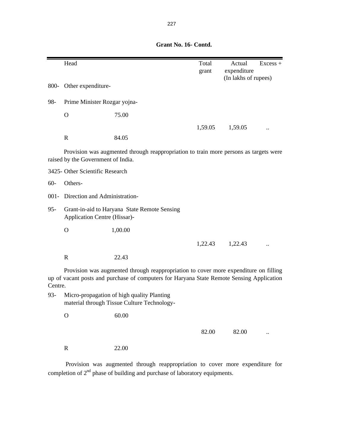|         | Head                                                                         |                                                                                                                                                                                   | Total   | Actual               | $Excess +$ |  |  |  |
|---------|------------------------------------------------------------------------------|-----------------------------------------------------------------------------------------------------------------------------------------------------------------------------------|---------|----------------------|------------|--|--|--|
|         |                                                                              |                                                                                                                                                                                   | grant   | expenditure          |            |  |  |  |
|         |                                                                              |                                                                                                                                                                                   |         | (In lakhs of rupees) |            |  |  |  |
| 800-    | Other expenditure-                                                           |                                                                                                                                                                                   |         |                      |            |  |  |  |
| 98-     | Prime Minister Rozgar yojna-                                                 |                                                                                                                                                                                   |         |                      |            |  |  |  |
|         | $\Omega$                                                                     | 75.00                                                                                                                                                                             |         |                      |            |  |  |  |
|         |                                                                              |                                                                                                                                                                                   | 1,59.05 | 1,59.05              |            |  |  |  |
|         | $\mathbb{R}$                                                                 | 84.05                                                                                                                                                                             |         |                      |            |  |  |  |
|         | raised by the Government of India.                                           | Provision was augmented through reappropriation to train more persons as targets were                                                                                             |         |                      |            |  |  |  |
|         | 3425- Other Scientific Research                                              |                                                                                                                                                                                   |         |                      |            |  |  |  |
| $60 -$  | Others-                                                                      |                                                                                                                                                                                   |         |                      |            |  |  |  |
|         | 001- Direction and Administration-                                           |                                                                                                                                                                                   |         |                      |            |  |  |  |
| $95 -$  | Grant-in-aid to Haryana State Remote Sensing<br>Application Centre (Hissar)- |                                                                                                                                                                                   |         |                      |            |  |  |  |
|         | $\Omega$                                                                     | 1,00.00                                                                                                                                                                           |         |                      |            |  |  |  |
|         |                                                                              |                                                                                                                                                                                   | 1,22.43 | 1,22.43              |            |  |  |  |
|         | $\mathbf R$                                                                  | 22.43                                                                                                                                                                             |         |                      |            |  |  |  |
| Centre. |                                                                              | Provision was augmented through reappropriation to cover more expenditure on filling<br>up of vacant posts and purchase of computers for Haryana State Remote Sensing Application |         |                      |            |  |  |  |
| $93 -$  |                                                                              | Micro-propagation of high quality Planting<br>material through Tissue Culture Technology-                                                                                         |         |                      |            |  |  |  |
|         | $\overline{O}$                                                               | 60.00                                                                                                                                                                             |         |                      |            |  |  |  |
|         |                                                                              |                                                                                                                                                                                   | 82.00   | 82.00                |            |  |  |  |
|         | ${\bf R}$                                                                    | 22.00                                                                                                                                                                             |         |                      |            |  |  |  |
|         |                                                                              |                                                                                                                                                                                   |         |                      |            |  |  |  |

Provision was augmented through reappropriation to cover more expenditure for completion of  $2<sup>nd</sup>$  phase of building and purchase of laboratory equipments.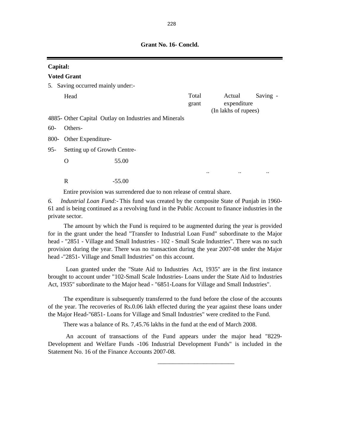|                                      | Capital:                     |                                                       |                |                                               |          |  |  |  |
|--------------------------------------|------------------------------|-------------------------------------------------------|----------------|-----------------------------------------------|----------|--|--|--|
|                                      | <b>Voted Grant</b>           |                                                       |                |                                               |          |  |  |  |
| Saving occurred mainly under:-<br>5. |                              |                                                       |                |                                               |          |  |  |  |
|                                      | Head                         |                                                       | Total<br>grant | Actual<br>expenditure<br>(In lakhs of rupees) | Saving - |  |  |  |
|                                      |                              | 4885- Other Capital Outlay on Industries and Minerals |                |                                               |          |  |  |  |
| $60-$                                | Others-                      |                                                       |                |                                               |          |  |  |  |
| 800-                                 | Other Expenditure-           |                                                       |                |                                               |          |  |  |  |
| $95 -$                               | Setting up of Growth Centre- |                                                       |                |                                               |          |  |  |  |
|                                      | O                            | 55.00                                                 |                |                                               |          |  |  |  |
|                                      |                              |                                                       |                | <br>$\ddotsc$                                 |          |  |  |  |
|                                      | R                            | $-55.00$                                              |                |                                               |          |  |  |  |

Entire provision was surrendered due to non release of central share.

*6. Industrial Loan Fund:-* This fund was created by the composite State of Punjab in 1960- 61 and is being continued as a revolving fund in the Public Account to finance industries in the private sector.

The amount by which the Fund is required to be augmented during the year is provided for in the grant under the head "Transfer to Industrial Loan Fund" subordinate to the Major head - "2851 - Village and Small Industries - 102 - Small Scale Industries". There was no such provision during the year. There was no transaction during the year 2007-08 under the Major head -"2851- Village and Small Industries" on this account.

Loan granted under the "State Aid to Industries Act, 1935" are in the first instance brought to account under "102-Small Scale Industries- Loans under the State Aid to Industries Act, 1935" subordinate to the Major head - "6851-Loans for Village and Small Industries".

The expenditure is subsequently transferred to the fund before the close of the accounts of the year. The recoveries of Rs.0.06 lakh effected during the year against these loans under the Major Head-"6851- Loans for Village and Small Industries" were credited to the Fund.

There was a balance of Rs. 7,45.76 lakhs in the fund at the end of March 2008.

 $\overline{\phantom{a}}$  , and the contract of the contract of the contract of the contract of the contract of the contract of the contract of the contract of the contract of the contract of the contract of the contract of the contrac

An account of transactions of the Fund appears under the major head "8229- Development and Welfare Funds -106 Industrial Development Funds" is included in the Statement No. 16 of the Finance Accounts 2007-08.

 **Grant No. 16- Concld.**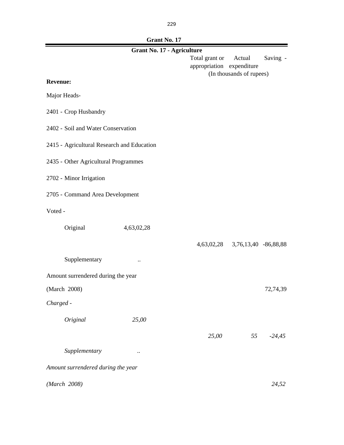229

## **Grant No. 17**

|                                            | лашы то.<br><b>Grant No. 17 - Agriculture</b> |                                             |                          |          |
|--------------------------------------------|-----------------------------------------------|---------------------------------------------|--------------------------|----------|
|                                            |                                               | Total grant or<br>appropriation expenditure | Actual                   | Saving - |
|                                            |                                               |                                             | (In thousands of rupees) |          |
| <b>Revenue:</b>                            |                                               |                                             |                          |          |
| Major Heads-                               |                                               |                                             |                          |          |
| 2401 - Crop Husbandry                      |                                               |                                             |                          |          |
| 2402 - Soil and Water Conservation         |                                               |                                             |                          |          |
| 2415 - Agricultural Research and Education |                                               |                                             |                          |          |
| 2435 - Other Agricultural Programmes       |                                               |                                             |                          |          |
| 2702 - Minor Irrigation                    |                                               |                                             |                          |          |
| 2705 - Command Area Development            |                                               |                                             |                          |          |
| Voted -                                    |                                               |                                             |                          |          |
| Original                                   | 4,63,02,28                                    |                                             |                          |          |
|                                            |                                               | 4,63,02,28                                  | 3,76,13,40 -86,88,88     |          |
| Supplementary                              |                                               |                                             |                          |          |
| Amount surrendered during the year         |                                               |                                             |                          |          |
| (March 2008)                               |                                               |                                             |                          | 72,74,39 |
| Charged -                                  |                                               |                                             |                          |          |
| Original                                   | 25,00                                         |                                             |                          |          |
|                                            |                                               | 25,00                                       | 55                       | $-24,45$ |
| Supplementary                              |                                               |                                             |                          |          |
| Amount surrendered during the year         |                                               |                                             |                          |          |
| (March 2008)                               |                                               |                                             |                          | 24,52    |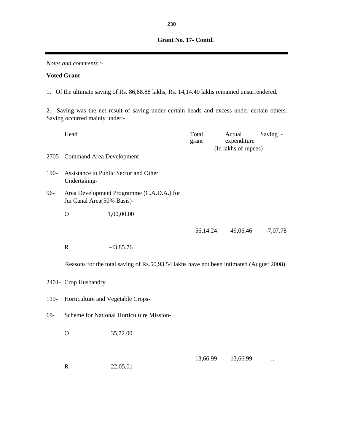*Notes and comments :-* **Voted Grant** Head Saving - Total Actual Saving grant expenditure 2705- Command Area Development 190- Assistance to Public Sector and Other Undertaking-96- Area Development Programme (C.A.D.A.) for Jui Canal Area(50% Basis)- O 1,00,00.00 56,14.24 49,06.46 -7,07.78 R  $-43,85.76$ 2401- Crop Husbandry 119- Horticulture and Vegetable Crops-69- Scheme for National Horticulture Mission- O 35,72.00 13,66.99 ... R  $-22,05.01$ 1. Of the ultimate saving of Rs. 86,88.88 lakhs, Rs. 14,14.49 lakhs remained unsurrendered. (In lakhs of rupees) 2. Saving was the net result of saving under certain heads and excess under certain others. Saving occurred mainly under:- Reasons for the total saving of Rs.50,93.54 lakhs have not been intimated (August 2008).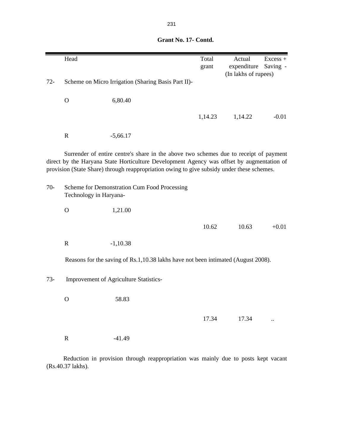|        | Head                                                                   |                                                                                                                                                                                                                                                                                  | Total<br>grant | Actual<br>expenditure | $Excess +$<br>Saving - |
|--------|------------------------------------------------------------------------|----------------------------------------------------------------------------------------------------------------------------------------------------------------------------------------------------------------------------------------------------------------------------------|----------------|-----------------------|------------------------|
| $72 -$ |                                                                        | Scheme on Micro Irrigation (Sharing Basis Part II)-                                                                                                                                                                                                                              |                | (In lakhs of rupees)  |                        |
|        | $\overline{O}$                                                         | 6,80.40                                                                                                                                                                                                                                                                          |                |                       |                        |
|        |                                                                        |                                                                                                                                                                                                                                                                                  | 1,14.23        | 1,14.22               | $-0.01$                |
|        | $\mathbf R$                                                            | $-5,66.17$                                                                                                                                                                                                                                                                       |                |                       |                        |
|        |                                                                        | Surrender of entire centre's share in the above two schemes due to receipt of payment<br>direct by the Haryana State Horticulture Development Agency was offset by augmentation of<br>provision (State Share) through reappropriation owing to give subsidy under these schemes. |                |                       |                        |
| $70-$  | Scheme for Demonstration Cum Food Processing<br>Technology in Haryana- |                                                                                                                                                                                                                                                                                  |                |                       |                        |
|        | $\mathbf{O}$                                                           | 1,21.00                                                                                                                                                                                                                                                                          |                |                       |                        |
|        |                                                                        |                                                                                                                                                                                                                                                                                  | 10.62          | 10.63                 | $+0.01$                |
|        | $\mathbf R$                                                            | $-1,10.38$                                                                                                                                                                                                                                                                       |                |                       |                        |
|        |                                                                        | Reasons for the saving of Rs.1,10.38 lakhs have not been intimated (August 2008).                                                                                                                                                                                                |                |                       |                        |
| $73-$  |                                                                        | Improvement of Agriculture Statistics-                                                                                                                                                                                                                                           |                |                       |                        |
|        | $\mathbf O$                                                            | 58.83                                                                                                                                                                                                                                                                            |                |                       |                        |
|        |                                                                        |                                                                                                                                                                                                                                                                                  | 17.34          | 17.34                 |                        |
|        | $\mathbf R$                                                            | $-41.49$                                                                                                                                                                                                                                                                         |                |                       |                        |

Reduction in provision through reappropriation was mainly due to posts kept vacant (Rs.40.37 lakhs).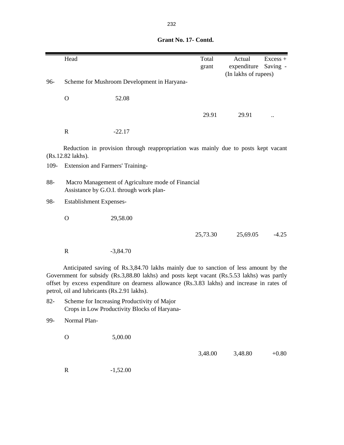|        | Head                                                                                         |                                                                                                                                                                                                                                                                                  | Total<br>grant | Actual<br>expenditure | $Excess +$<br>Saving - |  |  |
|--------|----------------------------------------------------------------------------------------------|----------------------------------------------------------------------------------------------------------------------------------------------------------------------------------------------------------------------------------------------------------------------------------|----------------|-----------------------|------------------------|--|--|
|        |                                                                                              |                                                                                                                                                                                                                                                                                  |                | (In lakhs of rupees)  |                        |  |  |
| 96-    |                                                                                              | Scheme for Mushroom Development in Haryana-                                                                                                                                                                                                                                      |                |                       |                        |  |  |
|        | $\mathbf{O}$                                                                                 | 52.08                                                                                                                                                                                                                                                                            |                |                       |                        |  |  |
|        |                                                                                              |                                                                                                                                                                                                                                                                                  | 29.91          | 29.91                 |                        |  |  |
|        | $\mathbf R$                                                                                  | $-22.17$                                                                                                                                                                                                                                                                         |                |                       |                        |  |  |
|        | (Rs.12.82 lakhs).                                                                            | Reduction in provision through reappropriation was mainly due to posts kept vacant                                                                                                                                                                                               |                |                       |                        |  |  |
| 109-   | Extension and Farmers' Training-                                                             |                                                                                                                                                                                                                                                                                  |                |                       |                        |  |  |
| 88-    | Macro Management of Agriculture mode of Financial<br>Assistance by G.O.I. through work plan- |                                                                                                                                                                                                                                                                                  |                |                       |                        |  |  |
| 98-    | <b>Establishment Expenses-</b>                                                               |                                                                                                                                                                                                                                                                                  |                |                       |                        |  |  |
|        | $\mathbf{O}$                                                                                 | 29,58.00                                                                                                                                                                                                                                                                         |                |                       |                        |  |  |
|        |                                                                                              |                                                                                                                                                                                                                                                                                  | 25,73.30       | 25,69.05              | $-4.25$                |  |  |
|        | $\mathbf R$                                                                                  | $-3,84.70$                                                                                                                                                                                                                                                                       |                |                       |                        |  |  |
|        | petrol, oil and lubricants (Rs.2.91 lakhs).                                                  | Anticipated saving of Rs.3,84.70 lakhs mainly due to sanction of less amount by the<br>Government for subsidy (Rs.3,88.80 lakhs) and posts kept vacant (Rs.5.53 lakhs) was partly<br>offset by excess expenditure on dearness allowance (Rs.3.83 lakhs) and increase in rates of |                |                       |                        |  |  |
| $82 -$ |                                                                                              | Scheme for Increasing Productivity of Major<br>Crops in Low Productivity Blocks of Haryana-                                                                                                                                                                                      |                |                       |                        |  |  |
| 99-    | Normal Plan-                                                                                 |                                                                                                                                                                                                                                                                                  |                |                       |                        |  |  |
|        | $\mathbf{O}$                                                                                 | 5,00.00                                                                                                                                                                                                                                                                          |                |                       |                        |  |  |

3,48.00 3,48.80 +0.80

## **Grant No. 17- Contd.**

R -1,52.00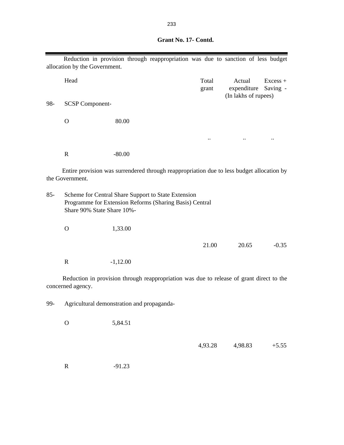|                                                                                                              |                               | Reduction in provision through reappropriation was due to sanction of less budget                              |  |                |                                               |                        |
|--------------------------------------------------------------------------------------------------------------|-------------------------------|----------------------------------------------------------------------------------------------------------------|--|----------------|-----------------------------------------------|------------------------|
|                                                                                                              | allocation by the Government. |                                                                                                                |  |                |                                               |                        |
|                                                                                                              | Head                          |                                                                                                                |  | Total<br>grant | Actual<br>expenditure<br>(In lakhs of rupees) | $Excess +$<br>Saving - |
| 98-                                                                                                          | <b>SCSP Component-</b>        |                                                                                                                |  |                |                                               |                        |
|                                                                                                              | O                             | 80.00                                                                                                          |  |                |                                               |                        |
|                                                                                                              |                               |                                                                                                                |  | $\cdot$ .      |                                               |                        |
|                                                                                                              | $\mathbf R$                   | $-80.00$                                                                                                       |  |                |                                               |                        |
| Entire provision was surrendered through reappropriation due to less budget allocation by<br>the Government. |                               |                                                                                                                |  |                |                                               |                        |
| $85 -$                                                                                                       | Share 90% State Share 10%-    | Scheme for Central Share Support to State Extension<br>Programme for Extension Reforms (Sharing Basis) Central |  |                |                                               |                        |
|                                                                                                              | O                             | 1,33.00                                                                                                        |  |                |                                               |                        |

 21.00 20.65 -0.35 R -1,12.00

Reduction in provision through reappropriation was due to release of grant direct to the concerned agency.

99- Agricultural demonstration and propaganda-

O 5,84.51

4,93.28 4,98.83 +5.55

R -91.23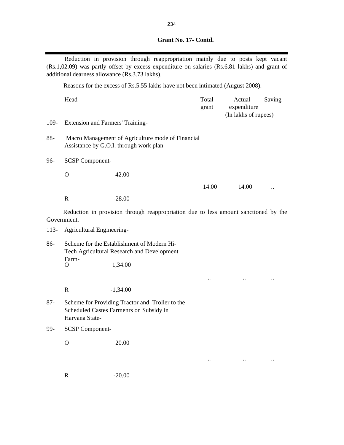| Grant No. 17- Contd. |
|----------------------|
|                      |

|        | (Rs.1,02.09) was partly offset by excess expenditure on salaries (Rs.6.81 lakhs) and grant of<br>additional dearness allowance (Rs.3.73 lakhs). | Reduction in provision through reappropriation mainly due to posts kept vacant               |  |                |                                               |          |
|--------|-------------------------------------------------------------------------------------------------------------------------------------------------|----------------------------------------------------------------------------------------------|--|----------------|-----------------------------------------------|----------|
|        |                                                                                                                                                 | Reasons for the excess of Rs.5.55 lakhs have not been intimated (August 2008).               |  |                |                                               |          |
|        | Head                                                                                                                                            |                                                                                              |  | Total<br>grant | Actual<br>expenditure<br>(In lakhs of rupees) | Saving - |
| 109-   | Extension and Farmers' Training-                                                                                                                |                                                                                              |  |                |                                               |          |
| 88-    |                                                                                                                                                 | Macro Management of Agriculture mode of Financial<br>Assistance by G.O.I. through work plan- |  |                |                                               |          |
| 96-    | <b>SCSP Component-</b>                                                                                                                          |                                                                                              |  |                |                                               |          |
|        | $\mathbf{O}$                                                                                                                                    | 42.00                                                                                        |  |                |                                               |          |
|        |                                                                                                                                                 |                                                                                              |  | 14.00          | 14.00                                         |          |
|        | $\mathbf R$                                                                                                                                     | $-28.00$                                                                                     |  |                |                                               |          |
|        | Reduction in provision through reappropriation due to less amount sanctioned by the<br>Government.                                              |                                                                                              |  |                |                                               |          |
| $113-$ | Agricultural Engineering-                                                                                                                       |                                                                                              |  |                |                                               |          |
| 86-    |                                                                                                                                                 | Scheme for the Establishment of Modern Hi-<br>Tech Agricultural Research and Development     |  |                |                                               |          |
|        | Farm-<br>O                                                                                                                                      | 1,34.00                                                                                      |  |                |                                               |          |
|        |                                                                                                                                                 |                                                                                              |  |                |                                               |          |
|        | $\mathbf R$                                                                                                                                     | $-1,34.00$                                                                                   |  |                |                                               |          |
| $87 -$ | Scheme for Providing Tractor and Troller to the<br>Scheduled Castes Farmenrs on Subsidy in<br>Haryana State-                                    |                                                                                              |  |                |                                               |          |
| 99-    | <b>SCSP</b> Component-                                                                                                                          |                                                                                              |  |                |                                               |          |
|        | $\mathbf O$                                                                                                                                     | 20.00                                                                                        |  |                |                                               |          |
|        |                                                                                                                                                 |                                                                                              |  |                |                                               |          |
|        | $\mathbf R$                                                                                                                                     | $-20.00$                                                                                     |  |                |                                               |          |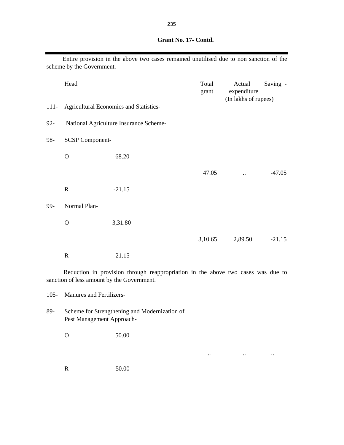|         | scheme by the Government. | Entire provision in the above two cases remained unutilised due to non sanction of the |                |                                               |          |
|---------|---------------------------|----------------------------------------------------------------------------------------|----------------|-----------------------------------------------|----------|
|         | Head                      |                                                                                        | Total<br>grant | Actual<br>expenditure<br>(In lakhs of rupees) | Saving - |
| $111 -$ |                           | <b>Agricultural Economics and Statistics-</b>                                          |                |                                               |          |
| $92 -$  |                           | National Agriculture Insurance Scheme-                                                 |                |                                               |          |
| 98-     | <b>SCSP Component-</b>    |                                                                                        |                |                                               |          |
|         | $\mathbf O$               | 68.20                                                                                  |                |                                               |          |
|         |                           |                                                                                        | 47.05          |                                               | $-47.05$ |
|         | $\mathbf R$               | $-21.15$                                                                               |                |                                               |          |
| 99-     | Normal Plan-              |                                                                                        |                |                                               |          |
|         | $\mathbf O$               | 3,31.80                                                                                |                |                                               |          |
|         |                           |                                                                                        | 3,10.65        | 2,89.50                                       | $-21.15$ |
|         | $\mathbb{R}$              | $-21.15$                                                                               |                |                                               |          |

Reduction in provision through reappropriation in the above two cases was due to sanction of less amount by the Government.

.. .. ..

105- Manures and Fertilizers-

- 89- Scheme for Strengthening and Modernization of Pest Management Approach-
	- O 50.00
	- R -50.00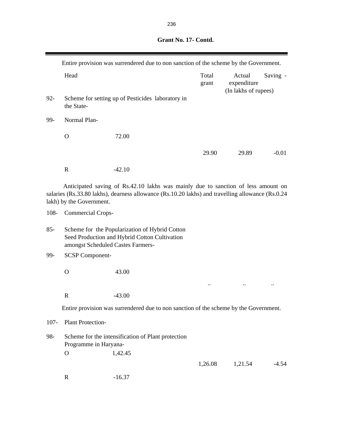|         |                                   | Entire provision was surrendered due to non sanction of the scheme by the Government.                                                                                                 |                |                                               |          |
|---------|-----------------------------------|---------------------------------------------------------------------------------------------------------------------------------------------------------------------------------------|----------------|-----------------------------------------------|----------|
|         | Head                              |                                                                                                                                                                                       | Total<br>grant | Actual<br>expenditure<br>(In lakhs of rupees) | Saving - |
| $92 -$  | the State-                        | Scheme for setting up of Pesticides laboratory in                                                                                                                                     |                |                                               |          |
| 99-     | Normal Plan-                      |                                                                                                                                                                                       |                |                                               |          |
|         | $\mathbf{O}$                      | 72.00                                                                                                                                                                                 |                |                                               |          |
|         |                                   |                                                                                                                                                                                       | 29.90          | 29.89                                         | $-0.01$  |
|         | $\mathbf R$                       | $-42.10$                                                                                                                                                                              |                |                                               |          |
|         | lakh) by the Government.          | Anticipated saving of Rs.42.10 lakhs was mainly due to sanction of less amount on<br>salaries (Rs.33.80 lakhs), dearness allowance (Rs.10.20 lakhs) and travelling allowance (Rs.0.24 |                |                                               |          |
| $108 -$ | <b>Commercial Crops-</b>          |                                                                                                                                                                                       |                |                                               |          |
| $85 -$  | amongst Scheduled Castes Farmers- | Scheme for the Popularization of Hybrid Cotton<br>Seed Production and Hybrid Cotton Cultivation                                                                                       |                |                                               |          |
| 99-     | <b>SCSP Component-</b>            |                                                                                                                                                                                       |                |                                               |          |
|         | $\Omega$                          | 43.00                                                                                                                                                                                 |                |                                               |          |
|         |                                   |                                                                                                                                                                                       |                |                                               |          |
|         | $\mathbf R$                       | $-43.00$                                                                                                                                                                              |                |                                               |          |
|         |                                   | Entire provision was surrendered due to non sanction of the scheme by the Government.                                                                                                 |                |                                               |          |

107- Plant Protection-

Ţ

| 98- |           | Scheme for the intensification of Plant protection |         |         |       |
|-----|-----------|----------------------------------------------------|---------|---------|-------|
|     |           | Programme in Haryana-                              |         |         |       |
|     | $\lambda$ | 1,42.45                                            |         |         |       |
|     |           |                                                    | 1.26.08 | 1.21.54 | -4.54 |
|     | R         | $-16.37$                                           |         |         |       |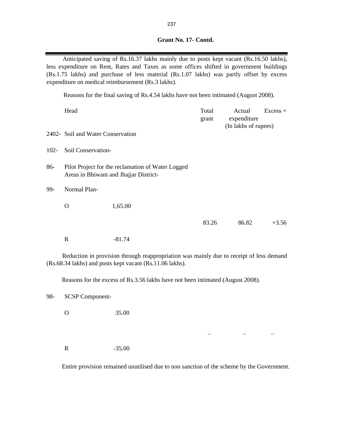|  |  | Grant No. 17- Contd. |  |
|--|--|----------------------|--|
|  |  |                      |  |

Anticipated saving of Rs.16.37 lakhs mainly due to posts kept vacant (Rs.16.50 lakhs), less expenditure on Rent, Rates and Taxes as some offices shifted in government buildings (Rs.1.75 lakhs) and purchase of less material (Rs.1.07 lakhs) was partly offset by excess expenditure on medical reimbursement (Rs.3 lakhs).

Reasons for the final saving of Rs.4.54 lakhs have not been intimated (August 2008).

|         | Head                              |                                                                                                                                                     | Total<br>grant | Actual<br>expenditure<br>(In lakhs of rupees) | $Excess +$ |
|---------|-----------------------------------|-----------------------------------------------------------------------------------------------------------------------------------------------------|----------------|-----------------------------------------------|------------|
|         | 2402- Soil and Water Conservation |                                                                                                                                                     |                |                                               |            |
| $102 -$ | Soil Conservation-                |                                                                                                                                                     |                |                                               |            |
| 86-     |                                   | Pilot Project for the reclamation of Water Logged<br>Areas in Bhiwani and Jhajjar District-                                                         |                |                                               |            |
| 99-     | Normal Plan-                      |                                                                                                                                                     |                |                                               |            |
|         | $\Omega$                          | 1,65.00                                                                                                                                             |                |                                               |            |
|         |                                   |                                                                                                                                                     | 83.26          | 86.82                                         | $+3.56$    |
|         | $\mathbf R$                       | $-81.74$                                                                                                                                            |                |                                               |            |
|         |                                   | Reduction in provision through reappropriation was mainly due to receipt of less demand<br>(Rs.68.34 lakhs) and posts kept vacant (Rs.11.06 lakhs). |                |                                               |            |
|         |                                   | Reasons for the excess of Rs.3.56 lakhs have not been intimated (August 2008).                                                                      |                |                                               |            |
| 98-     | <b>SCSP Component-</b>            |                                                                                                                                                     |                |                                               |            |
|         | O                                 | 35.00                                                                                                                                               |                |                                               |            |

R -35.00

Entire provision remained unutilised due to non sanction of the scheme by the Government.

.. .. ..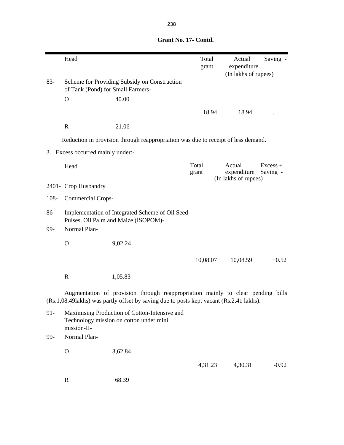|         | Head                              |                                                                                                                                                                            | Total<br>grant | Actual<br>expenditure                         | Saving -               |
|---------|-----------------------------------|----------------------------------------------------------------------------------------------------------------------------------------------------------------------------|----------------|-----------------------------------------------|------------------------|
| $83 -$  | of Tank (Pond) for Small Farmers- | Scheme for Providing Subsidy on Construction                                                                                                                               |                | (In lakhs of rupees)                          |                        |
|         | $\mathbf{O}$                      | 40.00                                                                                                                                                                      |                |                                               |                        |
|         |                                   |                                                                                                                                                                            | 18.94          | 18.94                                         |                        |
|         | $\mathbf R$                       | $-21.06$                                                                                                                                                                   |                |                                               |                        |
|         |                                   | Reduction in provision through reappropriation was due to receipt of less demand.                                                                                          |                |                                               |                        |
|         | 3. Excess occurred mainly under:- |                                                                                                                                                                            |                |                                               |                        |
|         | Head                              |                                                                                                                                                                            | Total<br>grant | Actual<br>expenditure<br>(In lakhs of rupees) | $Excess +$<br>Saving - |
|         | 2401- Crop Husbandry              |                                                                                                                                                                            |                |                                               |                        |
| $108 -$ | <b>Commercial Crops-</b>          |                                                                                                                                                                            |                |                                               |                        |
| 86-     |                                   | Implementation of Integrated Scheme of Oil Seed<br>Pulses, Oil Palm and Maize (ISOPOM)-                                                                                    |                |                                               |                        |
| 99-     | Normal Plan-                      |                                                                                                                                                                            |                |                                               |                        |
|         | $\Omega$                          | 9,02.24                                                                                                                                                                    |                |                                               |                        |
|         |                                   |                                                                                                                                                                            | 10,08.07       | 10,08.59                                      | $+0.52$                |
|         | $\mathbf R$                       | 1,05.83                                                                                                                                                                    |                |                                               |                        |
|         |                                   | Augmentation of provision through reappropriation mainly to clear pending bills<br>(Rs.1,08.49lakhs) was partly offset by saving due to posts kept vacant (Rs.2.41 lakhs). |                |                                               |                        |
| $91 -$  | mission-II-                       | Maximising Production of Cotton-Intensive and<br>Technology mission on cotton under mini                                                                                   |                |                                               |                        |
| 99-     | Normal Plan-                      |                                                                                                                                                                            |                |                                               |                        |
|         | $\mathbf O$                       | 3,62.84                                                                                                                                                                    |                |                                               |                        |
|         |                                   |                                                                                                                                                                            | 4,31.23        | 4,30.31                                       | $-0.92$                |
|         | $\mathbf R$                       | 68.39                                                                                                                                                                      |                |                                               |                        |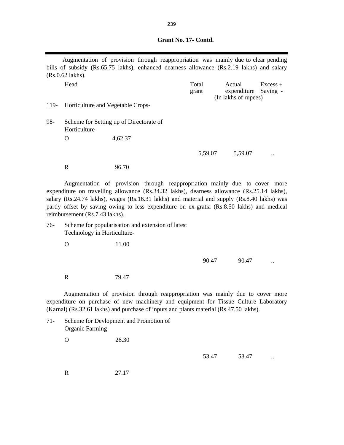Head Excess + grant expenditure Saving - 119- Horticulture and Vegetable Crops-98- Scheme for Setting up of Directorate of Horticulture- . O 4,62.37 5,59.07 ... 5,59.07 R 96.70 76- Scheme for popularisation and extension of latest Technology in Horticulture- O 11.00 90.47 ... R 79.47 71- Scheme for Devlopment and Promotion of Organic Farming- O 26.30 Augmentation of provision through reappropriation was mainly due to cover more expenditure on purchase of new machinery and equipment for Tissue Culture Laboratory (Karnal) (Rs.32.61 lakhs) and purchase of inputs and plants material (Rs.47.50 lakhs). Augmentation of provision through reappropriation was mainly due to clear pending bills of subsidy (Rs.65.75 lakhs), enhanced dearness allowance (Rs.2.19 lakhs) and salary (Rs.0.62 lakhs). (In lakhs of rupees) Augmentation of provision through reappropriation mainly due to cover more expenditure on travelling allowance (Rs.34.32 lakhs), dearness allowance (Rs.25.14 lakhs), salary (Rs.24.74 lakhs), wages (Rs.16.31 lakhs) and material and supply (Rs.8.40 lakhs) was partly offset by saving owing to less expenditure on ex-gratia (Rs.8.50 lakhs) and medical reimbursement (Rs.7.43 lakhs).

53.47 ...

R 27.17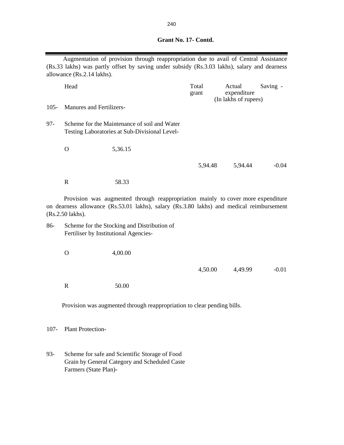Augmentation of provision through reappropriation due to avail of Central Assistance (Rs.33 lakhs) was partly offset by saving under subsidy (Rs.3.03 lakhs), salary and dearness allowance (Rs.2.14 lakhs).

|         | Head                            |                                                                                               | Total<br>grant | Actual<br>expenditure<br>(In lakhs of rupees) | Saving - |
|---------|---------------------------------|-----------------------------------------------------------------------------------------------|----------------|-----------------------------------------------|----------|
| $105 -$ | <b>Manures and Fertilizers-</b> |                                                                                               |                |                                               |          |
| 97-     |                                 | Scheme for the Maintenance of soil and Water<br>Testing Laboratories at Sub-Divisional Level- |                |                                               |          |
|         | O                               | 5,36.15                                                                                       |                |                                               |          |
|         |                                 |                                                                                               | 5,94.48        | 5,94.44                                       | $-0.04$  |
|         | R                               | 58.33                                                                                         |                |                                               |          |

Provision was augmented through reappropriation mainly to cover more expenditure on dearness allowance (Rs.53.01 lakhs), salary (Rs.3.80 lakhs) and medical reimbursement (Rs.2.50 lakhs).

- 86- Scheme for the Stocking and Distribution of Fertiliser by Institutional Agencies-
	- O 4,00.00

4,50.00 4,49.99 -0.01

R 50.00

Provision was augmented through reappropriation to clear pending bills.

107- Plant Protection-

93- Scheme for safe and Scientific Storage of Food Grain by General Category and Scheduled Caste Farmers (State Plan)-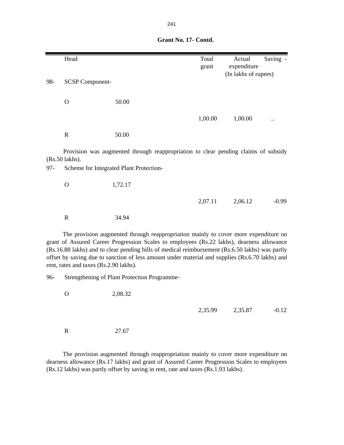|        | Head                   |                                                                                     | Total<br>grant | Actual<br>expenditure<br>(In lakhs of rupees) | Saving - |
|--------|------------------------|-------------------------------------------------------------------------------------|----------------|-----------------------------------------------|----------|
| 98-    | <b>SCSP Component-</b> |                                                                                     |                |                                               |          |
|        | $\mathbf O$            | 50.00                                                                               |                |                                               |          |
|        |                        |                                                                                     | 1,00.00        | 1,00.00                                       |          |
|        | $\mathbf R$            | 50.00                                                                               |                |                                               |          |
|        | (Rs.50 lakhs).         | Provision was augmented through reappropriation to clear pending claims of subsidy  |                |                                               |          |
| $97 -$ |                        | Scheme for Integrated Plant Protection-                                             |                |                                               |          |
|        | $\mathbf O$            | 1,72.17                                                                             |                |                                               |          |
|        |                        |                                                                                     | 2,07.11        | 2,06.12                                       | $-0.99$  |
|        | $\mathbf R$            | 34.94                                                                               |                |                                               |          |
|        |                        | The provision augmented through reappropriation mainly to cover more expenditure on |                |                                               |          |

The provision augmented through reappropriation mainly to cover more expenditure on grant of Assured Career Progression Scales to employees (Rs.22 lakhs), dearness allowance (Rs.16.88 lakhs) and to clear pending bills of medical reimbursement (Rs.6.50 lakhs) was partly offset by saving due to sanction of less amount under material and supplies (Rs.6.70 lakhs) and rent, rates and taxes (Rs.2.90 lakhs).

96- Strengthening of Plant Protection Programme-

| $\circ$ | 2,08.32 |         |         |         |
|---------|---------|---------|---------|---------|
|         |         | 2,35.99 | 2,35.87 | $-0.12$ |
| R       | 27.67   |         |         |         |

The provision augmented through reappropriation mainly to cover more expenditure on dearness allowance (Rs.17 lakhs) and grant of Assured Career Progression Scales to employees (Rs.12 lakhs) was partly offset by saving in rent, rate and taxes (Rs.1.93 lakhs).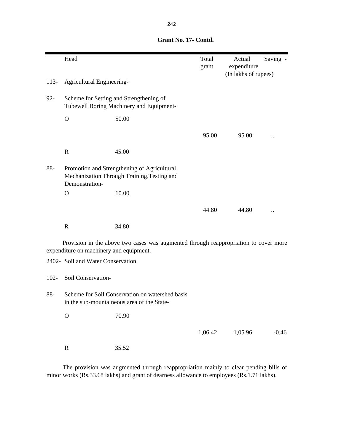|         | Head                                                                                                         |                                                                                      | Total<br>grant | Actual<br>expenditure | Saving - |
|---------|--------------------------------------------------------------------------------------------------------------|--------------------------------------------------------------------------------------|----------------|-----------------------|----------|
|         |                                                                                                              |                                                                                      |                | (In lakhs of rupees)  |          |
| $113-$  | Agricultural Engineering-                                                                                    |                                                                                      |                |                       |          |
| $92 -$  |                                                                                                              | Scheme for Setting and Strengthening of<br>Tubewell Boring Machinery and Equipment-  |                |                       |          |
|         | $\mathbf O$                                                                                                  | 50.00                                                                                |                |                       |          |
|         |                                                                                                              |                                                                                      | 95.00          | 95.00                 |          |
|         | $\mathbf R$                                                                                                  | 45.00                                                                                |                |                       |          |
| 88-     | Promotion and Strengthening of Agricultural<br>Mechanization Through Training, Testing and<br>Demonstration- |                                                                                      |                |                       |          |
|         | $\Omega$                                                                                                     | 10.00                                                                                |                |                       |          |
|         |                                                                                                              |                                                                                      | 44.80          | 44.80                 |          |
|         | $\mathbf R$                                                                                                  | 34.80                                                                                |                |                       |          |
|         | expenditure on machinery and equipment.                                                                      | Provision in the above two cases was augmented through reappropriation to cover more |                |                       |          |
|         | 2402- Soil and Water Conservation                                                                            |                                                                                      |                |                       |          |
| $102 -$ | Soil Conservation-                                                                                           |                                                                                      |                |                       |          |

88- Scheme for Soil Conservation on watershed basis in the sub-mountaineous area of the State-

O 70.90

1,06.42 1,05.96 -0.46

R 35.52

The provision was augmented through reappropriation mainly to clear pending bills of minor works (Rs.33.68 lakhs) and grant of dearness allowance to employees (Rs.1.71 lakhs).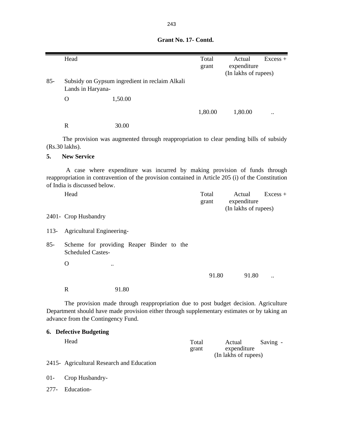|        | Head                         |                                                                                                                                                                                  | Total          | Actual                                        | $Excess +$ |
|--------|------------------------------|----------------------------------------------------------------------------------------------------------------------------------------------------------------------------------|----------------|-----------------------------------------------|------------|
|        |                              |                                                                                                                                                                                  | grant          | expenditure                                   |            |
|        |                              |                                                                                                                                                                                  |                | (In lakhs of rupees)                          |            |
| $85 -$ | Lands in Haryana-            | Subsidy on Gypsum ingredient in reclaim Alkali                                                                                                                                   |                |                                               |            |
|        | $\mathbf{O}$                 | 1,50.00                                                                                                                                                                          |                |                                               |            |
|        |                              |                                                                                                                                                                                  | 1,80.00        | 1,80.00                                       |            |
|        | $\mathbf R$                  | 30.00                                                                                                                                                                            |                |                                               |            |
|        | (Rs.30 lakhs).               | The provision was augmented through reappropriation to clear pending bills of subsidy                                                                                            |                |                                               |            |
| 5.     | <b>New Service</b>           |                                                                                                                                                                                  |                |                                               |            |
|        | of India is discussed below. | A case where expenditure was incurred by making provision of funds through<br>reappropriation in contravention of the provision contained in Article 205 (i) of the Constitution |                |                                               |            |
|        | Head                         |                                                                                                                                                                                  | Total<br>grant | Actual<br>expenditure<br>(In lakhs of rupees) | $Excess +$ |
|        | 2401- Crop Husbandry         |                                                                                                                                                                                  |                |                                               |            |
| $113-$ | Agricultural Engineering-    |                                                                                                                                                                                  |                |                                               |            |
| $85 -$ | <b>Scheduled Castes-</b>     | Scheme for providing Reaper Binder to the                                                                                                                                        |                |                                               |            |
|        | $\mathbf{O}$                 |                                                                                                                                                                                  |                |                                               |            |
|        |                              |                                                                                                                                                                                  | 91.80          | 91.80                                         |            |
|        | $\mathbf R$                  | 91.80                                                                                                                                                                            |                |                                               |            |
|        |                              | The provision made through reappropriation due to post budget decision. Agriculture                                                                                              |                |                                               |            |

Department should have made provision either through supplementary estimates or by taking an advance from the Contingency Fund.

# **6. Defective Budgeting**

| Head                                       | Total | Actual               | Saving - |  |
|--------------------------------------------|-------|----------------------|----------|--|
|                                            | grant | expenditure          |          |  |
|                                            |       | (In lakhs of rupees) |          |  |
| 2415 - Agricultural Research and Education |       |                      |          |  |

01- Crop Husbandry-

277- Education-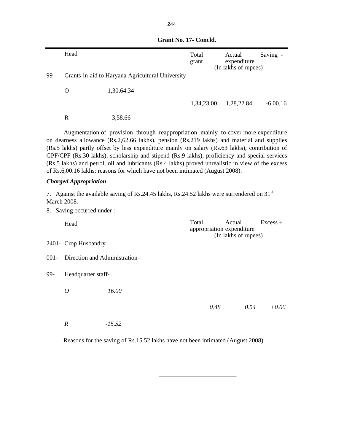|                    | Head                                                                                                                                                                                                                                                                                                                                                                                                                                                                                                                                                                      |                                                                                                        | Total<br>grant                     | Actual<br>expenditure<br>(In lakhs of rupees) |      | Saving -   |  |  |
|--------------------|---------------------------------------------------------------------------------------------------------------------------------------------------------------------------------------------------------------------------------------------------------------------------------------------------------------------------------------------------------------------------------------------------------------------------------------------------------------------------------------------------------------------------------------------------------------------------|--------------------------------------------------------------------------------------------------------|------------------------------------|-----------------------------------------------|------|------------|--|--|
| 99-                |                                                                                                                                                                                                                                                                                                                                                                                                                                                                                                                                                                           | Grants-in-aid to Haryana Agricultural University-                                                      |                                    |                                               |      |            |  |  |
|                    | $\mathbf{O}$                                                                                                                                                                                                                                                                                                                                                                                                                                                                                                                                                              | 1,30,64.34                                                                                             |                                    |                                               |      |            |  |  |
|                    |                                                                                                                                                                                                                                                                                                                                                                                                                                                                                                                                                                           |                                                                                                        | 1,34,23.00                         | 1,28,22.84                                    |      | $-6,00.16$ |  |  |
|                    | $\mathbf R$                                                                                                                                                                                                                                                                                                                                                                                                                                                                                                                                                               | 3,58.66                                                                                                |                                    |                                               |      |            |  |  |
|                    | Augmentation of provision through reappropriation mainly to cover more expenditure<br>on dearness allowance (Rs.2,62.66 lakhs), pension (Rs.219 lakhs) and material and supplies<br>(Rs.5 lakhs) partly offset by less expenditure mainly on salary (Rs.63 lakhs), contribution of<br>GPF/CPF (Rs.30 lakhs), scholarship and stipend (Rs.9 lakhs), proficiency and special services<br>(Rs.5 lakhs) and petrol, oil and lubricants (Rs.4 lakhs) proved unrealistic in view of the excess<br>of Rs.6,00.16 lakhs; reasons for which have not been intimated (August 2008). |                                                                                                        |                                    |                                               |      |            |  |  |
|                    | <b>Charged Appropriation</b>                                                                                                                                                                                                                                                                                                                                                                                                                                                                                                                                              |                                                                                                        |                                    |                                               |      |            |  |  |
| <b>March 2008.</b> |                                                                                                                                                                                                                                                                                                                                                                                                                                                                                                                                                                           | 7. Against the available saving of Rs.24.45 lakhs, Rs.24.52 lakhs were surrendered on 31 <sup>st</sup> |                                    |                                               |      |            |  |  |
|                    | 8. Saving occurred under :-                                                                                                                                                                                                                                                                                                                                                                                                                                                                                                                                               |                                                                                                        |                                    |                                               |      |            |  |  |
|                    | Head                                                                                                                                                                                                                                                                                                                                                                                                                                                                                                                                                                      |                                                                                                        | Total<br>appropriation expenditure | Actual<br>(In lakhs of rupees)                |      | $Excess +$ |  |  |
|                    | 2401- Crop Husbandry                                                                                                                                                                                                                                                                                                                                                                                                                                                                                                                                                      |                                                                                                        |                                    |                                               |      |            |  |  |
| $001 -$            | Direction and Administration-                                                                                                                                                                                                                                                                                                                                                                                                                                                                                                                                             |                                                                                                        |                                    |                                               |      |            |  |  |
| 99-                | Headquarter staff-                                                                                                                                                                                                                                                                                                                                                                                                                                                                                                                                                        |                                                                                                        |                                    |                                               |      |            |  |  |
|                    | $\overline{O}$                                                                                                                                                                                                                                                                                                                                                                                                                                                                                                                                                            | 16.00                                                                                                  |                                    |                                               |      |            |  |  |
|                    |                                                                                                                                                                                                                                                                                                                                                                                                                                                                                                                                                                           |                                                                                                        | 0.48                               |                                               | 0.54 | $+0.06$    |  |  |
|                    | $\boldsymbol{R}$                                                                                                                                                                                                                                                                                                                                                                                                                                                                                                                                                          | $-15.52$                                                                                               |                                    |                                               |      |            |  |  |

Reasons for the saving of Rs.15.52 lakhs have not been intimated (August 2008).

 $\frac{1}{\sqrt{2}}$  ,  $\frac{1}{\sqrt{2}}$  ,  $\frac{1}{\sqrt{2}}$  ,  $\frac{1}{\sqrt{2}}$  ,  $\frac{1}{\sqrt{2}}$  ,  $\frac{1}{\sqrt{2}}$  ,  $\frac{1}{\sqrt{2}}$  ,  $\frac{1}{\sqrt{2}}$  ,  $\frac{1}{\sqrt{2}}$  ,  $\frac{1}{\sqrt{2}}$  ,  $\frac{1}{\sqrt{2}}$  ,  $\frac{1}{\sqrt{2}}$  ,  $\frac{1}{\sqrt{2}}$  ,  $\frac{1}{\sqrt{2}}$  ,  $\frac{1}{\sqrt{2}}$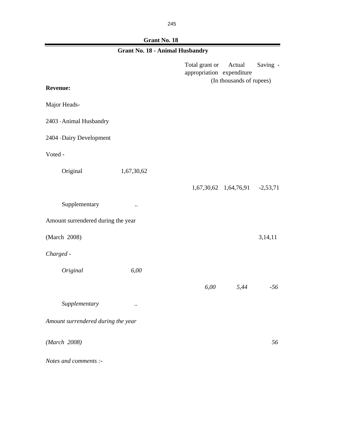## **Grant No. 18**

| <b>Grant No. 18 - Animal Husbandry</b> |                      |                                             |                                    |          |  |  |
|----------------------------------------|----------------------|---------------------------------------------|------------------------------------|----------|--|--|
| <b>Revenue:</b>                        |                      | Total grant or<br>appropriation expenditure | Actual<br>(In thousands of rupees) | Saving - |  |  |
|                                        |                      |                                             |                                    |          |  |  |
| Major Heads-                           |                      |                                             |                                    |          |  |  |
| 2403 Animal Husbandry                  |                      |                                             |                                    |          |  |  |
| 2404 Dairy Development                 |                      |                                             |                                    |          |  |  |
| Voted -                                |                      |                                             |                                    |          |  |  |
| Original                               | 1,67,30,62           |                                             |                                    |          |  |  |
|                                        |                      |                                             | 1,67,30,62 1,64,76,91 -2,53,71     |          |  |  |
| Supplementary                          | $\ddot{\phantom{a}}$ |                                             |                                    |          |  |  |
| Amount surrendered during the year     |                      |                                             |                                    |          |  |  |
| (March 2008)                           |                      |                                             |                                    | 3,14,11  |  |  |
| Charged -                              |                      |                                             |                                    |          |  |  |
| Original                               | 6,00                 |                                             |                                    |          |  |  |
|                                        |                      | 6,00                                        | 5,44                               | $-56$    |  |  |
| Supplementary                          | $\ddotsc$            |                                             |                                    |          |  |  |
| Amount surrendered during the year     |                      |                                             |                                    |          |  |  |
| (March 2008)                           |                      |                                             |                                    | 56       |  |  |
| Notes and comments :-                  |                      |                                             |                                    |          |  |  |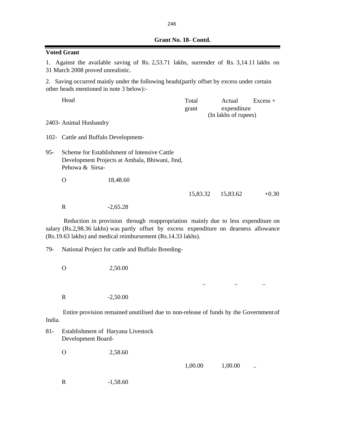| <b>Voted Grant</b> |                                                                                                                              |                                                                                                                                                                                                                                             |                |                       |            |  |  |
|--------------------|------------------------------------------------------------------------------------------------------------------------------|---------------------------------------------------------------------------------------------------------------------------------------------------------------------------------------------------------------------------------------------|----------------|-----------------------|------------|--|--|
|                    | 1. Against the available saving of Rs. 2,53.71 lakhs, surrender of Rs. 3,14.11 lakhs on<br>31 March 2008 proved unrealistic. |                                                                                                                                                                                                                                             |                |                       |            |  |  |
|                    | other heads mentioned in note 3 below):-                                                                                     | 2. Saving occurred mainly under the following heads(partly offset by excess under certain                                                                                                                                                   |                |                       |            |  |  |
|                    | Head                                                                                                                         |                                                                                                                                                                                                                                             | Total<br>grant | Actual<br>expenditure | $Excess +$ |  |  |
|                    | 2403- Animal Husbandry                                                                                                       |                                                                                                                                                                                                                                             |                | (In lakhs of rupees)  |            |  |  |
|                    | 102- Cattle and Buffalo Development-                                                                                         |                                                                                                                                                                                                                                             |                |                       |            |  |  |
| $95 -$             | Scheme for Establishment of Intensive Cattle<br>Development Projects at Ambala, Bhiwani, Jind,<br>Pehowa & Sirsa-            |                                                                                                                                                                                                                                             |                |                       |            |  |  |
|                    | $\Omega$                                                                                                                     | 18,48.60                                                                                                                                                                                                                                    |                |                       |            |  |  |
|                    |                                                                                                                              |                                                                                                                                                                                                                                             | 15,83.32       | 15,83.62              | $+0.30$    |  |  |
|                    | $\mathbf R$                                                                                                                  | $-2,65.28$                                                                                                                                                                                                                                  |                |                       |            |  |  |
|                    |                                                                                                                              | Reduction in provision through reappropriation mainly due to less expenditure on<br>salary (Rs.2,98.36 lakhs) was partly offset by excess expenditure on dearness allowance<br>(Rs.19.63 lakhs) and medical reimbursement (Rs.14.33 lakhs). |                |                       |            |  |  |
| 79-                |                                                                                                                              | National Project for cattle and Buffalo Breeding-                                                                                                                                                                                           |                |                       |            |  |  |
|                    | $\mathbf{O}$                                                                                                                 | 2,50.00                                                                                                                                                                                                                                     |                |                       |            |  |  |
|                    |                                                                                                                              |                                                                                                                                                                                                                                             |                |                       |            |  |  |
|                    | R                                                                                                                            | $-2,50.00$                                                                                                                                                                                                                                  |                |                       |            |  |  |
| India.             |                                                                                                                              | Entire provision remained unutilised due to non-release of funds by the Government of                                                                                                                                                       |                |                       |            |  |  |
| $81 -$             | Development Board-                                                                                                           | Establishment of Haryana Livestock                                                                                                                                                                                                          |                |                       |            |  |  |
|                    | $\mathbf O$                                                                                                                  | 2,58.60                                                                                                                                                                                                                                     |                |                       |            |  |  |
|                    |                                                                                                                              |                                                                                                                                                                                                                                             | 1,00.00        | 1,00.00               |            |  |  |
|                    | $\mathbf R$                                                                                                                  | $-1,58.60$                                                                                                                                                                                                                                  |                |                       |            |  |  |

246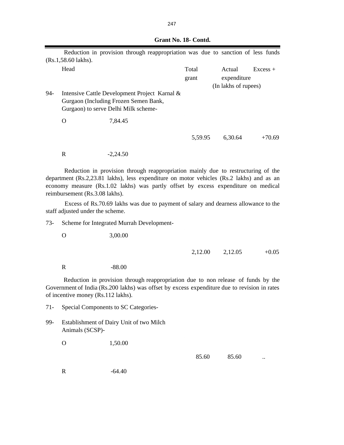|     |                        | Reduction in provision through reappropriation was due to sanction of less funds                                               |                |                                               |            |
|-----|------------------------|--------------------------------------------------------------------------------------------------------------------------------|----------------|-----------------------------------------------|------------|
|     | $(Rs.1, 58.60$ lakhs). |                                                                                                                                |                |                                               |            |
|     | Head                   |                                                                                                                                | Total<br>grant | Actual<br>expenditure<br>(In lakhs of rupees) | $Excess +$ |
| 94- |                        | Intensive Cattle Development Project Karnal &<br>Gurgaon (Including Frozen Semen Bank,<br>Gurgaon) to serve Delhi Milk scheme- |                |                                               |            |
|     | O                      | 7,84.45                                                                                                                        |                |                                               |            |
|     |                        |                                                                                                                                | 5,59.95        | 6,30.64                                       | $+70.69$   |
|     | R                      | $-2.24.50$                                                                                                                     |                |                                               |            |

Reduction in provision through reappropriation mainly due to restructuring of the department (Rs.2,23.81 lakhs), less expenditure on motor vehicles (Rs.2 lakhs) and as an economy measure (Rs.1.02 lakhs) was partly offset by excess expenditure on medical reimbursement (Rs.3.08 lakhs).

Excess of Rs.70.69 lakhs was due to payment of salary and dearness allowance to the staff adjusted under the scheme.

73- Scheme for Integrated Murrah Development-

O 3,00.00

| 2,12.00 | 2,12.05 | $+0.05$ |
|---------|---------|---------|
|         |         |         |

R -88.00

Reduction in provision through reappropriation due to non release of funds by the Government of India (Rs.200 lakhs) was offset by excess expenditure due to revision in rates of incentive money (Rs.112 lakhs).

71- Special Components to SC Categories-

99- Establishment of Dairy Unit of two Milch Animals (SCSP)-

O 1,50.00

85.60 ...

R -64.40

# **Grant No. 18- Contd.**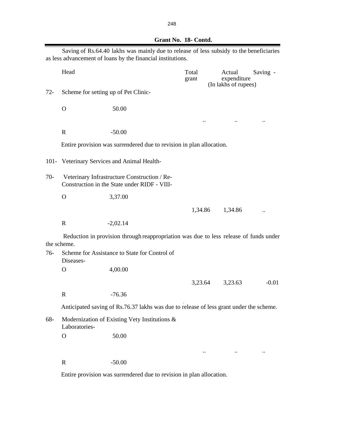| Grant No. 18- Contd. |
|----------------------|
|                      |

|        |                                      | Saving of Rs.64.40 lakhs was mainly due to release of less subsidy to the beneficiaries<br>as less advancement of loans by the financial institutions. |                |                                               |                      |
|--------|--------------------------------------|--------------------------------------------------------------------------------------------------------------------------------------------------------|----------------|-----------------------------------------------|----------------------|
|        | Head                                 |                                                                                                                                                        | Total<br>grant | Actual<br>expenditure<br>(In lakhs of rupees) | Saving -             |
| $72 -$ | Scheme for setting up of Pet Clinic- |                                                                                                                                                        |                |                                               |                      |
|        | $\mathbf O$                          | 50.00                                                                                                                                                  |                |                                               |                      |
|        |                                      |                                                                                                                                                        |                |                                               | $\ddot{\phantom{0}}$ |
|        | $\mathbf R$                          | $-50.00$                                                                                                                                               |                |                                               |                      |
|        |                                      | Entire provision was surrendered due to revision in plan allocation.                                                                                   |                |                                               |                      |
|        |                                      | 101- Veterinary Services and Animal Health-                                                                                                            |                |                                               |                      |
| $70-$  |                                      | Veterinary Infrastructure Construction / Re-<br>Construction in the State under RIDF - VIII-                                                           |                |                                               |                      |
|        | $\mathbf{O}$                         | 3,37.00                                                                                                                                                |                |                                               |                      |
|        |                                      |                                                                                                                                                        | 1,34.86        | 1,34.86                                       | $\ddot{\phantom{0}}$ |
|        | $\mathbb{R}$                         | $-2,02.14$                                                                                                                                             |                |                                               |                      |
|        | the scheme.                          | Reduction in provision through reappropriation was due to less release of funds under                                                                  |                |                                               |                      |
| $76-$  | Diseases-                            | Scheme for Assistance to State for Control of                                                                                                          |                |                                               |                      |
|        | $\mathbf O$                          | 4,00.00                                                                                                                                                |                |                                               |                      |
|        |                                      |                                                                                                                                                        | 3,23.64        | 3,23.63                                       | $-0.01$              |
|        | $\mathbb{R}$                         | $-76.36$                                                                                                                                               |                |                                               |                      |
|        |                                      | Anticipated saving of Rs.76.37 lakhs was due to release of less grant under the scheme.                                                                |                |                                               |                      |
| 68-    | Laboratories-                        | Modernization of Existing Vety Institutions &                                                                                                          |                |                                               |                      |
|        | $\mathbf O$                          | 50.00                                                                                                                                                  |                |                                               |                      |
|        |                                      |                                                                                                                                                        |                |                                               | $\ddot{\phantom{0}}$ |
|        | $\mathbf R$                          | $-50.00$                                                                                                                                               |                |                                               |                      |

Entire provision was surrendered due to revision in plan allocation.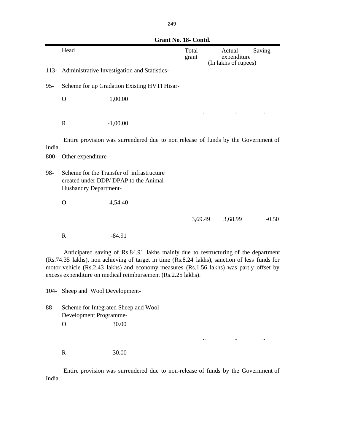|                                                                                                                                                                                                                                                                                                                                                | Grant No. 18- Contd.  |                                                                                   |                |  |                                               |          |
|------------------------------------------------------------------------------------------------------------------------------------------------------------------------------------------------------------------------------------------------------------------------------------------------------------------------------------------------|-----------------------|-----------------------------------------------------------------------------------|----------------|--|-----------------------------------------------|----------|
|                                                                                                                                                                                                                                                                                                                                                | Head                  |                                                                                   | Total<br>grant |  | Actual<br>expenditure<br>(In lakhs of rupees) | Saving - |
| $113-$                                                                                                                                                                                                                                                                                                                                         |                       | Administrative Investigation and Statistics-                                      |                |  |                                               |          |
| $95 -$                                                                                                                                                                                                                                                                                                                                         |                       | Scheme for up Gradation Existing HVTI Hisar-                                      |                |  |                                               |          |
|                                                                                                                                                                                                                                                                                                                                                | $\mathbf O$           | 1,00.00                                                                           |                |  |                                               |          |
|                                                                                                                                                                                                                                                                                                                                                |                       |                                                                                   |                |  |                                               |          |
|                                                                                                                                                                                                                                                                                                                                                | $\mathbf R$           | $-1,00.00$                                                                        |                |  |                                               |          |
| India.                                                                                                                                                                                                                                                                                                                                         |                       | Entire provision was surrendered due to non release of funds by the Government of |                |  |                                               |          |
| 800-                                                                                                                                                                                                                                                                                                                                           | Other expenditure-    |                                                                                   |                |  |                                               |          |
| 98-                                                                                                                                                                                                                                                                                                                                            | Husbandry Department- | Scheme for the Transfer of infrastructure<br>created under DDP/DPAP to the Animal |                |  |                                               |          |
|                                                                                                                                                                                                                                                                                                                                                | $\mathbf{O}$          | 4,54.40                                                                           |                |  |                                               |          |
|                                                                                                                                                                                                                                                                                                                                                |                       |                                                                                   | 3,69.49        |  | 3,68.99                                       | $-0.50$  |
|                                                                                                                                                                                                                                                                                                                                                | $\mathbf R$           | $-84.91$                                                                          |                |  |                                               |          |
| Anticipated saving of Rs.84.91 lakhs mainly due to restructuring of the department<br>(Rs.74.35 lakhs), non achieving of target in time (Rs.8.24 lakhs), sanction of less funds for<br>motor vehicle (Rs.2.43 lakhs) and economy measures (Rs.1.56 lakhs) was partly offset by<br>excess expenditure on medical reimbursement (Rs.2.25 lakhs). |                       |                                                                                   |                |  |                                               |          |

104- Sheep and Wool Development-

88- Scheme for Integrated Sheep and Wool Development Programme- . O 30.00

R  $-30.00$ 

Entire provision was surrendered due to non-release of funds by the Government of India.

.. .. ..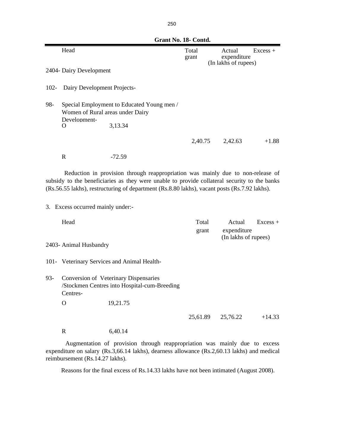**Grant No. 18- Contd.** Head Excess + grant expenditure 2404- Dairy Development 102- Dairy Development Projects-98- Special Employment to Educated Young men / Women of Rural areas under Dairy Development-<br>O O 3,13.34  $2,40.75$   $2,42.63$   $+1.88$ R  $-72.59$ Head **Total** Actual Excess + grant expenditure (In lakhs of rupees) 2403- Animal Husbandry 101- Veterinary Services and Animal Health-93- Conversion of Veterinary Dispensaries /Stockmen Centres into Hospital-cum-Breeding Centres- O 19,21.75 25,61.89 25,76.22 +14.33 R 6,40.14 3. Excess occurred mainly under:- Reduction in provision through reappropriation was mainly due to non-release of subsidy to the beneficiaries as they were unable to provide collateral security to the banks (Rs.56.55 lakhs), restructuring of department (Rs.8.80 lakhs), vacant posts (Rs.7.92 lakhs). (In lakhs of rupees)

Augmentation of provision through reappropriation was mainly due to excess expenditure on salary (Rs.3,66.14 lakhs), dearness allowance (Rs.2,60.13 lakhs) and medical reimbursement (Rs.14.27 lakhs).

Reasons for the final excess of Rs.14.33 lakhs have not been intimated (August 2008).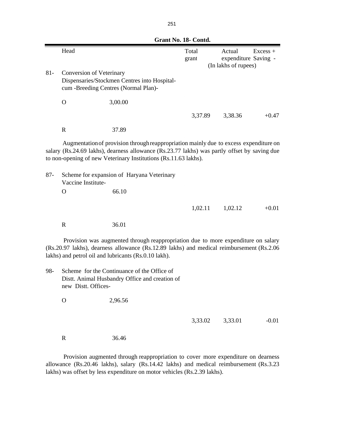|        | UL'AIIL 190. 10° COIItu. |                                                                                                                                                                                                                                                                                                        |                |                                                        |            |  |
|--------|--------------------------|--------------------------------------------------------------------------------------------------------------------------------------------------------------------------------------------------------------------------------------------------------------------------------------------------------|----------------|--------------------------------------------------------|------------|--|
|        | Head                     |                                                                                                                                                                                                                                                                                                        | Total<br>grant | Actual<br>expenditure Saving -<br>(In lakhs of rupees) | $Excess +$ |  |
| $81 -$ | Conversion of Veterinary | Dispensaries/Stockmen Centres into Hospital-<br>cum -Breeding Centres (Normal Plan)-                                                                                                                                                                                                                   |                |                                                        |            |  |
|        | $\mathbf{O}$             | 3,00.00                                                                                                                                                                                                                                                                                                |                |                                                        |            |  |
|        |                          |                                                                                                                                                                                                                                                                                                        | 3,37.89        | 3,38.36                                                | $+0.47$    |  |
|        | $\mathbb{R}$             | 37.89                                                                                                                                                                                                                                                                                                  |                |                                                        |            |  |
| $87 -$ |                          | Augmentation of provision through reappropriation mainly due to excess expenditure on<br>salary (Rs.24.69 lakhs), dearness allowance (Rs.23.77 lakhs) was partly offset by saving due<br>to non-opening of new Veterinary Institutions (Rs.11.63 lakhs).<br>Scheme for expansion of Haryana Veterinary |                |                                                        |            |  |
|        | Vaccine Institute-       |                                                                                                                                                                                                                                                                                                        |                |                                                        |            |  |
|        | O                        | 66.10                                                                                                                                                                                                                                                                                                  |                |                                                        |            |  |
|        |                          |                                                                                                                                                                                                                                                                                                        | 1,02.11        | 1,02.12                                                | $+0.01$    |  |
|        | $\mathbf R$              | 36.01                                                                                                                                                                                                                                                                                                  |                |                                                        |            |  |
|        |                          | Provision was augmented through reappropriation due to more expenditure on salary<br>(Rs.20.97 lakhs), dearness allowance (Rs.12.89 lakhs) and medical reimbursement (Rs.2.06<br>lakhs) and petrol oil and lubricants (Rs.0.10 lakh).                                                                  |                |                                                        |            |  |
| 98-    | new Distt. Offices-      | Scheme for the Continuance of the Office of<br>Distt. Animal Husbandry Office and creation of                                                                                                                                                                                                          |                |                                                        |            |  |
|        | $\mathcal{O}$            | 2,96.56                                                                                                                                                                                                                                                                                                |                |                                                        |            |  |
|        |                          |                                                                                                                                                                                                                                                                                                        | 3,33.02        | 3,33.01                                                | $-0.01$    |  |
|        | ${\bf R}$                | 36.46                                                                                                                                                                                                                                                                                                  |                |                                                        |            |  |
|        |                          |                                                                                                                                                                                                                                                                                                        |                |                                                        |            |  |

Provision augmented through reappropriation to cover more expenditure on dearness allowance (Rs.20.46 lakhs), salary (Rs.14.42 lakhs) and medical reimbursement (Rs.3.23 lakhs) was offset by less expenditure on motor vehicles (Rs.2.39 lakhs).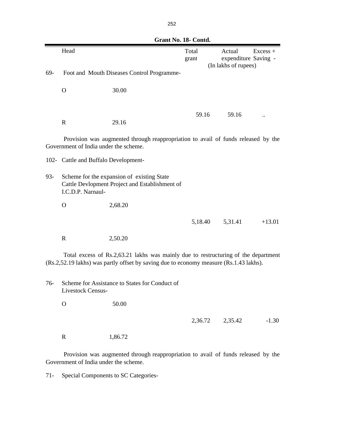|                                                                                                                                                                              | JI UIIL 1 1 0. IU                                                                                                 |                                            |                |                                                                      |
|------------------------------------------------------------------------------------------------------------------------------------------------------------------------------|-------------------------------------------------------------------------------------------------------------------|--------------------------------------------|----------------|----------------------------------------------------------------------|
|                                                                                                                                                                              | Head                                                                                                              |                                            | Total<br>grant | Actual<br>$Excess +$<br>expenditure Saving -<br>(In lakhs of rupees) |
| 69-                                                                                                                                                                          |                                                                                                                   | Foot and Mouth Diseases Control Programme- |                |                                                                      |
|                                                                                                                                                                              | $\mathbf{O}$                                                                                                      | 30.00                                      |                |                                                                      |
|                                                                                                                                                                              |                                                                                                                   |                                            | 59.16          | 59.16                                                                |
|                                                                                                                                                                              | $\mathbb{R}$                                                                                                      | 29.16                                      |                |                                                                      |
| Provision was augmented through reappropriation to avail of funds released by the<br>Government of India under the scheme.                                                   |                                                                                                                   |                                            |                |                                                                      |
|                                                                                                                                                                              | 102- Cattle and Buffalo Development-                                                                              |                                            |                |                                                                      |
| $93 -$                                                                                                                                                                       | Scheme for the expansion of existing State<br>Cattle Devlopment Project and Establishment of<br>I.C.D.P. Narnaul- |                                            |                |                                                                      |
|                                                                                                                                                                              | $\mathbf O$                                                                                                       | 2,68.20                                    |                |                                                                      |
|                                                                                                                                                                              |                                                                                                                   |                                            | 5,18.40        | 5,31.41<br>$+13.01$                                                  |
|                                                                                                                                                                              | $\mathbf R$                                                                                                       | 2,50.20                                    |                |                                                                      |
| Total excess of Rs.2,63.21 lakhs was mainly due to restructuring of the department<br>(Rs.2,52.19 lakhs) was partly offset by saving due to economy measure (Rs.1.43 lakhs). |                                                                                                                   |                                            |                |                                                                      |
| 76-                                                                                                                                                                          | Scheme for Assistance to States for Conduct of<br>Livestock Census-                                               |                                            |                |                                                                      |
|                                                                                                                                                                              | $\overline{O}$                                                                                                    | 50.00                                      |                |                                                                      |
|                                                                                                                                                                              |                                                                                                                   |                                            | 2,36.72        | 2,35.42<br>$-1.30$                                                   |
|                                                                                                                                                                              | $\mathbf R$                                                                                                       | 1,86.72                                    |                |                                                                      |
|                                                                                                                                                                              |                                                                                                                   |                                            |                |                                                                      |

Provision was augmented through reappropriation to avail of funds released by the Government of India under the scheme.

71- Special Components to SC Categories-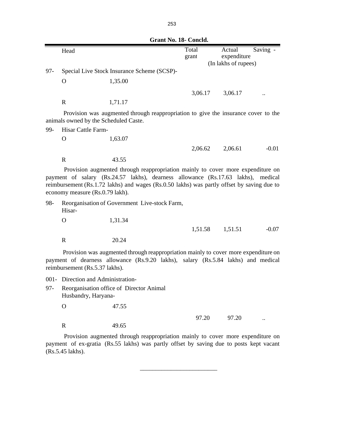|        |                                                                    |                                                                                                                                                                                                                                                                   | Grant No. 18- Concld. |                                               |          |
|--------|--------------------------------------------------------------------|-------------------------------------------------------------------------------------------------------------------------------------------------------------------------------------------------------------------------------------------------------------------|-----------------------|-----------------------------------------------|----------|
|        | Head                                                               |                                                                                                                                                                                                                                                                   | Total<br>grant        | Actual<br>expenditure<br>(In lakhs of rupees) | Saving - |
| $97 -$ |                                                                    | Special Live Stock Insurance Scheme (SCSP)-                                                                                                                                                                                                                       |                       |                                               |          |
|        | $\Omega$                                                           | 1,35.00                                                                                                                                                                                                                                                           |                       |                                               |          |
|        |                                                                    |                                                                                                                                                                                                                                                                   | 3,06.17               | 3,06.17                                       |          |
|        | $\mathbb{R}$                                                       | 1,71.17                                                                                                                                                                                                                                                           |                       |                                               |          |
| 99-    | animals owned by the Scheduled Caste.<br><b>Hisar Cattle Farm-</b> | Provision was augmented through reappropriation to give the insurance cover to the                                                                                                                                                                                |                       |                                               |          |
|        | O                                                                  | 1,63.07                                                                                                                                                                                                                                                           |                       |                                               |          |
|        |                                                                    |                                                                                                                                                                                                                                                                   | 2,06.62               | 2,06.61                                       | $-0.01$  |
|        | $\mathbb{R}$                                                       | 43.55                                                                                                                                                                                                                                                             |                       |                                               |          |
|        | economy measure (Rs.0.79 lakh).                                    | Provision augmented through reappropriation mainly to cover more expenditure on<br>payment of salary (Rs.24.57 lakhs), dearness allowance (Rs.17.63 lakhs), medical<br>reimbursement (Rs.1.72 lakhs) and wages (Rs.0.50 lakhs) was partly offset by saving due to |                       |                                               |          |
| 98-    | Hisar-                                                             | Reorganisation of Government Live-stock Farm,                                                                                                                                                                                                                     |                       |                                               |          |
|        | $\Omega$                                                           | 1,31.34                                                                                                                                                                                                                                                           |                       |                                               |          |
|        |                                                                    |                                                                                                                                                                                                                                                                   | 1,51.58               | 1,51.51                                       | $-0.07$  |
|        | $\mathbf R$                                                        | 20.24                                                                                                                                                                                                                                                             |                       |                                               |          |
|        | reimbursement (Rs.5.37 lakhs).                                     | Provision was augmented through reappropriation mainly to cover more expenditure on<br>payment of dearness allowance (Rs.9.20 lakhs), salary (Rs.5.84 lakhs) and medical                                                                                          |                       |                                               |          |
|        | 001- Direction and Administration-                                 |                                                                                                                                                                                                                                                                   |                       |                                               |          |
| $97 -$ | Husbandry, Haryana-                                                | Reorganisation office of Director Animal                                                                                                                                                                                                                          |                       |                                               |          |

y, Hary

O 47.55

R 49.65

97.20 ...

Provision augmented through reappropriation mainly to cover more expenditure on payment of ex-gratia (Rs.55 lakhs) was partly offset by saving due to posts kept vacant (Rs.5.45 lakhs).

 $\frac{1}{2}$  , and the set of the set of the set of the set of the set of the set of the set of the set of the set of the set of the set of the set of the set of the set of the set of the set of the set of the set of the set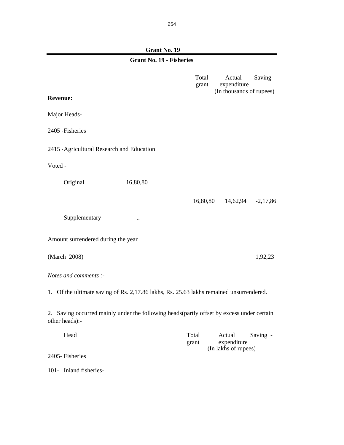**Grant No. 19** Total Actual Saving grant expenditure **Revenue:** Major Heads-2405 -Fisheries 2415 -Agricultural Research and Education Voted - Original 16,80,80 16,80,80 14,62,94 -2,17,86 Supplementary ... Amount surrendered during the year (March 2008) 1,92,23 *Notes and comments :-* Head Total Actual Saving grant expenditure 2405- Fisheries **Grant No. 19 - Fisheries** 1. Of the ultimate saving of Rs. 2,17.86 lakhs, Rs. 25.63 lakhs remained unsurrendered. 2. Saving occurred mainly under the following heads(partly offset by excess under certain other heads):- (In lakhs of rupees) (In thousands of rupees)

101- Inland fisheries-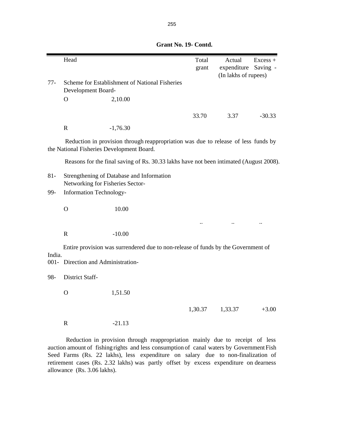|        | Head                               |                                                                                                                                 | Total<br>grant | Actual<br>expenditure<br>(In lakhs of rupees) | $Excess +$<br>Saving - |
|--------|------------------------------------|---------------------------------------------------------------------------------------------------------------------------------|----------------|-----------------------------------------------|------------------------|
| $77-$  | Development Board-                 | Scheme for Establishment of National Fisheries                                                                                  |                |                                               |                        |
|        | $\mathbf O$                        | 2,10.00                                                                                                                         |                |                                               |                        |
|        |                                    |                                                                                                                                 | 33.70          | 3.37                                          | $-30.33$               |
|        | $\mathbf R$                        | $-1,76.30$                                                                                                                      |                |                                               |                        |
|        |                                    | Reduction in provision through reappropriation was due to release of less funds by<br>the National Fisheries Development Board. |                |                                               |                        |
|        |                                    | Reasons for the final saving of Rs. 30.33 lakhs have not been intimated (August 2008).                                          |                |                                               |                        |
| $81 -$ | Networking for Fisheries Sector-   | Strengthening of Database and Information                                                                                       |                |                                               |                        |
| 99-    | <b>Information Technology-</b>     |                                                                                                                                 |                |                                               |                        |
|        | $\overline{O}$                     | 10.00                                                                                                                           |                |                                               |                        |
|        |                                    |                                                                                                                                 |                |                                               |                        |
|        | ${\bf R}$                          | $-10.00$                                                                                                                        |                |                                               |                        |
|        |                                    | Entire provision was surrendered due to non-release of funds by the Government of                                               |                |                                               |                        |
| India. | 001- Direction and Administration- |                                                                                                                                 |                |                                               |                        |
| 98-    | District Staff-                    |                                                                                                                                 |                |                                               |                        |
|        | $\mathbf O$                        | 1,51.50                                                                                                                         |                |                                               |                        |
|        |                                    |                                                                                                                                 | 1,30.37        | 1,33.37                                       | $+3.00$                |
|        | $\mathbf R$                        | $-21.13$                                                                                                                        |                |                                               |                        |
|        |                                    |                                                                                                                                 |                |                                               |                        |

 **Grant No. 19- Contd.**

Reduction in provision through reappropriation mainly due to receipt of less auction amount of fishing rights and less consumption of canal waters by Government Fish Seed Farms (Rs. 22 lakhs), less expenditure on salary due to non-finalization of retirement cases (Rs. 2.32 lakhs) was partly offset by excess expenditure on dearness allowance (Rs. 3.06 lakhs).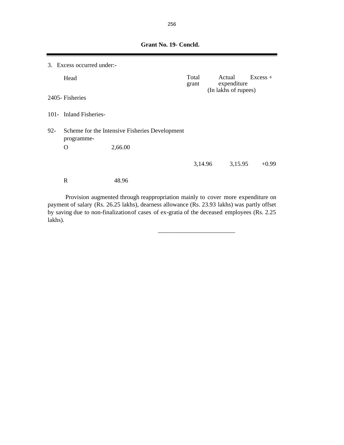|        | 3. Excess occurred under:- |                                                |                |                                |             |            |
|--------|----------------------------|------------------------------------------------|----------------|--------------------------------|-------------|------------|
|        | Head                       |                                                | Total<br>grant | Actual<br>(In lakhs of rupees) | expenditure | $Excess +$ |
|        | 2405-Fisheries             |                                                |                |                                |             |            |
|        | 101- Inland Fisheries-     |                                                |                |                                |             |            |
| $92 -$ | programme-                 | Scheme for the Intensive Fisheries Development |                |                                |             |            |
|        | $\Omega$                   | 2,66.00                                        |                |                                |             |            |
|        |                            |                                                | 3,14.96        |                                | 3,15.95     | $+0.99$    |
|        | $\mathbf R$                | 48.96                                          |                |                                |             |            |

 **Grant No. 19- Concld.**

Provision augmented through reappropriation mainly to cover more expenditure on payment of salary (Rs. 26.25 lakhs), dearness allowance (Rs. 23.93 lakhs) was partly offset by saving due to non-finalizationof cases of ex-gratia of the deceased employees (Rs. 2.25 lakhs).

 $\overline{\phantom{a}}$  , and the contract of the contract of the contract of the contract of the contract of the contract of the contract of the contract of the contract of the contract of the contract of the contract of the contrac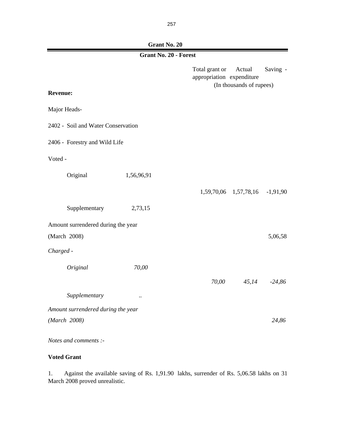**Grant No. 20**

| <b>Grant No. 20 - Forest</b>       |            |                                                                                   |            |  |  |  |
|------------------------------------|------------|-----------------------------------------------------------------------------------|------------|--|--|--|
|                                    |            | Total grant or<br>Actual<br>appropriation expenditure<br>(In thousands of rupees) | Saving -   |  |  |  |
| <b>Revenue:</b>                    |            |                                                                                   |            |  |  |  |
| Major Heads-                       |            |                                                                                   |            |  |  |  |
| 2402 - Soil and Water Conservation |            |                                                                                   |            |  |  |  |
| 2406 - Forestry and Wild Life      |            |                                                                                   |            |  |  |  |
| Voted -                            |            |                                                                                   |            |  |  |  |
| Original                           | 1,56,96,91 |                                                                                   |            |  |  |  |
|                                    |            | 1,59,70,06 1,57,78,16                                                             | $-1,91,90$ |  |  |  |
| Supplementary                      | 2,73,15    |                                                                                   |            |  |  |  |
| Amount surrendered during the year |            |                                                                                   |            |  |  |  |
| (March 2008)                       |            |                                                                                   | 5,06,58    |  |  |  |
| Charged -                          |            |                                                                                   |            |  |  |  |
| Original                           | 70,00      |                                                                                   |            |  |  |  |
|                                    |            | 70,00<br>45,14                                                                    | $-24,86$   |  |  |  |
| Supplementary                      | $\ddotsc$  |                                                                                   |            |  |  |  |
| Amount surrendered during the year |            |                                                                                   |            |  |  |  |
| (March 2008)                       |            |                                                                                   | 24,86      |  |  |  |
| Notes and comments :-              |            |                                                                                   |            |  |  |  |

# **Voted Grant**

1. Against the available saving of Rs. 1,91.90 lakhs, surrender of Rs. 5,06.58 lakhs on 31 March 2008 proved unrealistic.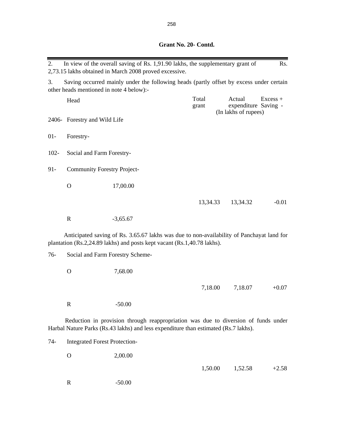| 2.      |                                          | In view of the overall saving of Rs. 1,91.90 lakhs, the supplementary grant of<br>2,73.15 lakhs obtained in March 2008 proved excessive.                                  |                |                                                        | Rs.        |
|---------|------------------------------------------|---------------------------------------------------------------------------------------------------------------------------------------------------------------------------|----------------|--------------------------------------------------------|------------|
| 3.      | other heads mentioned in note 4 below):- | Saving occurred mainly under the following heads (partly offset by excess under certain                                                                                   |                |                                                        |            |
|         | Head                                     |                                                                                                                                                                           | Total<br>grant | Actual<br>expenditure Saving -<br>(In lakhs of rupees) | $Excess +$ |
|         | 2406- Forestry and Wild Life             |                                                                                                                                                                           |                |                                                        |            |
| $01 -$  | Forestry-                                |                                                                                                                                                                           |                |                                                        |            |
| $102 -$ | Social and Farm Forestry-                |                                                                                                                                                                           |                |                                                        |            |
| $91 -$  | <b>Community Forestry Project-</b>       |                                                                                                                                                                           |                |                                                        |            |
|         | $\mathbf{O}$                             | 17,00.00                                                                                                                                                                  |                |                                                        |            |
|         |                                          |                                                                                                                                                                           | 13,34.33       | 13,34.32                                               | $-0.01$    |
|         | $\mathbf R$                              | $-3,65.67$                                                                                                                                                                |                |                                                        |            |
|         |                                          | Anticipated saving of Rs. 3.65.67 lakhs was due to non-availability of Panchayat land for<br>plantation (Rs.2,24.89 lakhs) and posts kept vacant (Rs.1,40.78 lakhs).      |                |                                                        |            |
| $76-$   | Social and Farm Forestry Scheme-         |                                                                                                                                                                           |                |                                                        |            |
|         | $\mathbf{O}$                             | 7,68.00                                                                                                                                                                   |                |                                                        |            |
|         |                                          |                                                                                                                                                                           | 7,18.00        | 7,18.07                                                | $+0.07$    |
|         | $\mathbb{R}$                             | $-50.00$                                                                                                                                                                  |                |                                                        |            |
|         |                                          | Reduction in provision through reappropriation was due to diversion of funds under<br>Harbal Nature Parks (Rs.43 lakhs) and less expenditure than estimated (Rs.7 lakhs). |                |                                                        |            |
| $74-$   | <b>Integrated Forest Protection-</b>     |                                                                                                                                                                           |                |                                                        |            |
|         | $\mathbf O$                              | 2,00.00                                                                                                                                                                   |                |                                                        |            |
|         |                                          |                                                                                                                                                                           | 1,50.00        | 1,52.58                                                | $+2.58$    |

R -50.00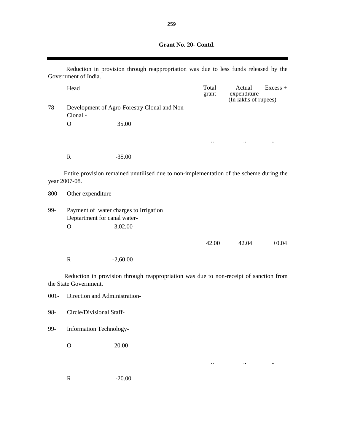**Grant No. 20- Contd.**

 $\blacksquare$ 

|         | Reduction in provision through reappropriation was due to less funds released by the<br>Government of India. |                                                                                         |                |                                               |            |  |
|---------|--------------------------------------------------------------------------------------------------------------|-----------------------------------------------------------------------------------------|----------------|-----------------------------------------------|------------|--|
|         | Head                                                                                                         |                                                                                         | Total<br>grant | Actual<br>expenditure<br>(In lakhs of rupees) | $Excess +$ |  |
| $78-$   | Clonal -                                                                                                     | Development of Agro-Forestry Clonal and Non-                                            |                |                                               |            |  |
|         | $\mathbf{O}$                                                                                                 | 35.00                                                                                   |                |                                               |            |  |
|         |                                                                                                              |                                                                                         | $\ldots$       | $\ddotsc$                                     | $\cdot$ .  |  |
|         | $\mathbb{R}$                                                                                                 | $-35.00$                                                                                |                |                                               |            |  |
|         | year 2007-08.                                                                                                | Entire provision remained unutilised due to non-implementation of the scheme during the |                |                                               |            |  |
| 800-    | Other expenditure-                                                                                           |                                                                                         |                |                                               |            |  |
| 99-     | Payment of water charges to Irrigation<br>Deptartment for canal water-                                       |                                                                                         |                |                                               |            |  |
|         | $\mathbf O$                                                                                                  | 3,02.00                                                                                 |                |                                               |            |  |
|         |                                                                                                              |                                                                                         | 42.00          | 42.04                                         | $+0.04$    |  |
|         | $\mathbb{R}$                                                                                                 | $-2,60.00$                                                                              |                |                                               |            |  |
|         | the State Government.                                                                                        | Reduction in provision through reappropriation was due to non-receipt of sanction from  |                |                                               |            |  |
| $001 -$ | Direction and Administration-                                                                                |                                                                                         |                |                                               |            |  |
| 98-     | Circle/Divisional Staff-                                                                                     |                                                                                         |                |                                               |            |  |
| 99-     | <b>Information Technology-</b>                                                                               |                                                                                         |                |                                               |            |  |
|         | $\mathbf O$                                                                                                  | 20.00                                                                                   |                |                                               |            |  |
|         |                                                                                                              |                                                                                         |                |                                               |            |  |
|         | ${\bf R}$                                                                                                    | $-20.00$                                                                                |                |                                               |            |  |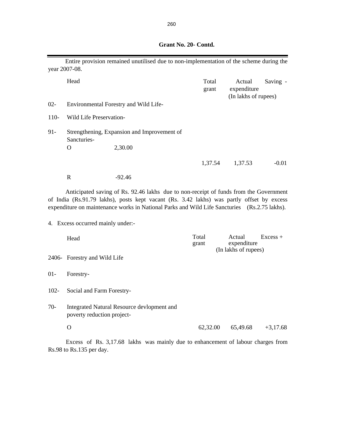|         | year 2007-08.                     | Entire provision remained unutilised due to non-implementation of the scheme during the                                                                                                                                                                                            |                |                                               |            |
|---------|-----------------------------------|------------------------------------------------------------------------------------------------------------------------------------------------------------------------------------------------------------------------------------------------------------------------------------|----------------|-----------------------------------------------|------------|
|         | Head                              |                                                                                                                                                                                                                                                                                    | Total<br>grant | Actual<br>expenditure<br>(In lakhs of rupees) | Saving -   |
| $02 -$  |                                   | Environmental Forestry and Wild Life-                                                                                                                                                                                                                                              |                |                                               |            |
| $110-$  | Wild Life Preservation-           |                                                                                                                                                                                                                                                                                    |                |                                               |            |
| $91 -$  | Sancturies-                       | Strengthening, Expansion and Improvement of                                                                                                                                                                                                                                        |                |                                               |            |
|         | $\mathbf O$                       | 2,30.00                                                                                                                                                                                                                                                                            |                |                                               |            |
|         |                                   |                                                                                                                                                                                                                                                                                    | 1,37.54        | 1,37.53                                       | $-0.01$    |
|         | $\mathbb{R}$                      | $-92.46$                                                                                                                                                                                                                                                                           |                |                                               |            |
|         | 4. Excess occurred mainly under:- | Anticipated saving of Rs. 92.46 lakhs due to non-receipt of funds from the Government<br>of India (Rs.91.79 lakhs), posts kept vacant (Rs. 3.42 lakhs) was partly offset by excess<br>expenditure on maintenance works in National Parks and Wild Life Sancturies (Rs.2.75 lakhs). |                |                                               |            |
|         | Head                              |                                                                                                                                                                                                                                                                                    | Total<br>grant | Actual<br>expenditure<br>(In lakhs of rupees) | $Excess +$ |
|         | 2406- Forestry and Wild Life      |                                                                                                                                                                                                                                                                                    |                |                                               |            |
| $01 -$  | Forestry-                         |                                                                                                                                                                                                                                                                                    |                |                                               |            |
| $102 -$ | Social and Farm Forestry-         |                                                                                                                                                                                                                                                                                    |                |                                               |            |
| $70-$   | poverty reduction project-        | Integrated Natural Resource devlopment and                                                                                                                                                                                                                                         |                |                                               |            |
|         | $\Omega$                          |                                                                                                                                                                                                                                                                                    | 62,32.00       | 65,49.68                                      | $+3,17.68$ |

### **Grant No. 20- Contd.**

Excess of Rs. 3,17.68 lakhs was mainly due to enhancement of labour charges from Rs.98 to Rs.135 per day.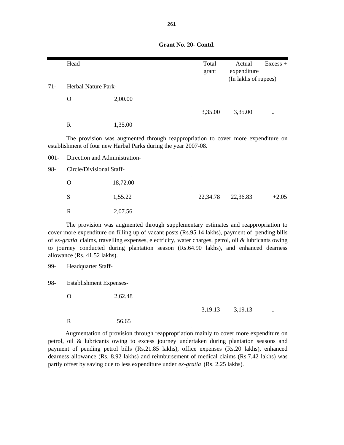Head Excess + grant expenditure (In lakhs of rupees) 71- Herbal Nature Park- O 2,00.00 3,35.00 3,35.00 R 1,35.00 001- Direction and Administration-98- Circle/Divisional Staff- O 18,72.00 S  $1,55.22$   $22,34.78$   $22,36.83$   $+2.05$ The provision was augmented through reappropriation to cover more expenditure on establishment of four new Harbal Parks during the year 2007-08.

 **Grant No. 20- Contd.**

The provision was augmented through supplementary estimates and reappropriation to cover more expenditure on filling up of vacant posts (Rs.95.14 lakhs), payment of pending bills of *ex-gratia* claims, travelling expenses, electricity, water charges, petrol, oil & lubricants owing to journey conducted during plantation season (Rs.64.90 lakhs), and enhanced dearness allowance (Rs. 41.52 lakhs).

99- Headquarter Staff-

98- Establishment Expenses-

O 2,62.48

R 2,07.56

3,19.13 3,19.13

R 56.65

Augmentation of provision through reappropriation mainly to cover more expenditure on petrol, oil & lubricants owing to excess journey undertaken during plantation seasons and payment of pending petrol bills (Rs.21.85 lakhs), office expenses (Rs.20 lakhs), enhanced dearness allowance (Rs. 8.92 lakhs) and reimbursement of medical claims (Rs.7.42 lakhs) was partly offset by saving due to less expenditure under *ex-gratia* (Rs. 2.25 lakhs).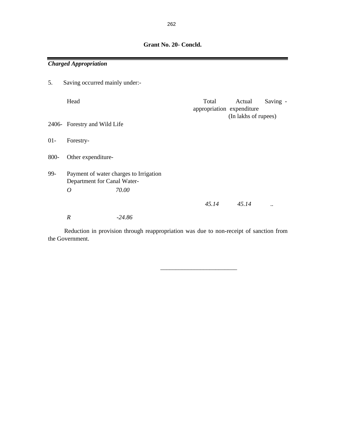|        | <b>Charged Appropriation</b>   |                                        |                                    |                                |                      |
|--------|--------------------------------|----------------------------------------|------------------------------------|--------------------------------|----------------------|
| 5.     | Saving occurred mainly under:- |                                        |                                    |                                |                      |
|        | Head                           |                                        | Total<br>appropriation expenditure | Actual<br>(In lakhs of rupees) | Saving -             |
|        | 2406- Forestry and Wild Life   |                                        |                                    |                                |                      |
| $01 -$ | Forestry-                      |                                        |                                    |                                |                      |
| 800-   | Other expenditure-             |                                        |                                    |                                |                      |
| 99-    | Department for Canal Water-    | Payment of water charges to Irrigation |                                    |                                |                      |
|        | $\overline{O}$                 | 70.00                                  |                                    |                                |                      |
|        |                                |                                        | 45.14                              | 45.14                          | $\ddot{\phantom{0}}$ |
|        | $\boldsymbol{R}$               | $-24.86$                               |                                    |                                |                      |

Reduction in provision through reappropriation was due to non-receipt of sanction from the Government.

 $\frac{1}{\sqrt{2}}$  ,  $\frac{1}{\sqrt{2}}$  ,  $\frac{1}{\sqrt{2}}$  ,  $\frac{1}{\sqrt{2}}$  ,  $\frac{1}{\sqrt{2}}$  ,  $\frac{1}{\sqrt{2}}$  ,  $\frac{1}{\sqrt{2}}$  ,  $\frac{1}{\sqrt{2}}$  ,  $\frac{1}{\sqrt{2}}$  ,  $\frac{1}{\sqrt{2}}$  ,  $\frac{1}{\sqrt{2}}$  ,  $\frac{1}{\sqrt{2}}$  ,  $\frac{1}{\sqrt{2}}$  ,  $\frac{1}{\sqrt{2}}$  ,  $\frac{1}{\sqrt{2}}$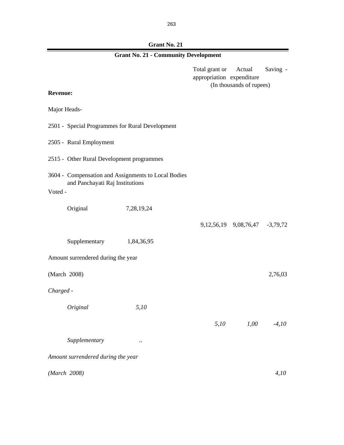**Grant No. 21**

| <b>Grant No. 21 - Community Development</b>                                            |                                                 |                                             |                                         |          |  |  |
|----------------------------------------------------------------------------------------|-------------------------------------------------|---------------------------------------------|-----------------------------------------|----------|--|--|
|                                                                                        |                                                 | Total grant or<br>appropriation expenditure | Actual<br>(In thousands of rupees)      | Saving - |  |  |
| <b>Revenue:</b>                                                                        |                                                 |                                             |                                         |          |  |  |
| Major Heads-                                                                           |                                                 |                                             |                                         |          |  |  |
|                                                                                        | 2501 - Special Programmes for Rural Development |                                             |                                         |          |  |  |
| 2505 - Rural Employment                                                                |                                                 |                                             |                                         |          |  |  |
|                                                                                        | 2515 - Other Rural Development programmes       |                                             |                                         |          |  |  |
| 3604 - Compensation and Assignments to Local Bodies<br>and Panchayati Raj Institutions |                                                 |                                             |                                         |          |  |  |
| Voted -                                                                                |                                                 |                                             |                                         |          |  |  |
| Original                                                                               | 7,28,19,24                                      |                                             |                                         |          |  |  |
|                                                                                        |                                                 |                                             | 9, 12, 56, 19 9, 08, 76, 47 - 3, 79, 72 |          |  |  |
|                                                                                        | Supplementary 1,84,36,95                        |                                             |                                         |          |  |  |
| Amount surrendered during the year                                                     |                                                 |                                             |                                         |          |  |  |
| (March 2008)                                                                           |                                                 |                                             |                                         | 2,76,03  |  |  |
| Charged -                                                                              |                                                 |                                             |                                         |          |  |  |
| Original                                                                               | 5,10                                            |                                             |                                         |          |  |  |
|                                                                                        |                                                 | 5,10                                        | 1,00                                    | $-4,10$  |  |  |
| Supplementary                                                                          |                                                 |                                             |                                         |          |  |  |
| Amount surrendered during the year                                                     |                                                 |                                             |                                         |          |  |  |
| (March 2008)                                                                           |                                                 |                                             |                                         | 4,10     |  |  |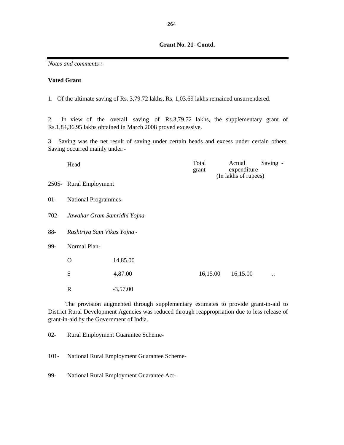#### **Grant No. 21- Contd.**

*Notes and comments :-*

### **Voted Grant**

1. Of the ultimate saving of Rs. 3,79.72 lakhs, Rs. 1,03.69 lakhs remained unsurrendered.

2. In view of the overall saving of Rs.3,79.72 lakhs, the supplementary grant of Rs.1,84,36.95 lakhs obtained in March 2008 proved excessive.

3. Saving was the net result of saving under certain heads and excess under certain others. Saving occurred mainly under:-

|        | Head                         |            | Total<br>grant |  | Actual<br>expenditure<br>(In lakhs of rupees) | Saving -               |  |
|--------|------------------------------|------------|----------------|--|-----------------------------------------------|------------------------|--|
|        | 2505- Rural Employment       |            |                |  |                                               |                        |  |
| $01 -$ | National Programmes-         |            |                |  |                                               |                        |  |
| 702-   | Jawahar Gram Samridhi Yojna- |            |                |  |                                               |                        |  |
| $88-$  | Rashtriya Sam Vikas Yojna -  |            |                |  |                                               |                        |  |
| 99-    | Normal Plan-                 |            |                |  |                                               |                        |  |
|        | $\mathbf O$                  | 14,85.00   |                |  |                                               |                        |  |
|        | S                            | 4,87.00    | 16,15.00       |  | 16,15.00                                      | $\ddot{\phantom{a}}$ . |  |
|        | $\mathbb{R}$                 | $-3,57.00$ |                |  |                                               |                        |  |

The provision augmented through supplementary estimates to provide grant-in-aid to District Rural Development Agencies was reduced through reappropriation due to less release of grant-in-aid by the Government of India.

02- Rural Employment Guarantee Scheme-

101- National Rural Employment Guarantee Scheme-

99- National Rural Employment Guarantee Act-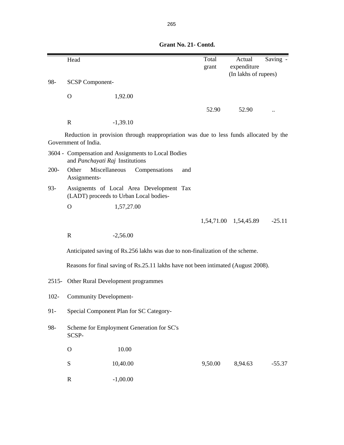|         | Head                                    |            |                                                                                       |     | Total<br>grant | Actual<br>expenditure | Saving . |
|---------|-----------------------------------------|------------|---------------------------------------------------------------------------------------|-----|----------------|-----------------------|----------|
| 98-     | <b>SCSP Component-</b>                  |            |                                                                                       |     |                | (In lakhs of rupees)  |          |
|         | $\Omega$                                | 1,92.00    |                                                                                       |     |                |                       |          |
|         |                                         |            |                                                                                       |     | 52.90          | 52.90                 |          |
|         | $\mathbf R$                             | $-1,39.10$ |                                                                                       |     |                |                       |          |
|         | Government of India.                    |            | Reduction in provision through reappropriation was due to less funds allocated by the |     |                |                       |          |
|         | and Panchayati Raj Institutions         |            | 3604 - Compensation and Assignments to Local Bodies                                   |     |                |                       |          |
| $200 -$ | Miscellaneous<br>Other<br>Assignments-  |            | Compensations                                                                         | and |                |                       |          |
| $93 -$  | (LADT) proceeds to Urban Local bodies-  |            | Assignemts of Local Area Development Tax                                              |     |                |                       |          |
|         | $\mathbf{O}$                            | 1,57,27.00 |                                                                                       |     |                |                       |          |
|         |                                         |            |                                                                                       |     | 1,54,71.00     | 1,54,45.89            | $-25.11$ |
|         | $\mathbf R$                             | $-2,56.00$ |                                                                                       |     |                |                       |          |
|         |                                         |            | Anticipated saving of Rs.256 lakhs was due to non-finalization of the scheme.         |     |                |                       |          |
|         |                                         |            | Reasons for final saving of Rs.25.11 lakhs have not been intimated (August 2008).     |     |                |                       |          |
| $2515-$ | Other Rural Development programmes      |            |                                                                                       |     |                |                       |          |
| $102 -$ | <b>Community Development-</b>           |            |                                                                                       |     |                |                       |          |
| $91 -$  | Special Component Plan for SC Category- |            |                                                                                       |     |                |                       |          |
| 98-     | SCSP-                                   |            | Scheme for Employment Generation for SC's                                             |     |                |                       |          |
|         | $\mathbf O$                             | 10.00      |                                                                                       |     |                |                       |          |
|         | ${\bf S}$                               | 10,40.00   |                                                                                       |     | 9,50.00        | 8,94.63               | $-55.37$ |
|         | $\mathbf R$                             | $-1,00.00$ |                                                                                       |     |                |                       |          |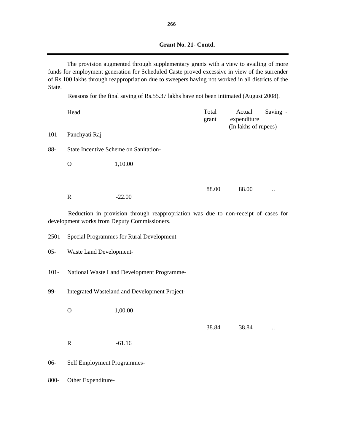|  | Grant No. 21 - Contd. |
|--|-----------------------|

The provision augmented through supplementary grants with a view to availing of more funds for employment generation for Scheduled Caste proved excessive in view of the surrender of Rs.100 lakhs through reappropriation due to sweepers having not worked in all districts of the State.

Reasons for the final saving of Rs.55.37 lakhs have not been intimated (August 2008).

|         | Head           |                                                                                                                                    | Total<br>grant | Actual<br>expenditure<br>(In lakhs of rupees) | Saving -  |
|---------|----------------|------------------------------------------------------------------------------------------------------------------------------------|----------------|-----------------------------------------------|-----------|
| $101 -$ | Panchyati Raj- |                                                                                                                                    |                |                                               |           |
| 88-     |                | State Incentive Scheme on Sanitation-                                                                                              |                |                                               |           |
|         | O              | 1,10.00                                                                                                                            |                |                                               |           |
|         |                |                                                                                                                                    | 88.00          | 88.00                                         |           |
|         | R              | $-22.00$                                                                                                                           |                |                                               | $\ddotsc$ |
|         |                | Reduction in provision through reappropriation was due to non-receipt of cases for<br>development works from Deputy Commissioners. |                |                                               |           |

2501- Special Programmes for Rural Development

05- Waste Land Development-

- 101- National Waste Land Development Programme-
- 99- Integrated Wasteland and Development Project-
	- O 1,00.00

38.84 ...

- R  $-61.16$
- 06- Self Employment Programmes-

800- Other Expenditure-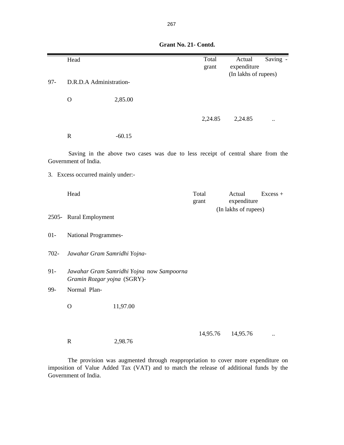|         | Head                              |                                                                                 | Total    | Actual               | Saving - |
|---------|-----------------------------------|---------------------------------------------------------------------------------|----------|----------------------|----------|
|         |                                   |                                                                                 | grant    | expenditure          |          |
|         |                                   |                                                                                 |          | (In lakhs of rupees) |          |
| $97 -$  | D.R.D.A Administration-           |                                                                                 |          |                      |          |
|         | $\mathbf{O}$                      | 2,85.00                                                                         |          |                      |          |
|         |                                   |                                                                                 |          |                      |          |
|         |                                   |                                                                                 | 2,24.85  | 2,24.85              |          |
|         | $\mathbf R$                       | $-60.15$                                                                        |          |                      |          |
|         | Government of India.              | Saving in the above two cases was due to less receipt of central share from the |          |                      |          |
|         | 3. Excess occurred mainly under:- |                                                                                 |          |                      |          |
|         |                                   |                                                                                 |          |                      |          |
|         | Head                              |                                                                                 | Total    | Actual               | Excess + |
|         |                                   |                                                                                 | grant    | expenditure          |          |
|         | 2505- Rural Employment            |                                                                                 |          | (In lakhs of rupees) |          |
| $01 -$  | National Programmes-              |                                                                                 |          |                      |          |
| $702 -$ | Jawahar Gram Samridhi Yojna-      |                                                                                 |          |                      |          |
| $91 -$  | Gramin Rozgar yojna (SGRY)-       | Jawahar Gram Samridhi Yojna now Sampoorna                                       |          |                      |          |
| 99-     | Normal Plan-                      |                                                                                 |          |                      |          |
|         | $\mathbf O$                       | 11,97.00                                                                        |          |                      |          |
|         | $\mathbf R$                       | 2,98.76                                                                         | 14,95.76 | 14,95.76             |          |

 **Grant No. 21- Contd.**

The provision was augmented through reappropriation to cover more expenditure on imposition of Value Added Tax (VAT) and to match the release of additional funds by the Government of India.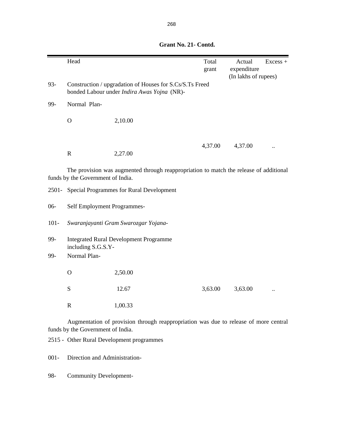|         | Head                              |                                                                                                         | Total<br>grant | Actual<br>expenditure<br>(In lakhs of rupees) | $Excess +$ |
|---------|-----------------------------------|---------------------------------------------------------------------------------------------------------|----------------|-----------------------------------------------|------------|
| $93 -$  |                                   | Construction / upgradation of Houses for S.Cs/S.Ts Freed<br>bonded Labour under Indira Awas Yojna (NR)- |                |                                               |            |
| 99-     | Normal Plan-                      |                                                                                                         |                |                                               |            |
|         | $\mathbf O$                       | 2,10.00                                                                                                 |                |                                               |            |
|         | ${\bf R}$                         | 2,27.00                                                                                                 | 4,37.00        | 4,37.00                                       |            |
|         | funds by the Government of India. | The provision was augmented through reappropriation to match the release of additional                  |                |                                               |            |
|         |                                   | 2501- Special Programmes for Rural Development                                                          |                |                                               |            |
| $06 -$  | Self Employment Programmes-       |                                                                                                         |                |                                               |            |
| $101 -$ |                                   | Swaranjayanti Gram Swarozgar Yojana-                                                                    |                |                                               |            |
| 99-     | including S.G.S.Y-                | <b>Integrated Rural Development Programme</b>                                                           |                |                                               |            |
| 99-     | Normal Plan-                      |                                                                                                         |                |                                               |            |
|         | $\mathbf O$                       | 2,50.00                                                                                                 |                |                                               |            |
|         | S                                 | 12.67                                                                                                   | 3,63.00        | 3,63.00                                       |            |
|         | ${\bf R}$                         | 1,00.33                                                                                                 |                |                                               |            |
|         |                                   | Augmentation of provision through reappropriation was due to release of more central                    |                |                                               |            |

 **Grant No. 21- Contd.**

Augmentation of provision through reappropriation was due to release of more central funds by the Government of India.

2515 - Other Rural Development programmes

001- Direction and Administration-

98- Community Development-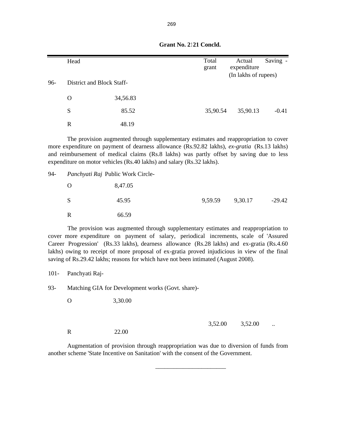| 96- | Head<br>District and Block Staff- |          | Total<br>grant | Actual<br>expenditure<br>(In lakhs of rupees) | Saving - |
|-----|-----------------------------------|----------|----------------|-----------------------------------------------|----------|
|     | $\Omega$                          | 34,56.83 |                |                                               |          |
|     | S                                 | 85.52    | 35,90.54       | 35,90.13                                      | $-0.41$  |
|     | R                                 | 48.19    |                |                                               |          |

**Grant No. 2121 Concld.** 

The provision augmented through supplementary estimates and reappropriation to cover more expenditure on payment of dearness allowance (Rs.92.82 lakhs), *ex-gratia* (Rs.13 lakhs) and reimbursement of medical claims (Rs.8 lakhs) was partly offset by saving due to less expenditure on motor vehicles (Rs.40 lakhs) and salary (Rs.32 lakhs).

94- *Panchyati Raj* Public Work Circle-

| $\cup$       | 8,47.05 |                 |          |
|--------------|---------|-----------------|----------|
| <sub>S</sub> | 45.95   | 9,59.59 9,30.17 | $-29.42$ |
| R            | 66.59   |                 |          |

The provision was augmented through supplementary estimates and reappropriation to cover more expenditure on payment of salary, periodical increments, scale of 'Assured Career Progression' (Rs.33 lakhs), dearness allowance (Rs.28 lakhs) and ex-gratia (Rs.4.60 lakhs) owing to receipt of more proposal of ex-gratia proved injudicious in view of the final saving of Rs.29.42 lakhs; reasons for which have not been intimated (August 2008).

101- Panchyati Raj-

93- Matching GIA for Development works (Govt. share)-

O 3,30.00

R 22.00

| 3,52.00 | 3,52.00 |  |
|---------|---------|--|
|         |         |  |

Augmentation of provision through reappropriation was due to diversion of funds from another scheme 'State Incentive on Sanitation' with the consent of the Government.

\_\_\_\_\_\_\_\_\_\_\_\_\_\_\_\_\_\_\_\_\_\_\_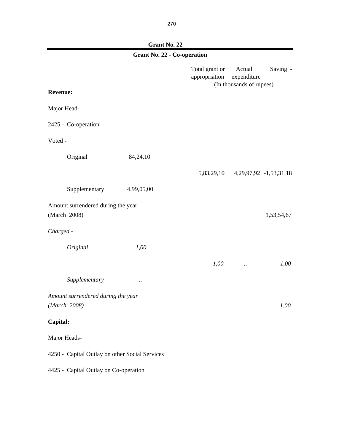| <b>Grant No. 22 - Co-operation</b>                 |            |                                 |                                                               |  |
|----------------------------------------------------|------------|---------------------------------|---------------------------------------------------------------|--|
| <b>Revenue:</b>                                    |            | Total grant or<br>appropriation | Actual<br>Saving -<br>expenditure<br>(In thousands of rupees) |  |
|                                                    |            |                                 |                                                               |  |
| Major Head-                                        |            |                                 |                                                               |  |
| 2425 - Co-operation                                |            |                                 |                                                               |  |
| Voted -                                            |            |                                 |                                                               |  |
| Original                                           | 84,24,10   |                                 |                                                               |  |
|                                                    |            |                                 | 5,83,29,10 4,29,97,92 -1,53,31,18                             |  |
| Supplementary                                      | 4,99,05,00 |                                 |                                                               |  |
| Amount surrendered during the year<br>(March 2008) |            |                                 | 1,53,54,67                                                    |  |
| Charged -                                          |            |                                 |                                                               |  |
| Original                                           | 1,00       |                                 |                                                               |  |
|                                                    |            | 1,00                            | $-1,00$<br>$\ddotsc$                                          |  |
| Supplementary                                      | $\ddotsc$  |                                 |                                                               |  |
| Amount surrendered during the year<br>(March 2008) |            |                                 | 1,00                                                          |  |
| Capital:                                           |            |                                 |                                                               |  |
| Major Heads-                                       |            |                                 |                                                               |  |
| 4250 - Capital Outlay on other Social Services     |            |                                 |                                                               |  |
| 4425 - Capital Outlay on Co-operation              |            |                                 |                                                               |  |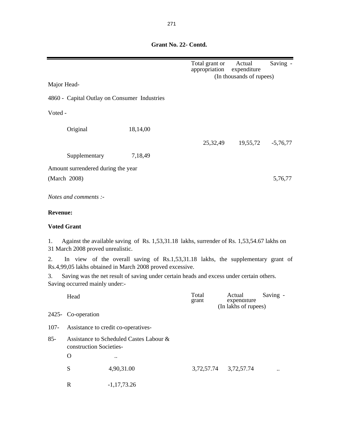|                 |                                    |                                                                                                                                               | Total grant or<br>appropriation | Actual<br>expenditure                         | Saving -   |
|-----------------|------------------------------------|-----------------------------------------------------------------------------------------------------------------------------------------------|---------------------------------|-----------------------------------------------|------------|
| Major Head-     |                                    |                                                                                                                                               |                                 | (In thousands of rupees)                      |            |
|                 |                                    | 4860 - Capital Outlay on Consumer Industries                                                                                                  |                                 |                                               |            |
| Voted -         |                                    |                                                                                                                                               |                                 |                                               |            |
|                 | Original                           | 18,14,00                                                                                                                                      |                                 |                                               |            |
|                 |                                    |                                                                                                                                               | 25, 32, 49                      | 19,55,72                                      | $-5,76,77$ |
|                 | Supplementary                      | 7,18,49                                                                                                                                       |                                 |                                               |            |
|                 | Amount surrendered during the year |                                                                                                                                               |                                 |                                               |            |
|                 | (March 2008)                       |                                                                                                                                               |                                 |                                               | 5,76,77    |
|                 | Notes and comments :-              |                                                                                                                                               |                                 |                                               |            |
| <b>Revenue:</b> |                                    |                                                                                                                                               |                                 |                                               |            |
|                 | <b>Voted Grant</b>                 |                                                                                                                                               |                                 |                                               |            |
| 1.              | 31 March 2008 proved unrealistic.  | Against the available saving of Rs. 1,53,31.18 lakhs, surrender of Rs. 1,53,54.67 lakhs on                                                    |                                 |                                               |            |
| 2.              |                                    | In view of the overall saving of Rs.1,53,31.18 lakhs, the supplementary grant of<br>Rs.4,99,05 lakhs obtained in March 2008 proved excessive. |                                 |                                               |            |
| 3.              | Saving occurred mainly under:-     | Saving was the net result of saving under certain heads and excess under certain others.                                                      |                                 |                                               |            |
|                 | Head                               |                                                                                                                                               | Total<br>grant                  | Actual<br>expenditure<br>(In lakhs of rupees) | Saving -   |
|                 | 2425- Co-operation                 |                                                                                                                                               |                                 |                                               |            |
| $107 -$         |                                    | Assistance to credit co-operatives-                                                                                                           |                                 |                                               |            |
| $85 -$          | construction Societies-            | Assistance to Scheduled Castes Labour &                                                                                                       |                                 |                                               |            |
|                 | $\Omega$                           |                                                                                                                                               |                                 |                                               |            |
|                 | S                                  | 4,90,31.00                                                                                                                                    |                                 | 3,72,57.74 3,72,57.74                         |            |
|                 | $\mathbf R$                        | $-1,17,73.26$                                                                                                                                 |                                 |                                               |            |

### **Grant No. 22- Contd.**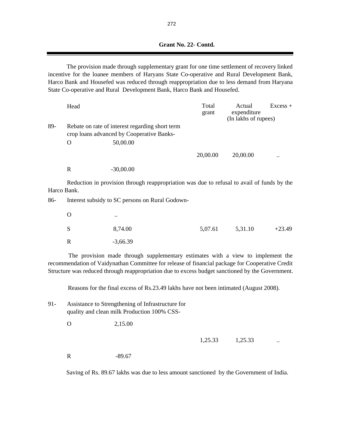The provision made through supplementary grant for one time settlement of recovery linked incentive for the loanee members of Haryans State Co-operative and Rural Development Bank, Harco Bank and Housefed was reduced through reappropriation due to less demand from Haryana State Co-operative and Rural Development Bank, Harco Bank and Housefed.

|     | Head |                                                                                              | Total<br>grant | Actual<br>expenditure<br>(In lakhs of rupees) | $Excess +$ |
|-----|------|----------------------------------------------------------------------------------------------|----------------|-----------------------------------------------|------------|
| 89- |      | Rebate on rate of interest regarding short term<br>crop loans advanced by Cooperative Banks- |                |                                               |            |
|     | O    | 50,00.00                                                                                     |                |                                               |            |
|     |      |                                                                                              | 20,00.00       | 20,00.00                                      |            |
|     | R    | $-30,00.00$                                                                                  |                |                                               |            |

Reduction in provision through reappropriation was due to refusal to avail of funds by the Harco Bank.

86- Interest subsidy to SC persons on Rural Godown-

| $\Omega$    | $\ddotsc$  |         |         |          |
|-------------|------------|---------|---------|----------|
| S           | 8,74.00    | 5,07.61 | 5,31.10 | $+23.49$ |
| $\mathbf R$ | $-3,66.39$ |         |         |          |

The provision made through supplementary estimates with a view to implement the recommendation of Vaidynathan Committee for release of financial package for Cooperative Credit Structure was reduced through reappropriation due to excess budget sanctioned by the Government.

Reasons for the final excess of Rs.23.49 lakhs have not been intimated (August 2008).

| 91- | Assistance to Strengthening of Infrastructure for |
|-----|---------------------------------------------------|
|     | quality and clean milk Production 100% CSS-       |

O 2,15.00

1,25.33 1,25.33

R  $-89.67$ 

Saving of Rs. 89.67 lakhs was due to less amount sanctioned by the Government of India.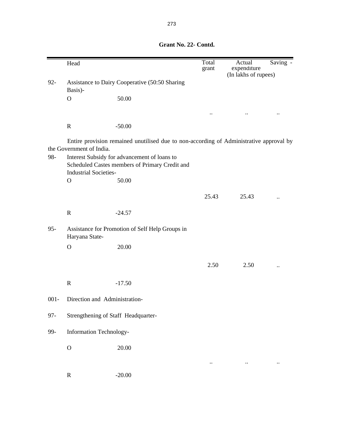Head Total Actual Saving grant expenditure (In lakhs of rupees) 92- Assistance to Dairy Cooperative (50:50 Sharing Basis)-O 50.00 .. .. .. R -50.00 98- Interest Subsidy for advancement of loans to Scheduled Castes members of Primary Credit and Industrial Societies- . O 50.00 25.43 25.43 .. R  $-24.57$ 95- Assistance for Promotion of Self Help Groups in Haryana State-O 20.00 2.50 2.50 .. R  $-17.50$ 001- Direction and Administration-97- Strengthening of Staff Headquarter-99- Information Technology- O 20.00 .. .. .. R  $-20.00$ Entire provision remained unutilised due to non-according of Administrative approval by the Government of India.

 **Grant No. 22- Contd.**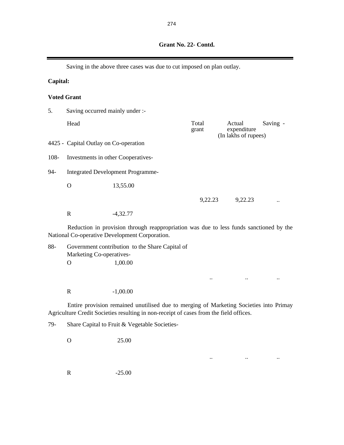|          |                                                                                                                                          | Saving in the above three cases was due to cut imposed on plan outlay. |                |                                               |          |
|----------|------------------------------------------------------------------------------------------------------------------------------------------|------------------------------------------------------------------------|----------------|-----------------------------------------------|----------|
| Capital: |                                                                                                                                          |                                                                        |                |                                               |          |
|          | <b>Voted Grant</b>                                                                                                                       |                                                                        |                |                                               |          |
| 5.       | Saving occurred mainly under :-                                                                                                          |                                                                        |                |                                               |          |
|          | Head                                                                                                                                     |                                                                        | Total<br>grant | Actual<br>expenditure<br>(In lakhs of rupees) | Saving - |
|          | 4425 - Capital Outlay on Co-operation                                                                                                    |                                                                        |                |                                               |          |
| 108-     |                                                                                                                                          | Investments in other Cooperatives-                                     |                |                                               |          |
| 94-      |                                                                                                                                          | <b>Integrated Development Programme-</b>                               |                |                                               |          |
|          | O                                                                                                                                        | 13,55.00                                                               |                |                                               |          |
|          |                                                                                                                                          |                                                                        | 9,22.23        | 9,22.23                                       |          |
|          | $\mathbf R$                                                                                                                              | $-4,32.77$                                                             |                |                                               |          |
|          | Reduction in provision through reappropriation was due to less funds sanctioned by the<br>National Co-operative Development Corporation. |                                                                        |                |                                               |          |
| 88-      |                                                                                                                                          | Government contribution to the Share Capital of                        |                |                                               |          |

Marketing Co-operatives- . O 1,00.00 .. .. ..

Entire provision remained unutilised due to merging of Marketing Societies into Primay Agriculture Credit Societies resulting in non-receipt of cases from the field offices.

.. .. ..

79- Share Capital to Fruit & Vegetable Societies-

O 25.00

R -1,00.00

R -25.00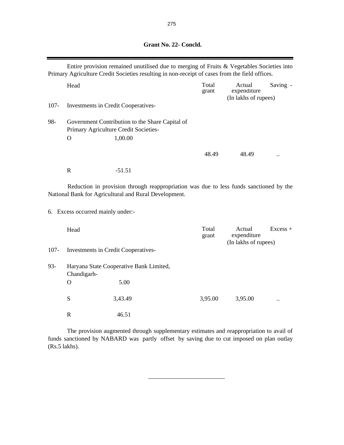## **Grant No. 22- Concld.**

|         |                                            | Entire provision remained unutilised due to merging of Fruits & Vegetables Societies into<br>Primary Agriculture Credit Societies resulting in non-receipt of cases from the field offices. |                |                                               |            |
|---------|--------------------------------------------|---------------------------------------------------------------------------------------------------------------------------------------------------------------------------------------------|----------------|-----------------------------------------------|------------|
|         | Head                                       |                                                                                                                                                                                             | Total<br>grant | Actual<br>expenditure<br>(In lakhs of rupees) | Saving -   |
| $107 -$ |                                            | <b>Investments in Credit Cooperatives-</b>                                                                                                                                                  |                |                                               |            |
| 98-     | $\mathbf{O}$                               | Government Contribution to the Share Capital of<br>Primary Agriculture Credit Societies-<br>1,00.00                                                                                         |                |                                               |            |
|         |                                            |                                                                                                                                                                                             | 48.49          | 48.49                                         |            |
|         | $\mathbf R$                                | $-51.51$                                                                                                                                                                                    |                |                                               |            |
|         |                                            | Reduction in provision through reappropriation was due to less funds sanctioned by the<br>National Bank for Agricultural and Rural Development.                                             |                |                                               |            |
|         | 6. Excess occurred mainly under:-          |                                                                                                                                                                                             |                |                                               |            |
|         | Head                                       |                                                                                                                                                                                             | Total<br>grant | Actual<br>expenditure<br>(In lakhs of rupees) | $Excess +$ |
| $107 -$ | <b>Investments in Credit Cooperatives-</b> |                                                                                                                                                                                             |                |                                               |            |
| $93 -$  | Chandigarh-                                | Haryana State Cooperative Bank Limited,                                                                                                                                                     |                |                                               |            |
|         | $\mathbf O$                                | 5.00                                                                                                                                                                                        |                |                                               |            |
|         | S                                          | 3,43.49                                                                                                                                                                                     | 3,95.00        | 3,95.00                                       |            |
|         | $\mathbb{R}$                               | 46.51                                                                                                                                                                                       |                |                                               |            |

The provision augmented through supplementary estimates and reappropriation to avail of funds sanctioned by NABARD was partly offset by saving due to cut imposed on plan outlay (Rs.5 lakhs).

 $\frac{1}{2}$  ,  $\frac{1}{2}$  ,  $\frac{1}{2}$  ,  $\frac{1}{2}$  ,  $\frac{1}{2}$  ,  $\frac{1}{2}$  ,  $\frac{1}{2}$  ,  $\frac{1}{2}$  ,  $\frac{1}{2}$  ,  $\frac{1}{2}$  ,  $\frac{1}{2}$  ,  $\frac{1}{2}$  ,  $\frac{1}{2}$  ,  $\frac{1}{2}$  ,  $\frac{1}{2}$  ,  $\frac{1}{2}$  ,  $\frac{1}{2}$  ,  $\frac{1}{2}$  ,  $\frac{1$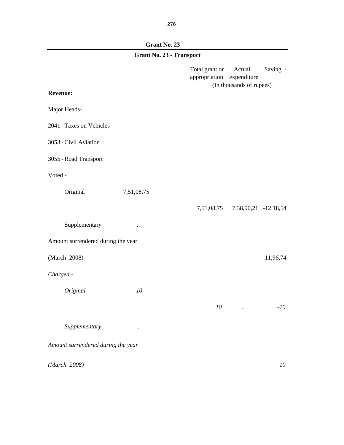**Grant No. 23**

|                                    | Grant No. 23 - Transport |                                 |                                                   |          |
|------------------------------------|--------------------------|---------------------------------|---------------------------------------------------|----------|
|                                    |                          | Total grant or<br>appropriation | Actual<br>expenditure<br>(In thousands of rupees) | Saving - |
| <b>Revenue:</b>                    |                          |                                 |                                                   |          |
| Major Heads-                       |                          |                                 |                                                   |          |
| 2041 - Taxes on Vehicles           |                          |                                 |                                                   |          |
| 3053 - Civil Aviation              |                          |                                 |                                                   |          |
| 3055 - Road Transport              |                          |                                 |                                                   |          |
| Voted -                            |                          |                                 |                                                   |          |
| Original                           | 7,51,08,75               |                                 |                                                   |          |
|                                    |                          |                                 | 7,51,08,75 7,38,90,21 -12,18,54                   |          |
| Supplementary                      | $\ldots$                 |                                 |                                                   |          |
| Amount surrendered during the year |                          |                                 |                                                   |          |
| (March 2008)                       |                          |                                 |                                                   | 11,96,74 |
| Charged -                          |                          |                                 |                                                   |          |
| Original                           | 10                       |                                 |                                                   |          |
|                                    |                          | 10                              |                                                   | $-10$    |
| Supplementary                      | $\ddotsc$                |                                 |                                                   |          |
| Amount surrendered during the year |                          |                                 |                                                   |          |
| (March 2008)                       |                          |                                 |                                                   | 10       |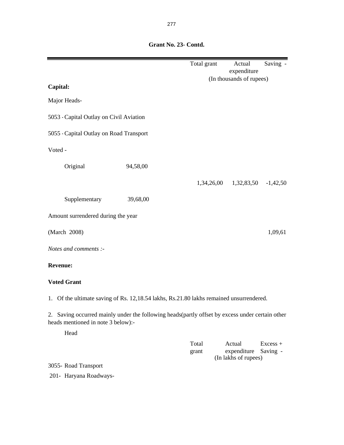|                                                                                                                                        | Total grant    | Actual<br>Saving -                              |
|----------------------------------------------------------------------------------------------------------------------------------------|----------------|-------------------------------------------------|
|                                                                                                                                        |                | expenditure<br>(In thousands of rupees)         |
| Capital:                                                                                                                               |                |                                                 |
| Major Heads-                                                                                                                           |                |                                                 |
| 5053 - Capital Outlay on Civil Aviation                                                                                                |                |                                                 |
| 5055 - Capital Outlay on Road Transport                                                                                                |                |                                                 |
| Voted -                                                                                                                                |                |                                                 |
| Original<br>94,58,00                                                                                                                   |                |                                                 |
|                                                                                                                                        |                | 1,34,26,00 1,32,83,50<br>$-1,42,50$             |
| Supplementary<br>39,68,00                                                                                                              |                |                                                 |
| Amount surrendered during the year                                                                                                     |                |                                                 |
| (March 2008)                                                                                                                           |                | 1,09,61                                         |
| Notes and comments :-                                                                                                                  |                |                                                 |
| <b>Revenue:</b>                                                                                                                        |                |                                                 |
| <b>Voted Grant</b>                                                                                                                     |                |                                                 |
| 1. Of the ultimate saving of Rs. 12,18.54 lakhs, Rs.21.80 lakhs remained unsurrendered.                                                |                |                                                 |
| 2. Saving occurred mainly under the following heads (partly offset by excess under certain other<br>heads mentioned in note 3 below):- |                |                                                 |
| Head                                                                                                                                   |                |                                                 |
|                                                                                                                                        | Total<br>grant | Actual<br>$Excess +$<br>expenditure<br>Saving - |
| 3055- Road Transport                                                                                                                   |                | (In lakhs of rupees)                            |
| 201- Haryana Roadways-                                                                                                                 |                |                                                 |

 **Grant No. 23- Contd.**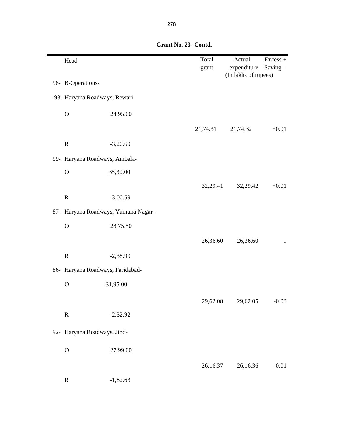| Head              |                                     | Total<br>grant | Actual<br>expenditure | Excess +<br>Saving -   |
|-------------------|-------------------------------------|----------------|-----------------------|------------------------|
| 98- B-Operations- |                                     |                | (In lakhs of rupees)  |                        |
|                   | 93- Haryana Roadways, Rewari-       |                |                       |                        |
| $\mathcal{O}$     | 24,95.00                            |                |                       |                        |
|                   |                                     | 21,74.31       | 21,74.32              | $+0.01$                |
| ${\bf R}$         | $-3,20.69$                          |                |                       |                        |
|                   | 99- Haryana Roadways, Ambala-       |                |                       |                        |
| $\mathbf O$       | 35,30.00                            |                |                       |                        |
|                   |                                     | 32,29.41       | 32,29.42              | $+0.01$                |
| ${\bf R}$         | $-3,00.59$                          |                |                       |                        |
|                   | 87- Haryana Roadways, Yamuna Nagar- |                |                       |                        |
| $\mathcal{O}$     | 28,75.50                            |                |                       |                        |
|                   |                                     | 26,36.60       | 26,36.60              | $\ddot{\phantom{a}}$ . |
| ${\bf R}$         | $-2,38.90$                          |                |                       |                        |
|                   | 86- Haryana Roadways, Faridabad-    |                |                       |                        |
| $\mathbf O$       | 31,95.00                            |                |                       |                        |
|                   |                                     | 29,62.08       | 29,62.05              | $-0.03$                |
| ${\bf R}$         | $-2,32.92$                          |                |                       |                        |
|                   | 92- Haryana Roadways, Jind-         |                |                       |                        |
| $\mathcal{O}$     | 27,99.00                            |                |                       |                        |
|                   |                                     | 26,16.37       | 26,16.36              | $-0.01$                |
| ${\bf R}$         | $-1,82.63$                          |                |                       |                        |

 **Grant No. 23- Contd.**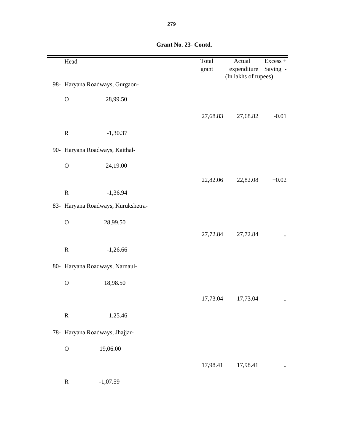| Head          |                                    | Total<br>grant | Actual<br>expenditure<br>(In lakhs of rupees) | Excess +<br>Saving - |
|---------------|------------------------------------|----------------|-----------------------------------------------|----------------------|
|               | 98- Haryana Roadways, Gurgaon-     |                |                                               |                      |
| $\mathcal O$  | 28,99.50                           |                |                                               |                      |
|               |                                    | 27,68.83       | 27,68.82                                      | $-0.01$              |
| $\mathbf R$   | $-1,30.37$                         |                |                                               |                      |
|               | 90- Haryana Roadways, Kaithal-     |                |                                               |                      |
| $\mathbf O$   | 24,19.00                           |                |                                               |                      |
|               |                                    | 22,82.06       | 22,82.08                                      | $+0.02$              |
| ${\bf R}$     | $-1,36.94$                         |                |                                               |                      |
|               | 83- Haryana Roadways, Kurukshetra- |                |                                               |                      |
| $\mathbf O$   | 28,99.50                           |                |                                               |                      |
|               |                                    | 27,72.84       | 27,72.84                                      |                      |
| $\mathbf R$   | $-1,26.66$                         |                |                                               |                      |
|               | 80- Haryana Roadways, Narnaul-     |                |                                               |                      |
| $\mathcal{O}$ | 18,98.50                           |                |                                               |                      |
|               |                                    | 17,73.04       | 17,73.04                                      |                      |
| ${\bf R}$     | $-1,25.46$                         |                |                                               |                      |
|               | 78- Haryana Roadways, Jhajjar-     |                |                                               |                      |
| $\mathcal{O}$ | 19,06.00                           |                |                                               |                      |
|               |                                    | 17,98.41       | 17,98.41                                      |                      |
| ${\bf R}$     | $-1,07.59$                         |                |                                               |                      |

 **Grant No. 23- Contd.**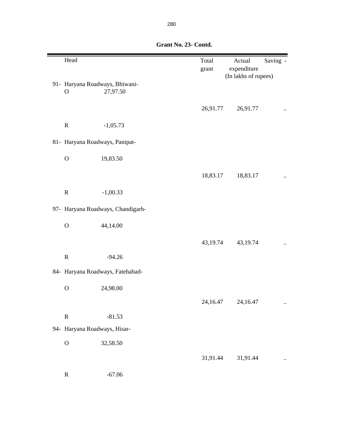| Head                         |                                            | Total<br>grant | Actual<br>expenditure<br>(In lakhs of rupees) | Saving -                  |
|------------------------------|--------------------------------------------|----------------|-----------------------------------------------|---------------------------|
| $\mathbf{O}$                 | 91- Haryana Roadways, Bhiwani-<br>27,97.50 |                |                                               |                           |
|                              |                                            | 26,91.77       | 26,91.77                                      | $\ddotsc$                 |
| $\mathbf R$                  | $-1,05.73$                                 |                |                                               |                           |
|                              | 81- Haryana Roadways, Panipat-             |                |                                               |                           |
| $\mathbf O$                  | 19,83.50                                   |                |                                               |                           |
|                              |                                            | 18,83.17       | 18,83.17                                      | $\ddot{\phantom{0}}\cdot$ |
| $\mathbf R$                  | $-1,00.33$                                 |                |                                               |                           |
|                              | 97- Haryana Roadways, Chandigarh-          |                |                                               |                           |
| $\mathbf O$                  | 44,14.00                                   |                |                                               |                           |
|                              |                                            | 43,19.74       | 43,19.74                                      | $\ddotsc$                 |
| ${\bf R}$                    | $-94.26$                                   |                |                                               |                           |
|                              | 84- Haryana Roadways, Fatehabad-           |                |                                               |                           |
| $\mathcal{O}$                | 24,98.00                                   |                |                                               |                           |
|                              |                                            | 24,16.47       | 24,16.47                                      |                           |
| ${\bf R}$                    | $-81.53$                                   |                |                                               |                           |
| 94- Haryana Roadways, Hisar- |                                            |                |                                               |                           |
| $\mathcal{O}$                | 32,58.50                                   |                |                                               |                           |
|                              |                                            | 31,91.44       | 31,91.44                                      |                           |
| $\mathbf R$                  | $-67.06$                                   |                |                                               |                           |

 **Grant No. 23- Contd.**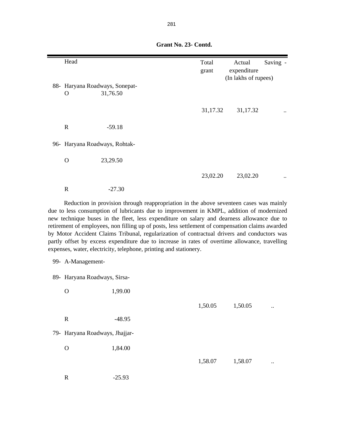| Head         |                                                                                                                                                                                                                                                                                                                                                                                      | Total<br>grant | Actual<br>expenditure<br>(In lakhs of rupees) | Saving - |
|--------------|--------------------------------------------------------------------------------------------------------------------------------------------------------------------------------------------------------------------------------------------------------------------------------------------------------------------------------------------------------------------------------------|----------------|-----------------------------------------------|----------|
| O            | 88- Haryana Roadways, Sonepat-<br>31,76.50                                                                                                                                                                                                                                                                                                                                           |                |                                               |          |
|              |                                                                                                                                                                                                                                                                                                                                                                                      | 31,17.32       | 31,17.32                                      |          |
| $\mathbb{R}$ | $-59.18$                                                                                                                                                                                                                                                                                                                                                                             |                |                                               |          |
|              | 96- Haryana Roadways, Rohtak-                                                                                                                                                                                                                                                                                                                                                        |                |                                               |          |
| $\Omega$     | 23,29.50                                                                                                                                                                                                                                                                                                                                                                             |                |                                               |          |
|              |                                                                                                                                                                                                                                                                                                                                                                                      | 23,02.20       | 23,02.20                                      |          |
| $\mathbf R$  | $-27.30$                                                                                                                                                                                                                                                                                                                                                                             |                |                                               |          |
|              | Reduction in provision through reappropriation in the above seventeen cases was mainly<br>due to less consumption of lubricants due to improvement in KMPL, addition of modernized<br>new technique buses in the fleet, less expenditure on salary and dearness allowance due to<br>retirement of employees, non filling up of posts, less settlement of compensation claims awarded |                |                                               |          |

 **Grant No. 23- Contd.**

by Motor Accident Claims Tribunal, regularization of contractual drivers and conductors was partly offset by excess expenditure due to increase in rates of overtime allowance, travelling expenses, water, electricity, telephone, printing and stationery.

|  | 99- A-Management- |
|--|-------------------|
|--|-------------------|

89- Haryana Roadways, Sirsa-

O 1,99.00 1,50.05 ... R  $-48.95$  79- Haryana Roadways, Jhajjar- O 1,84.00 1,58.07 ... R -25.93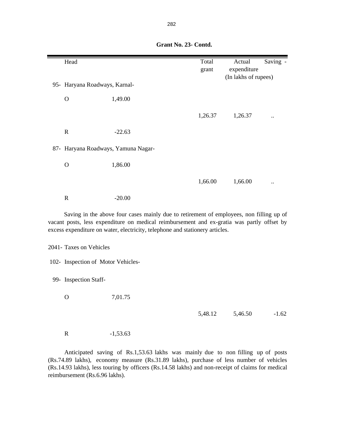| Head                                |                                                                                                                                                                                                                                                                       | Total   | Actual               | Saving -             |
|-------------------------------------|-----------------------------------------------------------------------------------------------------------------------------------------------------------------------------------------------------------------------------------------------------------------------|---------|----------------------|----------------------|
|                                     |                                                                                                                                                                                                                                                                       | grant   | expenditure          |                      |
|                                     |                                                                                                                                                                                                                                                                       |         | (In lakhs of rupees) |                      |
| 95- Haryana Roadways, Karnal-       |                                                                                                                                                                                                                                                                       |         |                      |                      |
| $\mathbf{O}$                        | 1,49.00                                                                                                                                                                                                                                                               |         |                      |                      |
|                                     |                                                                                                                                                                                                                                                                       | 1,26.37 | 1,26.37              | $\ddot{\phantom{a}}$ |
| ${\bf R}$                           | $-22.63$                                                                                                                                                                                                                                                              |         |                      |                      |
| 87- Haryana Roadways, Yamuna Nagar- |                                                                                                                                                                                                                                                                       |         |                      |                      |
| $\mathbf O$                         | 1,86.00                                                                                                                                                                                                                                                               |         |                      |                      |
|                                     |                                                                                                                                                                                                                                                                       | 1,66.00 | 1,66.00              |                      |
| ${\bf R}$                           | $-20.00$                                                                                                                                                                                                                                                              |         |                      |                      |
|                                     | Saving in the above four cases mainly due to retirement of employees, non filling up of<br>vacant posts, less expenditure on medical reimbursement and ex-gratia was partly offset by<br>excess expenditure on water, electricity, telephone and stationery articles. |         |                      |                      |
| 2041- Taxes on Vehicles             |                                                                                                                                                                                                                                                                       |         |                      |                      |
| 102- Inspection of Motor Vehicles-  |                                                                                                                                                                                                                                                                       |         |                      |                      |
| 99- Inspection Staff-               |                                                                                                                                                                                                                                                                       |         |                      |                      |
| $\mathbf{O}$                        | 7,01.75                                                                                                                                                                                                                                                               |         |                      |                      |
|                                     |                                                                                                                                                                                                                                                                       | 5,48.12 | 5,46.50              | $-1.62$              |
| ${\bf R}$                           | $-1,53.63$                                                                                                                                                                                                                                                            |         |                      |                      |

 **Grant No. 23- Contd.**

Anticipated saving of Rs.1,53.63 lakhs was mainly due to non filling up of posts (Rs.74.89 lakhs), economy measure (Rs.31.89 lakhs), purchase of less number of vehicles (Rs.14.93 lakhs), less touring by officers (Rs.14.58 lakhs) and non-receipt of claims for medical reimbursement (Rs.6.96 lakhs).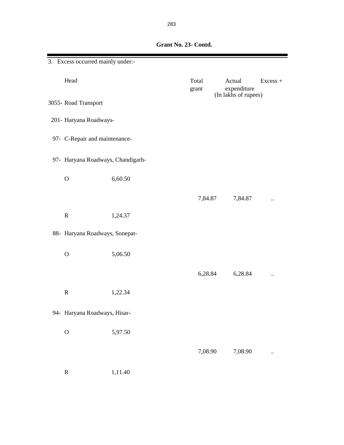| 3. Excess occurred mainly under:- |         |                |                       |          |
|-----------------------------------|---------|----------------|-----------------------|----------|
| Head                              |         | Total<br>grant | Actual<br>expenditure | Excess + |
| 3055- Road Transport              |         |                | (In lakhs of rupees)  |          |
| 201- Haryana Roadways-            |         |                |                       |          |
| 97- C-Repair and maintenance-     |         |                |                       |          |
| 97- Haryana Roadways, Chandigarh- |         |                |                       |          |
| $\mathbf O$                       | 6,60.50 |                |                       |          |
|                                   |         | 7,84.87        | 7,84.87               |          |
| ${\bf R}$                         | 1,24.37 |                |                       |          |
| 88- Haryana Roadways, Sonepat-    |         |                |                       |          |
| $\mathbf O$                       | 5,06.50 |                |                       |          |
|                                   |         | 6,28.84        | 6,28.84               |          |
| $\mathbb{R}$                      | 1,22.34 |                |                       |          |
| 94- Haryana Roadways, Hisar-      |         |                |                       |          |
| $\mathcal{O}$                     | 5,97.50 |                |                       |          |
|                                   |         | 7,08.90        | 7,08.90               |          |
| ${\bf R}$                         | 1,11.40 |                |                       |          |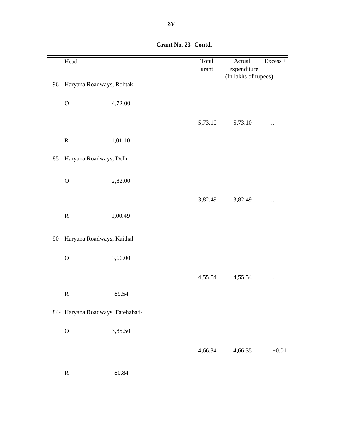| Head                             |         | Total<br>grant | Actual<br>expenditure | $Excess +$ |  |
|----------------------------------|---------|----------------|-----------------------|------------|--|
| 96- Haryana Roadways, Rohtak-    |         |                | (In lakhs of rupees)  |            |  |
| $\mathcal O$                     | 4,72.00 |                |                       |            |  |
|                                  |         | 5,73.10        | 5,73.10               |            |  |
| ${\bf R}$                        | 1,01.10 |                |                       |            |  |
| 85- Haryana Roadways, Delhi-     |         |                |                       |            |  |
| $\mathbf O$                      | 2,82.00 |                |                       |            |  |
|                                  |         | 3,82.49        | 3,82.49               |            |  |
| ${\bf R}$                        | 1,00.49 |                |                       |            |  |
| 90- Haryana Roadways, Kaithal-   |         |                |                       |            |  |
| $\mathcal O$                     | 3,66.00 |                |                       |            |  |
|                                  |         | 4,55.54        | 4,55.54               |            |  |
| ${\bf R}$                        | 89.54   |                |                       |            |  |
| 84- Haryana Roadways, Fatehabad- |         |                |                       |            |  |
| $\mathbf{O}$                     | 3,85.50 |                |                       |            |  |
|                                  |         | 4,66.34        | 4,66.35               | $+0.01$    |  |
| ${\bf R}$                        | 80.84   |                |                       |            |  |

 **Grant No. 23- Contd.**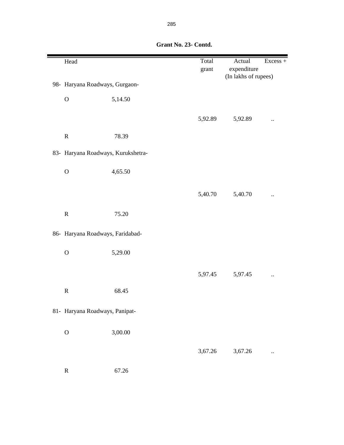| Head                               |         | Total<br>grant | Actual<br>expenditure | Excess + |
|------------------------------------|---------|----------------|-----------------------|----------|
|                                    |         |                | (In lakhs of rupees)  |          |
| 98- Haryana Roadways, Gurgaon-     |         |                |                       |          |
| $\mathbf{O}$                       | 5,14.50 |                |                       |          |
|                                    |         | 5,92.89        | 5,92.89               |          |
| ${\bf R}$                          | 78.39   |                |                       |          |
| 83- Haryana Roadways, Kurukshetra- |         |                |                       |          |
| $\mathcal O$                       | 4,65.50 |                |                       |          |
|                                    |         | 5,40.70        | 5,40.70               |          |
|                                    |         |                |                       |          |
| ${\bf R}$                          | 75.20   |                |                       |          |
| 86- Haryana Roadways, Faridabad-   |         |                |                       |          |
| $\mathcal O$                       | 5,29.00 |                |                       |          |
|                                    |         | 5,97.45        | 5,97.45               |          |
| ${\bf R}$                          | 68.45   |                |                       |          |
| 81- Haryana Roadways, Panipat-     |         |                |                       |          |
| $\mathbf{O}$                       | 3,00.00 |                |                       |          |
|                                    |         |                |                       |          |
|                                    |         | 3,67.26        | 3,67.26               |          |
| ${\bf R}$                          | 67.26   |                |                       |          |

 **Grant No. 23- Contd.**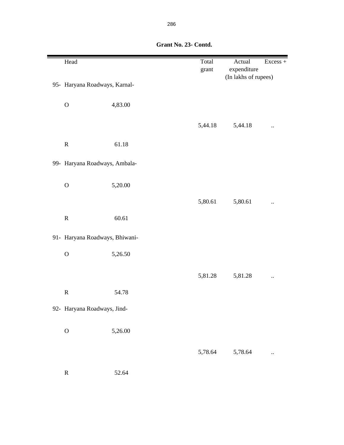| Head                           |         | Total<br>grant | Actual<br>expenditure | Excess +             |
|--------------------------------|---------|----------------|-----------------------|----------------------|
|                                |         |                | (In lakhs of rupees)  |                      |
| 95- Haryana Roadways, Karnal-  |         |                |                       |                      |
|                                |         |                |                       |                      |
| $\mathcal{O}$                  | 4,83.00 |                |                       |                      |
|                                |         |                |                       |                      |
|                                |         | 5,44.18        | 5,44.18               |                      |
| ${\bf R}$                      | 61.18   |                |                       |                      |
|                                |         |                |                       |                      |
| 99- Haryana Roadways, Ambala-  |         |                |                       |                      |
|                                |         |                |                       |                      |
| $\mathbf{O}$                   | 5,20.00 |                |                       |                      |
|                                |         | 5,80.61        | 5,80.61               |                      |
|                                |         |                |                       | $\ddot{\phantom{a}}$ |
| ${\bf R}$                      | 60.61   |                |                       |                      |
|                                |         |                |                       |                      |
| 91- Haryana Roadways, Bhiwani- |         |                |                       |                      |
| $\mathbf{O}$                   | 5,26.50 |                |                       |                      |
|                                |         |                |                       |                      |
|                                |         | 5,81.28        | 5,81.28               | $\ddot{\phantom{0}}$ |
| ${\bf R}$                      | 54.78   |                |                       |                      |
|                                |         |                |                       |                      |
| 92- Haryana Roadways, Jind-    |         |                |                       |                      |
|                                |         |                |                       |                      |
| $\mathbf{O}$                   | 5,26.00 |                |                       |                      |
|                                |         |                |                       |                      |
|                                |         | 5,78.64        | 5,78.64               |                      |
|                                |         |                |                       |                      |
| ${\bf R}$                      | 52.64   |                |                       |                      |

 **Grant No. 23- Contd.**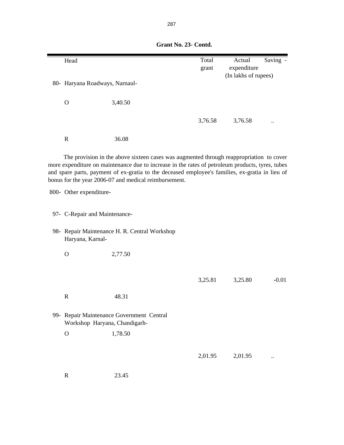| Head                                                                       |                                                                                                                                                          | Total   | Actual               | Saving - |  |  |
|----------------------------------------------------------------------------|----------------------------------------------------------------------------------------------------------------------------------------------------------|---------|----------------------|----------|--|--|
|                                                                            |                                                                                                                                                          | grant   | expenditure          |          |  |  |
| 80- Haryana Roadways, Narnaul-                                             |                                                                                                                                                          |         | (In lakhs of rupees) |          |  |  |
|                                                                            |                                                                                                                                                          |         |                      |          |  |  |
| $\mathbf{O}$                                                               | 3,40.50                                                                                                                                                  |         |                      |          |  |  |
|                                                                            |                                                                                                                                                          |         |                      |          |  |  |
|                                                                            |                                                                                                                                                          | 3,76.58 | 3,76.58              |          |  |  |
|                                                                            |                                                                                                                                                          |         |                      |          |  |  |
| $\mathbf R$                                                                | 36.08                                                                                                                                                    |         |                      |          |  |  |
|                                                                            |                                                                                                                                                          |         |                      |          |  |  |
|                                                                            | The provision in the above sixteen cases was augmented through reappropriation to cover                                                                  |         |                      |          |  |  |
|                                                                            | more expenditure on maintenance due to increase in the rates of petroleum products, tyres, tubes                                                         |         |                      |          |  |  |
|                                                                            | and spare parts, payment of ex-gratia to the deceased employee's families, ex-gratia in lieu of<br>bonus for the year 2006-07 and medical reimbursement. |         |                      |          |  |  |
|                                                                            |                                                                                                                                                          |         |                      |          |  |  |
| 800- Other expenditure-                                                    |                                                                                                                                                          |         |                      |          |  |  |
|                                                                            |                                                                                                                                                          |         |                      |          |  |  |
| 97- C-Repair and Maintenance-                                              |                                                                                                                                                          |         |                      |          |  |  |
|                                                                            |                                                                                                                                                          |         |                      |          |  |  |
| 98- Repair Maintenance H. R. Central Workshop                              |                                                                                                                                                          |         |                      |          |  |  |
| Haryana, Karnal-                                                           |                                                                                                                                                          |         |                      |          |  |  |
| $\mathbf{O}$                                                               | 2,77.50                                                                                                                                                  |         |                      |          |  |  |
|                                                                            |                                                                                                                                                          |         |                      |          |  |  |
|                                                                            |                                                                                                                                                          |         |                      |          |  |  |
|                                                                            |                                                                                                                                                          | 3,25.81 | 3,25.80              | $-0.01$  |  |  |
| $\mathbf R$                                                                | 48.31                                                                                                                                                    |         |                      |          |  |  |
|                                                                            |                                                                                                                                                          |         |                      |          |  |  |
|                                                                            |                                                                                                                                                          |         |                      |          |  |  |
| 99- Repair Maintenance Government Central<br>Workshop Haryana, Chandigarh- |                                                                                                                                                          |         |                      |          |  |  |
| $\mathbf{O}$                                                               | 1,78.50                                                                                                                                                  |         |                      |          |  |  |
|                                                                            |                                                                                                                                                          |         |                      |          |  |  |
|                                                                            |                                                                                                                                                          |         |                      |          |  |  |
|                                                                            |                                                                                                                                                          | 2,01.95 | 2,01.95              |          |  |  |
|                                                                            |                                                                                                                                                          |         |                      |          |  |  |
| $\mathbf R$                                                                | 23.45                                                                                                                                                    |         |                      |          |  |  |

 **Grant No. 23- Contd.**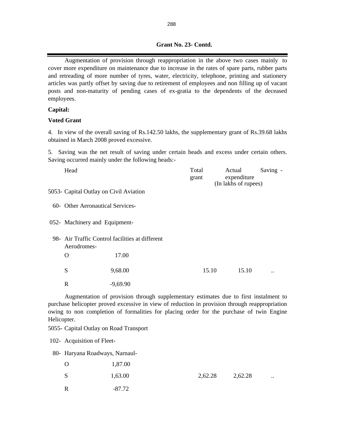### **Grant No. 23- Contd.**

Augmentation of provision through reappropriation in the above two cases mainly to cover more expenditure on maintenance due to increase in the rates of spare parts, rubber parts and retreading of more number of tyres, water, electricity, telephone, printing and stationery articles was partly offset by saving due to retirement of employees and non filling up of vacant posts and non-maturity of pending cases of ex-gratia to the dependents of the deceased employees.

#### **Capital:**

#### **Voted Grant**

4. In view of the overall saving of Rs.142.50 lakhs, the supplementary grant of Rs.39.68 lakhs obtained in March 2008 proved excessive.

5. Saving was the net result of saving under certain heads and excess under certain others. Saving occurred mainly under the following heads:-

| Head                                                           |            | Total<br>grant | Actual | expenditure<br>(In lakhs of rupees) | Saving -             |  |  |
|----------------------------------------------------------------|------------|----------------|--------|-------------------------------------|----------------------|--|--|
| 5053- Capital Outlay on Civil Aviation                         |            |                |        |                                     |                      |  |  |
| 60- Other Aeronautical Services-                               |            |                |        |                                     |                      |  |  |
| 052- Machinery and Equipment-                                  |            |                |        |                                     |                      |  |  |
| 98- Air Traffic Control facilities at different<br>Aerodromes- |            |                |        |                                     |                      |  |  |
| $\Omega$                                                       | 17.00      |                |        |                                     |                      |  |  |
| S                                                              | 9,68.00    | 15.10          |        | 15.10                               | $\ddot{\phantom{0}}$ |  |  |
| $\mathbf R$                                                    | $-9,69.90$ |                |        |                                     |                      |  |  |

Augmentation of provision through supplementary estimates due to first instalment to purchase helicopter proved excessive in view of reduction in provision through reappropriation owing to non completion of formalities for placing order for the purchase of twin Engine Helicopter.

5055- Capital Outlay on Road Transport

102- Acquisition of Fleet-

80- Haryana Roadways, Narnaul-

| $\Omega$ | 1,87.00  |         |         |           |
|----------|----------|---------|---------|-----------|
| S        | 1,63.00  | 2,62.28 | 2,62.28 | $\ddotsc$ |
| R        | $-87.72$ |         |         |           |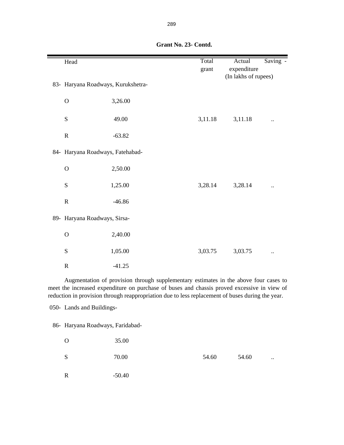| Head                               |          | Total<br>grant | Actual<br>expenditure | Saving - |
|------------------------------------|----------|----------------|-----------------------|----------|
| 83- Haryana Roadways, Kurukshetra- |          |                | (In lakhs of rupees)  |          |
| ${\rm O}$                          | 3,26.00  |                |                       |          |
| S                                  | 49.00    | 3,11.18        | 3,11.18               |          |
| ${\bf R}$                          | $-63.82$ |                |                       |          |
| 84- Haryana Roadways, Fatehabad-   |          |                |                       |          |
| $\mathbf O$                        | 2,50.00  |                |                       |          |
| S                                  | 1,25.00  | 3,28.14        | 3,28.14               |          |
| ${\bf R}$                          | $-46.86$ |                |                       |          |
| 89- Haryana Roadways, Sirsa-       |          |                |                       |          |
| $\mathbf O$                        | 2,40.00  |                |                       |          |
| S                                  | 1,05.00  | 3,03.75        | 3,03.75               |          |
| $\mathbf R$                        | $-41.25$ |                |                       |          |

 **Grant No. 23- Contd.**

Augmentation of provision through supplementary estimates in the above four cases to meet the increased expenditure on purchase of buses and chassis proved excessive in view of reduction in provision through reappropriation due to less replacement of buses during the year.

050- Lands and Buildings-

86- Haryana Roadways, Faridabad-

| $\Omega$     | 35.00    |       |       |           |
|--------------|----------|-------|-------|-----------|
| S            | 70.00    | 54.60 | 54.60 | $\ddotsc$ |
| $\mathbb{R}$ | $-50.40$ |       |       |           |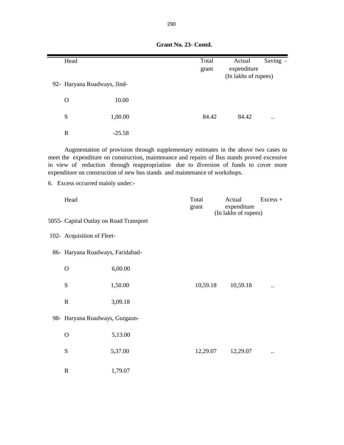| Head                                   |                                                                                                                                                                                                                                                                                                                                                            | Total          | Actual                | Saving -   |
|----------------------------------------|------------------------------------------------------------------------------------------------------------------------------------------------------------------------------------------------------------------------------------------------------------------------------------------------------------------------------------------------------------|----------------|-----------------------|------------|
|                                        |                                                                                                                                                                                                                                                                                                                                                            | grant          | expenditure           |            |
| 92- Haryana Roadways, Jind-            |                                                                                                                                                                                                                                                                                                                                                            |                | (In lakhs of rupees)  |            |
|                                        |                                                                                                                                                                                                                                                                                                                                                            |                |                       |            |
| $\mathbf O$                            | 10.00                                                                                                                                                                                                                                                                                                                                                      |                |                       |            |
| ${\bf S}$                              | 1,00.00                                                                                                                                                                                                                                                                                                                                                    | 84.42          | 84.42                 |            |
| $\mathbf R$                            | $-25.58$                                                                                                                                                                                                                                                                                                                                                   |                |                       |            |
| 6. Excess occurred mainly under:-      | Augmentation of provision through supplementary estimates in the above two cases to<br>meet the expenditure on construction, maintenance and repairs of Bus stands proved excessive<br>in view of reduction through reappropriation due to diversion of funds to cover more<br>expenditure on construction of new bus stands and maintenance of workshops. |                |                       |            |
|                                        |                                                                                                                                                                                                                                                                                                                                                            |                |                       |            |
| Head                                   |                                                                                                                                                                                                                                                                                                                                                            | Total<br>grant | Actual<br>expenditure | $Excess +$ |
|                                        |                                                                                                                                                                                                                                                                                                                                                            |                | (In lakhs of rupees)  |            |
| 5055- Capital Outlay on Road Transport |                                                                                                                                                                                                                                                                                                                                                            |                |                       |            |
| 102- Acquisition of Fleet-             |                                                                                                                                                                                                                                                                                                                                                            |                |                       |            |
| 86- Haryana Roadways, Faridabad-       |                                                                                                                                                                                                                                                                                                                                                            |                |                       |            |
| $\mathbf O$                            | 6,00.00                                                                                                                                                                                                                                                                                                                                                    |                |                       |            |
| S                                      | 1,50.00                                                                                                                                                                                                                                                                                                                                                    | 10,59.18       | 10,59.18              |            |
| $\mathbb{R}$                           | 3,09.18                                                                                                                                                                                                                                                                                                                                                    |                |                       |            |
| 98- Haryana Roadways, Gurgaon-         |                                                                                                                                                                                                                                                                                                                                                            |                |                       |            |
| $\mathbf{O}$                           | 5,13.00                                                                                                                                                                                                                                                                                                                                                    |                |                       |            |
| S                                      | 5,37.00                                                                                                                                                                                                                                                                                                                                                    | 12,29.07       | 12,29.07              |            |
| $\mathbb{R}$                           | 1,79.07                                                                                                                                                                                                                                                                                                                                                    |                |                       |            |
|                                        |                                                                                                                                                                                                                                                                                                                                                            |                |                       |            |

|  | Grant No. 23- Contd. |
|--|----------------------|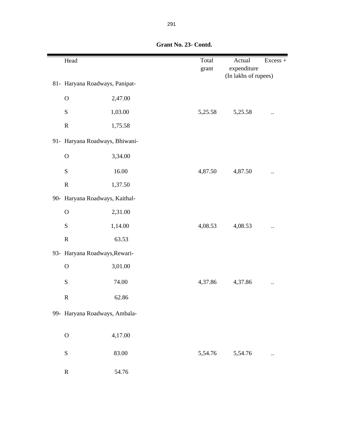| Head         |                                | Total<br>grant | Actual<br>expenditure | Excess + |
|--------------|--------------------------------|----------------|-----------------------|----------|
|              | 81- Haryana Roadways, Panipat- |                | (In lakhs of rupees)  |          |
| $\mathbf O$  | 2,47.00                        |                |                       |          |
| ${\bf S}$    | 1,03.00                        | 5,25.58        | 5,25.58               |          |
| ${\bf R}$    | 1,75.58                        |                |                       |          |
|              | 91- Haryana Roadways, Bhiwani- |                |                       |          |
| $\mathbf O$  | 3,34.00                        |                |                       |          |
| ${\bf S}$    | 16.00                          | 4,87.50        | 4,87.50               |          |
| ${\bf R}$    | 1,37.50                        |                |                       |          |
|              | 90- Haryana Roadways, Kaithal- |                |                       |          |
| $\mathbf O$  | 2,31.00                        |                |                       |          |
| ${\bf S}$    | 1,14.00                        | 4,08.53        | 4,08.53               |          |
| ${\bf R}$    | 63.53                          |                |                       |          |
|              | 93- Haryana Roadways, Rewari-  |                |                       |          |
| $\mathbf O$  | 3,01.00                        |                |                       |          |
| ${\bf S}$    | 74.00                          | 4,37.86        | 4,37.86               |          |
| ${\bf R}$    | 62.86                          |                |                       |          |
|              | 99- Haryana Roadways, Ambala-  |                |                       |          |
| $\mathbf{O}$ | 4,17.00                        |                |                       |          |
| ${\bf S}$    | 83.00                          | 5,54.76        | 5,54.76               |          |
| ${\bf R}$    | 54.76                          |                |                       |          |

 **Grant No. 23- Contd.**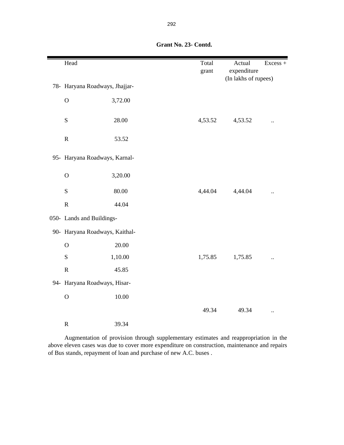| Head                           |         | Total<br>grant | Actual<br>expenditure | Excess +             |
|--------------------------------|---------|----------------|-----------------------|----------------------|
| 78- Haryana Roadways, Jhajjar- |         |                | (In lakhs of rupees)  |                      |
| $\mathbf O$                    | 3,72.00 |                |                       |                      |
| S                              | 28.00   | 4,53.52        | 4,53.52               |                      |
| ${\bf R}$                      | 53.52   |                |                       |                      |
| 95- Haryana Roadways, Karnal-  |         |                |                       |                      |
| $\mathbf O$                    | 3,20.00 |                |                       |                      |
| S                              | 80.00   | 4,44.04        | 4,44.04               |                      |
| ${\bf R}$                      | 44.04   |                |                       |                      |
| 050- Lands and Buildings-      |         |                |                       |                      |
| 90- Haryana Roadways, Kaithal- |         |                |                       |                      |
| $\mathbf O$                    | 20.00   |                |                       |                      |
| S                              | 1,10.00 | 1,75.85        | 1,75.85               |                      |
| ${\bf R}$                      | 45.85   |                |                       |                      |
| 94- Haryana Roadways, Hisar-   |         |                |                       |                      |
| $\overline{O}$                 | 10.00   |                |                       |                      |
|                                |         | 49.34          | 49.34                 | $\ddot{\phantom{a}}$ |
| ${\bf R}$                      | 39.34   |                |                       |                      |

 **Grant No. 23- Contd.**

Augmentation of provision through supplementary estimates and reappropriation in the above eleven cases was due to cover more expenditure on construction, maintenance and repairs of Bus stands, repayment of loan and purchase of new A.C. buses .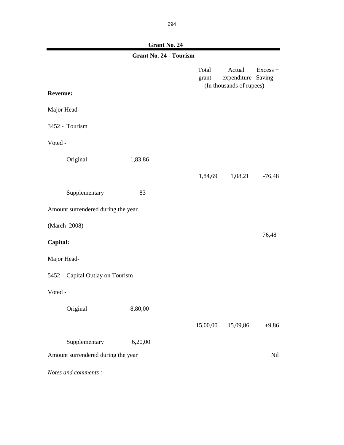**Grant No. 24**

| <b>Grant No. 24 - Tourism</b>      |                                    |  |                |                                                            |            |
|------------------------------------|------------------------------------|--|----------------|------------------------------------------------------------|------------|
|                                    |                                    |  | Total<br>grant | Actual<br>expenditure Saving -<br>(In thousands of rupees) | $Excess +$ |
| <b>Revenue:</b>                    |                                    |  |                |                                                            |            |
| Major Head-                        |                                    |  |                |                                                            |            |
| 3452 - Tourism                     |                                    |  |                |                                                            |            |
| Voted -                            |                                    |  |                |                                                            |            |
| Original                           | 1,83,86                            |  |                |                                                            |            |
|                                    |                                    |  | 1,84,69        | 1,08,21                                                    | $-76,48$   |
| Supplementary                      | 83                                 |  |                |                                                            |            |
| Amount surrendered during the year |                                    |  |                |                                                            |            |
| (March 2008)                       |                                    |  |                |                                                            |            |
| Capital:                           |                                    |  |                |                                                            | 76,48      |
| Major Head-                        |                                    |  |                |                                                            |            |
| 5452 - Capital Outlay on Tourism   |                                    |  |                |                                                            |            |
| Voted -                            |                                    |  |                |                                                            |            |
| Original                           | 8,80,00                            |  |                |                                                            |            |
|                                    |                                    |  | 15,00,00       | 15,09,86                                                   | $+9,86$    |
| Supplementary                      | 6,20,00                            |  |                |                                                            |            |
|                                    | Amount surrendered during the year |  |                |                                                            | Nil        |
| Notes and comments $\cdot$ -       |                                    |  |                |                                                            |            |

*Notes and comments :-*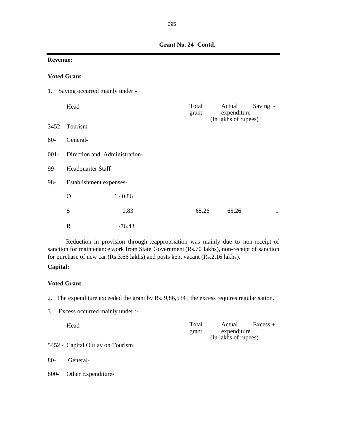| Grant No. 24- Contd. |  |
|----------------------|--|
|                      |  |

|         | <b>Revenue:</b>                |          |                |                                                           |  |  |  |  |  |
|---------|--------------------------------|----------|----------------|-----------------------------------------------------------|--|--|--|--|--|
|         | <b>Voted Grant</b>             |          |                |                                                           |  |  |  |  |  |
| 1.      | Saving occurred mainly under:- |          |                |                                                           |  |  |  |  |  |
|         | Head                           |          | Total<br>grant | Actual<br>Saving -<br>expenditure<br>(In lakhs of rupees) |  |  |  |  |  |
|         | 3452 - Tourism                 |          |                |                                                           |  |  |  |  |  |
| $80-$   | General-                       |          |                |                                                           |  |  |  |  |  |
| $001 -$ | Direction and Administration-  |          |                |                                                           |  |  |  |  |  |
| 99-     | Headquarter Staff-             |          |                |                                                           |  |  |  |  |  |
| 98-     | Establishment expenses-        |          |                |                                                           |  |  |  |  |  |
|         | O                              | 1,40.86  |                |                                                           |  |  |  |  |  |
|         | S                              | 0.83     | 65.26          | 65.26<br>$\ddotsc$                                        |  |  |  |  |  |
|         | $\mathbf R$                    | $-76.43$ |                |                                                           |  |  |  |  |  |

Reduction in provision through reappropriation was mainly due to non-receipt of sanction for maintenance work from State Government (Rs.70 lakhs), non-receipt of sanction for purchase of new car (Rs.3.66 lakhs) and posts kept vacant (Rs.2.16 lakhs).

### **Capital:**

### **Voted Grant**

- 2. The expenditure exceeded the grant by Rs. 9,86,534 ; the excess requires regularisation.
- 3. Excess occurred mainly under :-

| Head |  | Total | Actual               | $Excess +$ |
|------|--|-------|----------------------|------------|
|      |  | grant | expenditure          |            |
|      |  |       | (In lakhs of rupees) |            |
|      |  |       |                      |            |

- 5452 Capital Outlay on Tourism
- 80- General-
- 800- Other Expenditure-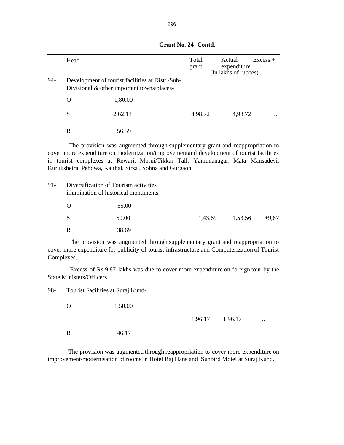|                                                                                                                                                                                                                                                                                                                          | Head                                                                           |                                                                                                   | Total<br>grant | Actual<br>expenditure<br>(In lakhs of rupees) | $Excess +$ |  |
|--------------------------------------------------------------------------------------------------------------------------------------------------------------------------------------------------------------------------------------------------------------------------------------------------------------------------|--------------------------------------------------------------------------------|---------------------------------------------------------------------------------------------------|----------------|-----------------------------------------------|------------|--|
| 94-                                                                                                                                                                                                                                                                                                                      |                                                                                | Development of tourist facilities at Distt./Sub-<br>Divisional $\&$ other important towns/places- |                |                                               |            |  |
|                                                                                                                                                                                                                                                                                                                          | $\Omega$                                                                       | 1,80.00                                                                                           |                |                                               |            |  |
|                                                                                                                                                                                                                                                                                                                          | S                                                                              | 2,62.13                                                                                           | 4,98.72        | 4,98.72                                       |            |  |
|                                                                                                                                                                                                                                                                                                                          | $\mathbf R$                                                                    | 56.59                                                                                             |                |                                               |            |  |
| The provision was augmented through supplementary grant and reappropriation to<br>cover more expenditure on modernization/improvementand development of tourist facilities<br>in tourist complexes at Rewari, Morni/Tikkar Tall, Yamunanagar, Mata Mansadevi,<br>Kurukshetra, Pehowa, Kaithal, Sirsa, Sohna and Gurgaon. |                                                                                |                                                                                                   |                |                                               |            |  |
| $91 -$                                                                                                                                                                                                                                                                                                                   | Diversification of Tourism activities<br>illumination of historical monuments- |                                                                                                   |                |                                               |            |  |
|                                                                                                                                                                                                                                                                                                                          | O                                                                              | 55.00                                                                                             |                |                                               |            |  |
|                                                                                                                                                                                                                                                                                                                          | S                                                                              | 50.00                                                                                             | 1,43.69        | 1,53.56                                       | $+9.87$    |  |
|                                                                                                                                                                                                                                                                                                                          | $\mathbf R$                                                                    | 38.69                                                                                             |                |                                               |            |  |

 **Grant No. 24- Contd.**

The provision was augmented through supplementary grant and reappropriation to cover more expenditure for publicity of tourist infrastructure and Computerization of Tourist Complexes.

Excess of Rs.9.87 lakhs was due to cover more expenditure on foreign tour by the State Ministers/Officers.

98- Tourist Facilities at Suraj Kund-

| $\Omega$ | 1,50.00 |                 |           |
|----------|---------|-----------------|-----------|
|          |         | 1,96.17 1,96.17 | $\ddotsc$ |
| R        | 46.17   |                 |           |

The provision was augmented through reappropriation to cover more expenditure on improvement/modernisation of rooms in Hotel Raj Hans and Sunbird Motel at Suraj Kund.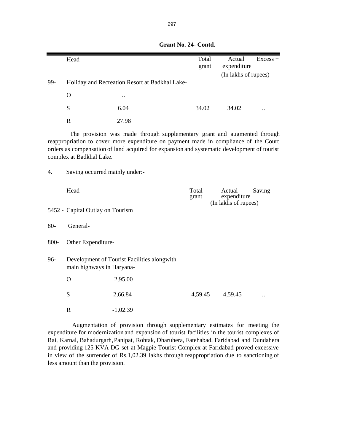|       | Head                             |                                                                                                                                                                                                                                                                 | Total<br>grant | Actual<br>expenditure                         | $Excess +$ |
|-------|----------------------------------|-----------------------------------------------------------------------------------------------------------------------------------------------------------------------------------------------------------------------------------------------------------------|----------------|-----------------------------------------------|------------|
|       |                                  |                                                                                                                                                                                                                                                                 |                | (In lakhs of rupees)                          |            |
| 99-   |                                  | Holiday and Recreation Resort at Badkhal Lake-                                                                                                                                                                                                                  |                |                                               |            |
|       | $\mathbf{O}$                     |                                                                                                                                                                                                                                                                 |                |                                               |            |
|       | S                                | 6.04                                                                                                                                                                                                                                                            | 34.02          | 34.02                                         |            |
|       | $\mathbf R$                      | 27.98                                                                                                                                                                                                                                                           |                |                                               |            |
|       | complex at Badkhal Lake.         | The provision was made through supplementary grant and augmented through<br>reappropriation to cover more expenditure on payment made in compliance of the Court<br>orders as compensation of land acquired for expansion and systematic development of tourist |                |                                               |            |
| 4.    | Saving occurred mainly under:-   |                                                                                                                                                                                                                                                                 |                |                                               |            |
|       | Head                             |                                                                                                                                                                                                                                                                 | Total<br>grant | Actual<br>expenditure<br>(In lakhs of rupees) | Saving -   |
|       | 5452 - Capital Outlay on Tourism |                                                                                                                                                                                                                                                                 |                |                                               |            |
| $80-$ | General-                         |                                                                                                                                                                                                                                                                 |                |                                               |            |
| 800-  | Other Expenditure-               |                                                                                                                                                                                                                                                                 |                |                                               |            |
| 96-   | main highways in Haryana-        | Development of Tourist Facilities alongwith                                                                                                                                                                                                                     |                |                                               |            |
|       | $\Omega$                         | 2,95.00                                                                                                                                                                                                                                                         |                |                                               |            |
|       | S                                | 2,66.84                                                                                                                                                                                                                                                         | 4,59.45        | 4,59.45                                       |            |
|       | $\mathbf{R}$                     | $-1,02.39$                                                                                                                                                                                                                                                      |                |                                               |            |
|       |                                  | Augmentation of provision through supplementary estimates for meeting the                                                                                                                                                                                       |                |                                               |            |

### **Grant No. 24- Contd.**

Augmentation of provision through supplementary estimates for meeting the expenditure for modernization and expansion of tourist facilities in the tourist complexes of Rai, Karnal, Bahadurgarh, Panipat, Rohtak, Dharuhera, Fatehabad, Faridabad and Dundahera and providing 125 KVA DG set at Magpie Tourist Complex at Faridabad proved excessive in view of the surrender of Rs.1,02.39 lakhs through reappropriation due to sanctioning of less amount than the provision.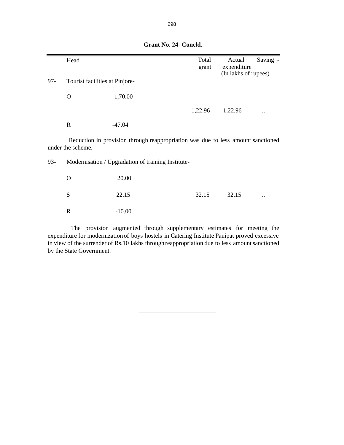|     | Head                           |                                                                                  | Total   | Actual               | Saving -                  |
|-----|--------------------------------|----------------------------------------------------------------------------------|---------|----------------------|---------------------------|
|     |                                |                                                                                  | grant   | expenditure          |                           |
|     |                                |                                                                                  |         | (In lakhs of rupees) |                           |
| 97- | Tourist facilities at Pinjore- |                                                                                  |         |                      |                           |
|     | O                              | 1,70.00                                                                          |         |                      |                           |
|     |                                |                                                                                  | 1,22.96 | 1,22.96              | $\ddot{\phantom{0}}\cdot$ |
|     | $\mathbf R$                    | -47.04                                                                           |         |                      |                           |
|     |                                | Reduction in provision through reappropriation was due to less amount sanctioned |         |                      |                           |
|     | under the scheme.              |                                                                                  |         |                      |                           |
| 93- |                                | Modernisation / Upgradation of training Institute-                               |         |                      |                           |
|     | O                              | 20.00                                                                            |         |                      |                           |

 **Grant No. 24- Concld.**

| ◡            | 20.00    |       |       |                  |
|--------------|----------|-------|-------|------------------|
| <sub>S</sub> | 22.15    | 32.15 | 32.15 | $\bullet\bullet$ |
| $\mathbf R$  | $-10.00$ |       |       |                  |

The provision augmented through supplementary estimates for meeting the expenditure for modernization of boys hostels in Catering Institute Panipat proved excessive in view of the surrender of Rs.10 lakhs throughreappropriation due to less amount sanctioned by the State Government.

 $\frac{1}{2}$  ,  $\frac{1}{2}$  ,  $\frac{1}{2}$  ,  $\frac{1}{2}$  ,  $\frac{1}{2}$  ,  $\frac{1}{2}$  ,  $\frac{1}{2}$  ,  $\frac{1}{2}$  ,  $\frac{1}{2}$  ,  $\frac{1}{2}$  ,  $\frac{1}{2}$  ,  $\frac{1}{2}$  ,  $\frac{1}{2}$  ,  $\frac{1}{2}$  ,  $\frac{1}{2}$  ,  $\frac{1}{2}$  ,  $\frac{1}{2}$  ,  $\frac{1}{2}$  ,  $\frac{1$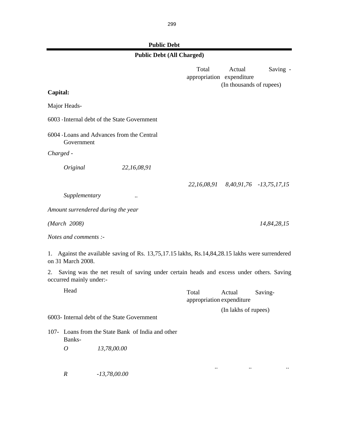# **Public Debt**

| PUDIIC DEDI                                                                                                              |                                    |                                    |                                     |
|--------------------------------------------------------------------------------------------------------------------------|------------------------------------|------------------------------------|-------------------------------------|
| <b>Public Debt (All Charged)</b>                                                                                         |                                    |                                    |                                     |
|                                                                                                                          | Total<br>appropriation expenditure | Actual<br>(In thousands of rupees) | Saving -                            |
| Capital:                                                                                                                 |                                    |                                    |                                     |
| Major Heads-                                                                                                             |                                    |                                    |                                     |
| 6003 - Internal debt of the State Government                                                                             |                                    |                                    |                                     |
| 6004 - Loans and Advances from the Central<br>Government                                                                 |                                    |                                    |                                     |
| Charged -                                                                                                                |                                    |                                    |                                     |
| Original<br>22,16,08,91                                                                                                  |                                    |                                    |                                     |
|                                                                                                                          |                                    |                                    | 22,16,08,91 8,40,91,76 -13,75,17,15 |
| Supplementary<br>$\ddot{\phantom{0}}\cdot$                                                                               |                                    |                                    |                                     |
| Amount surrendered during the year                                                                                       |                                    |                                    |                                     |
| (March 2008)                                                                                                             |                                    |                                    | 14,84,28,15                         |
| Notes and comments :-                                                                                                    |                                    |                                    |                                     |
| Against the available saving of Rs. 13,75,17.15 lakhs, Rs.14,84,28.15 lakhs were surrendered<br>1.<br>on 31 March 2008.  |                                    |                                    |                                     |
| Saving was the net result of saving under certain heads and excess under others. Saving<br>2.<br>occurred mainly under:- |                                    |                                    |                                     |
| Head                                                                                                                     | Total<br>appropriation expenditure | Actual                             | Saving-                             |
|                                                                                                                          |                                    | (In lakhs of rupees)               |                                     |

*.. .. ..*

6003- Internal debt of the State Government

107- Loans from the State Bank of India and other Banks- .

*O 13,78,00.00*

*R -13,78,00.00*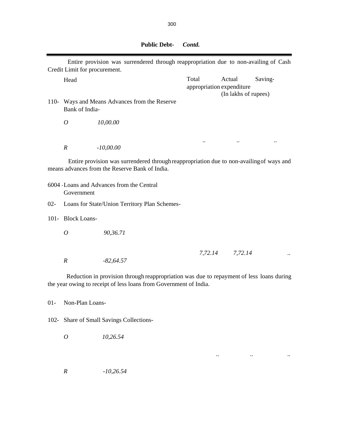|        | Credit Limit for procurement. | Entire provision was surrendered through reappropriation due to non-availing of Cash                                                                          |                                    |                                |           |
|--------|-------------------------------|---------------------------------------------------------------------------------------------------------------------------------------------------------------|------------------------------------|--------------------------------|-----------|
|        | Head                          |                                                                                                                                                               | Total<br>appropriation expenditure | Actual<br>(In lakhs of rupees) | Saving-   |
|        | Bank of India-                | 110- Ways and Means Advances from the Reserve                                                                                                                 |                                    |                                |           |
|        | $\overline{O}$                | 10,00.00                                                                                                                                                      |                                    |                                |           |
|        | $\boldsymbol{R}$              | $-10,00.00$                                                                                                                                                   | $\ddotsc$                          | $\ddot{\phantom{0}}\cdot$      | $\ddotsc$ |
|        |                               | Entire provision was surrendered through reappropriation due to non-availing of ways and<br>means advances from the Reserve Bank of India.                    |                                    |                                |           |
|        | Government                    | 6004 - Loans and Advances from the Central                                                                                                                    |                                    |                                |           |
| $02 -$ |                               | Loans for State/Union Territory Plan Schemes-                                                                                                                 |                                    |                                |           |
|        | 101- Block Loans-             |                                                                                                                                                               |                                    |                                |           |
|        | $\overline{O}$                | 90,36.71                                                                                                                                                      |                                    |                                |           |
|        | $\boldsymbol{R}$              | $-82,64.57$                                                                                                                                                   |                                    | 7,72.14 7,72.14                |           |
|        |                               | Reduction in provision through reappropriation was due to repayment of less loans during<br>the year owing to receipt of less loans from Government of India. |                                    |                                |           |

01- Non-Plan Loans-

102- Share of Small Savings Collections-

*O 10,26.54*

*R -10,26.54*

.. .. ..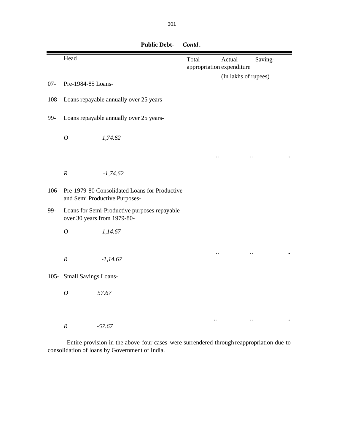|         | Head                        |                                                                                | Total<br>appropriation expenditure | Actual<br>(In lakhs of rupees) | Saving- |  |
|---------|-----------------------------|--------------------------------------------------------------------------------|------------------------------------|--------------------------------|---------|--|
| $07 -$  | Pre-1984-85 Loans-          |                                                                                |                                    |                                |         |  |
| $108 -$ |                             | Loans repayable annually over 25 years-                                        |                                    |                                |         |  |
| 99-     |                             | Loans repayable annually over 25 years-                                        |                                    |                                |         |  |
|         | $\boldsymbol{O}$            | 1,74.62                                                                        |                                    |                                |         |  |
|         |                             |                                                                                |                                    |                                |         |  |
|         | $\cal R$                    | $-1,74.62$                                                                     |                                    |                                |         |  |
| $106 -$ |                             | Pre-1979-80 Consolidated Loans for Productive<br>and Semi Productive Purposes- |                                    |                                |         |  |
| 99-     |                             | Loans for Semi-Productive purposes repayable<br>over 30 years from 1979-80-    |                                    |                                |         |  |
|         | $\boldsymbol{O}$            | 1,14.67                                                                        |                                    |                                |         |  |
|         | $\cal R$                    | $-1,14.67$                                                                     |                                    |                                |         |  |
| $105 -$ | <b>Small Savings Loans-</b> |                                                                                |                                    |                                |         |  |
|         | $\boldsymbol{O}$            | 57.67                                                                          |                                    |                                |         |  |
|         |                             |                                                                                |                                    |                                |         |  |
|         | $\cal R$                    | $-57.67$                                                                       |                                    |                                |         |  |

 **Public Debt-** *Contd* **.**

Entire provision in the above four cases were surrendered through reappropriation due to consolidation of loans by Government of India.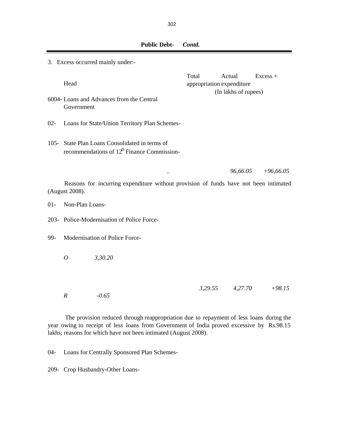|        | 3. Excess occurred mainly under:- |                                                                                                    |         |                                     |             |
|--------|-----------------------------------|----------------------------------------------------------------------------------------------------|---------|-------------------------------------|-------------|
|        | Head                              |                                                                                                    | Total   | Actual<br>appropriation expenditure | $Excess +$  |
|        | Government                        | 6004- Loans and Advances from the Central                                                          |         | (In lakhs of rupees)                |             |
| $02 -$ |                                   | Loans for State/Union Territory Plan Schemes-                                                      |         |                                     |             |
|        |                                   | 105- State Plan Loans Consolidated in terms of<br>recommendations of $12^{th}$ Finance Commission- |         |                                     |             |
|        |                                   |                                                                                                    |         | 96,66.05                            | $+96,66.05$ |
|        | (August 2008).                    | Reasons for incurring expenditure without provision of funds have not been intimated               |         |                                     |             |
| $01-$  | Non-Plan Loans-                   |                                                                                                    |         |                                     |             |
|        |                                   | 203- Police-Modernisation of Police Force-                                                         |         |                                     |             |
| 99-    | Modernisation of Police Force-    |                                                                                                    |         |                                     |             |
|        | 3,30.20<br>$\overline{O}$         |                                                                                                    |         |                                     |             |
|        |                                   |                                                                                                    |         |                                     |             |
|        | $-0.65$<br>$\boldsymbol{R}$       |                                                                                                    | 3,29.55 | 4,27.70                             | $+98.15$    |

The provision reduced through reappropriation due to repayment of less loans during the year owing to receipt of less loans from Government of India proved excessive by Rs.98.15 lakhs; reasons for which have not been intimated (August 2008).

04- Loans for Centrally Sponsored Plan Schemes-

209- Crop Husbandry-Other Loans-

302

 **Public Debt-** *Contd.*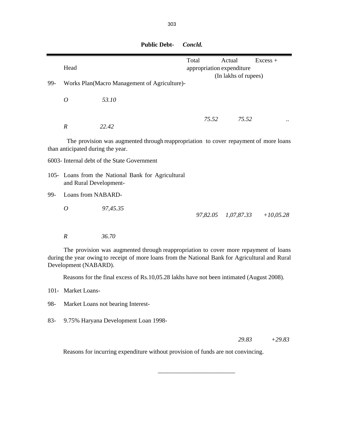|         | Head                              |                                                                                                                                                                                          | Total |          | Actual<br>appropriation expenditure<br>(In lakhs of rupees) | $Excess +$  |
|---------|-----------------------------------|------------------------------------------------------------------------------------------------------------------------------------------------------------------------------------------|-------|----------|-------------------------------------------------------------|-------------|
| 99-     |                                   | Works Plan(Macro Management of Agriculture)-                                                                                                                                             |       |          |                                                             |             |
|         | $\overline{O}$                    | 53.10                                                                                                                                                                                    |       |          |                                                             |             |
|         |                                   |                                                                                                                                                                                          |       | 75.52    | 75.52                                                       |             |
|         | $\boldsymbol{R}$                  | 22.42                                                                                                                                                                                    |       |          |                                                             |             |
|         | than anticipated during the year. | The provision was augmented through reappropriation to cover repayment of more loans                                                                                                     |       |          |                                                             |             |
|         |                                   | 6003- Internal debt of the State Government                                                                                                                                              |       |          |                                                             |             |
|         | and Rural Development-            | 105- Loans from the National Bank for Agricultural                                                                                                                                       |       |          |                                                             |             |
| 99-     | Loans from NABARD-                |                                                                                                                                                                                          |       |          |                                                             |             |
|         | $\overline{O}$                    | 97,45.35                                                                                                                                                                                 |       | 97,82.05 | 1,07,87.33                                                  | $+10,05.28$ |
|         | $\boldsymbol{R}$                  | 36.70                                                                                                                                                                                    |       |          |                                                             |             |
|         | Development (NABARD).             | The provision was augmented through reappropriation to cover more repayment of loans<br>during the year owing to receipt of more loans from the National Bank for Agricultural and Rural |       |          |                                                             |             |
|         |                                   | Reasons for the final excess of Rs.10,05.28 lakhs have not been intimated (August 2008).                                                                                                 |       |          |                                                             |             |
| $101 -$ | Market Loans-                     |                                                                                                                                                                                          |       |          |                                                             |             |
| 98-     |                                   | Market Loans not bearing Interest-                                                                                                                                                       |       |          |                                                             |             |

 **Public Debt-** *Concld.*

83- 9.75% Haryana Development Loan 1998-

*29.83 +29.83*

Reasons for incurring expenditure without provision of funds are not convincing.

 $\frac{1}{2}$  , and the set of the set of the set of the set of the set of the set of the set of the set of the set of the set of the set of the set of the set of the set of the set of the set of the set of the set of the set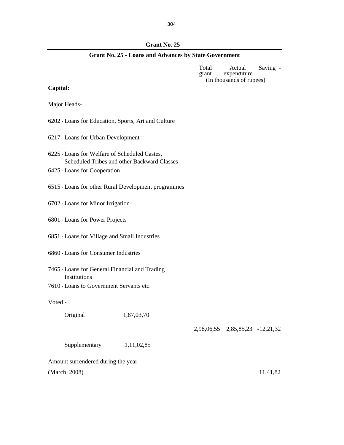304

 **Grant No. 25**

| <b>Grant No. 25 - Loans and Advances by State Government</b> |
|--------------------------------------------------------------|
|--------------------------------------------------------------|

Total Actual Saving expenditure (In thousands of rupees)

**Capital:**

Major Heads-

- 6202 -Loans for Education, Sports, Art and Culture
- 6217 -Loans for Urban Development
- 6225 -Loans for Welfare of Scheduled Castes, Scheduled Tribes and other Backward Classes
- 6425 -Loans for Cooperation
- 6515 -Loans for other Rural Development programmes
- 6702 -Loans for Minor Irrigation
- 6801 -Loans for Power Projects
- 6851 -Loans for Village and Small Industries
- 6860 -Loans for Consumer Industries
- 7465 -Loans for General Financial and Trading Institutions
- 7610 -Loans to Government Servants etc.

Voted -

Original 1,87,03,70

2,98,06,55 2,85,85,23 -12,21,32

| Supplementary                      | 1,11,02,85 |          |
|------------------------------------|------------|----------|
| Amount surrendered during the year |            |          |
| (March 2008)                       |            | 11,41,82 |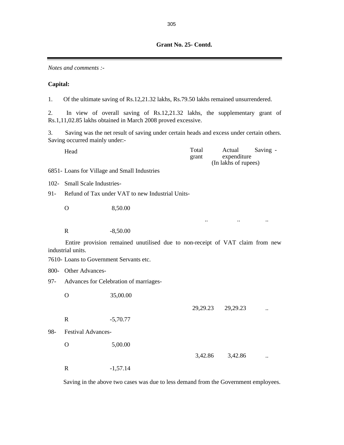*Notes and comments :-*

#### **Capital:**

1. Of the ultimate saving of Rs.12,21.32 lakhs, Rs.79.50 lakhs remained unsurrendered.

2. In view of overall saving of Rs.12,21.32 lakhs, the supplementary grant of Rs.1,11,02.85 lakhs obtained in March 2008 proved excessive.

3. Saving was the net result of saving under certain heads and excess under certain others. Saving occurred mainly under:-

| Head | Total | Actual               | Saving - |
|------|-------|----------------------|----------|
|      | grant | expenditure          |          |
|      |       | (In lakhs of rupees) |          |

6851- Loans for Village and Small Industries

- 102- Small Scale Industries-
- 91- Refund of Tax under VAT to new Industrial Units-
	- O 8,50.00

R  $-8,50.00$ 

Entire provision remained unutilised due to non-receipt of VAT claim from new industrial units.

.. .. ..

29,29.23 29,29.23 ..

7610- Loans to Government Servants etc.

800- Other Advances-

- 97- Advances for Celebration of marriages-
	- O 35,00.00
		- R -5,70.77
- 98- Festival Advances-

O 5,00.00 3,42.86 ... R -1,57.14

Saving in the above two cases was due to less demand from the Government employees.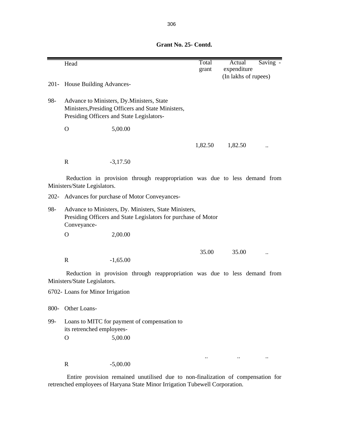**Grant No. 25- Contd.**

|      | Head                                                                                                                                   |                                                                                                                                               |  | Total<br>grant | Actual<br>Saving -<br>expenditure<br>(In lakhs of rupees)                  |
|------|----------------------------------------------------------------------------------------------------------------------------------------|-----------------------------------------------------------------------------------------------------------------------------------------------|--|----------------|----------------------------------------------------------------------------|
|      | 201- House Building Advances-                                                                                                          |                                                                                                                                               |  |                |                                                                            |
| 98-  |                                                                                                                                        | Advance to Ministers, Dy. Ministers, State<br>Ministers, Presiding Officers and State Ministers,<br>Presiding Officers and State Legislators- |  |                |                                                                            |
|      | $\mathbf{O}$                                                                                                                           | 5,00.00                                                                                                                                       |  |                |                                                                            |
|      |                                                                                                                                        |                                                                                                                                               |  | 1,82.50        | 1,82.50                                                                    |
|      | $\mathbf R$                                                                                                                            | $-3,17.50$                                                                                                                                    |  |                |                                                                            |
|      | Ministers/State Legislators.                                                                                                           |                                                                                                                                               |  |                | Reduction in provision through reappropriation was due to less demand from |
|      | 202- Advances for purchase of Motor Conveyances-                                                                                       |                                                                                                                                               |  |                |                                                                            |
| 98-  | Advance to Ministers, Dy. Ministers, State Ministers,<br>Presiding Officers and State Legislators for purchase of Motor<br>Conveyance- |                                                                                                                                               |  |                |                                                                            |
|      | $\Omega$                                                                                                                               | 2,00.00                                                                                                                                       |  |                |                                                                            |
|      |                                                                                                                                        |                                                                                                                                               |  | 35.00          | 35.00                                                                      |
|      | $\mathbf R$                                                                                                                            | $-1,65.00$                                                                                                                                    |  |                |                                                                            |
|      | Ministers/State Legislators.                                                                                                           |                                                                                                                                               |  |                | Reduction in provision through reappropriation was due to less demand from |
|      | 6702- Loans for Minor Irrigation                                                                                                       |                                                                                                                                               |  |                |                                                                            |
| 800- | Other Loans-                                                                                                                           |                                                                                                                                               |  |                |                                                                            |
| 99-  | Loans to MITC for payment of compensation to<br>its retrenched employees-                                                              |                                                                                                                                               |  |                |                                                                            |
|      | $\mathbf O$                                                                                                                            | 5,00.00                                                                                                                                       |  |                |                                                                            |
|      |                                                                                                                                        |                                                                                                                                               |  | $\ddotsc$      |                                                                            |
|      | $\mathbf R$                                                                                                                            | $-5,00.00$                                                                                                                                    |  |                |                                                                            |

Entire provision remained unutilised due to non-finalization of compensation for retrenched employees of Haryana State Minor Irrigation Tubewell Corporation.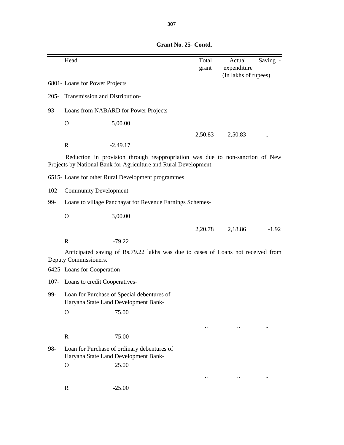Head **Total** Actual Saving grant expenditure (In lakhs of rupees) 6801- Loans for Power Projects 205- Transmission and Distribution-93- Loans from NABARD for Power Projects- O 5,00.00 2,50.83 2,50.83 R  $-2,49.17$ 6515- Loans for other Rural Development programmes 102- Community Development-99- O 3,00.00 2,20.78 2,18.86 -1.92 R  $-79.22$ 6425- Loans for Cooperation 107- Loans to credit Cooperatives-99- Loan for Purchase of Special debentures of Haryana State Land Development Bank- O 75.00 .. .. .. R -75.00 98- Loan for Purchase of ordinary debentures of Haryana State Land Development Bank- . O 25.00 .. .. .. R -25.00 Reduction in provision through reappropriation was due to non-sanction of New Projects by National Bank for Agriculture and Rural Development. Anticipated saving of Rs.79.22 lakhs was due to cases of Loans not received from Deputy Commissioners. Loans to village Panchayat for Revenue Earnings Schemes-

 **Grant No. 25- Contd.**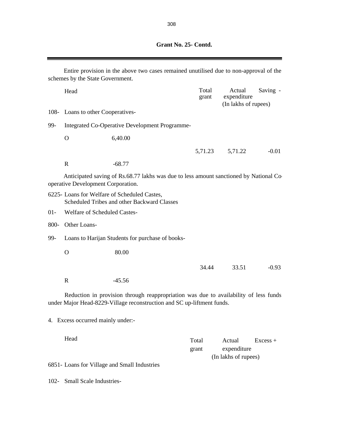| Grant No. 25- Contd. |
|----------------------|
|                      |

 $\overline{a}$ 

| Entire provision in the above two cases remained unutilised due to non-approval of the<br>schemes by the State Government.                                     |                                                  |                                                                                             |                |                                               |            |  |
|----------------------------------------------------------------------------------------------------------------------------------------------------------------|--------------------------------------------------|---------------------------------------------------------------------------------------------|----------------|-----------------------------------------------|------------|--|
|                                                                                                                                                                | Head                                             |                                                                                             | Total<br>grant | Actual<br>expenditure<br>(In lakhs of rupees) | Saving -   |  |
|                                                                                                                                                                | 108- Loans to other Cooperatives-                |                                                                                             |                |                                               |            |  |
| 99-                                                                                                                                                            | Integrated Co-Operative Development Programme-   |                                                                                             |                |                                               |            |  |
|                                                                                                                                                                | $\Omega$                                         | 6,40.00                                                                                     |                |                                               |            |  |
|                                                                                                                                                                |                                                  |                                                                                             | 5,71.23        | 5,71.22                                       | $-0.01$    |  |
|                                                                                                                                                                | $\mathbf R$                                      | $-68.77$                                                                                    |                |                                               |            |  |
| Anticipated saving of Rs.68.77 lakhs was due to less amount sanctioned by National Co-<br>operative Development Corporation.                                   |                                                  |                                                                                             |                |                                               |            |  |
|                                                                                                                                                                |                                                  | 6225- Loans for Welfare of Scheduled Castes,<br>Scheduled Tribes and other Backward Classes |                |                                               |            |  |
| $01 -$                                                                                                                                                         | Welfare of Scheduled Castes-                     |                                                                                             |                |                                               |            |  |
| 800-                                                                                                                                                           | Other Loans-                                     |                                                                                             |                |                                               |            |  |
| 99-                                                                                                                                                            | Loans to Harijan Students for purchase of books- |                                                                                             |                |                                               |            |  |
|                                                                                                                                                                | $\mathbf{O}$                                     | 80.00                                                                                       |                |                                               |            |  |
|                                                                                                                                                                |                                                  |                                                                                             | 34.44          | 33.51                                         | $-0.93$    |  |
|                                                                                                                                                                | $\mathbf R$                                      | $-45.56$                                                                                    |                |                                               |            |  |
| Reduction in provision through reappropriation was due to availability of less funds<br>under Major Head-8229-Village reconstruction and SC up-liftment funds. |                                                  |                                                                                             |                |                                               |            |  |
|                                                                                                                                                                | 4. Excess occurred mainly under:-                |                                                                                             |                |                                               |            |  |
|                                                                                                                                                                | Head                                             |                                                                                             | Total<br>grant | Actual<br>expenditure<br>(In lakhs of rupees) | $Excess +$ |  |
|                                                                                                                                                                |                                                  | 6851- Loans for Village and Small Industries                                                |                |                                               |            |  |
| $102 -$                                                                                                                                                        | <b>Small Scale Industries-</b>                   |                                                                                             |                |                                               |            |  |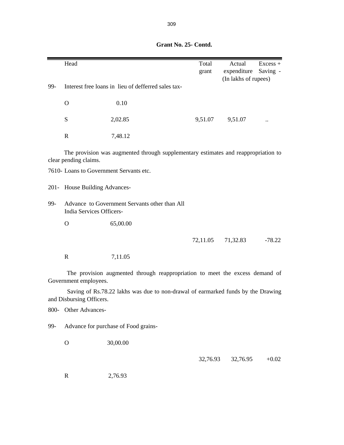|         | Head                                                                      |                                                                                    | Total<br>grant | Actual<br>expenditure<br>(In lakhs of rupees) | $Excess +$<br>Saving - |  |  |
|---------|---------------------------------------------------------------------------|------------------------------------------------------------------------------------|----------------|-----------------------------------------------|------------------------|--|--|
| 99-     |                                                                           | Interest free loans in lieu of defferred sales tax-                                |                |                                               |                        |  |  |
|         | $\mathbf{O}$                                                              | 0.10                                                                               |                |                                               |                        |  |  |
|         | ${\bf S}$                                                                 | 2,02.85                                                                            | 9,51.07        | 9,51.07                                       |                        |  |  |
|         | $\mathbf R$                                                               | 7,48.12                                                                            |                |                                               |                        |  |  |
|         | clear pending claims.                                                     | The provision was augmented through supplementary estimates and reappropriation to |                |                                               |                        |  |  |
|         |                                                                           | 7610- Loans to Government Servants etc.                                            |                |                                               |                        |  |  |
| $201 -$ | House Building Advances-                                                  |                                                                                    |                |                                               |                        |  |  |
| 99-     | Advance to Government Servants other than All<br>India Services Officers- |                                                                                    |                |                                               |                        |  |  |
|         | $\mathbf O$                                                               | 65,00.00                                                                           |                |                                               |                        |  |  |
|         |                                                                           |                                                                                    | 72,11.05       | 71,32.83                                      | $-78.22$               |  |  |
|         | ${\bf R}$                                                                 | 7,11.05                                                                            |                |                                               |                        |  |  |
|         | Government employees.                                                     | The provision augmented through reappropriation to meet the excess demand of       |                |                                               |                        |  |  |
|         | and Disbursing Officers.                                                  | Saving of Rs.78.22 lakhs was due to non-drawal of earmarked funds by the Drawing   |                |                                               |                        |  |  |
| 800-    | Other Advances-                                                           |                                                                                    |                |                                               |                        |  |  |
| 99-     |                                                                           | Advance for purchase of Food grains-                                               |                |                                               |                        |  |  |
|         | $\mathbf{O}$                                                              | 30,00.00                                                                           |                |                                               |                        |  |  |

## **Grant No. 25- Contd.**

32,76.93 32,76.95 +0.02

R 2,76.93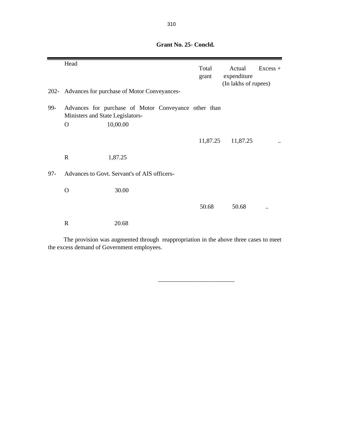Head Total Actual Excess + grant expenditure (In lakhs of rupees) 202- Advances for purchase of Motor Conveyances- 99- O 10,00.00 11,87.25 ... R 1,87.25 97- Advances to Govt. Servant's of AIS officers-O 30.00 50.68 50.68 .. R 20.68 Advances for purchase of Motor Conveyance other than Ministers and State Legislators-

 **Grant No. 25- Concld.**

The provision was augmented through reappropriation in the above three cases to meet the excess demand of Government employees.

 $\frac{1}{\sqrt{2}}$  ,  $\frac{1}{\sqrt{2}}$  ,  $\frac{1}{\sqrt{2}}$  ,  $\frac{1}{\sqrt{2}}$  ,  $\frac{1}{\sqrt{2}}$  ,  $\frac{1}{\sqrt{2}}$  ,  $\frac{1}{\sqrt{2}}$  ,  $\frac{1}{\sqrt{2}}$  ,  $\frac{1}{\sqrt{2}}$  ,  $\frac{1}{\sqrt{2}}$  ,  $\frac{1}{\sqrt{2}}$  ,  $\frac{1}{\sqrt{2}}$  ,  $\frac{1}{\sqrt{2}}$  ,  $\frac{1}{\sqrt{2}}$  ,  $\frac{1}{\sqrt{2}}$